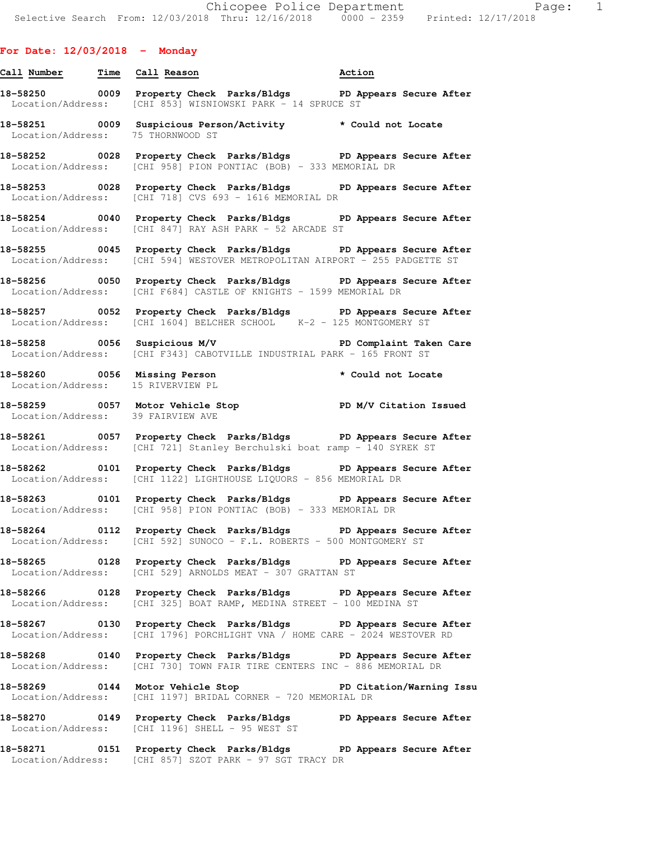## **For Date: 12/03/2018 - Monday**

| Call Number | Time | Call Reason                | Action                  |
|-------------|------|----------------------------|-------------------------|
| 18-58250    | 0009 | Property Check Parks/Bldgs | PD Appears Secure After |

Location/Address: [CHI 853] WISNIOWSKI PARK - 14 SPRUCE ST

**18-58251 0009 Suspicious Person/Activity \* Could not Locate**  Location/Address: 75 THORNWOOD ST

**18-58252 0028 Property Check Parks/Bldgs PD Appears Secure After**  Location/Address: [CHI 958] PION PONTIAC (BOB) - 333 MEMORIAL DR

**18-58253 0028 Property Check Parks/Bldgs PD Appears Secure After**  Location/Address: [CHI 718] CVS 693 - 1616 MEMORIAL DR

**18-58254 0040 Property Check Parks/Bldgs PD Appears Secure After**  Location/Address: [CHI 847] RAY ASH PARK - 52 ARCADE ST

**18-58255 0045 Property Check Parks/Bldgs PD Appears Secure After**  Location/Address: [CHI 594] WESTOVER METROPOLITAN AIRPORT - 255 PADGETTE ST

**18-58256 0050 Property Check Parks/Bldgs PD Appears Secure After**  Location/Address: [CHI F684] CASTLE OF KNIGHTS - 1599 MEMORIAL DR

**18-58257 0052 Property Check Parks/Bldgs PD Appears Secure After**  Location/Address: [CHI 1604] BELCHER SCHOOL K-2 - 125 MONTGOMERY ST

**18-58258 0056 Suspicious M/V PD Complaint Taken Care**  Location/Address: [CHI F343] CABOTVILLE INDUSTRIAL PARK - 165 FRONT ST

**18-58260 0056 Missing Person \* Could not Locate**  Location/Address: 15 RIVERVIEW PL

**18-58259 0057 Motor Vehicle Stop PD M/V Citation Issued**  Location/Address: 39 FAIRVIEW AVE

**18-58261 0057 Property Check Parks/Bldgs PD Appears Secure After**  Location/Address: [CHI 721] Stanley Berchulski boat ramp - 140 SYREK ST

**18-58262 0101 Property Check Parks/Bldgs PD Appears Secure After**  Location/Address: [CHI 1122] LIGHTHOUSE LIQUORS - 856 MEMORIAL DR

**18-58263 0101 Property Check Parks/Bldgs PD Appears Secure After**  Location/Address: [CHI 958] PION PONTIAC (BOB) - 333 MEMORIAL DR

**18-58264 0112 Property Check Parks/Bldgs PD Appears Secure After**  Location/Address: [CHI 592] SUNOCO - F.L. ROBERTS - 500 MONTGOMERY ST

**18-58265 0128 Property Check Parks/Bldgs PD Appears Secure After**  Location/Address: [CHI 529] ARNOLDS MEAT - 307 GRATTAN ST

**18-58266 0128 Property Check Parks/Bldgs PD Appears Secure After**  Location/Address: [CHI 325] BOAT RAMP, MEDINA STREET - 100 MEDINA ST

**18-58267 0130 Property Check Parks/Bldgs PD Appears Secure After**  Location/Address: [CHI 1796] PORCHLIGHT VNA / HOME CARE - 2024 WESTOVER RD

**18-58268 0140 Property Check Parks/Bldgs PD Appears Secure After**  Location/Address: [CHI 730] TOWN FAIR TIRE CENTERS INC - 886 MEMORIAL DR

**18-58269 0144 Motor Vehicle Stop PD Citation/Warning Issu**  Location/Address: [CHI 1197] BRIDAL CORNER - 720 MEMORIAL DR

**18-58270 0149 Property Check Parks/Bldgs PD Appears Secure After**  Location/Address: [CHI 1196] SHELL - 95 WEST ST

**18-58271 0151 Property Check Parks/Bldgs PD Appears Secure After**  Location/Address: [CHI 857] SZOT PARK - 97 SGT TRACY DR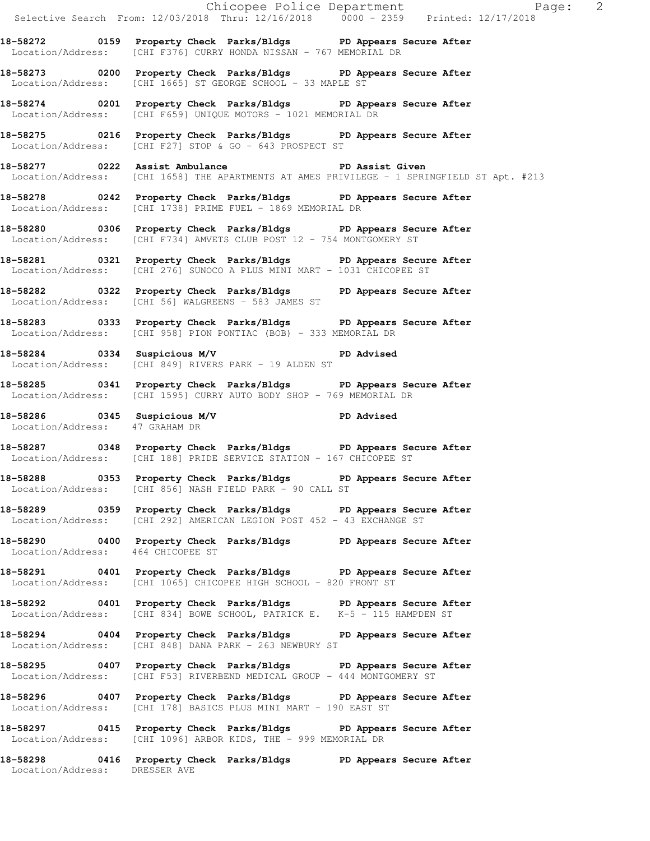Chicopee Police Department Fage: 2 Selective Search From: 12/03/2018 Thru: 12/16/2018 0000 - 2359 Printed: 12/17/2018 **18-58272 0159 Property Check Parks/Bldgs PD Appears Secure After**  Location/Address: [CHI F376] CURRY HONDA NISSAN - 767 MEMORIAL DR **18-58273 0200 Property Check Parks/Bldgs PD Appears Secure After**  Location/Address: [CHI 1665] ST GEORGE SCHOOL - 33 MAPLE ST **18-58274 0201 Property Check Parks/Bldgs PD Appears Secure After**  Location/Address: [CHI F659] UNIQUE MOTORS - 1021 MEMORIAL DR **18-58275 0216 Property Check Parks/Bldgs PD Appears Secure After**  Location/Address: [CHI F27] STOP & GO - 643 PROSPECT ST **18-58277 0222 Assist Ambulance PD Assist Given**  Location/Address: [CHI 1658] THE APARTMENTS AT AMES PRIVILEGE - 1 SPRINGFIELD ST Apt. #213 **18-58278 0242 Property Check Parks/Bldgs PD Appears Secure After**  Location/Address: [CHI 1738] PRIME FUEL - 1869 MEMORIAL DR **18-58280 0306 Property Check Parks/Bldgs PD Appears Secure After**  Location/Address: [CHI F734] AMVETS CLUB POST 12 - 754 MONTGOMERY ST **18-58281 0321 Property Check Parks/Bldgs PD Appears Secure After**  Location/Address: [CHI 276] SUNOCO A PLUS MINI MART - 1031 CHICOPEE ST **18-58282 0322 Property Check Parks/Bldgs PD Appears Secure After**  Location/Address: [CHI 56] WALGREENS - 583 JAMES ST **18-58283 0333 Property Check Parks/Bldgs PD Appears Secure After**  Location/Address: [CHI 958] PION PONTIAC (BOB) - 333 MEMORIAL DR **18-58284 0334 Suspicious M/V PD Advised**  Location/Address: [CHI 849] RIVERS PARK - 19 ALDEN ST **18-58285 0341 Property Check Parks/Bldgs PD Appears Secure After**  Location/Address: [CHI 1595] CURRY AUTO BODY SHOP - 769 MEMORIAL DR 18-58286 **0345** Suspicious M/V **PD Advised**  Location/Address: 47 GRAHAM DR **18-58287 0348 Property Check Parks/Bldgs PD Appears Secure After**  Location/Address: [CHI 188] PRIDE SERVICE STATION - 167 CHICOPEE ST **18-58288 0353 Property Check Parks/Bldgs PD Appears Secure After**  Location/Address: [CHI 856] NASH FIELD PARK - 90 CALL ST **18-58289 0359 Property Check Parks/Bldgs PD Appears Secure After**  Location/Address: [CHI 292] AMERICAN LEGION POST 452 - 43 EXCHANGE ST **18-58290 0400 Property Check Parks/Bldgs PD Appears Secure After**  Location/Address: 464 CHICOPEE ST **18-58291 0401 Property Check Parks/Bldgs PD Appears Secure After**  Location/Address: [CHI 1065] CHICOPEE HIGH SCHOOL - 820 FRONT ST **18-58292 0401 Property Check Parks/Bldgs PD Appears Secure After**  Location/Address: [CHI 834] BOWE SCHOOL, PATRICK E. K-5 - 115 HAMPDEN ST **18-58294 0404 Property Check Parks/Bldgs PD Appears Secure After**  Location/Address: [CHI 848] DANA PARK - 263 NEWBURY ST **18-58295 0407 Property Check Parks/Bldgs PD Appears Secure After**  Location/Address: [CHI F53] RIVERBEND MEDICAL GROUP - 444 MONTGOMERY ST **18-58296 0407 Property Check Parks/Bldgs PD Appears Secure After**  Location/Address: [CHI 178] BASICS PLUS MINI MART - 190 EAST ST **18-58297 0415 Property Check Parks/Bldgs PD Appears Secure After**  Location/Address: [CHI 1096] ARBOR KIDS, THE - 999 MEMORIAL DR **18-58298 0416 Property Check Parks/Bldgs PD Appears Secure After** 

Location/Address: DRESSER AVE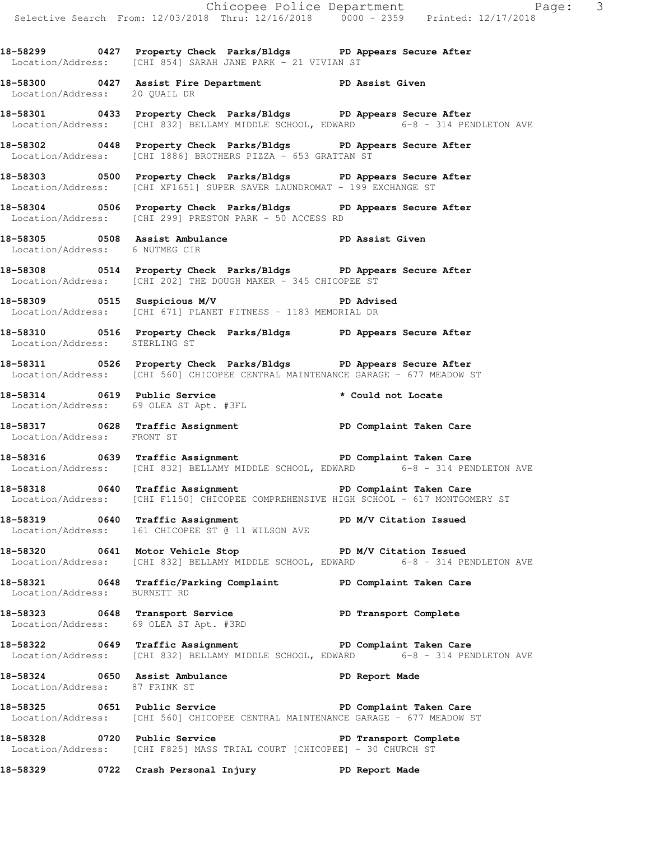Chicopee Police Department Fage: 3 Selective Search From: 12/03/2018 Thru: 12/16/2018 0000 - 2359 Printed: 12/17/2018 **18-58299 0427 Property Check Parks/Bldgs PD Appears Secure After**  Location/Address: [CHI 854] SARAH JANE PARK - 21 VIVIAN ST **18-58300 0427 Assist Fire Department PD Assist Given**  Location/Address: 20 QUAIL DR **18-58301 0433 Property Check Parks/Bldgs PD Appears Secure After**  Location/Address: [CHI 832] BELLAMY MIDDLE SCHOOL, EDWARD 6-8 - 314 PENDLETON AVE **18-58302 0448 Property Check Parks/Bldgs PD Appears Secure After**  Location/Address: [CHI 1886] BROTHERS PIZZA - 653 GRATTAN ST **18-58303 0500 Property Check Parks/Bldgs PD Appears Secure After**  Location/Address: [CHI XF1651] SUPER SAVER LAUNDROMAT - 199 EXCHANGE ST **18-58304 0506 Property Check Parks/Bldgs PD Appears Secure After**  Location/Address: [CHI 299] PRESTON PARK - 50 ACCESS RD 18-58305 **0508** Assist Ambulance **PD Assist Given**  Location/Address: 6 NUTMEG CIR **18-58308 0514 Property Check Parks/Bldgs PD Appears Secure After**  Location/Address: [CHI 202] THE DOUGH MAKER - 345 CHICOPEE ST **18-58309 0515 Suspicious M/V PD Advised**  Location/Address: [CHI 671] PLANET FITNESS - 1183 MEMORIAL DR **18-58310 0516 Property Check Parks/Bldgs PD Appears Secure After**  Location/Address: STERLING ST **18-58311 0526 Property Check Parks/Bldgs PD Appears Secure After**  Location/Address: [CHI 560] CHICOPEE CENTRAL MAINTENANCE GARAGE - 677 MEADOW ST **18-58314 0619 Public Service \* Could not Locate**  Location/Address: 69 OLEA ST Apt. #3FL **18-58317 0628 Traffic Assignment PD Complaint Taken Care**  Location/Address: FRONT ST 18-58316 **18-58316** 0639 Traffic Assignment **PD Complaint Taken Care** Location/Address: [CHI 832] BELLAMY MIDDLE SCHOOL, EDWARD 6-8 - 314 PENDLETON AVE **18-58318 0640 Traffic Assignment PD Complaint Taken Care**  Location/Address: [CHI F1150] CHICOPEE COMPREHENSIVE HIGH SCHOOL - 617 MONTGOMERY ST **18-58319 0640 Traffic Assignment PD M/V Citation Issued**  Location/Address: 161 CHICOPEE ST @ 11 WILSON AVE **18-58320 0641 Motor Vehicle Stop PD M/V Citation Issued**  Location/Address: [CHI 832] BELLAMY MIDDLE SCHOOL, EDWARD 6-8 - 314 PENDLETON AVE **18-58321 0648 Traffic/Parking Complaint PD Complaint Taken Care**  Location/Address: BURNETT RD **18-58323 0648 Transport Service PD Transport Complete**  Location/Address: 69 OLEA ST Apt. #3RD **18-58322 0649 Traffic Assignment PD Complaint Taken Care**  Location/Address: [CHI 832] BELLAMY MIDDLE SCHOOL, EDWARD 6-8 - 314 PENDLETON AVE **18-58324 0650 Assist Ambulance PD Report Made**  Location/Address: 87 FRINK ST **18-58325 0651 Public Service PD Complaint Taken Care**  Location/Address: [CHI 560] CHICOPEE CENTRAL MAINTENANCE GARAGE - 677 MEADOW ST **18-58328 0720 Public Service PD Transport Complete**  Location/Address: [CHI F825] MASS TRIAL COURT [CHICOPEE] - 30 CHURCH ST **18-58329 0722 Crash Personal Injury PD Report Made**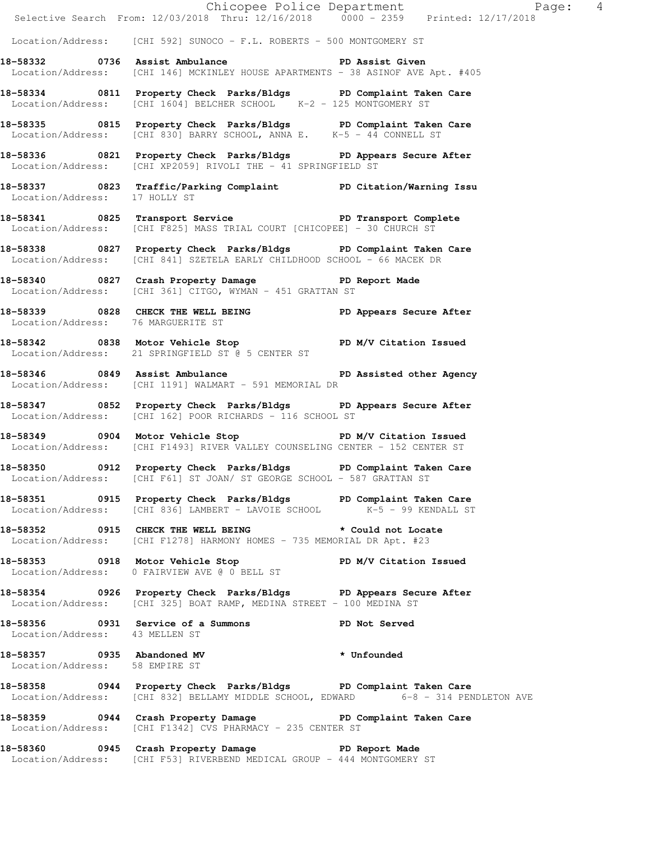|                                    |                                                                                                                                                       | Chicopee Police Department<br>Selective Search From: 12/03/2018 Thru: 12/16/2018 0000 - 2359 Printed: 12/17/2018 |  |
|------------------------------------|-------------------------------------------------------------------------------------------------------------------------------------------------------|------------------------------------------------------------------------------------------------------------------|--|
|                                    | Location/Address: [CHI 592] SUNOCO - F.L. ROBERTS - 500 MONTGOMERY ST                                                                                 |                                                                                                                  |  |
|                                    | 18-58332 0736 Assist Ambulance New PD Assist Given<br>Location/Address: [CHI 146] MCKINLEY HOUSE APARTMENTS - 38 ASINOF AVE Apt. #405                 |                                                                                                                  |  |
|                                    | 18-58334 0811 Property Check Parks/Bldgs PD Complaint Taken Care<br>Location/Address: [CHI 1604] BELCHER SCHOOL K-2 - 125 MONTGOMERY ST               |                                                                                                                  |  |
|                                    | 18-58335 0815 Property Check Parks/Bldgs PD Complaint Taken Care<br>Location/Address: [CHI 830] BARRY SCHOOL, ANNA E. K-5 - 44 CONNELL ST             |                                                                                                                  |  |
|                                    | 18-58336 6821 Property Check Parks/Bldgs PD Appears Secure After<br>Location/Address: [CHI XP2059] RIVOLI THE - 41 SPRINGFIELD ST                     |                                                                                                                  |  |
| Location/Address: 17 HOLLY ST      | 18-58337 0823 Traffic/Parking Complaint PD Citation/Warning Issu                                                                                      |                                                                                                                  |  |
|                                    | 18-58341 0825 Transport Service New PD Transport Complete<br>Location/Address: [CHI F825] MASS TRIAL COURT [CHICOPEE] - 30 CHURCH ST                  |                                                                                                                  |  |
|                                    | 18-58338 0827 Property Check Parks/Bldgs PD Complaint Taken Care<br>Location/Address: [CHI 841] SZETELA EARLY CHILDHOOD SCHOOL - 66 MACEK DR          |                                                                                                                  |  |
|                                    | 18-58340 0827 Crash Property Damage 50 PD Report Made<br>Location/Address: [CHI 361] CITGO, WYMAN - 451 GRATTAN ST                                    |                                                                                                                  |  |
| Location/Address: 76 MARGUERITE ST | 18-58339 0828 CHECK THE WELL BEING PD Appears Secure After                                                                                            |                                                                                                                  |  |
|                                    | 18-58342 0838 Motor Vehicle Stop PD M/V Citation Issued<br>Location/Address: 21 SPRINGFIELD ST @ 5 CENTER ST                                          |                                                                                                                  |  |
|                                    | 18-58346 0849 Assist Ambulance New PD Assisted other Agency<br>Location/Address: [CHI 1191] WALMART - 591 MEMORIAL DR                                 |                                                                                                                  |  |
|                                    | 18-58347 0852 Property Check Parks/Bldgs PD Appears Secure After<br>Location/Address: [CHI 162] POOR RICHARDS - 116 SCHOOL ST                         |                                                                                                                  |  |
|                                    | 18-58349 0904 Motor Vehicle Stop N/V Citation Issued<br>Location/Address: [CHI F1493] RIVER VALLEY COUNSELING CENTER - 152 CENTER ST                  |                                                                                                                  |  |
|                                    | 18-58350 0912 Property Check Parks/Bldgs PD Complaint Taken Care<br>Location/Address: [CHI F61] ST JOAN/ ST GEORGE SCHOOL - 587 GRATTAN ST            |                                                                                                                  |  |
|                                    | 18-58351 0915 Property Check Parks/Bldgs PD Complaint Taken Care<br>Location/Address: [CHI 836] LAMBERT - LAVOIE SCHOOL K-5 - 99 KENDALL ST           |                                                                                                                  |  |
|                                    | 18-58352 0915 CHECK THE WELL BEING * Could not Locate<br>Location/Address: [CHI F1278] HARMONY HOMES - 735 MEMORIAL DR Apt. #23                       |                                                                                                                  |  |
|                                    | 18-58353 0918 Motor Vehicle Stop PD M/V Citation Issued<br>Location/Address: 0 FAIRVIEW AVE @ 0 BELL ST                                               |                                                                                                                  |  |
|                                    | 18-58354 0926 Property Check Parks/Bldgs PD Appears Secure After<br>Location/Address: [CHI 325] BOAT RAMP, MEDINA STREET - 100 MEDINA ST              |                                                                                                                  |  |
| Location/Address: 43 MELLEN ST     | 18-58356 0931 Service of a Summons TPD Not Served                                                                                                     |                                                                                                                  |  |
| Location/Address: 58 EMPIRE ST     | $18-58357$ 0935 Abandoned MV $\star$ Unfounded                                                                                                        |                                                                                                                  |  |
|                                    | 18-58358 0944 Property Check Parks/Bldgs PD Complaint Taken Care<br>Location/Address: [CHI 832] BELLAMY MIDDLE SCHOOL, EDWARD 6-8 - 314 PENDLETON AVE |                                                                                                                  |  |
|                                    | 18-58359 0944 Crash Property Damage Name PD Complaint Taken Care<br>Location/Address: [CHI F1342] CVS PHARMACY - 235 CENTER ST                        |                                                                                                                  |  |
|                                    | 18-58360 0945 Crash Property Damage PD Report Made<br>Location/Address: [CHI F53] RIVERBEND MEDICAL GROUP - 444 MONTGOMERY ST                         |                                                                                                                  |  |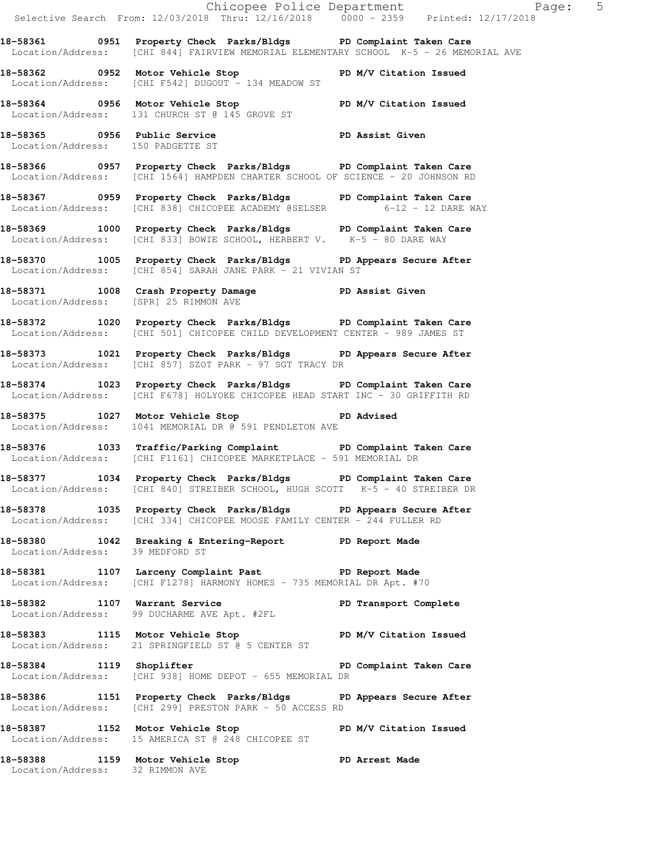|                                   |                                                                                                                                                                 | Chicopee Police Department<br>Selective Search From: 12/03/2018 Thru: 12/16/2018 0000 - 2359 Printed: 12/17/2018 |  |
|-----------------------------------|-----------------------------------------------------------------------------------------------------------------------------------------------------------------|------------------------------------------------------------------------------------------------------------------|--|
|                                   | 18-58361 		 0951 Property Check Parks/Bldgs 		 PD Complaint Taken Care<br>Location/Address: [CHI 844] FAIRVIEW MEMORIAL ELEMENTARY SCHOOL K-5 - 26 MEMORIAL AVE |                                                                                                                  |  |
|                                   | 18-58362 0952 Motor Vehicle Stop N/V Citation Issued<br>Location/Address: [CHI F542] DUGOUT - 134 MEADOW ST                                                     |                                                                                                                  |  |
|                                   | 18-58364 0956 Motor Vehicle Stop PD M/V Citation Issued<br>Location/Address: 131 CHURCH ST @ 145 GROVE ST                                                       |                                                                                                                  |  |
| Location/Address: 150 PADGETTE ST | 18-58365 0956 Public Service New PD Assist Given                                                                                                                |                                                                                                                  |  |
|                                   | 18-58366 0957 Property Check Parks/Bldgs PD Complaint Taken Care<br>Location/Address: [CHI 1564] HAMPDEN CHARTER SCHOOL OF SCIENCE - 20 JOHNSON RD              |                                                                                                                  |  |
|                                   | 18-58367 18-58367 0959 Property Check Parks/Bldgs 19D Complaint Taken Care<br>Location/Address: [CHI 838] CHICOPEE ACADEMY @SELSER 6-12 - 12 DARE WAY           |                                                                                                                  |  |
|                                   | 18-58369 1000 Property Check Parks/Bldgs PD Complaint Taken Care<br>Location/Address: [CHI 833] BOWIE SCHOOL, HERBERT V. K-5 - 80 DARE WAY                      |                                                                                                                  |  |
|                                   | 18-58370 1005 Property Check Parks/Bldgs PD Appears Secure After<br>Location/Address: [CHI 854] SARAH JANE PARK - 21 VIVIAN ST                                  |                                                                                                                  |  |
|                                   | 18-58371 1008 Crash Property Damage PD Assist Given<br>Location/Address: [SPR] 25 RIMMON AVE                                                                    |                                                                                                                  |  |
|                                   | 18-58372 1020 Property Check Parks/Bldgs PD Complaint Taken Care<br>Location/Address: [CHI 501] CHICOPEE CHILD DEVELOPMENT CENTER - 989 JAMES ST                |                                                                                                                  |  |
|                                   | 18-58373 1021 Property Check Parks/Bldgs PD Appears Secure After<br>Location/Address: [CHI 857] SZOT PARK - 97 SGT TRACY DR                                     |                                                                                                                  |  |
|                                   | 18-58374 1023 Property Check Parks/Bldgs PD Complaint Taken Care<br>Location/Address: [CHI F678] HOLYOKE CHICOPEE HEAD START INC - 30 GRIFFITH RD               |                                                                                                                  |  |
|                                   | 18-58375 1027 Motor Vehicle Stop 5 PD Advised<br>Location/Address: 1041 MEMORIAL DR @ 591 PENDLETON AVE                                                         |                                                                                                                  |  |
|                                   | 18-58376 1033 Traffic/Parking Complaint PD Complaint Taken Care<br>Location/Address: [CHI F1161] CHICOPEE MARKETPLACE - 591 MEMORIAL DR                         |                                                                                                                  |  |
|                                   | 18-58377 1034 Property Check Parks/Bldgs PD Complaint Taken Care<br>Location/Address: [CHI 840] STREIBER SCHOOL, HUGH SCOTT K-5 - 40 STREIBER DR                |                                                                                                                  |  |
|                                   | 18-58378 1035 Property Check Parks/Bldgs PD Appears Secure After<br>Location/Address: [CHI 334] CHICOPEE MOOSE FAMILY CENTER - 244 FULLER RD                    |                                                                                                                  |  |
| Location/Address: 39 MEDFORD ST   | 18-58380 1042 Breaking & Entering-Report TPD Report Made                                                                                                        |                                                                                                                  |  |
|                                   | 18-58381 1107 Larceny Complaint Past PD Report Made<br>Location/Address: [CHI F1278] HARMONY HOMES - 735 MEMORIAL DR Apt. #70                                   |                                                                                                                  |  |
|                                   | 18-58382 1107 Warrant Service<br>Location/Address: 99 DUCHARME AVE Apt. #2FL                                                                                    | PD Transport Complete                                                                                            |  |
|                                   | 18-58383 1115 Motor Vehicle Stop N/V Citation Issued<br>Location/Address: 21 SPRINGFIELD ST @ 5 CENTER ST                                                       |                                                                                                                  |  |
| 18-58384 1119 Shoplifter          | Location/Address: [CHI 938] HOME DEPOT - 655 MEMORIAL DR                                                                                                        | PD Complaint Taken Care                                                                                          |  |
|                                   | 18-58386 1151 Property Check Parks/Bldgs PD Appears Secure After<br>Location/Address: [CHI 299] PRESTON PARK - 50 ACCESS RD                                     |                                                                                                                  |  |
| 18-58387 1152 Motor Vehicle Stop  | Location/Address: 15 AMERICA ST @ 248 CHICOPEE ST                                                                                                               | PD M/V Citation Issued                                                                                           |  |
|                                   | 18-58388 1159 Motor Vehicle Stop North PD Arrest Made Location/Address: 32 RIMMON AVE                                                                           |                                                                                                                  |  |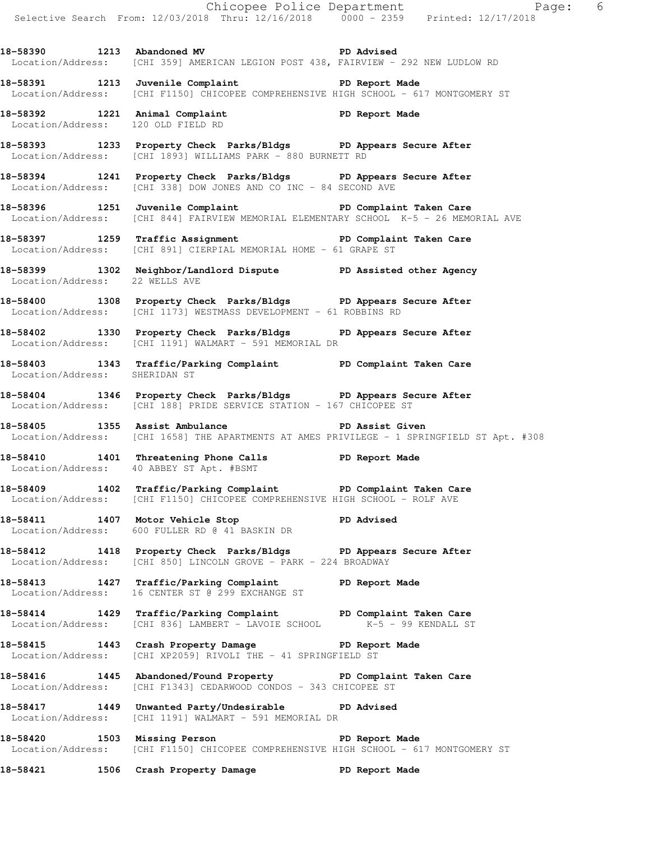**18-58390 1213 Abandoned MV PD Advised**  Location/Address: [CHI 359] AMERICAN LEGION POST 438, FAIRVIEW - 292 NEW LUDLOW RD

**18-58391 1213 Juvenile Complaint PD Report Made**  Location/Address: [CHI F1150] CHICOPEE COMPREHENSIVE HIGH SCHOOL - 617 MONTGOMERY ST

**18-58392 1221 Animal Complaint PD Report Made**  Location/Address: 120 OLD FIELD RD

**18-58393 1233 Property Check Parks/Bldgs PD Appears Secure After**  Location/Address: [CHI 1893] WILLIAMS PARK - 880 BURNETT RD

**18-58394 1241 Property Check Parks/Bldgs PD Appears Secure After**  Location/Address: [CHI 338] DOW JONES AND CO INC - 84 SECOND AVE

**18-58396 1251 Juvenile Complaint PD Complaint Taken Care**  Location/Address: [CHI 844] FAIRVIEW MEMORIAL ELEMENTARY SCHOOL K-5 - 26 MEMORIAL AVE

18-58397 **1259** Traffic Assignment **PD Complaint Taken Care** Location/Address: [CHI 891] CIERPIAL MEMORIAL HOME - 61 GRAPE ST

**18-58399 1302 Neighbor/Landlord Dispute PD Assisted other Agency**  Location/Address: 22 WELLS AVE

**18-58400 1308 Property Check Parks/Bldgs PD Appears Secure After**  Location/Address: [CHI 1173] WESTMASS DEVELOPMENT - 61 ROBBINS RD

**18-58402 1330 Property Check Parks/Bldgs PD Appears Secure After**  Location/Address: [CHI 1191] WALMART - 591 MEMORIAL DR

**18-58403 1343 Traffic/Parking Complaint PD Complaint Taken Care**  Location/Address: SHERIDAN ST

**18-58404 1346 Property Check Parks/Bldgs PD Appears Secure After**  Location/Address: [CHI 188] PRIDE SERVICE STATION - 167 CHICOPEE ST

**18-58405 1355 Assist Ambulance PD Assist Given**  Location/Address: [CHI 1658] THE APARTMENTS AT AMES PRIVILEGE - 1 SPRINGFIELD ST Apt. #308

**18-58410 1401 Threatening Phone Calls PD Report Made**  Location/Address: 40 ABBEY ST Apt. #BSMT

**18-58409 1402 Traffic/Parking Complaint PD Complaint Taken Care**  Location/Address: [CHI F1150] CHICOPEE COMPREHENSIVE HIGH SCHOOL - ROLF AVE

18-58411 1407 Motor Vehicle Stop **PD** Advised Location/Address: 600 FULLER RD @ 41 BASKIN DR

**18-58412 1418 Property Check Parks/Bldgs PD Appears Secure After**  Location/Address: [CHI 850] LINCOLN GROVE - PARK - 224 BROADWAY

**18-58413 1427 Traffic/Parking Complaint PD Report Made**  Location/Address: 16 CENTER ST @ 299 EXCHANGE ST

**18-58414 1429 Traffic/Parking Complaint PD Complaint Taken Care**  Location/Address: [CHI 836] LAMBERT - LAVOIE SCHOOL K-5 - 99 KENDALL ST

**18-58415 1443 Crash Property Damage PD Report Made**  Location/Address: [CHI XP2059] RIVOLI THE - 41 SPRINGFIELD ST

**18-58416 1445 Abandoned/Found Property PD Complaint Taken Care**  Location/Address: [CHI F1343] CEDARWOOD CONDOS - 343 CHICOPEE ST

**18-58417 1449 Unwanted Party/Undesirable PD Advised**  Location/Address: [CHI 1191] WALMART - 591 MEMORIAL DR

**18-58420 1503 Missing Person PD Report Made**  Location/Address: [CHI F1150] CHICOPEE COMPREHENSIVE HIGH SCHOOL - 617 MONTGOMERY ST

**18-58421 1506 Crash Property Damage PD Report Made**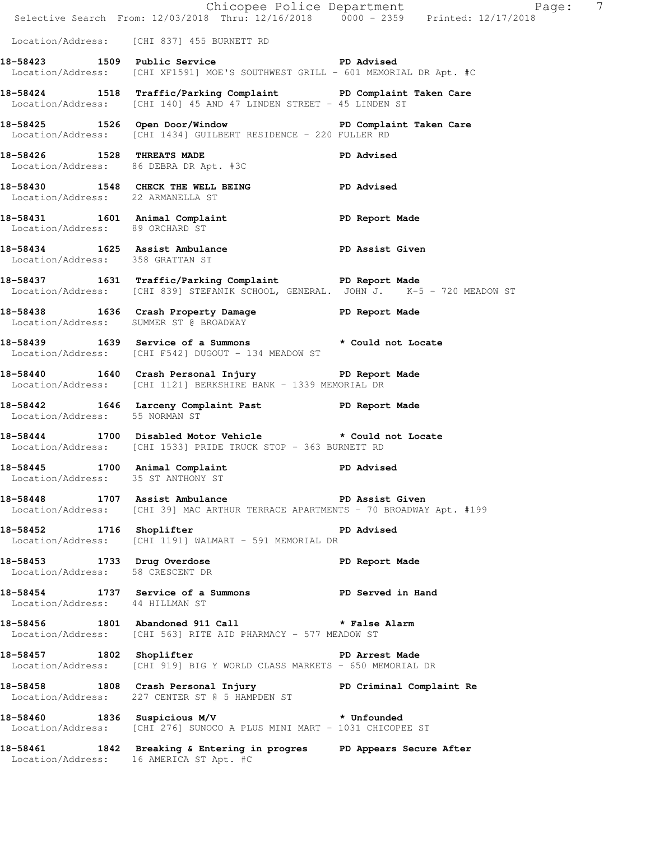|                                                                      |                                                                                                                                             | Chicopee Police Department<br>Selective Search From: 12/03/2018 Thru: 12/16/2018 0000 - 2359 Printed: 12/17/2018 |
|----------------------------------------------------------------------|---------------------------------------------------------------------------------------------------------------------------------------------|------------------------------------------------------------------------------------------------------------------|
|                                                                      | Location/Address: [CHI 837] 455 BURNETT RD                                                                                                  |                                                                                                                  |
|                                                                      | 18-58423 1509 Public Service Natural PD Advised<br>Location/Address: [CHI XF1591] MOE'S SOUTHWEST GRILL - 601 MEMORIAL DR Apt. #C           |                                                                                                                  |
|                                                                      | 18-58424 1518 Traffic/Parking Complaint PD Complaint Taken Care<br>Location/Address: [CHI 140] 45 AND 47 LINDEN STREET - 45 LINDEN ST       |                                                                                                                  |
|                                                                      | 18-58425 1526 Open Door/Window No PD Complaint Taken Care<br>Location/Address: [CHI 1434] GUILBERT RESIDENCE - 220 FULLER RD                |                                                                                                                  |
| Location/Address: 86 DEBRA DR Apt. #3C                               | 18-58426 1528 THREATS MADE                                                                                                                  | PD Advised                                                                                                       |
| Location/Address: 22 ARMANELLA ST                                    | 18-58430 1548 CHECK THE WELL BEING PD Advised                                                                                               |                                                                                                                  |
|                                                                      | 18-58431   1601   Animal Complaint   PD Report Made Location/Address: 89 ORCHARD ST                                                         |                                                                                                                  |
| Location/Address: 358 GRATTAN ST                                     | 18-58434 1625 Assist Ambulance New PD Assist Given                                                                                          |                                                                                                                  |
|                                                                      | 18-58437 1631 Traffic/Parking Complaint PD Report Made<br>Location/Address: [CHI 839] STEFANIK SCHOOL, GENERAL. JOHN J. K-5 - 720 MEADOW ST |                                                                                                                  |
| Location/Address: SUMMER ST @ BROADWAY                               | 18-58438 1636 Crash Property Damage Name PD Report Made                                                                                     |                                                                                                                  |
|                                                                      | 18-58439 1639 Service of a Summons * Could not Locate<br>Location/Address: [CHI F542] DUGOUT - 134 MEADOW ST                                |                                                                                                                  |
|                                                                      | 18-58440 1640 Crash Personal Injury 18-58440<br>Location/Address: [CHI 1121] BERKSHIRE BANK - 1339 MEMORIAL DR                              |                                                                                                                  |
| Location/Address: 55 NORMAN ST                                       | 18-58442 1646 Larceny Complaint Past PD Report Made                                                                                         |                                                                                                                  |
|                                                                      | 18-58444 1700 Disabled Motor Vehicle * Could not Locate<br>Location/Address: [CHI 1533] PRIDE TRUCK STOP - 363 BURNETT RD                   |                                                                                                                  |
| 18-58445 1700 Animal Complaint<br>Location/Address: 35 ST ANTHONY ST | PD Advised                                                                                                                                  |                                                                                                                  |
|                                                                      | 18-58448 1707 Assist Ambulance New PD Assist Given<br>Location/Address: [CHI 39] MAC ARTHUR TERRACE APARTMENTS - 70 BROADWAY Apt. #199      |                                                                                                                  |
|                                                                      | 18-58452 1716 Shoplifter<br>Location/Address: [CHI 1191] WALMART - 591 MEMORIAL DR                                                          | <b>PD Advised</b>                                                                                                |
| 18-58453 1733 Drug Overdose<br>Location/Address: 58 CRESCENT DR      |                                                                                                                                             | PD Report Made                                                                                                   |
| Location/Address: 44 HILLMAN ST                                      | 18-58454 1737 Service of a Summons TPD Served in Hand                                                                                       |                                                                                                                  |
|                                                                      | 18-58456 1801 Abandoned 911 Call <b>the Seap of the Seap Alarm</b><br>Location/Address: [CHI 563] RITE AID PHARMACY - 577 MEADOW ST         |                                                                                                                  |
|                                                                      | 18-58457 1802 Shoplifter 2008 1909 PD Arrest Made<br>Location/Address: [CHI 919] BIG Y WORLD CLASS MARKETS - 650 MEMORIAL DR                |                                                                                                                  |
|                                                                      | 18-58458 1808 Crash Personal Injury Ne PD Criminal Complaint Re<br>Location/Address: 227 CENTER ST @ 5 HAMPDEN ST                           |                                                                                                                  |
|                                                                      | 18-58460 1836 Suspicious M/V 30 * Unfounded<br>Location/Address: [CHI 276] SUNOCO A PLUS MINI MART - 1031 CHICOPEE ST                       |                                                                                                                  |
|                                                                      | 18-58461 1842 Breaking & Entering in progres PD Appears Secure After<br>Location/Address: 16 AMERICA ST Apt. #C                             |                                                                                                                  |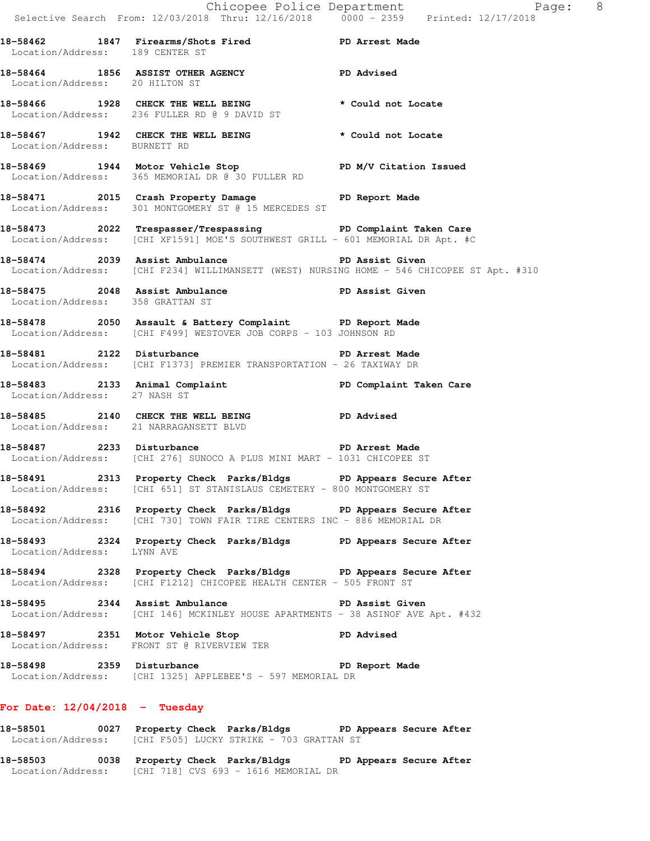|                                  |                                                                                                                                                | Chicopee Police Department<br>Selective Search From: 12/03/2018 Thru: 12/16/2018 0000 - 2359 Printed: 12/17/2018 |
|----------------------------------|------------------------------------------------------------------------------------------------------------------------------------------------|------------------------------------------------------------------------------------------------------------------|
| Location/Address: 189 CENTER ST  | 18-58462 1847 Firearms/Shots Fired PD Arrest Made                                                                                              |                                                                                                                  |
| Location/Address: 20 HILTON ST   | 18-58464 1856 ASSIST OTHER AGENCY PD Advised                                                                                                   |                                                                                                                  |
|                                  | 18-58466 1928 CHECK THE WELL BEING<br>Location/Address: 236 FULLER RD @ 9 DAVID ST                                                             | * Could not Locate                                                                                               |
| Location/Address: BURNETT RD     | 18-58467 1942 CHECK THE WELL BEING * Could not Locate                                                                                          |                                                                                                                  |
|                                  | 18-58469 1944 Motor Vehicle Stop PD M/V Citation Issued<br>Location/Address: 365 MEMORIAL DR @ 30 FULLER RD                                    |                                                                                                                  |
|                                  | 18-58471 2015 Crash Property Damage PD Report Made<br>Location/Address: 301 MONTGOMERY ST @ 15 MERCEDES ST                                     |                                                                                                                  |
|                                  | 18-58473 2022 Trespasser/Trespassing PD Complaint Taken Care<br>Location/Address: [CHI XF1591] MOE'S SOUTHWEST GRILL - 601 MEMORIAL DR Apt. #C |                                                                                                                  |
|                                  | 18-58474 2039 Assist Ambulance                                                                                                                 | PD Assist Given<br>Location/Address: [CHI F234] WILLIMANSETT (WEST) NURSING HOME - 546 CHICOPEE ST Apt. #310     |
| Location/Address: 358 GRATTAN ST | 18-58475 2048 Assist Ambulance New PD Assist Given                                                                                             |                                                                                                                  |
|                                  | 18-58478 2050 Assault & Battery Complaint PD Report Made<br>Location/Address: [CHI F499] WESTOVER JOB CORPS - 103 JOHNSON RD                   |                                                                                                                  |
|                                  | 18-58481 2122 Disturbance<br>Location/Address: [CHI F1373] PREMIER TRANSPORTATION - 26 TAXIWAY DR                                              | PD Arrest Made                                                                                                   |
| Location/Address: 27 NASH ST     | 18-58483 2133 Animal Complaint (2008) PD Complaint Taken Care                                                                                  |                                                                                                                  |
|                                  | 18-58485 2140 CHECK THE WELL BEING PD Advised<br>Location/Address: 21 NARRAGANSETT BLVD                                                        |                                                                                                                  |
|                                  | 18-58487 2233 Disturbance 2008 PD Arrest Made<br>Location/Address: [CHI 276] SUNOCO A PLUS MINI MART - 1031 CHICOPEE ST                        |                                                                                                                  |
|                                  | 18-58491 2313 Property Check Parks/Bldgs PD Appears Secure After<br>Location/Address: [CHI 651] ST STANISLAUS CEMETERY - 800 MONTGOMERY ST     |                                                                                                                  |
|                                  | 18-58492 2316 Property Check Parks/Bldgs PD Appears Secure After<br>Location/Address: [CHI 730] TOWN FAIR TIRE CENTERS INC - 886 MEMORIAL DR   |                                                                                                                  |
| Location/Address: LYNN AVE       | 18-58493 2324 Property Check Parks/Bldgs PD Appears Secure After                                                                               |                                                                                                                  |
|                                  | 18-58494 2328 Property Check Parks/Bldgs PD Appears Secure After<br>Location/Address: [CHI F1212] CHICOPEE HEALTH CENTER - 505 FRONT ST        |                                                                                                                  |
|                                  | 18-58495 2344 Assist Ambulance<br>Location/Address: [CHI 146] MCKINLEY HOUSE APARTMENTS - 38 ASINOF AVE Apt. #432                              | PD Assist Given                                                                                                  |
|                                  | 18-58497 2351 Motor Vehicle Stop 58497 PD Advised<br>Location/Address: FRONT ST @ RIVERVIEW TER                                                |                                                                                                                  |
|                                  | 18-58498 2359 Disturbance<br>Location/Address: [CHI 1325] APPLEBEE'S - 597 MEMORIAL DR                                                         | PD Report Made                                                                                                   |
| For Date: $12/04/2018$ - Tuesday |                                                                                                                                                |                                                                                                                  |
|                                  | 18-58501 0027 Property Check Parks/Bldgs PD Appears Secure After                                                                               |                                                                                                                  |

Location/Address: [CHI F505] LUCKY STRIKE - 703 GRATTAN ST **18-58503 0038 Property Check Parks/Bldgs PD Appears Secure After** 

Location/Address: [CHI 718] CVS 693 - 1616 MEMORIAL DR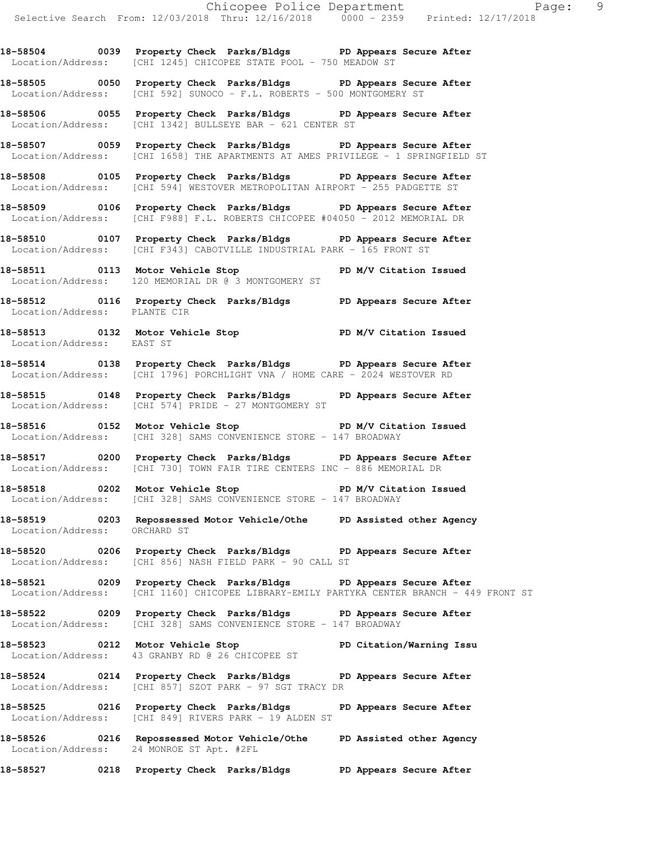**18-58504 0039 Property Check Parks/Bldgs PD Appears Secure After**  Location/Address: [CHI 1245] CHICOPEE STATE POOL - 750 MEADOW ST

**18-58505 0050 Property Check Parks/Bldgs PD Appears Secure After**  Location/Address: [CHI 592] SUNOCO - F.L. ROBERTS - 500 MONTGOMERY ST

**18-58506 0055 Property Check Parks/Bldgs PD Appears Secure After**  Location/Address: [CHI 1342] BULLSEYE BAR - 621 CENTER ST

**18-58507 0059 Property Check Parks/Bldgs PD Appears Secure After**  Location/Address: [CHI 1658] THE APARTMENTS AT AMES PRIVILEGE - 1 SPRINGFIELD ST

**18-58508 0105 Property Check Parks/Bldgs PD Appears Secure After**  Location/Address: [CHI 594] WESTOVER METROPOLITAN AIRPORT - 255 PADGETTE ST

**18-58509 0106 Property Check Parks/Bldgs PD Appears Secure After**  Location/Address: [CHI F988] F.L. ROBERTS CHICOPEE #04050 - 2012 MEMORIAL DR

**18-58510 0107 Property Check Parks/Bldgs PD Appears Secure After**  Location/Address: [CHI F343] CABOTVILLE INDUSTRIAL PARK - 165 FRONT ST

**18-58511 0113 Motor Vehicle Stop PD M/V Citation Issued**  Location/Address: 120 MEMORIAL DR @ 3 MONTGOMERY ST

**18-58512 0116 Property Check Parks/Bldgs PD Appears Secure After**  Location/Address: PLANTE CIR

**18-58513 0132 Motor Vehicle Stop PD M/V Citation Issued**  Location/Address: EAST ST

**18-58514 0138 Property Check Parks/Bldgs PD Appears Secure After**  Location/Address: [CHI 1796] PORCHLIGHT VNA / HOME CARE - 2024 WESTOVER RD

**18-58515 0148 Property Check Parks/Bldgs PD Appears Secure After**  Location/Address: [CHI 574] PRIDE - 27 MONTGOMERY ST

**18-58516 0152 Motor Vehicle Stop PD M/V Citation Issued**  Location/Address: [CHI 328] SAMS CONVENIENCE STORE - 147 BROADWAY

**18-58517 0200 Property Check Parks/Bldgs PD Appears Secure After**  Location/Address: [CHI 730] TOWN FAIR TIRE CENTERS INC - 886 MEMORIAL DR

18-58518 0202 Motor Vehicle Stop **PD M/V Citation Issued** Location/Address: [CHI 328] SAMS CONVENIENCE STORE - 147 BROADWAY

**18-58519 0203 Repossessed Motor Vehicle/Othe PD Assisted other Agency**  Location/Address: ORCHARD ST

**18-58520 0206 Property Check Parks/Bldgs PD Appears Secure After**  Location/Address: [CHI 856] NASH FIELD PARK - 90 CALL ST

**18-58521 0209 Property Check Parks/Bldgs PD Appears Secure After**  Location/Address: [CHI 1160] CHICOPEE LIBRARY-EMILY PARTYKA CENTER BRANCH - 449 FRONT ST

**18-58522 0209 Property Check Parks/Bldgs PD Appears Secure After**  Location/Address: [CHI 328] SAMS CONVENIENCE STORE - 147 BROADWAY

**18-58523 0212 Motor Vehicle Stop PD Citation/Warning Issu**  Location/Address: 43 GRANBY RD @ 26 CHICOPEE ST

**18-58524 0214 Property Check Parks/Bldgs PD Appears Secure After**  Location/Address: [CHI 857] SZOT PARK - 97 SGT TRACY DR

**18-58525 0216 Property Check Parks/Bldgs PD Appears Secure After**  Location/Address: [CHI 849] RIVERS PARK - 19 ALDEN ST

**18-58526 0216 Repossessed Motor Vehicle/Othe PD Assisted other Agency**  Location/Address: 24 MONROE ST Apt. #2FL

**18-58527 0218 Property Check Parks/Bldgs PD Appears Secure After**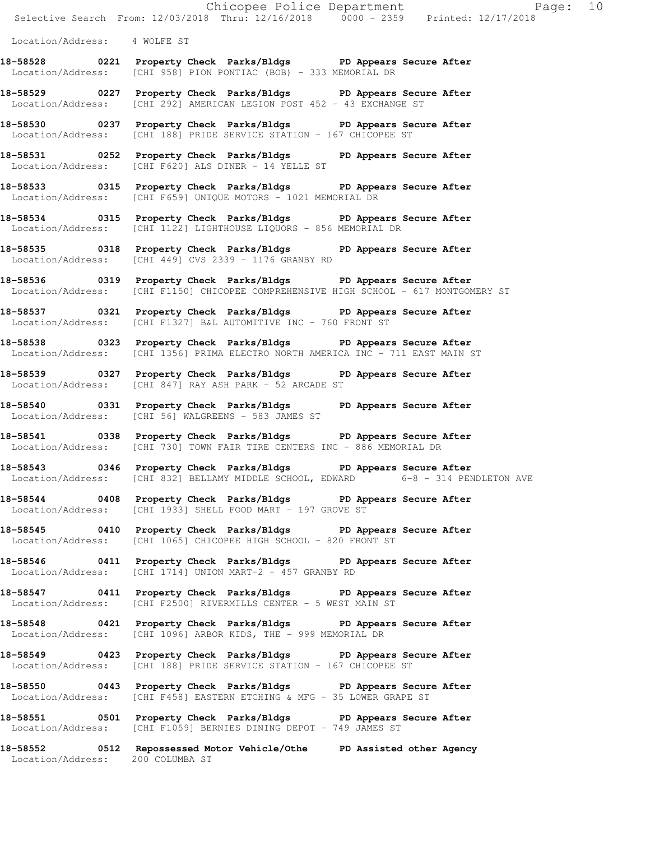Chicopee Police Department Page: 10 Selective Search From: 12/03/2018 Thru: 12/16/2018 0000 - 2359 Printed: 12/17/2018 Location/Address: 4 WOLFE ST **18-58528 0221 Property Check Parks/Bldgs PD Appears Secure After**  Location/Address: [CHI 958] PION PONTIAC (BOB) - 333 MEMORIAL DR **18-58529 0227 Property Check Parks/Bldgs PD Appears Secure After**  Location/Address: [CHI 292] AMERICAN LEGION POST 452 - 43 EXCHANGE ST **18-58530 0237 Property Check Parks/Bldgs PD Appears Secure After**  Location/Address: [CHI 188] PRIDE SERVICE STATION - 167 CHICOPEE ST **18-58531 0252 Property Check Parks/Bldgs PD Appears Secure After**  Location/Address: [CHI F620] ALS DINER - 14 YELLE ST **18-58533 0315 Property Check Parks/Bldgs PD Appears Secure After**  Location/Address: [CHI F659] UNIQUE MOTORS - 1021 MEMORIAL DR **18-58534 0315 Property Check Parks/Bldgs PD Appears Secure After**  Location/Address: [CHI 1122] LIGHTHOUSE LIQUORS - 856 MEMORIAL DR **18-58535 0318 Property Check Parks/Bldgs PD Appears Secure After**  Location/Address: [CHI 449] CVS 2339 - 1176 GRANBY RD **18-58536 0319 Property Check Parks/Bldgs PD Appears Secure After**  Location/Address: [CHI F1150] CHICOPEE COMPREHENSIVE HIGH SCHOOL - 617 MONTGOMERY ST **18-58537 0321 Property Check Parks/Bldgs PD Appears Secure After**  Location/Address: [CHI F1327] B&L AUTOMITIVE INC - 760 FRONT ST **18-58538 0323 Property Check Parks/Bldgs PD Appears Secure After**  Location/Address: [CHI 1356] PRIMA ELECTRO NORTH AMERICA INC - 711 EAST MAIN ST **18-58539 0327 Property Check Parks/Bldgs PD Appears Secure After**  Location/Address: [CHI 847] RAY ASH PARK - 52 ARCADE ST **18-58540 0331 Property Check Parks/Bldgs PD Appears Secure After**  Location/Address: [CHI 56] WALGREENS - 583 JAMES ST **18-58541 0338 Property Check Parks/Bldgs PD Appears Secure After**  Location/Address: [CHI 730] TOWN FAIR TIRE CENTERS INC - 886 MEMORIAL DR **18-58543 0346 Property Check Parks/Bldgs PD Appears Secure After**  Location/Address: [CHI 832] BELLAMY MIDDLE SCHOOL, EDWARD 6-8 - 314 PENDLETON AVE **18-58544 0408 Property Check Parks/Bldgs PD Appears Secure After**  Location/Address: [CHI 1933] SHELL FOOD MART - 197 GROVE ST **18-58545 0410 Property Check Parks/Bldgs PD Appears Secure After**  Location/Address: [CHI 1065] CHICOPEE HIGH SCHOOL - 820 FRONT ST **18-58546 0411 Property Check Parks/Bldgs PD Appears Secure After**  Location/Address: [CHI 1714] UNION MART-2 - 457 GRANBY RD **18-58547 0411 Property Check Parks/Bldgs PD Appears Secure After**  Location/Address: [CHI F2500] RIVERMILLS CENTER - 5 WEST MAIN ST **18-58548 0421 Property Check Parks/Bldgs PD Appears Secure After**  Location/Address: [CHI 1096] ARBOR KIDS, THE - 999 MEMORIAL DR **18-58549 0423 Property Check Parks/Bldgs PD Appears Secure After**  Location/Address: [CHI 188] PRIDE SERVICE STATION - 167 CHICOPEE ST **18-58550 0443 Property Check Parks/Bldgs PD Appears Secure After**  Location/Address: [CHI F458] EASTERN ETCHING & MFG - 35 LOWER GRAPE ST **18-58551 0501 Property Check Parks/Bldgs PD Appears Secure After**  Location/Address: [CHI F1059] BERNIES DINING DEPOT - 749 JAMES ST **18-58552 0512 Repossessed Motor Vehicle/Othe PD Assisted other Agency** 

Location/Address: 200 COLUMBA ST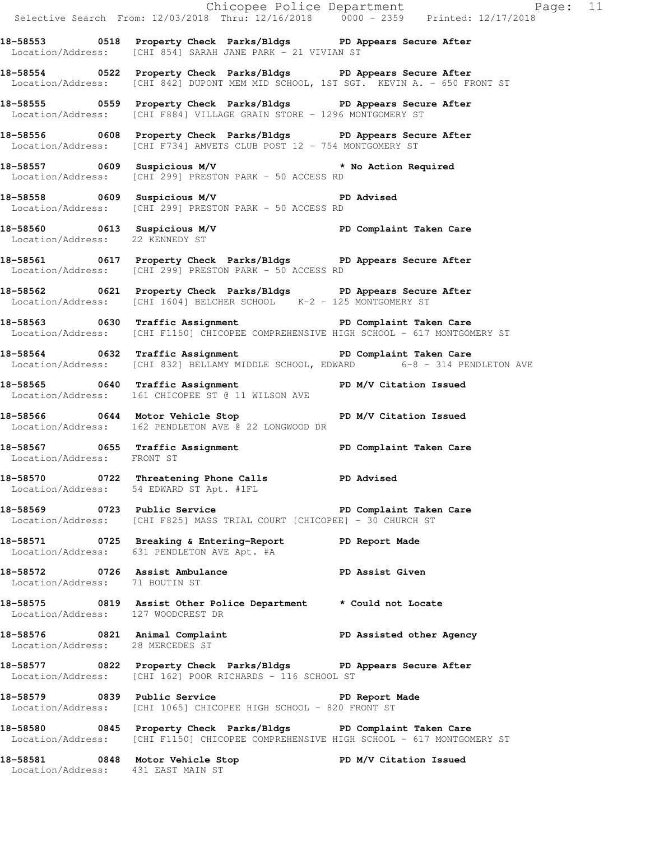|                                    |                                                                                                                                                          | Chicopee Police Department<br>Selective Search From: 12/03/2018 Thru: 12/16/2018 0000 - 2359 Printed: 12/17/2018 |
|------------------------------------|----------------------------------------------------------------------------------------------------------------------------------------------------------|------------------------------------------------------------------------------------------------------------------|
|                                    | 18-58553 0518 Property Check Parks/Bldgs PD Appears Secure After<br>Location/Address: [CHI 854] SARAH JANE PARK - 21 VIVIAN ST                           |                                                                                                                  |
|                                    | 18-58554 0522 Property Check Parks/Bldgs PD Appears Secure After                                                                                         | Location/Address: [CHI 842] DUPONT MEM MID SCHOOL, 1ST SGT. KEVIN A. - 650 FRONT ST                              |
|                                    | 18-58555 0559 Property Check Parks/Bldgs PD Appears Secure After<br>Location/Address: [CHI F884] VILLAGE GRAIN STORE - 1296 MONTGOMERY ST                |                                                                                                                  |
|                                    | 18-58556 0608 Property Check Parks/Bldgs PD Appears Secure After<br>Location/Address: [CHI F734] AMVETS CLUB POST 12 - 754 MONTGOMERY ST                 |                                                                                                                  |
|                                    | 18-58557 0609 Suspicious M/V * No Action Required<br>Location/Address: [CHI 299] PRESTON PARK - 50 ACCESS RD                                             |                                                                                                                  |
|                                    | 18-58558 0609 Suspicious M/V PD Advised<br>Location/Address: [CHI 299] PRESTON PARK - 50 ACCESS RD                                                       |                                                                                                                  |
| Location/Address: 22 KENNEDY ST    | 18-58560 0613 Suspicious M/V PD Complaint Taken Care<br>Location/Address: 22 KENNEDY ST                                                                  |                                                                                                                  |
|                                    | 18-58561 0617 Property Check Parks/Bldgs PD Appears Secure After<br>Location/Address: [CHI 299] PRESTON PARK - 50 ACCESS RD                              |                                                                                                                  |
|                                    | 18-58562 0621 Property Check Parks/Bldgs PD Appears Secure After<br>Location/Address: [CHI 1604] BELCHER SCHOOL K-2 - 125 MONTGOMERY ST                  |                                                                                                                  |
|                                    | 18-58563 0630 Traffic Assignment New PD Complaint Taken Care                                                                                             | Location/Address: [CHI F1150] CHICOPEE COMPREHENSIVE HIGH SCHOOL - 617 MONTGOMERY ST                             |
|                                    | 18-58564 0632 Traffic Assignment Number 2001 PD Complaint Taken Care                                                                                     | Location/Address: [CHI 832] BELLAMY MIDDLE SCHOOL, EDWARD 6-8 - 314 PENDLETON AVE                                |
|                                    | 18-58565 0640 Traffic Assignment PD M/V Citation Issued<br>Location/Address: 161 CHICOPEE ST @ 11 WILSON AVE                                             |                                                                                                                  |
|                                    | 18-58566 0644 Motor Vehicle Stop N/V Citation Issued<br>Location/Address: 162 PENDLETON AVE @ 22 LONGWOOD DR                                             |                                                                                                                  |
| Location/Address: FRONT ST         | 18-58567 0655 Traffic Assignment 18-58567 PD Complaint Taken Care                                                                                        |                                                                                                                  |
|                                    | 18-58570 0722 Threatening Phone Calls PD Advised<br>Location/Address: 54 EDWARD ST Apt. #1FL                                                             |                                                                                                                  |
|                                    | 18-58569 0723 Public Service New PD Complaint Taken Care<br>Location/Address: [CHI F825] MASS TRIAL COURT [CHICOPEE] - 30 CHURCH ST                      |                                                                                                                  |
|                                    | 18-58571 0725 Breaking & Entering-Report TPD Report Made<br>Location/Address: 631 PENDLETON AVE Apt. #A                                                  |                                                                                                                  |
| Location/Address: 71 BOUTIN ST     | 18-58572 0726 Assist Ambulance New PD Assist Given                                                                                                       |                                                                                                                  |
| Location/Address: 127 WOODCREST DR | 18-58575 0819 Assist Other Police Department * Could not Locate                                                                                          |                                                                                                                  |
| Location/Address: 28 MERCEDES ST   | 18-58576 0821 Animal Complaint PD Assisted other Agency                                                                                                  |                                                                                                                  |
|                                    | 18-58577 0822 Property Check Parks/Bldgs PD Appears Secure After<br>Location/Address: [CHI 162] POOR RICHARDS - 116 SCHOOL ST                            |                                                                                                                  |
|                                    | 18-58579 0839 Public Service National PD Report Made<br>Location/Address: [CHI 1065] CHICOPEE HIGH SCHOOL - 820 FRONT ST                                 |                                                                                                                  |
|                                    | 18-58580 0845 Property Check Parks/Bldgs PD Complaint Taken Care<br>Location/Address: [CHI F1150] CHICOPEE COMPREHENSIVE HIGH SCHOOL - 617 MONTGOMERY ST |                                                                                                                  |
| Location/Address: 431 EAST MAIN ST | 18-58581 0848 Motor Vehicle Stop N/V Citation Issued                                                                                                     |                                                                                                                  |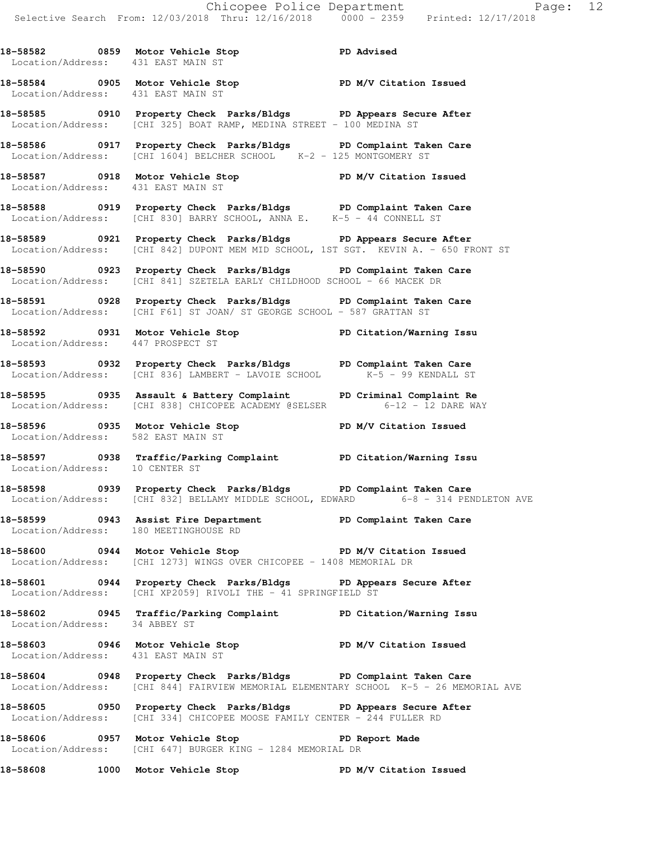**18-58582 0859 Motor Vehicle Stop PD Advised** 

Location/Address: 431 EAST MAIN ST

**18-58584 0905 Motor Vehicle Stop PD M/V Citation Issued**  Location/Address: 431 EAST MAIN ST **18-58585 0910 Property Check Parks/Bldgs PD Appears Secure After**  Location/Address: [CHI 325] BOAT RAMP, MEDINA STREET - 100 MEDINA ST **18-58586 0917 Property Check Parks/Bldgs PD Complaint Taken Care**  Location/Address: [CHI 1604] BELCHER SCHOOL K-2 - 125 MONTGOMERY ST **18-58587 0918 Motor Vehicle Stop PD M/V Citation Issued**  Location/Address: 431 EAST MAIN ST **18-58588 0919 Property Check Parks/Bldgs PD Complaint Taken Care**  Location/Address: [CHI 830] BARRY SCHOOL, ANNA E. K-5 - 44 CONNELL ST **18-58589 0921 Property Check Parks/Bldgs PD Appears Secure After**  Location/Address: [CHI 842] DUPONT MEM MID SCHOOL, 1ST SGT. KEVIN A. - 650 FRONT ST **18-58590 0923 Property Check Parks/Bldgs PD Complaint Taken Care**  Location/Address: [CHI 841] SZETELA EARLY CHILDHOOD SCHOOL - 66 MACEK DR **18-58591 0928 Property Check Parks/Bldgs PD Complaint Taken Care**  Location/Address: [CHI F61] ST JOAN/ ST GEORGE SCHOOL - 587 GRATTAN ST **18-58592 0931 Motor Vehicle Stop PD Citation/Warning Issu**  Location/Address: 447 PROSPECT ST **18-58593 0932 Property Check Parks/Bldgs PD Complaint Taken Care**  Location/Address: [CHI 836] LAMBERT - LAVOIE SCHOOL K-5 - 99 KENDALL ST **18-58595 0935 Assault & Battery Complaint PD Criminal Complaint Re**  Location/Address: [CHI 838] CHICOPEE ACADEMY @SELSER 6-12 - 12 DARE WAY **18-58596 0935 Motor Vehicle Stop PD M/V Citation Issued**  Location/Address: 582 EAST MAIN ST **18-58597 0938 Traffic/Parking Complaint PD Citation/Warning Issu**  Location/Address: 10 CENTER ST **18-58598 0939 Property Check Parks/Bldgs PD Complaint Taken Care**  Location/Address: [CHI 832] BELLAMY MIDDLE SCHOOL, EDWARD 6-8 - 314 PENDLETON AVE **18-58599 0943 Assist Fire Department PD Complaint Taken Care**  Location/Address: 180 MEETINGHOUSE RD **18-58600 0944 Motor Vehicle Stop PD M/V Citation Issued**  Location/Address: [CHI 1273] WINGS OVER CHICOPEE - 1408 MEMORIAL DR **18-58601 0944 Property Check Parks/Bldgs PD Appears Secure After**  Location/Address: [CHI XP2059] RIVOLI THE - 41 SPRINGFIELD ST **18-58602 0945 Traffic/Parking Complaint PD Citation/Warning Issu**  Location/Address: 34 ABBEY ST **18-58603 0946 Motor Vehicle Stop PD M/V Citation Issued**  Location/Address: 431 EAST MAIN ST **18-58604 0948 Property Check Parks/Bldgs PD Complaint Taken Care**  Location/Address: [CHI 844] FAIRVIEW MEMORIAL ELEMENTARY SCHOOL K-5 - 26 MEMORIAL AVE **18-58605 0950 Property Check Parks/Bldgs PD Appears Secure After**  Location/Address: [CHI 334] CHICOPEE MOOSE FAMILY CENTER - 244 FULLER RD 18-58606 **0957** Motor Vehicle Stop **PD** Report Made Location/Address: [CHI 647] BURGER KING - 1284 MEMORIAL DR **18-58608 1000 Motor Vehicle Stop PD M/V Citation Issued**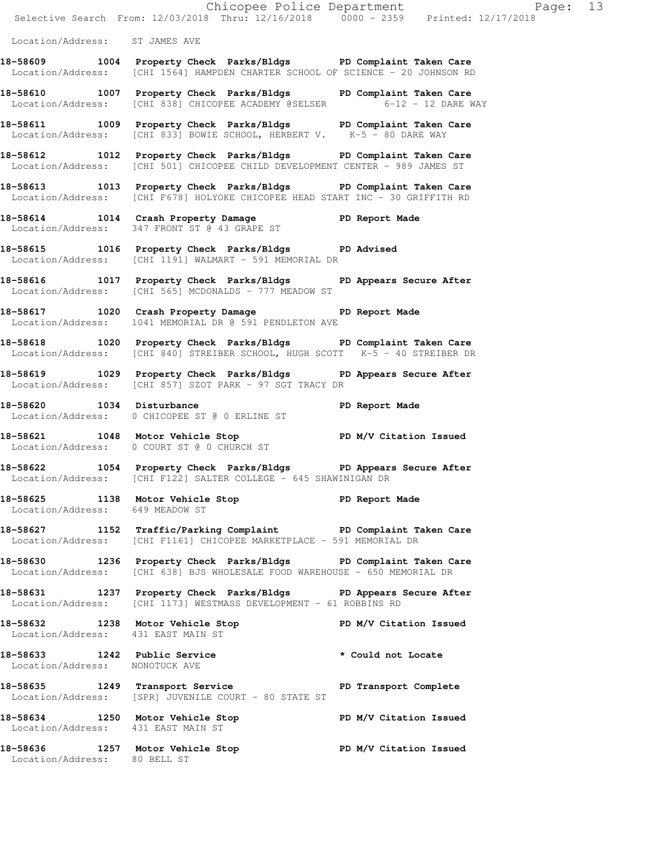|                                    | Chicopee Police Department<br>Selective Search From: 12/03/2018 Thru: 12/16/2018 0000 - 2359 Printed: 12/17/2018                                   |                    |  |
|------------------------------------|----------------------------------------------------------------------------------------------------------------------------------------------------|--------------------|--|
|                                    |                                                                                                                                                    |                    |  |
| Location/Address: ST JAMES AVE     |                                                                                                                                                    |                    |  |
|                                    | 18-58609 1004 Property Check Parks/Bldgs PD Complaint Taken Care<br>Location/Address: [CHI 1564] HAMPDEN CHARTER SCHOOL OF SCIENCE - 20 JOHNSON RD |                    |  |
|                                    | 18-58610 1007 Property Check Parks/Bldgs PD Complaint Taken Care<br>Location/Address: [CHI 838] CHICOPEE ACADEMY @SELSER 6-12 - 12 DARE WAY        |                    |  |
|                                    | 18-58611 1009 Property Check Parks/Bldgs PD Complaint Taken Care<br>Location/Address: [CHI 833] BOWIE SCHOOL, HERBERT V. K-5 - 80 DARE WAY         |                    |  |
|                                    | 18-58612 1012 Property Check Parks/Bldgs PD Complaint Taken Care<br>Location/Address: [CHI 501] CHICOPEE CHILD DEVELOPMENT CENTER - 989 JAMES ST   |                    |  |
|                                    | 18-58613 1013 Property Check Parks/Bldgs PD Complaint Taken Care<br>Location/Address: [CHI F678] HOLYOKE CHICOPEE HEAD START INC - 30 GRIFFITH RD  |                    |  |
|                                    | 18-58614 1014 Crash Property Damage PD Report Made<br>Location/Address: 347 FRONT ST @ 43 GRAPE ST                                                 |                    |  |
|                                    | 18-58615 1016 Property Check Parks/Bldgs PD Advised<br>Location/Address: [CHI 1191] WALMART - 591 MEMORIAL DR                                      |                    |  |
|                                    | 18-58616 1017 Property Check Parks/Bldgs PD Appears Secure After<br>Location/Address: [CHI 565] MCDONALDS - 777 MEADOW ST                          |                    |  |
|                                    | 18-58617 1020 Crash Property Damage PD Report Made<br>Location/Address: 1041 MEMORIAL DR @ 591 PENDLETON AVE                                       |                    |  |
|                                    | 18-58618 1020 Property Check Parks/Bldgs PD Complaint Taken Care<br>Location/Address: [CHI 840] STREIBER SCHOOL, HUGH SCOTT K-5 - 40 STREIBER DR   |                    |  |
|                                    | 18-58619 1029 Property Check Parks/Bldgs PD Appears Secure After<br>Location/Address: [CHI 857] SZOT PARK - 97 SGT TRACY DR                        |                    |  |
| 18-58620 1034 Disturbance          | PD Report Made<br>Location/Address: 0 CHICOPEE ST @ 0 ERLINE ST                                                                                    |                    |  |
|                                    | 18-58621 1048 Motor Vehicle Stop<br>Location/Address: 0 COURT ST @ 0 CHURCH ST                                                                     |                    |  |
|                                    | 18-58622 1054 Property Check Parks/Bldgs PD Appears Secure After<br>Location/Address: [CHI F122] SALTER COLLEGE - 645 SHAWINIGAN DR                |                    |  |
| Location/Address: 649 MEADOW ST    | 18-58625 1138 Motor Vehicle Stop 5 12 PD Report Made                                                                                               |                    |  |
|                                    | 18-58627 1152 Traffic/Parking Complaint PD Complaint Taken Care<br>Location/Address: [CHI F1161] CHICOPEE MARKETPLACE - 591 MEMORIAL DR            |                    |  |
|                                    | 18-58630 1236 Property Check Parks/Bldgs PD Complaint Taken Care<br>Location/Address: [CHI 638] BJS WHOLESALE FOOD WAREHOUSE - 650 MEMORIAL DR     |                    |  |
|                                    | 18-58631 1237 Property Check Parks/Bldgs PD Appears Secure After<br>Location/Address: [CHI 1173] WESTMASS DEVELOPMENT - 61 ROBBINS RD              |                    |  |
|                                    | 18-58632 1238 Motor Vehicle Stop PD M/V Citation Issued<br>Location/Address: 431 EAST MAIN ST                                                      |                    |  |
| Location/Address: NONOTUCK AVE     | 18-58633 1242 Public Service                                                                                                                       | * Could not Locate |  |
|                                    | 18-58635 1249 Transport Service PD Transport Complete<br>Location/Address: [SPR] JUVENILE COURT - 80 STATE ST                                      |                    |  |
| Location/Address: 431 EAST MAIN ST | 18-58634 1250 Motor Vehicle Stop North PD M/V Citation Issued                                                                                      |                    |  |
| Location/Address: 80 BELL ST       | 18-58636 1257 Motor Vehicle Stop New Yorkitation Issued                                                                                            |                    |  |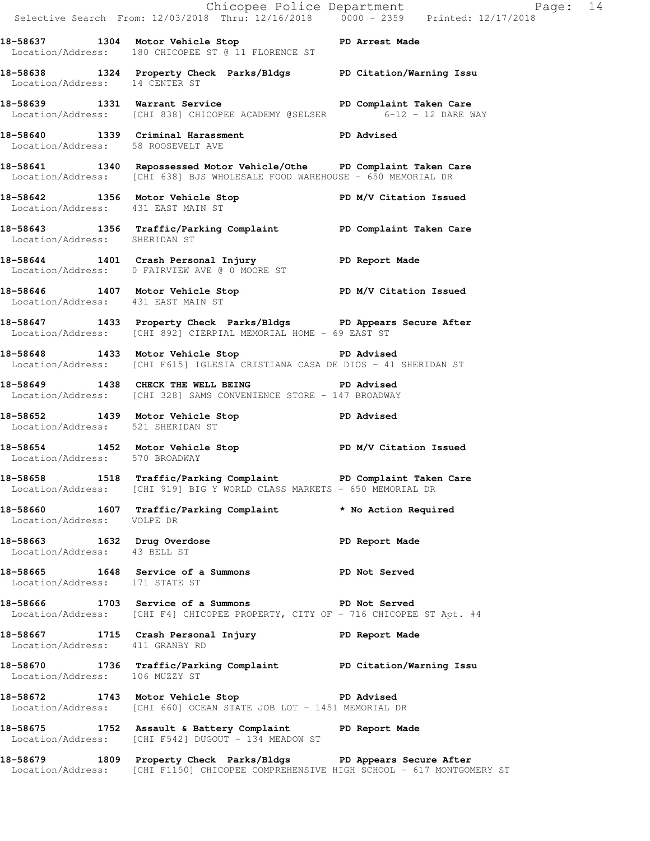|                                                             |                                                                                                                                                          | Chicopee Police Department<br>Selective Search From: 12/03/2018 Thru: 12/16/2018 0000 - 2359 Printed: 12/17/2018 |  |
|-------------------------------------------------------------|----------------------------------------------------------------------------------------------------------------------------------------------------------|------------------------------------------------------------------------------------------------------------------|--|
|                                                             | 18-58637 1304 Motor Vehicle Stop PD Arrest Made<br>Location/Address: 180 CHICOPEE ST @ 11 FLORENCE ST                                                    |                                                                                                                  |  |
|                                                             | 18-58638 1324 Property Check Parks/Bldgs PD Citation/Warning Issu<br>Location/Address: 14 CENTER ST                                                      |                                                                                                                  |  |
|                                                             | 18-58639 1331 Warrant Service PD Complaint Taken Care<br>Location/Address: [CHI 838] CHICOPEE ACADEMY @SELSER 6-12 - 12 DARE WAY                         |                                                                                                                  |  |
| Location/Address: 58 ROOSEVELT AVE                          | 18-58640 1339 Criminal Harassment 18-58640                                                                                                               |                                                                                                                  |  |
|                                                             | 18-58641 1340 Repossessed Motor Vehicle/Othe PD Complaint Taken Care<br>Location/Address: [CHI 638] BJS WHOLESALE FOOD WAREHOUSE - 650 MEMORIAL DR       |                                                                                                                  |  |
| Location/Address: 431 EAST MAIN ST                          | 18-58642 1356 Motor Vehicle Stop N/V Citation Issued                                                                                                     |                                                                                                                  |  |
| Location/Address: SHERIDAN ST                               | 18-58643 1356 Traffic/Parking Complaint PD Complaint Taken Care                                                                                          |                                                                                                                  |  |
|                                                             | 18-58644 1401 Crash Personal Injury 18-58644<br>Location/Address: 0 FAIRVIEW AVE @ 0 MOORE ST                                                            |                                                                                                                  |  |
|                                                             | 18-58646 1407 Motor Vehicle Stop N/V Citation Issued<br>Location/Address: 431 EAST MAIN ST                                                               |                                                                                                                  |  |
|                                                             | 18-58647 1433 Property Check Parks/Bldgs PD Appears Secure After<br>Location/Address: [CHI 892] CIERPIAL MEMORIAL HOME - 69 EAST ST                      |                                                                                                                  |  |
|                                                             | 18-58648 1433 Motor Vehicle Stop November 2015<br>Location/Address: [CHI F615] IGLESIA CRISTIANA CASA DE DIOS - 41 SHERIDAN ST                           |                                                                                                                  |  |
|                                                             | 18-58649 1438 CHECK THE WELL BEING PD Advised<br>Location/Address: [CHI 328] SAMS CONVENIENCE STORE - 147 BROADWAY                                       |                                                                                                                  |  |
|                                                             | 18-58652 1439 Motor Vehicle Stop PD Advised<br>Location/Address: 521 SHERIDAN ST                                                                         |                                                                                                                  |  |
|                                                             | 18-58654 1452 Motor Vehicle Stop PD M/V Citation Issued<br>Location/Address: 570 BROADWAY                                                                |                                                                                                                  |  |
|                                                             | 18-58658 1518 Traffic/Parking Complaint PD Complaint Taken Care<br>Location/Address: [CHI 919] BIG Y WORLD CLASS MARKETS - 650 MEMORIAL DR               |                                                                                                                  |  |
| Location/Address: VOLPE DR                                  | 18-58660 1607 Traffic/Parking Complaint * No Action Required                                                                                             |                                                                                                                  |  |
| 18-58663 1632 Drug Overdose<br>Location/Address: 43 BELL ST |                                                                                                                                                          | PD Report Made                                                                                                   |  |
| Location/Address: 171 STATE ST                              | 18-58665 1648 Service of a Summons PD Not Served                                                                                                         |                                                                                                                  |  |
|                                                             | 18-58666 1703 Service of a Summons PD Not Served<br>Location/Address: [CHI F4] CHICOPEE PROPERTY, CITY OF - 716 CHICOPEE ST Apt. #4                      |                                                                                                                  |  |
| Location/Address: 411 GRANBY RD                             | 18-58667 1715 Crash Personal Injury 10 PD Report Made                                                                                                    |                                                                                                                  |  |
| Location/Address: 106 MUZZY ST                              | 18-58670 1736 Traffic/Parking Complaint PD Citation/Warning Issu                                                                                         |                                                                                                                  |  |
|                                                             | 18-58672 1743 Motor Vehicle Stop 50 PD Advised<br>Location/Address: [CHI 660] OCEAN STATE JOB LOT - 1451 MEMORIAL DR                                     |                                                                                                                  |  |
|                                                             | 18-58675 1752 Assault & Battery Complaint PD Report Made<br>Location/Address: [CHI F542] DUGOUT - 134 MEADOW ST                                          |                                                                                                                  |  |
|                                                             | 18-58679 1809 Property Check Parks/Bldgs PD Appears Secure After<br>Location/Address: [CHI F1150] CHICOPEE COMPREHENSIVE HIGH SCHOOL - 617 MONTGOMERY ST |                                                                                                                  |  |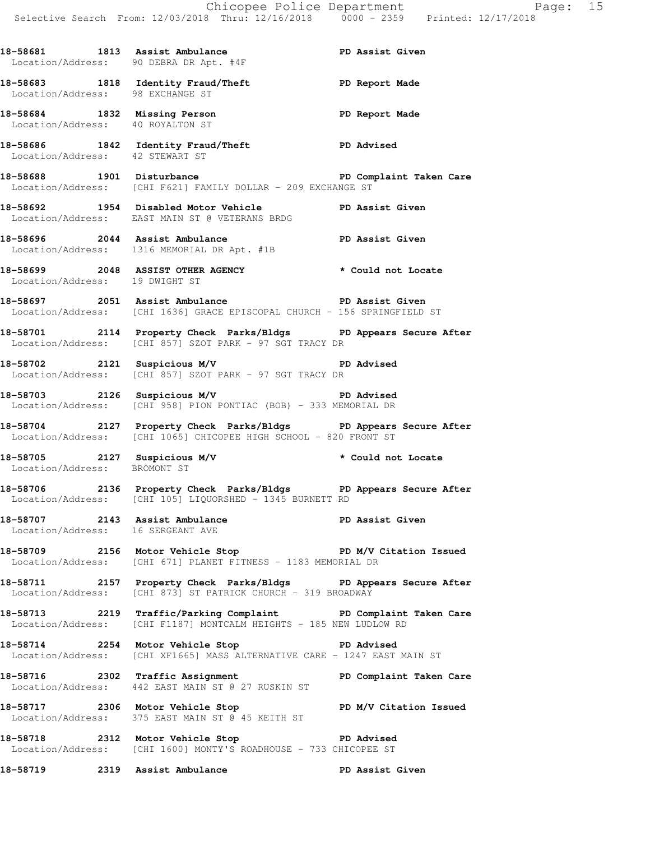**18-58681 1813 Assist Ambulance PD Assist Given**  Location/Address: 90 DEBRA DR Apt. #4F **18-58683 1818 Identity Fraud/Theft PD Report Made**  Location/Address: 98 EXCHANGE ST **18-58684 1832 Missing Person PD Report Made**  Location/Address: 40 ROYALTON ST **18-58686 1842 Identity Fraud/Theft PD Advised**  Location/Address: 42 STEWART ST **18-58688 1901 Disturbance PD Complaint Taken Care**  Location/Address: [CHI F621] FAMILY DOLLAR - 209 EXCHANGE ST **18-58692 1954 Disabled Motor Vehicle PD Assist Given**  Location/Address: EAST MAIN ST @ VETERANS BRDG 18-58696 2044 Assist Ambulance **PD Assist Given**  Location/Address: 1316 MEMORIAL DR Apt. #1B **18-58699 2048 ASSIST OTHER AGENCY \* Could not Locate**  Location/Address: 19 DWIGHT ST **18-58697 2051 Assist Ambulance PD Assist Given**  Location/Address: [CHI 1636] GRACE EPISCOPAL CHURCH - 156 SPRINGFIELD ST **18-58701 2114 Property Check Parks/Bldgs PD Appears Secure After**  Location/Address: [CHI 857] SZOT PARK - 97 SGT TRACY DR **18-58702 2121 Suspicious M/V PD Advised**  Location/Address: [CHI 857] SZOT PARK - 97 SGT TRACY DR **18-58703 2126 Suspicious M/V PD Advised**  Location/Address: [CHI 958] PION PONTIAC (BOB) - 333 MEMORIAL DR **18-58704 2127 Property Check Parks/Bldgs PD Appears Secure After**  Location/Address: [CHI 1065] CHICOPEE HIGH SCHOOL - 820 FRONT ST **18-58705 2127 Suspicious M/V \* Could not Locate**  Location/Address: BROMONT ST **18-58706 2136 Property Check Parks/Bldgs PD Appears Secure After**  Location/Address: [CHI 105] LIQUORSHED - 1345 BURNETT RD **18-58707 2143 Assist Ambulance PD Assist Given**  Location/Address: 16 SERGEANT AVE **18-58709 2156 Motor Vehicle Stop PD M/V Citation Issued**  Location/Address: [CHI 671] PLANET FITNESS - 1183 MEMORIAL DR **18-58711 2157 Property Check Parks/Bldgs PD Appears Secure After**  Location/Address: [CHI 873] ST PATRICK CHURCH - 319 BROADWAY **18-58713 2219 Traffic/Parking Complaint PD Complaint Taken Care**  Location/Address: [CHI F1187] MONTCALM HEIGHTS - 185 NEW LUDLOW RD **18-58714 2254 Motor Vehicle Stop PD Advised**  Location/Address: [CHI XF1665] MASS ALTERNATIVE CARE - 1247 EAST MAIN ST **18-58716 2302 Traffic Assignment PD Complaint Taken Care**  Location/Address: 442 EAST MAIN ST @ 27 RUSKIN ST 18-58717 2306 Motor Vehicle Stop **PD M/V Citation Issued**  Location/Address: 375 EAST MAIN ST @ 45 KEITH ST **18-58718 2312 Motor Vehicle Stop PD Advised**  Location/Address: [CHI 1600] MONTY'S ROADHOUSE - 733 CHICOPEE ST **18-58719 2319 Assist Ambulance PD Assist Given**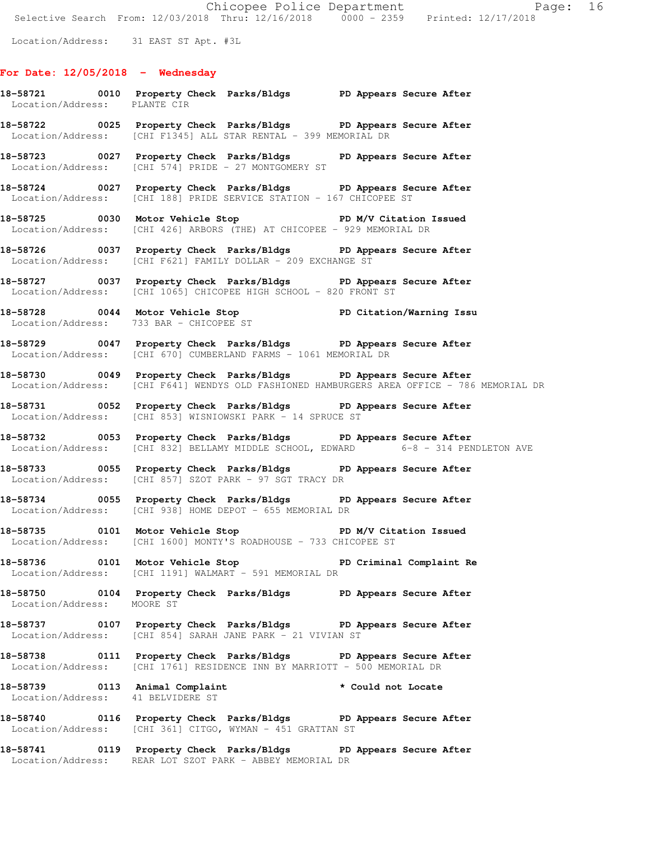Location/Address: 31 EAST ST Apt. #3L

## **For Date: 12/05/2018 - Wednesday**

- **18-58721 0010 Property Check Parks/Bldgs PD Appears Secure After**  Location/Address: PLANTE CIR **18-58722 0025 Property Check Parks/Bldgs PD Appears Secure After**  Location/Address: [CHI F1345] ALL STAR RENTAL - 399 MEMORIAL DR
- **18-58723 0027 Property Check Parks/Bldgs PD Appears Secure After**  Location/Address: [CHI 574] PRIDE - 27 MONTGOMERY ST
- **18-58724 0027 Property Check Parks/Bldgs PD Appears Secure After**  Location/Address: [CHI 188] PRIDE SERVICE STATION - 167 CHICOPEE ST
- **18-58725 0030 Motor Vehicle Stop PD M/V Citation Issued**  Location/Address: [CHI 426] ARBORS (THE) AT CHICOPEE - 929 MEMORIAL DR
- **18-58726 0037 Property Check Parks/Bldgs PD Appears Secure After**  Location/Address: [CHI F621] FAMILY DOLLAR - 209 EXCHANGE ST
- **18-58727 0037 Property Check Parks/Bldgs PD Appears Secure After**  Location/Address: [CHI 1065] CHICOPEE HIGH SCHOOL - 820 FRONT ST
- **18-58728 0044 Motor Vehicle Stop PD Citation/Warning Issu**  Location/Address: 733 BAR - CHICOPEE ST
- **18-58729 0047 Property Check Parks/Bldgs PD Appears Secure After**  Location/Address: [CHI 670] CUMBERLAND FARMS - 1061 MEMORIAL DR
- **18-58730 0049 Property Check Parks/Bldgs PD Appears Secure After**  Location/Address: [CHI F641] WENDYS OLD FASHIONED HAMBURGERS AREA OFFICE - 786 MEMORIAL DR
- **18-58731 0052 Property Check Parks/Bldgs PD Appears Secure After**  Location/Address: [CHI 853] WISNIOWSKI PARK - 14 SPRUCE ST
- **18-58732 0053 Property Check Parks/Bldgs PD Appears Secure After**  Location/Address: [CHI 832] BELLAMY MIDDLE SCHOOL, EDWARD 6-8 - 314 PENDLETON AVE
- **18-58733 0055 Property Check Parks/Bldgs PD Appears Secure After**  Location/Address: [CHI 857] SZOT PARK - 97 SGT TRACY DR
- **18-58734 0055 Property Check Parks/Bldgs PD Appears Secure After**  Location/Address: [CHI 938] HOME DEPOT - 655 MEMORIAL DR
- **18-58735 0101 Motor Vehicle Stop PD M/V Citation Issued**  Location/Address: [CHI 1600] MONTY'S ROADHOUSE - 733 CHICOPEE ST
- **18-58736 0101 Motor Vehicle Stop PD Criminal Complaint Re**  Location/Address: [CHI 1191] WALMART - 591 MEMORIAL DR
- **18-58750 0104 Property Check Parks/Bldgs PD Appears Secure After**  Location/Address: MOORE ST
- **18-58737 0107 Property Check Parks/Bldgs PD Appears Secure After**  Location/Address: [CHI 854] SARAH JANE PARK - 21 VIVIAN ST
- **18-58738 0111 Property Check Parks/Bldgs PD Appears Secure After**  Location/Address: [CHI 1761] RESIDENCE INN BY MARRIOTT - 500 MEMORIAL DR
- **18-58739 0113 Animal Complaint \* Could not Locate**  Location/Address: 41 BELVIDERE ST
- **18-58740 0116 Property Check Parks/Bldgs PD Appears Secure After**  Location/Address: [CHI 361] CITGO, WYMAN - 451 GRATTAN ST
- **18-58741 0119 Property Check Parks/Bldgs PD Appears Secure After**  Location/Address: REAR LOT SZOT PARK - ABBEY MEMORIAL DR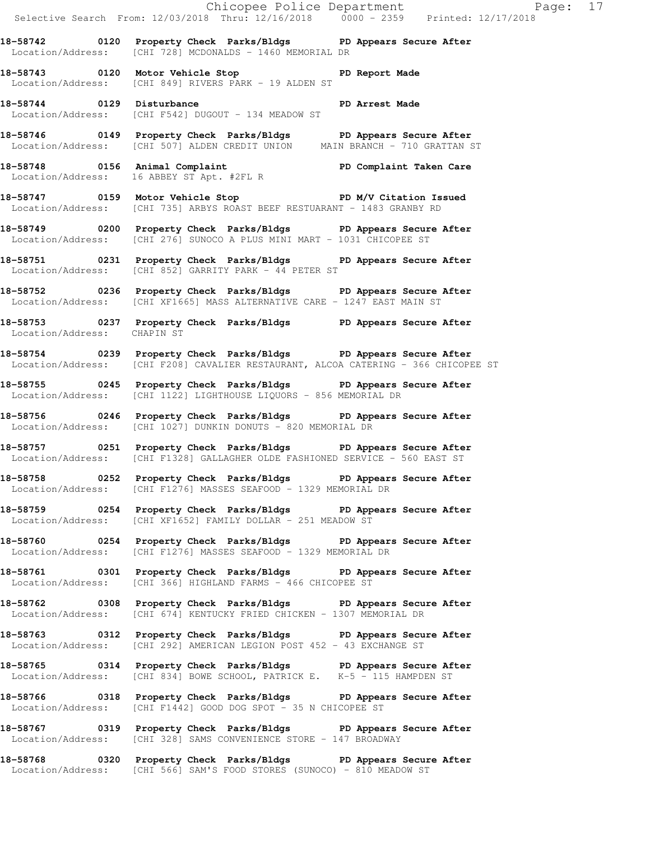Selective Search From: 12/03/2018 Thru: 12/16/2018 0000 - 2359 Printed: 12/17/2018 **18-58742 0120 Property Check Parks/Bldgs PD Appears Secure After**  Location/Address: [CHI 728] MCDONALDS - 1460 MEMORIAL DR **18-58743 0120 Motor Vehicle Stop PD Report Made**  Location/Address: [CHI 849] RIVERS PARK - 19 ALDEN ST **18-58744 0129 Disturbance PD Arrest Made**  Location/Address: [CHI F542] DUGOUT - 134 MEADOW ST **18-58746 0149 Property Check Parks/Bldgs PD Appears Secure After**  Location/Address: [CHI 507] ALDEN CREDIT UNION MAIN BRANCH - 710 GRATTAN ST **18-58748 0156 Animal Complaint PD Complaint Taken Care**  Location/Address: 16 ABBEY ST Apt. #2FL R 18-58747 **0159** Motor Vehicle Stop **PD M/V Citation Issued**  Location/Address: [CHI 735] ARBYS ROAST BEEF RESTUARANT - 1483 GRANBY RD **18-58749 0200 Property Check Parks/Bldgs PD Appears Secure After**  Location/Address: [CHI 276] SUNOCO A PLUS MINI MART - 1031 CHICOPEE ST **18-58751 0231 Property Check Parks/Bldgs PD Appears Secure After**  Location/Address: [CHI 852] GARRITY PARK - 44 PETER ST **18-58752 0236 Property Check Parks/Bldgs PD Appears Secure After**  Location/Address: [CHI XF1665] MASS ALTERNATIVE CARE - 1247 EAST MAIN ST **18-58753 0237 Property Check Parks/Bldgs PD Appears Secure After**  Location/Address: CHAPIN ST **18-58754 0239 Property Check Parks/Bldgs PD Appears Secure After**  Location/Address: [CHI F208] CAVALIER RESTAURANT, ALCOA CATERING - 366 CHICOPEE ST **18-58755 0245 Property Check Parks/Bldgs PD Appears Secure After**  Location/Address: [CHI 1122] LIGHTHOUSE LIQUORS - 856 MEMORIAL DR **18-58756 0246 Property Check Parks/Bldgs PD Appears Secure After**  Location/Address: [CHI 1027] DUNKIN DONUTS - 820 MEMORIAL DR **18-58757 0251 Property Check Parks/Bldgs PD Appears Secure After**  Location/Address: [CHI F1328] GALLAGHER OLDE FASHIONED SERVICE - 560 EAST ST **18-58758 0252 Property Check Parks/Bldgs PD Appears Secure After**  Location/Address: [CHI F1276] MASSES SEAFOOD - 1329 MEMORIAL DR **18-58759 0254 Property Check Parks/Bldgs PD Appears Secure After**  Location/Address: [CHI XF1652] FAMILY DOLLAR - 251 MEADOW ST **18-58760 0254 Property Check Parks/Bldgs PD Appears Secure After**  Location/Address: [CHI F1276] MASSES SEAFOOD - 1329 MEMORIAL DR **18-58761 0301 Property Check Parks/Bldgs PD Appears Secure After**  Location/Address: [CHI 366] HIGHLAND FARMS - 466 CHICOPEE ST **18-58762 0308 Property Check Parks/Bldgs PD Appears Secure After**  Location/Address: [CHI 674] KENTUCKY FRIED CHICKEN - 1307 MEMORIAL DR **18-58763 0312 Property Check Parks/Bldgs PD Appears Secure After**  Location/Address: [CHI 292] AMERICAN LEGION POST 452 - 43 EXCHANGE ST **18-58765 0314 Property Check Parks/Bldgs PD Appears Secure After**  Location/Address: [CHI 834] BOWE SCHOOL, PATRICK E. K-5 - 115 HAMPDEN ST **18-58766 0318 Property Check Parks/Bldgs PD Appears Secure After**  Location/Address: [CHI F1442] GOOD DOG SPOT - 35 N CHICOPEE ST **18-58767 0319 Property Check Parks/Bldgs PD Appears Secure After**  Location/Address: [CHI 328] SAMS CONVENIENCE STORE - 147 BROADWAY **18-58768 0320 Property Check Parks/Bldgs PD Appears Secure After**  Location/Address: [CHI 566] SAM'S FOOD STORES (SUNOCO) - 810 MEADOW ST

Chicopee Police Department Page: 17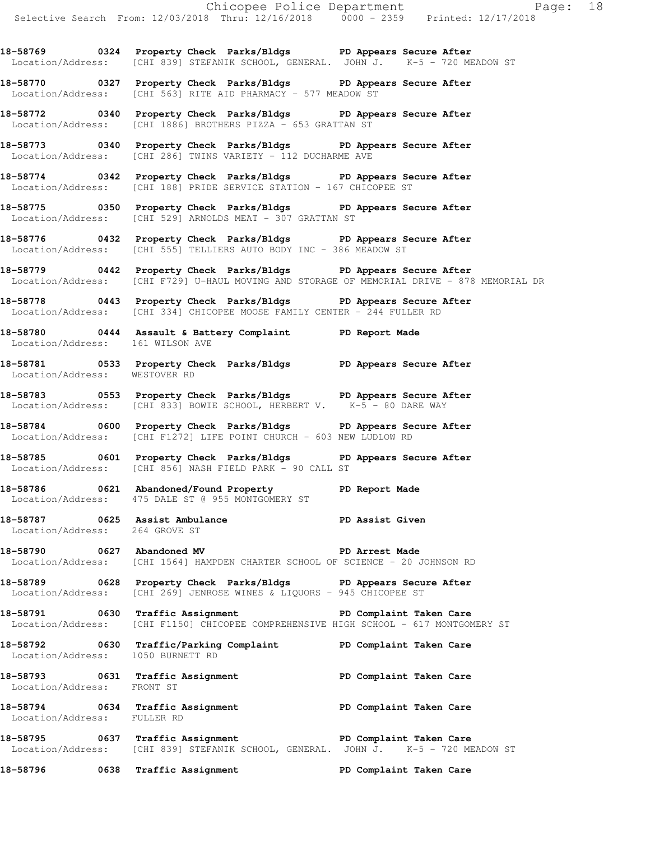**18-58769 0324 Property Check Parks/Bldgs PD Appears Secure After**  Location/Address: [CHI 839] STEFANIK SCHOOL, GENERAL. JOHN J.

**18-58770 0327 Property Check Parks/Bldgs PD Appears Secure After**  Location/Address: [CHI 563] RITE AID PHARMACY - 577 MEADOW ST

**18-58772 0340 Property Check Parks/Bldgs PD Appears Secure After**  Location/Address: [CHI 1886] BROTHERS PIZZA - 653 GRATTAN ST

**18-58773 0340 Property Check Parks/Bldgs PD Appears Secure After**  Location/Address: [CHI 286] TWINS VARIETY - 112 DUCHARME AVE

**18-58774 0342 Property Check Parks/Bldgs PD Appears Secure After**  Location/Address: [CHI 188] PRIDE SERVICE STATION - 167 CHICOPEE ST

**18-58775 0350 Property Check Parks/Bldgs PD Appears Secure After**  Location/Address: [CHI 529] ARNOLDS MEAT - 307 GRATTAN ST

**18-58776 0432 Property Check Parks/Bldgs PD Appears Secure After**  Location/Address: [CHI 555] TELLIERS AUTO BODY INC - 386 MEADOW ST

**18-58779 0442 Property Check Parks/Bldgs PD Appears Secure After**  Location/Address: [CHI F729] U-HAUL MOVING AND STORAGE OF MEMORIAL DRIVE - 878 MEMORIAL DR

**18-58778 0443 Property Check Parks/Bldgs PD Appears Secure After**  Location/Address: [CHI 334] CHICOPEE MOOSE FAMILY CENTER - 244 FULLER RD

**18-58780 0444 Assault & Battery Complaint PD Report Made**  Location/Address: 161 WILSON AVE

**18-58781 0533 Property Check Parks/Bldgs PD Appears Secure After**  Location/Address: WESTOVER RD

**18-58783 0553 Property Check Parks/Bldgs PD Appears Secure After**  Location/Address: [CHI 833] BOWIE SCHOOL, HERBERT V. K-5 - 80 DARE WAY

**18-58784 0600 Property Check Parks/Bldgs PD Appears Secure After**  Location/Address: [CHI F1272] LIFE POINT CHURCH - 603 NEW LUDLOW RD

**18-58785 0601 Property Check Parks/Bldgs PD Appears Secure After**  Location/Address: [CHI 856] NASH FIELD PARK - 90 CALL ST

**18-58786 0621 Abandoned/Found Property PD Report Made**  Location/Address: 475 DALE ST @ 955 MONTGOMERY ST

**18-58787 0625 Assist Ambulance PD Assist Given**  Location/Address: 264 GROVE ST

**18-58790 0627 Abandoned MV PD Arrest Made**  Location/Address: [CHI 1564] HAMPDEN CHARTER SCHOOL OF SCIENCE - 20 JOHNSON RD

**18-58789 0628 Property Check Parks/Bldgs PD Appears Secure After**  Location/Address: [CHI 269] JENROSE WINES & LIQUORS - 945 CHICOPEE ST

**18-58791 0630 Traffic Assignment PD Complaint Taken Care**  Location/Address: [CHI F1150] CHICOPEE COMPREHENSIVE HIGH SCHOOL - 617 MONTGOMERY ST

**18-58792 0630 Traffic/Parking Complaint PD Complaint Taken Care**  Location/Address: 1050 BURNETT RD

**18-58793 0631 Traffic Assignment PD Complaint Taken Care**  Location/Address: FRONT ST

**18-58794 0634 Traffic Assignment PD Complaint Taken Care**  Location/Address: FULLER RD

**18-58795 0637 Traffic Assignment PD Complaint Taken Care**  Location/Address: [CHI 839] STEFANIK SCHOOL, GENERAL. JOHN J. K-5 - 720 MEADOW ST

**18-58796 0638 Traffic Assignment PD Complaint Taken Care**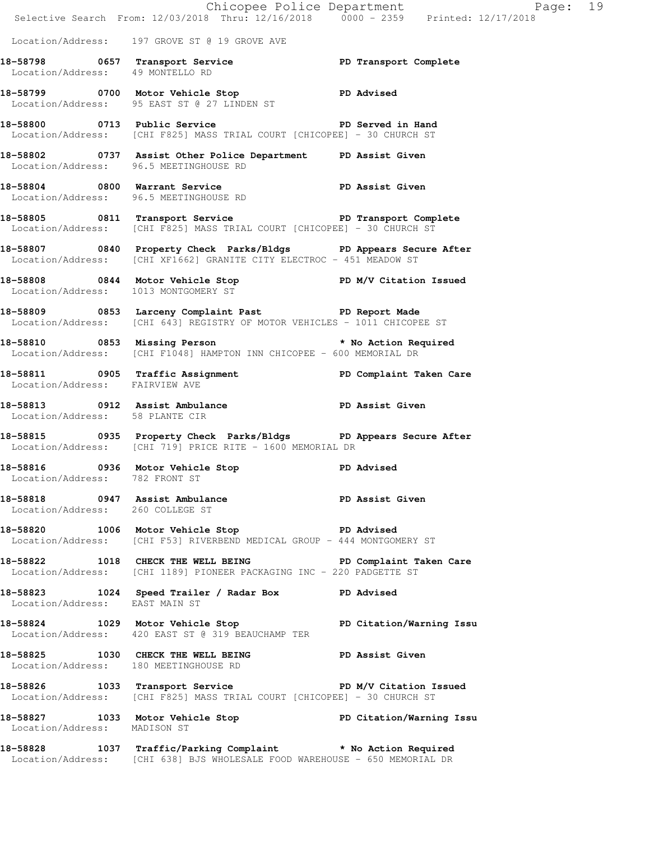|                                        | E Chicopee Police Department<br>Selective Search From: 12/03/2018 Thru: 12/16/2018 0000 - 2359 Printed: 12/17/2018                         | Page: 19 |  |
|----------------------------------------|--------------------------------------------------------------------------------------------------------------------------------------------|----------|--|
|                                        |                                                                                                                                            |          |  |
|                                        | Location/Address: 197 GROVE ST @ 19 GROVE AVE                                                                                              |          |  |
| Location/Address: 49 MONTELLO RD       | 18-58798 0657 Transport Service 20 PD Transport Complete                                                                                   |          |  |
|                                        | 18-58799 0700 Motor Vehicle Stop 30 PD Advised<br>Location/Address: 95 EAST ST @ 27 LINDEN ST                                              |          |  |
|                                        | 18-58800 0713 Public Service National PD Served in Hand<br>Location/Address: [CHI F825] MASS TRIAL COURT [CHICOPEE] - 30 CHURCH ST         |          |  |
| Location/Address: 96.5 MEETINGHOUSE RD | 18-58802 0737 Assist Other Police Department PD Assist Given                                                                               |          |  |
|                                        | Location/Address: 96.5 MEETINGHOUSE RD                                                                                                     |          |  |
|                                        | 18-58805 0811 Transport Service PD Transport Complete<br>Location/Address: [CHI F825] MASS TRIAL COURT [CHICOPEE] - 30 CHURCH ST           |          |  |
|                                        | 18-58807 0840 Property Check Parks/Bldgs PD Appears Secure After<br>Location/Address: [CHI XF1662] GRANITE CITY ELECTROC - 451 MEADOW ST   |          |  |
|                                        | 18-58808 0844 Motor Vehicle Stop PD M/V Citation Issued<br>Location/Address: 1013 MONTGOMERY ST                                            |          |  |
|                                        | 18-58809 0853 Larceny Complaint Past PD Report Made<br>Location/Address: [CHI 643] REGISTRY OF MOTOR VEHICLES - 1011 CHICOPEE ST           |          |  |
|                                        | 18-58810 0853 Missing Person <b>18-58810</b> * No Action Required<br>Location/Address: [CHI F1048] HAMPTON INN CHICOPEE - 600 MEMORIAL DR  |          |  |
| Location/Address: FAIRVIEW AVE         | 18-58811 0905 Traffic Assignment Telephone PD Complaint Taken Care                                                                         |          |  |
| Location/Address: 58 PLANTE CIR        | 18-58813 0912 Assist Ambulance New PD Assist Given                                                                                         |          |  |
|                                        | 18-58815 0935 Property Check Parks/Bldgs PD Appears Secure After<br>Location/Address: [CHI 719] PRICE RITE - 1600 MEMORIAL DR              |          |  |
| Location/Address: 782 FRONT ST         | 18-58816 0936 Motor Vehicle Stop Communist PD Advised                                                                                      |          |  |
| Location/Address: 260 COLLEGE ST       | 18-58818 0947 Assist Ambulance New PD Assist Given                                                                                         |          |  |
|                                        | 18-58820 1006 Motor Vehicle Stop PD Advised<br>Location/Address: [CHI F53] RIVERBEND MEDICAL GROUP - 444 MONTGOMERY ST                     |          |  |
|                                        | 18-58822 1018 CHECK THE WELL BEING PD Complaint Taken Care<br>Location/Address: [CHI 1189] PIONEER PACKAGING INC - 220 PADGETTE ST         |          |  |
| Location/Address: EAST MAIN ST         | 18-58823 1024 Speed Trailer / Radar Box PD Advised                                                                                         |          |  |
|                                        | 18-58824 1029 Motor Vehicle Stop Notor PD Citation/Warning Issu<br>Location/Address: 420 EAST ST @ 319 BEAUCHAMP TER                       |          |  |
|                                        | 18-58825 1030 CHECK THE WELL BEING PD Assist Given<br>Location/Address: 180 MEETINGHOUSE RD                                                |          |  |
|                                        | 18-58826 1033 Transport Service PD M/V Citation Issued<br>Location/Address: [CHI F825] MASS TRIAL COURT [CHICOPEE] - 30 CHURCH ST          |          |  |
| Location/Address: MADISON ST           | 18-58827 1033 Motor Vehicle Stop North PD Citation/Warning Issu                                                                            |          |  |
|                                        | 18-58828 1037 Traffic/Parking Complaint * No Action Required<br>Location/Address: [CHI 638] BJS WHOLESALE FOOD WAREHOUSE - 650 MEMORIAL DR |          |  |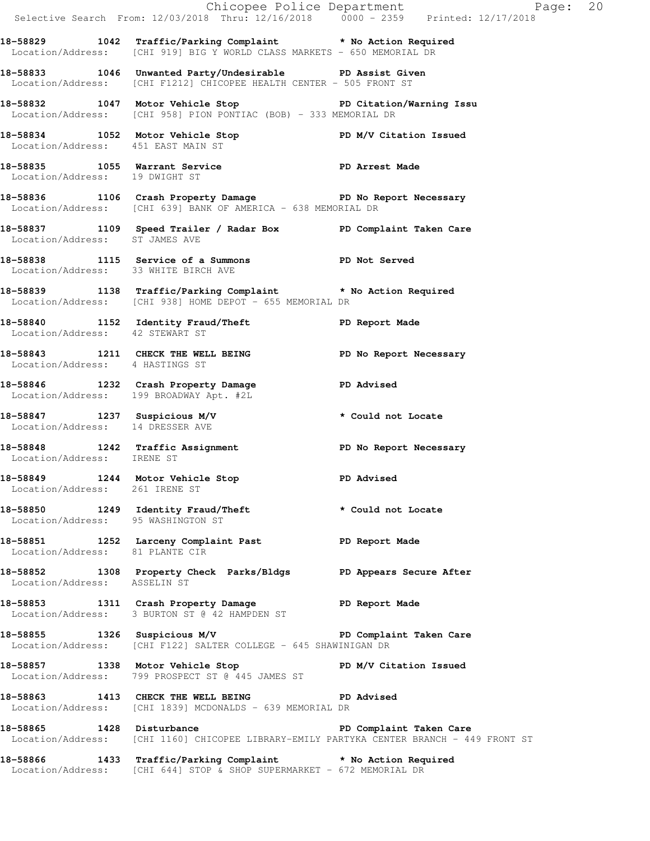|                                      |                                                                                                                                                            | E Chicopee Police Department<br>Selective Search From: 12/03/2018 Thru: 12/16/2018 0000 - 2359 Printed: 12/17/2018<br>Page: 20 |  |
|--------------------------------------|------------------------------------------------------------------------------------------------------------------------------------------------------------|--------------------------------------------------------------------------------------------------------------------------------|--|
|                                      | 18-58829 1042 Traffic/Parking Complaint <b>*</b> No Action Required<br>Location/Address: [CHI 919] BIG Y WORLD CLASS MARKETS - 650 MEMORIAL DR             |                                                                                                                                |  |
|                                      | 18-58833 1046 Unwanted Party/Undesirable PD Assist Given<br>Location/Address: [CHI F1212] CHICOPEE HEALTH CENTER - 505 FRONT ST                            |                                                                                                                                |  |
|                                      | 18-58832 1047 Motor Vehicle Stop PD Citation/Warning Issu<br>Location/Address: [CHI 958] PION PONTIAC (BOB) - 333 MEMORIAL DR                              |                                                                                                                                |  |
| Location/Address: 451 EAST MAIN ST   | 18-58834 1052 Motor Vehicle Stop N/V Citation Issued                                                                                                       |                                                                                                                                |  |
|                                      | 18-58835 1055 Warrant Service <b>PD Arrest Made</b> Location/Address: 19 DWIGHT ST                                                                         |                                                                                                                                |  |
|                                      | 18-58836 1106 Crash Property Damage No Report Necessary<br>Location/Address: [CHI 639] BANK OF AMERICA - 638 MEMORIAL DR                                   |                                                                                                                                |  |
| Location/Address: ST JAMES AVE       | 18-58837 1109 Speed Trailer / Radar Box PD Complaint Taken Care                                                                                            |                                                                                                                                |  |
| Location/Address: 33 WHITE BIRCH AVE | 18-58838 1115 Service of a Summons PD Not Served                                                                                                           |                                                                                                                                |  |
|                                      | 18-58839 1138 Traffic/Parking Complaint * No Action Required<br>Location/Address: [CHI 938] HOME DEPOT - 655 MEMORIAL DR                                   |                                                                                                                                |  |
| Location/Address: 42 STEWART ST      | 18-58840 1152 Identity Fraud/Theft <b>18-58840</b> PD Report Made                                                                                          |                                                                                                                                |  |
| Location/Address: 4 HASTINGS ST      | 18-58843 1211 CHECK THE WELL BEING THE PD No Report Necessary                                                                                              |                                                                                                                                |  |
|                                      | 18-58846 1232 Crash Property Damage PD Advised<br>Location/Address: 199 BROADWAY Apt. #2L                                                                  |                                                                                                                                |  |
| Location/Address: 14 DRESSER AVE     | 18-58847 1237 Suspicious M/V                                                                                                                               | * Could not Locate                                                                                                             |  |
|                                      | 18-58848 1242 Traffic Assignment PD No Report Necessary<br>Location/Address: IRENE ST                                                                      |                                                                                                                                |  |
| Location/Address: 261 IRENE ST       | 18-58849 1244 Motor Vehicle Stop                                                                                                                           | <b>PD Advised</b>                                                                                                              |  |
|                                      | 18-58850 1249 Identity Fraud/Theft * Could not Locate<br>Location/Address: 95 WASHINGTON ST                                                                |                                                                                                                                |  |
| Location/Address: 81 PLANTE CIR      | 18-58851 1252 Larceny Complaint Past PD Report Made                                                                                                        |                                                                                                                                |  |
| Location/Address: ASSELIN ST         | 18-58852 1308 Property Check Parks/Bldgs PD Appears Secure After                                                                                           |                                                                                                                                |  |
|                                      | 18-58853 1311 Crash Property Damage PD Report Made<br>Location/Address: 3 BURTON ST @ 42 HAMPDEN ST                                                        |                                                                                                                                |  |
|                                      | Location/Address: [CHI F122] SALTER COLLEGE - 645 SHAWINIGAN DR                                                                                            |                                                                                                                                |  |
|                                      | 18-58857 1338 Motor Vehicle Stop North PD M/V Citation Issued<br>Location/Address: 799 PROSPECT ST @ 445 JAMES ST                                          |                                                                                                                                |  |
|                                      | 18-58863 1413 CHECK THE WELL BEING PD Advised<br>Location/Address: [CHI 1839] MCDONALDS - 639 MEMORIAL DR                                                  |                                                                                                                                |  |
|                                      | 18-58865 1428 Disturbance <b>18-18 PD</b> Complaint Taken Care<br>Location/Address: [CHI 1160] CHICOPEE LIBRARY-EMILY PARTYKA CENTER BRANCH - 449 FRONT ST |                                                                                                                                |  |
|                                      | 18-58866 1433 Traffic/Parking Complaint * No Action Required<br>Location/Address: [CHI 644] STOP & SHOP SUPERMARKET - 672 MEMORIAL DR                      |                                                                                                                                |  |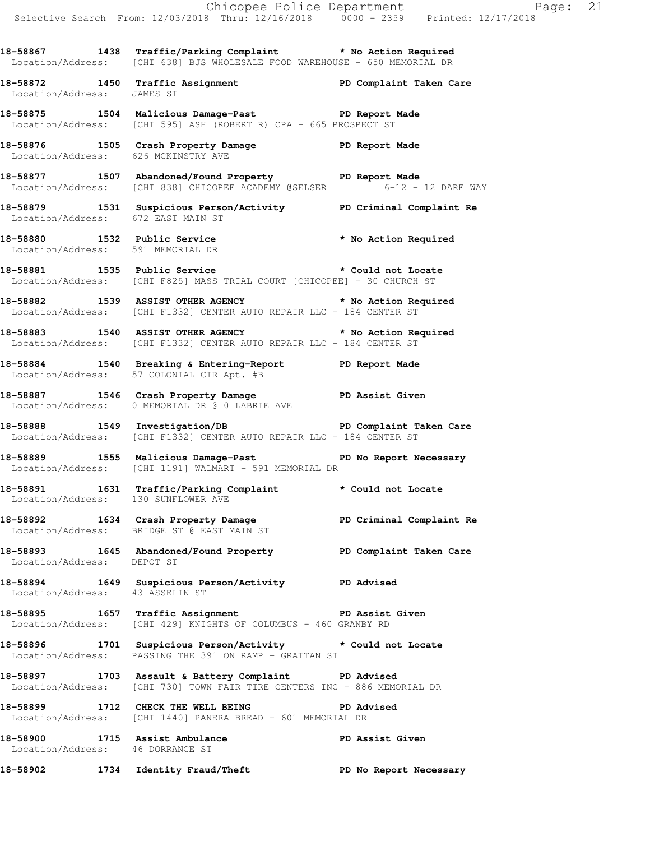**18-58867 1438 Traffic/Parking Complaint \* No Action Required**  Location/Address: [CHI 638] BJS WHOLESALE FOOD WAREHOUSE - 650 MEMORIAL DR

**18-58872 1450 Traffic Assignment PD Complaint Taken Care**  Location/Address: JAMES ST

**18-58875 1504 Malicious Damage-Past PD Report Made**  Location/Address: [CHI 595] ASH (ROBERT R) CPA - 665 PROSPECT ST

**18-58876 1505 Crash Property Damage PD Report Made**  Location/Address: 626 MCKINSTRY AVE

**18-58877 1507 Abandoned/Found Property PD Report Made**  Location/Address: [CHI 838] CHICOPEE ACADEMY @SELSER 6-12 - 12 DARE WAY

**18-58879 1531 Suspicious Person/Activity PD Criminal Complaint Re**  Location/Address: 672 EAST MAIN ST

**18-58880 1532 Public Service \* No Action Required**  Location/Address: 591 MEMORIAL DR

**18-58881 1535 Public Service \* Could not Locate**  Location/Address: [CHI F825] MASS TRIAL COURT [CHICOPEE] - 30 CHURCH ST

**18-58882 1539 ASSIST OTHER AGENCY \* No Action Required**  Location/Address: [CHI F1332] CENTER AUTO REPAIR LLC - 184 CENTER ST

**18-58883 1540 ASSIST OTHER AGENCY \* No Action Required**  Location/Address: [CHI F1332] CENTER AUTO REPAIR LLC - 184 CENTER ST

**18-58884 1540 Breaking & Entering-Report PD Report Made**  Location/Address: 57 COLONIAL CIR Apt. #B

**18-58887 1546 Crash Property Damage PD Assist Given**  Location/Address: 0 MEMORIAL DR @ 0 LABRIE AVE

**18-58888 1549 Investigation/DB PD Complaint Taken Care**  Location/Address: [CHI F1332] CENTER AUTO REPAIR LLC - 184 CENTER ST

**18-58889 1555 Malicious Damage-Past PD No Report Necessary**  Location/Address: [CHI 1191] WALMART - 591 MEMORIAL DR

**18-58891 1631 Traffic/Parking Complaint \* Could not Locate**  Location/Address: 130 SUNFLOWER AVE

18-58892 1634 Crash Property Damage **PD Criminal Complaint Re** Location/Address: BRIDGE ST @ EAST MAIN ST

**18-58893 1645 Abandoned/Found Property PD Complaint Taken Care**  Location/Address: DEPOT ST

**18-58894 1649 Suspicious Person/Activity PD Advised**  Location/Address: 43 ASSELIN ST

**18-58895 1657 Traffic Assignment PD Assist Given**  Location/Address: [CHI 429] KNIGHTS OF COLUMBUS - 460 GRANBY RD

**18-58896 1701 Suspicious Person/Activity \* Could not Locate**  Location/Address: PASSING THE 391 ON RAMP - GRATTAN ST

**18-58897 1703 Assault & Battery Complaint PD Advised**  Location/Address: [CHI 730] TOWN FAIR TIRE CENTERS INC - 886 MEMORIAL DR

**18-58899 1712 CHECK THE WELL BEING PD Advised**  Location/Address: [CHI 1440] PANERA BREAD - 601 MEMORIAL DR

18-58900 1715 Assist Ambulance **PD Assist Given** Location/Address: 46 DORRANCE ST

**18-58902 1734 Identity Fraud/Theft PD No Report Necessary**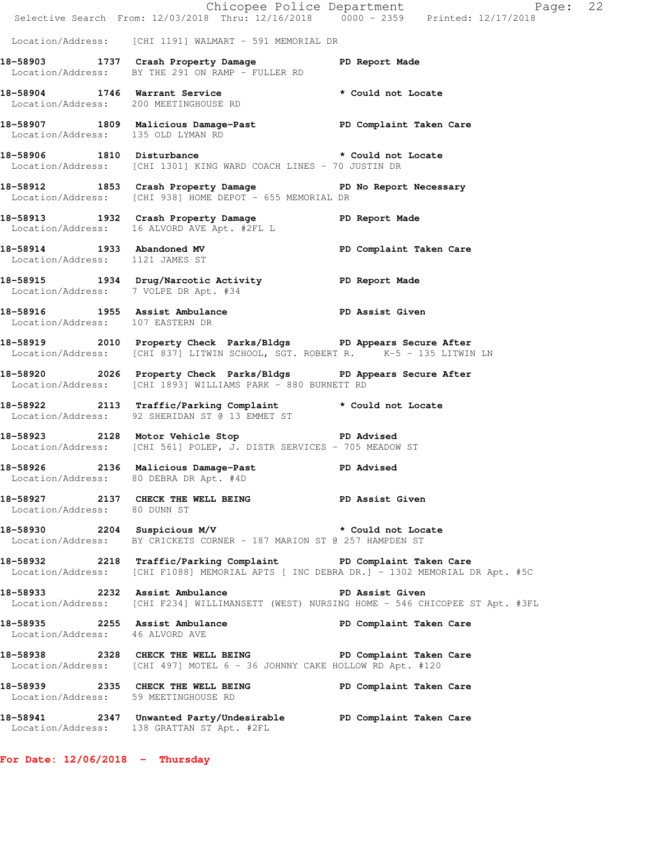Chicopee Police Department Page: 22 Selective Search From: 12/03/2018 Thru: 12/16/2018 0000 - 2359 Printed: 12/17/2018 Location/Address: [CHI 1191] WALMART - 591 MEMORIAL DR **18-58903 1737 Crash Property Damage PD Report Made**  Location/Address: BY THE 291 ON RAMP - FULLER RD **18-58904 1746 Warrant Service \* Could not Locate**  Location/Address: 200 MEETINGHOUSE RD 18-58907 1809 Malicious Damage-Past **PD Complaint Taken Care**  Location/Address: 135 OLD LYMAN RD **18-58906 1810 Disturbance \* Could not Locate**  Location/Address: [CHI 1301] KING WARD COACH LINES - 70 JUSTIN DR **18-58912 1853 Crash Property Damage PD No Report Necessary**  Location/Address: [CHI 938] HOME DEPOT - 655 MEMORIAL DR **18-58913 1932 Crash Property Damage PD Report Made**  Location/Address: 16 ALVORD AVE Apt. #2FL L **18-58914 1933 Abandoned MV PD Complaint Taken Care**  Location/Address: 1121 JAMES ST **18-58915 1934 Drug/Narcotic Activity PD Report Made**  Location/Address: 7 VOLPE DR Apt. #34 **18-58916 1955 Assist Ambulance PD Assist Given**  Location/Address: 107 EASTERN DR **18-58919 2010 Property Check Parks/Bldgs PD Appears Secure After**  Location/Address: [CHI 837] LITWIN SCHOOL, SGT. ROBERT R. K-5 - 135 LITWIN LN **18-58920 2026 Property Check Parks/Bldgs PD Appears Secure After**  Location/Address: [CHI 1893] WILLIAMS PARK - 880 BURNETT RD **18-58922 2113 Traffic/Parking Complaint \* Could not Locate**  Location/Address: 92 SHERIDAN ST @ 13 EMMET ST **18-58923 2128 Motor Vehicle Stop PD Advised**  Location/Address: [CHI 561] POLEP, J. DISTR SERVICES - 705 MEADOW ST **18-58926 2136 Malicious Damage-Past PD Advised**  Location/Address: 80 DEBRA DR Apt. #4D 18-58927 **2137** CHECK THE WELL BEING PD Assist Given Location/Address: 80 DUNN ST **18-58930 2204 Suspicious M/V \* Could not Locate**  Location/Address: BY CRICKETS CORNER - 187 MARION ST @ 257 HAMPDEN ST **18-58932 2218 Traffic/Parking Complaint PD Complaint Taken Care**  Location/Address: [CHI F1088] MEMORIAL APTS [ INC DEBRA DR.] - 1302 MEMORIAL DR Apt. #5C **18-58933 2232 Assist Ambulance PD Assist Given**  Location/Address: [CHI F234] WILLIMANSETT (WEST) NURSING HOME - 546 CHICOPEE ST Apt. #3FL 18-58935 **2255** Assist Ambulance **PD Complaint Taken Care**  Location/Address: 46 ALVORD AVE **18-58938 2328 CHECK THE WELL BEING PD Complaint Taken Care**  Location/Address: [CHI 497] MOTEL 6 - 36 JOHNNY CAKE HOLLOW RD Apt. #120 **18-58939 2335 CHECK THE WELL BEING PD Complaint Taken Care**  Location/Address: 59 MEETINGHOUSE RD **18-58941 2347 Unwanted Party/Undesirable PD Complaint Taken Care**  Location/Address: 138 GRATTAN ST Apt. #2FL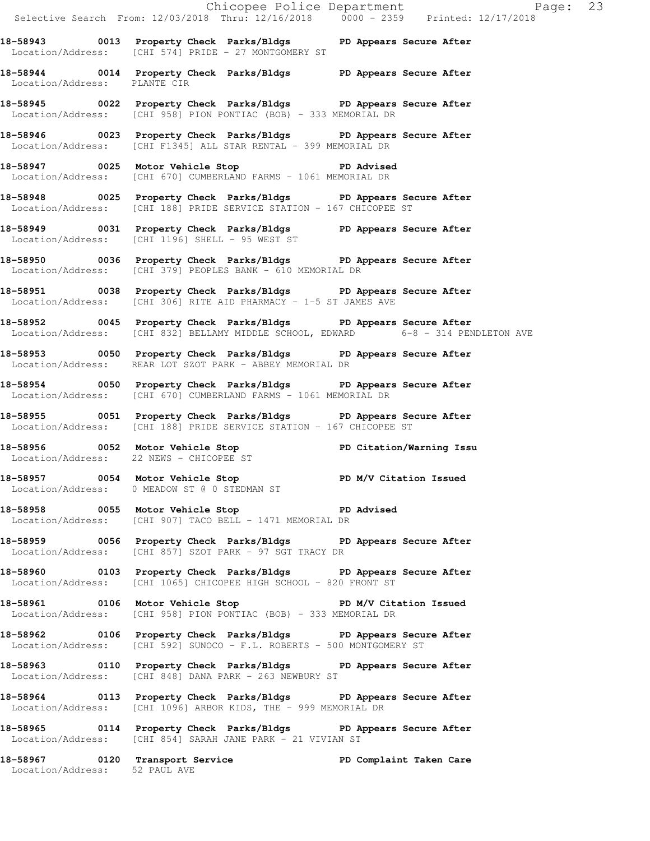|                              | Chicopee Police Department<br>Selective Search From: 12/03/2018 Thru: 12/16/2018 0000 - 2359 Printed: 12/17/2018                                      |
|------------------------------|-------------------------------------------------------------------------------------------------------------------------------------------------------|
|                              | 18-58943 0013 Property Check Parks/Bldgs PD Appears Secure After<br>Location/Address: [CHI 574] PRIDE - 27 MONTGOMERY ST                              |
| Location/Address: PLANTE CIR | 18-58944 0014 Property Check Parks/Bldgs PD Appears Secure After                                                                                      |
|                              | 18-58945 0022 Property Check Parks/Bldgs PD Appears Secure After<br>Location/Address: [CHI 958] PION PONTIAC (BOB) - 333 MEMORIAL DR                  |
|                              | 18-58946 0023 Property Check Parks/Bldgs PD Appears Secure After<br>Location/Address: [CHI F1345] ALL STAR RENTAL - 399 MEMORIAL DR                   |
|                              | 18-58947 0025 Motor Vehicle Stop 50 PD Advised<br>Location/Address: [CHI 670] CUMBERLAND FARMS - 1061 MEMORIAL DR                                     |
|                              | 18-58948 0025 Property Check Parks/Bldgs PD Appears Secure After<br>Location/Address: [CHI 188] PRIDE SERVICE STATION - 167 CHICOPEE ST               |
|                              | 18-58949 0031 Property Check Parks/Bldgs PD Appears Secure After<br>Location/Address: [CHI 1196] SHELL - 95 WEST ST                                   |
|                              | 18-58950 0036 Property Check Parks/Bldgs PD Appears Secure After<br>Location/Address: [CHI 379] PEOPLES BANK - 610 MEMORIAL DR                        |
|                              | 18-58951 0038 Property Check Parks/Bldgs PD Appears Secure After<br>Location/Address: [CHI 306] RITE AID PHARMACY - 1-5 ST JAMES AVE                  |
|                              | 18-58952 0045 Property Check Parks/Bldgs PD Appears Secure After<br>Location/Address: [CHI 832] BELLAMY MIDDLE SCHOOL, EDWARD 6-8 - 314 PENDLETON AVE |
|                              | 18-58953 0050 Property Check Parks/Bldgs PD Appears Secure After<br>Location/Address: REAR LOT SZOT PARK - ABBEY MEMORIAL DR                          |
|                              | 18-58954 0050 Property Check Parks/Bldgs PD Appears Secure After<br>Location/Address: [CHI 670] CUMBERLAND FARMS - 1061 MEMORIAL DR                   |
|                              | 18-58955 0051 Property Check Parks/Bldgs PD Appears Secure After<br>Location/Address: [CHI 188] PRIDE SERVICE STATION - 167 CHICOPEE ST               |
|                              | 18-58956 0052 Motor Vehicle Stop PD Citation/Warning Issu<br>Location/Address: 22 NEWS - CHICOPEE ST                                                  |
|                              | 18-58957 0054 Motor Vehicle Stop N/V Citation Issued<br>Location/Address: 0 MEADOW ST @ 0 STEDMAN ST                                                  |
|                              | 18-58958 0055 Motor Vehicle Stop 30 PD Advised<br>Location/Address: [CHI 907] TACO BELL - 1471 MEMORIAL DR                                            |
|                              | 18-58959 0056 Property Check Parks/Bldgs PD Appears Secure After<br>Location/Address: [CHI 857] SZOT PARK - 97 SGT TRACY DR                           |
|                              | 18-58960 0103 Property Check Parks/Bldgs PD Appears Secure After<br>Location/Address: [CHI 1065] CHICOPEE HIGH SCHOOL - 820 FRONT ST                  |
|                              | 18-58961 0106 Motor Vehicle Stop North PD M/V Citation Issued<br>Location/Address: [CHI 958] PION PONTIAC (BOB) - 333 MEMORIAL DR                     |
|                              | 18-58962 0106 Property Check Parks/Bldgs PD Appears Secure After<br>Location/Address: [CHI 592] SUNOCO - F.L. ROBERTS - 500 MONTGOMERY ST             |
|                              | 18-58963 0110 Property Check Parks/Bldgs PD Appears Secure After<br>Location/Address: [CHI 848] DANA PARK - 263 NEWBURY ST                            |
|                              | 18-58964 0113 Property Check Parks/Bldgs PD Appears Secure After<br>Location/Address: [CHI 1096] ARBOR KIDS, THE - 999 MEMORIAL DR                    |
|                              | 18-58965 0114 Property Check Parks/Bldgs PD Appears Secure After<br>Location/Address: [CHI 854] SARAH JANE PARK - 21 VIVIAN ST                        |
|                              | 18-58967   0120   Transport Service   PD Complaint Taken Care   Location/Address: 52   PAUL AVE                                                       |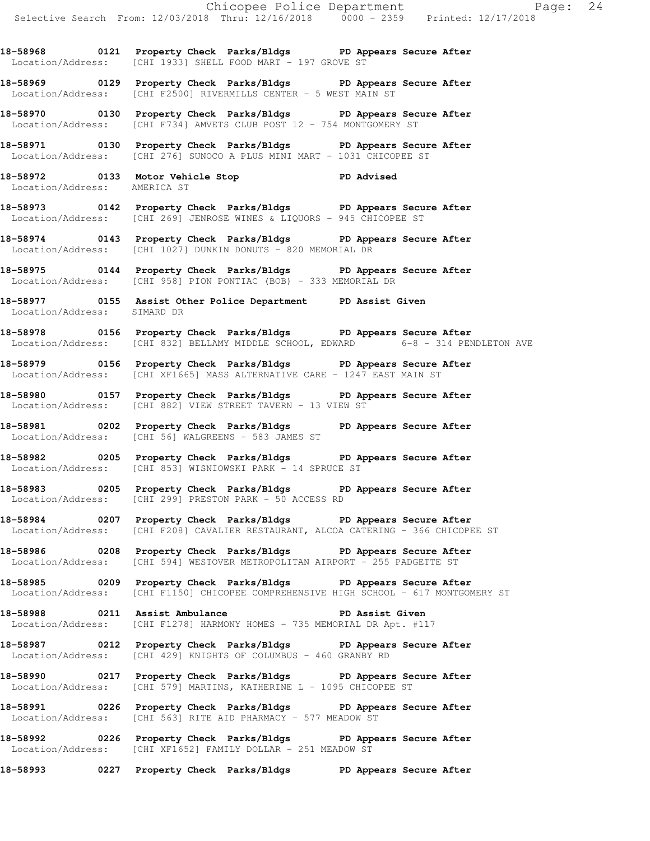**18-58968 0121 Property Check Parks/Bldgs PD Appears Secure After**  Location/Address: [CHI 1933] SHELL FOOD MART - 197 GROVE ST

**18-58969 0129 Property Check Parks/Bldgs PD Appears Secure After**  Location/Address: [CHI F2500] RIVERMILLS CENTER - 5 WEST MAIN ST

**18-58970 0130 Property Check Parks/Bldgs PD Appears Secure After**  Location/Address: [CHI F734] AMVETS CLUB POST 12 - 754 MONTGOMERY ST

**18-58971 0130 Property Check Parks/Bldgs PD Appears Secure After**  Location/Address: [CHI 276] SUNOCO A PLUS MINI MART - 1031 CHICOPEE ST

**18-58972 0133 Motor Vehicle Stop PD Advised**  Location/Address: AMERICA ST

**18-58973 0142 Property Check Parks/Bldgs PD Appears Secure After**  Location/Address: [CHI 269] JENROSE WINES & LIQUORS - 945 CHICOPEE ST

**18-58974 0143 Property Check Parks/Bldgs PD Appears Secure After**  Location/Address: [CHI 1027] DUNKIN DONUTS - 820 MEMORIAL DR

**18-58975 0144 Property Check Parks/Bldgs PD Appears Secure After**  Location/Address: [CHI 958] PION PONTIAC (BOB) - 333 MEMORIAL DR

**18-58977 0155 Assist Other Police Department PD Assist Given**  Location/Address: SIMARD DR

**18-58978 0156 Property Check Parks/Bldgs PD Appears Secure After**  Location/Address: [CHI 832] BELLAMY MIDDLE SCHOOL, EDWARD 6-8 - 314 PENDLETON AVE

**18-58979 0156 Property Check Parks/Bldgs PD Appears Secure After**  Location/Address: [CHI XF1665] MASS ALTERNATIVE CARE - 1247 EAST MAIN ST

**18-58980 0157 Property Check Parks/Bldgs PD Appears Secure After**  Location/Address: [CHI 882] VIEW STREET TAVERN - 13 VIEW ST

**18-58981 0202 Property Check Parks/Bldgs PD Appears Secure After**  Location/Address: [CHI 56] WALGREENS - 583 JAMES ST

**18-58982 0205 Property Check Parks/Bldgs PD Appears Secure After**  Location/Address: [CHI 853] WISNIOWSKI PARK - 14 SPRUCE ST

**18-58983 0205 Property Check Parks/Bldgs PD Appears Secure After**  Location/Address: [CHI 299] PRESTON PARK - 50 ACCESS RD

**18-58984 0207 Property Check Parks/Bldgs PD Appears Secure After**  Location/Address: [CHI F208] CAVALIER RESTAURANT, ALCOA CATERING - 366 CHICOPEE ST

**18-58986 0208 Property Check Parks/Bldgs PD Appears Secure After**  Location/Address: [CHI 594] WESTOVER METROPOLITAN AIRPORT - 255 PADGETTE ST

**18-58985 0209 Property Check Parks/Bldgs PD Appears Secure After**  Location/Address: [CHI F1150] CHICOPEE COMPREHENSIVE HIGH SCHOOL - 617 MONTGOMERY ST

**18-58988 0211 Assist Ambulance PD Assist Given**  Location/Address: [CHI F1278] HARMONY HOMES - 735 MEMORIAL DR Apt. #117

**18-58987 0212 Property Check Parks/Bldgs PD Appears Secure After**  Location/Address: [CHI 429] KNIGHTS OF COLUMBUS - 460 GRANBY RD

**18-58990 0217 Property Check Parks/Bldgs PD Appears Secure After**  Location/Address: [CHI 579] MARTINS, KATHERINE L - 1095 CHICOPEE ST

**18-58991 0226 Property Check Parks/Bldgs PD Appears Secure After**  Location/Address: [CHI 563] RITE AID PHARMACY - 577 MEADOW ST

**18-58992 0226 Property Check Parks/Bldgs PD Appears Secure After**  Location/Address: [CHI XF1652] FAMILY DOLLAR - 251 MEADOW ST

**18-58993 0227 Property Check Parks/Bldgs PD Appears Secure After**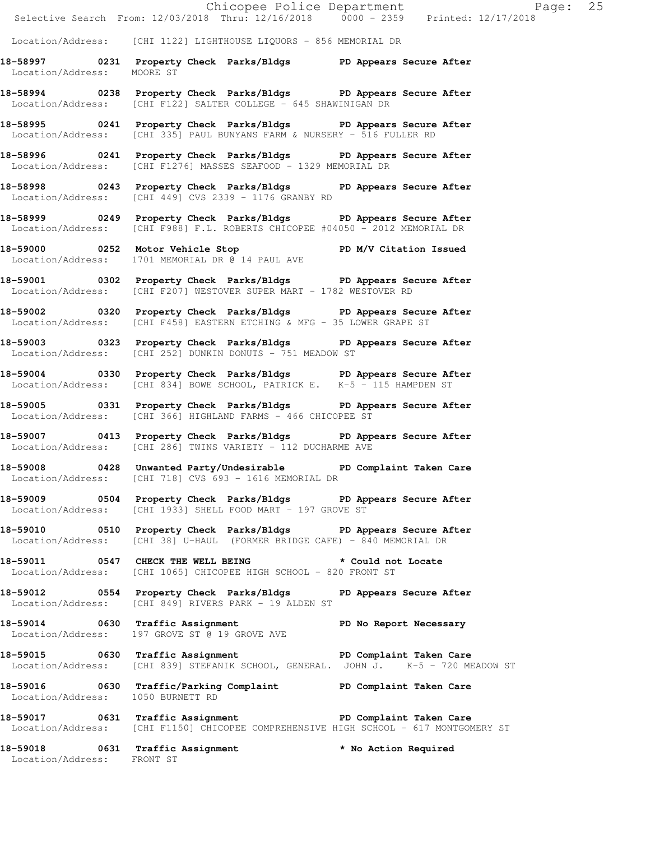|                                   | Chicopee Police Department Page: 25<br>Selective Search From: $12/03/2018$ Thru: $12/16/2018$ 0000 - 2359 Printed: $12/17/2018$                  |  |
|-----------------------------------|--------------------------------------------------------------------------------------------------------------------------------------------------|--|
|                                   | Location/Address: [CHI 1122] LIGHTHOUSE LIQUORS - 856 MEMORIAL DR                                                                                |  |
| Location/Address: MOORE ST        | 18-58997 0231 Property Check Parks/Bldgs PD Appears Secure After                                                                                 |  |
|                                   | 18-58994 0238 Property Check Parks/Bldgs PD Appears Secure After<br>Location/Address: [CHI F122] SALTER COLLEGE - 645 SHAWINIGAN DR              |  |
|                                   | 18-58995 0241 Property Check Parks/Bldgs PD Appears Secure After<br>Location/Address: [CHI 335] PAUL BUNYANS FARM & NURSERY - 516 FULLER RD      |  |
|                                   | 18-58996 0241 Property Check Parks/Bldgs PD Appears Secure After<br>Location/Address: [CHI F1276] MASSES SEAFOOD - 1329 MEMORIAL DR              |  |
|                                   | 18-58998 0243 Property Check Parks/Bldgs PD Appears Secure After<br>Location/Address: [CHI 449] CVS 2339 - 1176 GRANBY RD                        |  |
|                                   | 18-58999 0249 Property Check Parks/Bldgs PD Appears Secure After<br>Location/Address: [CHI F988] F.L. ROBERTS CHICOPEE #04050 - 2012 MEMORIAL DR |  |
|                                   | 18-59000 0252 Motor Vehicle Stop N/V Citation Issued<br>Location/Address: 1701 MEMORIAL DR @ 14 PAUL AVE                                         |  |
|                                   | 18-59001 0302 Property Check Parks/Bldgs PD Appears Secure After<br>Location/Address: [CHI F207] WESTOVER SUPER MART - 1782 WESTOVER RD          |  |
|                                   | 18-59002 0320 Property Check Parks/Bldgs PD Appears Secure After<br>Location/Address: [CHI F458] EASTERN ETCHING & MFG - 35 LOWER GRAPE ST       |  |
|                                   | 18-59003 0323 Property Check Parks/Bldgs PD Appears Secure After<br>Location/Address: [CHI 252] DUNKIN DONUTS - 751 MEADOW ST                    |  |
|                                   | 18-59004 0330 Property Check Parks/Bldgs PD Appears Secure After<br>Location/Address: [CHI 834] BOWE SCHOOL, PATRICK E. K-5 - 115 HAMPDEN ST     |  |
|                                   | 18-59005 0331 Property Check Parks/Bldgs PD Appears Secure After<br>Location/Address: [CHI 366] HIGHLAND FARMS - 466 CHICOPEE ST                 |  |
|                                   | 18-59007 0413 Property Check Parks/Bldgs PD Appears Secure After<br>Location/Address: [CHI 286] TWINS VARIETY - 112 DUCHARME AVE                 |  |
|                                   | 18-59008 0428 Unwanted Party/Undesirable PD Complaint Taken Care<br>Location/Address: [CHI 718] CVS 693 - 1616 MEMORIAL DR                       |  |
|                                   | 18-59009 0504 Property Check Parks/Bldgs PD Appears Secure After<br>Location/Address: [CHI 1933] SHELL FOOD MART - 197 GROVE ST                  |  |
|                                   | 18-59010 0510 Property Check Parks/Bldgs PD Appears Secure After<br>Location/Address: [CHI 38] U-HAUL (FORMER BRIDGE CAFE) - 840 MEMORIAL DR     |  |
|                                   | 18-59011 0547 CHECK THE WELL BEING * Could not Locate<br>Location/Address: [CHI 1065] CHICOPEE HIGH SCHOOL - 820 FRONT ST                        |  |
|                                   | 18-59012 0554 Property Check Parks/Bldgs PD Appears Secure After<br>Location/Address: [CHI 849] RIVERS PARK - 19 ALDEN ST                        |  |
|                                   | 18-59014 0630 Traffic Assignment (PD No Report Necessary<br>Location/Address: 197 GROVE ST @ 19 GROVE AVE                                        |  |
|                                   | 18-59015 0630 Traffic Assignment PD Complaint Taken Care<br>Location/Address: [CHI 839] STEFANIK SCHOOL, GENERAL. JOHN J. K-5 - 720 MEADOW ST    |  |
| Location/Address: 1050 BURNETT RD | 18-59016 0630 Traffic/Parking Complaint PD Complaint Taken Care                                                                                  |  |
|                                   | 18-59017 0631 Traffic Assignment PD Complaint Taken Care<br>Location/Address: [CHI F1150] CHICOPEE COMPREHENSIVE HIGH SCHOOL - 617 MONTGOMERY ST |  |
| Location/Address: FRONT ST        | 18-59018 0631 Traffic Assignment<br>* No Action Required                                                                                         |  |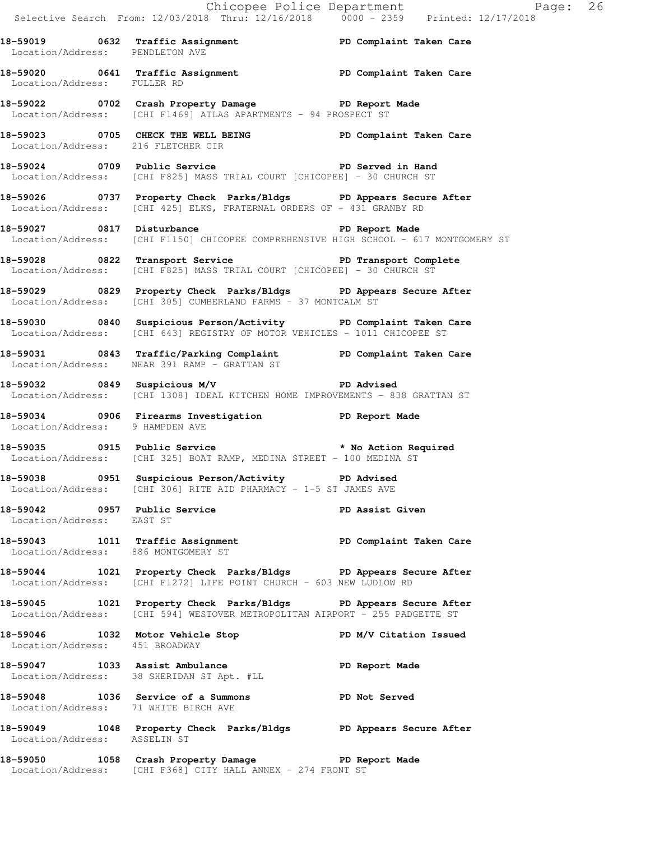|                                                           | E Chicopee Police Department<br>Selective Search From: 12/03/2018 Thru: 12/16/2018 0000 - 2359 Printed: 12/17/2018                              | Page: 26        |
|-----------------------------------------------------------|-------------------------------------------------------------------------------------------------------------------------------------------------|-----------------|
| Location/Address: PENDLETON AVE                           | 18-59019 0632 Traffic Assignment 1990 PD Complaint Taken Care                                                                                   |                 |
| Location/Address: FULLER RD                               | 18-59020 0641 Traffic Assignment New PD Complaint Taken Care                                                                                    |                 |
|                                                           | 18-59022 0702 Crash Property Damage PD Report Made<br>Location/Address: [CHI F1469] ATLAS APARTMENTS - 94 PROSPECT ST                           |                 |
| Location/Address: 216 FLETCHER CIR                        | 18-59023 0705 CHECK THE WELL BEING FOR PD Complaint Taken Care                                                                                  |                 |
|                                                           | 18-59024 0709 Public Service PD Served in Hand<br>Location/Address: [CHI F825] MASS TRIAL COURT [CHICOPEE] - 30 CHURCH ST                       |                 |
|                                                           | 18-59026 0737 Property Check Parks/Bldgs PD Appears Secure After<br>Location/Address: [CHI 425] ELKS, FRATERNAL ORDERS OF - 431 GRANBY RD       |                 |
|                                                           | 18-59027 0817 Disturbance PD Report Made<br>Location/Address: [CHI F1150] CHICOPEE COMPREHENSIVE HIGH SCHOOL - 617 MONTGOMERY ST                |                 |
|                                                           | 18-59028 0822 Transport Service New PD Transport Complete<br>Location/Address: [CHI F825] MASS TRIAL COURT [CHICOPEE] - 30 CHURCH ST            |                 |
|                                                           | 18-59029 0829 Property Check Parks/Bldgs PD Appears Secure After<br>Location/Address: [CHI 305] CUMBERLAND FARMS - 37 MONTCALM ST               |                 |
|                                                           | 18-59030 0840 Suspicious Person/Activity PD Complaint Taken Care<br>Location/Address: [CHI 643] REGISTRY OF MOTOR VEHICLES - 1011 CHICOPEE ST   |                 |
|                                                           | 18-59031 0843 Traffic/Parking Complaint PD Complaint Taken Care<br>Location/Address: NEAR 391 RAMP - GRATTAN ST                                 |                 |
|                                                           | 18-59032 0849 Suspicious M/V PD Advised<br>Location/Address: [CHI 1308] IDEAL KITCHEN HOME IMPROVEMENTS - 838 GRATTAN ST                        |                 |
| Location/Address: 9 HAMPDEN AVE                           | 18-59034 18-0906 Firearms Investigation 1900 Report Made                                                                                        |                 |
|                                                           | 18-59035 0915 Public Service <b>18-18-40 Public Service 18-59035</b><br>Location/Address: [CHI 325] BOAT RAMP, MEDINA STREET - 100 MEDINA ST    |                 |
|                                                           | 18-59038 0951 Suspicious Person/Activity PD Advised<br>Location/Address: [CHI 306] RITE AID PHARMACY - 1-5 ST JAMES AVE                         |                 |
| 18-59042 0957 Public Service<br>Location/Address: EAST ST |                                                                                                                                                 | PD Assist Given |
| Location/Address: 886 MONTGOMERY ST                       | 18-59043 1011 Traffic Assignment PD Complaint Taken Care                                                                                        |                 |
|                                                           | 18-59044 1021 Property Check Parks/Bldgs PD Appears Secure After<br>Location/Address: [CHI F1272] LIFE POINT CHURCH - 603 NEW LUDLOW RD         |                 |
|                                                           | 18-59045 1021 Property Check Parks/Bldgs PD Appears Secure After<br>Location/Address: [CHI 594] WESTOVER METROPOLITAN AIRPORT - 255 PADGETTE ST |                 |
| Location/Address: 451 BROADWAY                            | 18-59046 1032 Motor Vehicle Stop 50 PD M/V Citation Issued                                                                                      |                 |
|                                                           | 18-59047 1033 Assist Ambulance No PD Report Made<br>Location/Address: 38 SHERIDAN ST Apt. #LL                                                   |                 |
| Location/Address: 71 WHITE BIRCH AVE                      | 18-59048 1036 Service of a Summons PD Not Served                                                                                                |                 |
| Location/Address: ASSELIN ST                              | 18-59049 1048 Property Check Parks/Bldgs PD Appears Secure After                                                                                |                 |
|                                                           | 18-59050 1058 Crash Property Damage The PD Report Made<br>Location/Address: [CHI F368] CITY HALL ANNEX - 274 FRONT ST                           |                 |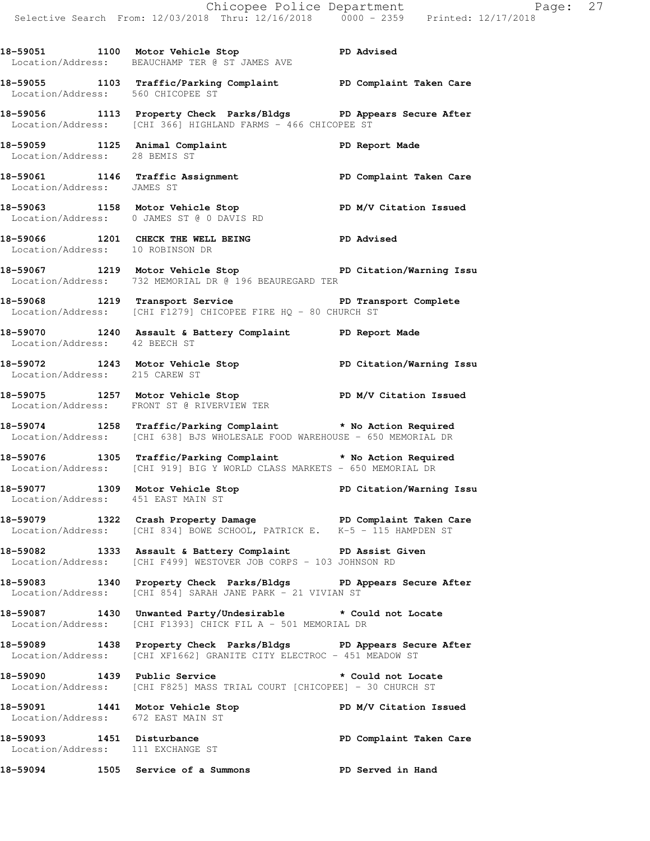**18-59056 1113 Property Check Parks/Bldgs PD Appears Secure After**  Location/Address: [CHI 366] HIGHLAND FARMS - 466 CHICOPEE ST

**18-59059 1125 Animal Complaint PD Report Made**  Location/Address: 28 BEMIS ST

**18-59061 1146 Traffic Assignment PD Complaint Taken Care**  Location/Address: JAMES ST **18-59063 1158 Motor Vehicle Stop PD M/V Citation Issued** 

 Location/Address: 0 JAMES ST @ 0 DAVIS RD **18-59066 1201 CHECK THE WELL BEING PD Advised**  Location/Address: 10 ROBINSON DR

**18-59067 1219 Motor Vehicle Stop PD Citation/Warning Issu**  Location/Address: 732 MEMORIAL DR @ 196 BEAUREGARD TER

18-59068 1219 Transport Service **1219 PD** Transport Complete Location/Address: [CHI F1279] CHICOPEE FIRE HQ - 80 CHURCH ST

**18-59070 1240 Assault & Battery Complaint PD Report Made**  Location/Address: 42 BEECH ST

**18-59072 1243 Motor Vehicle Stop PD Citation/Warning Issu**  Location/Address: 215 CAREW ST

**18-59075 1257 Motor Vehicle Stop PD M/V Citation Issued**  Location/Address: FRONT ST @ RIVERVIEW TER

**18-59074 1258 Traffic/Parking Complaint \* No Action Required**  Location/Address: [CHI 638] BJS WHOLESALE FOOD WAREHOUSE - 650 MEMORIAL DR

**18-59076 1305 Traffic/Parking Complaint \* No Action Required**  Location/Address: [CHI 919] BIG Y WORLD CLASS MARKETS - 650 MEMORIAL DR

**18-59077 1309 Motor Vehicle Stop PD Citation/Warning Issu**  Location/Address: 451 EAST MAIN ST

18-59079 1322 Crash Property Damage **PD Complaint Taken Care** Location/Address: [CHI 834] BOWE SCHOOL, PATRICK E. K-5 - 115 HAMPDEN ST

**18-59082 1333 Assault & Battery Complaint PD Assist Given**  Location/Address: [CHI F499] WESTOVER JOB CORPS - 103 JOHNSON RD

**18-59083 1340 Property Check Parks/Bldgs PD Appears Secure After**  Location/Address: [CHI 854] SARAH JANE PARK - 21 VIVIAN ST

**18-59087 1430 Unwanted Party/Undesirable \* Could not Locate**  Location/Address: [CHI F1393] CHICK FIL A - 501 MEMORIAL DR

**18-59089 1438 Property Check Parks/Bldgs PD Appears Secure After**  Location/Address: [CHI XF1662] GRANITE CITY ELECTROC - 451 MEADOW ST

**18-59090 1439 Public Service \* Could not Locate**  Location/Address: [CHI F825] MASS TRIAL COURT [CHICOPEE] - 30 CHURCH ST

18-59091 1441 Motor Vehicle Stop **PD M/V Citation Issued**  Location/Address: 672 EAST MAIN ST **18-59093 1451 Disturbance PD Complaint Taken Care** 

Location/Address: 111 EXCHANGE ST

**18-59094 1505 Service of a Summons PD Served in Hand**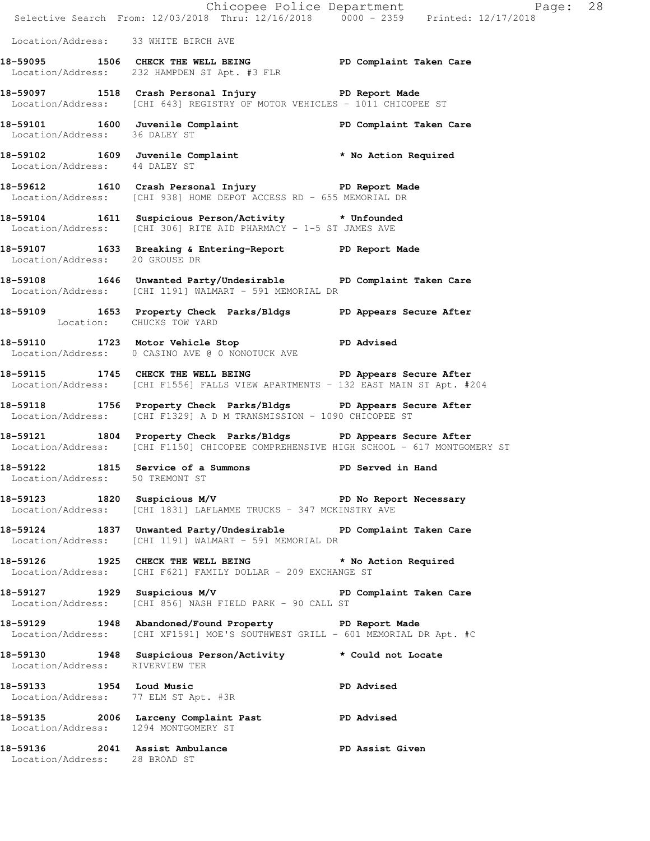|                                                                       | E<br>Chicopee Police Department<br>Selective Search From: 12/03/2018 Thru: 12/16/2018 0000 - 2359 Printed: 12/17/2018                                    | Page: 28          |  |
|-----------------------------------------------------------------------|----------------------------------------------------------------------------------------------------------------------------------------------------------|-------------------|--|
| Location/Address: 33 WHITE BIRCH AVE                                  |                                                                                                                                                          |                   |  |
|                                                                       | 18-59095 1506 CHECK THE WELL BEING PD Complaint Taken Care<br>Location/Address: 232 HAMPDEN ST Apt. #3 FLR                                               |                   |  |
|                                                                       | 18-59097 1518 Crash Personal Injury 18-59097 PD Report Made<br>Location/Address: [CHI 643] REGISTRY OF MOTOR VEHICLES - 1011 CHICOPEE ST                 |                   |  |
| Location/Address: 36 DALEY ST                                         | 18-59101 1600 Juvenile Complaint 18-59101 PD Complaint Taken Care                                                                                        |                   |  |
| Location/Address: 44 DALEY ST                                         | 18-59102 1609 Juvenile Complaint * No Action Required                                                                                                    |                   |  |
|                                                                       | 18-59612 1610 Crash Personal Injury 18-59612 PD Report Made<br>Location/Address: [CHI 938] HOME DEPOT ACCESS RD - 655 MEMORIAL DR                        |                   |  |
|                                                                       | 18-59104 1611 Suspicious Person/Activity * Unfounded<br>Location/Address: [CHI 306] RITE AID PHARMACY - 1-5 ST JAMES AVE                                 |                   |  |
| Location/Address: 20 GROUSE DR                                        | 18-59107 1633 Breaking & Entering-Report PD Report Made                                                                                                  |                   |  |
|                                                                       | 18-59108 1646 Unwanted Party/Undesirable PD Complaint Taken Care<br>Location/Address: [CHI 1191] WALMART - 591 MEMORIAL DR                               |                   |  |
| Location: CHUCKS TOW YARD                                             | 18-59109 1653 Property Check Parks/Bldgs PD Appears Secure After                                                                                         |                   |  |
|                                                                       | 18-59110 1723 Motor Vehicle Stop PD Advised<br>Location/Address: 0 CASINO AVE @ 0 NONOTUCK AVE                                                           |                   |  |
|                                                                       | 18-59115 1745 CHECK THE WELL BEING PD Appears Secure After<br>  Location/Address: [CHI F1556] FALLS VIEW APARTMENTS - 132 EAST MAIN ST Apt. #204         |                   |  |
|                                                                       | 18-59118 1756 Property Check Parks/Bldgs PD Appears Secure After<br>Location/Address: [CHI F1329] A D M TRANSMISSION - 1090 CHICOPEE ST                  |                   |  |
|                                                                       | 18-59121 1804 Property Check Parks/Bldgs PD Appears Secure After<br>Location/Address: [CHI F1150] CHICOPEE COMPREHENSIVE HIGH SCHOOL - 617 MONTGOMERY ST |                   |  |
| 18-59122 1815 Service of a Summons<br>Location/Address: 50 TREMONT ST |                                                                                                                                                          | PD Served in Hand |  |
|                                                                       | 18-59123 1820 Suspicious M/V PD No Report Necessary<br>Location/Address: [CHI 1831] LAFLAMME TRUCKS - 347 MCKINSTRY AVE                                  |                   |  |
|                                                                       | 18-59124 1837 Unwanted Party/Undesirable PD Complaint Taken Care<br>Location/Address: [CHI 1191] WALMART - 591 MEMORIAL DR                               |                   |  |
|                                                                       | 18-59126 1925 CHECK THE WELL BEING * No Action Required<br>Location/Address: [CHI F621] FAMILY DOLLAR - 209 EXCHANGE ST                                  |                   |  |
|                                                                       | 18-59127 1929 Suspicious M/V PD Complaint Taken Care<br>Location/Address: [CHI 856] NASH FIELD PARK - 90 CALL ST                                         |                   |  |
|                                                                       | 18-59129 1948 Abandoned/Found Property PD Report Made<br>Location/Address: [CHI XF1591] MOE'S SOUTHWEST GRILL - 601 MEMORIAL DR Apt. #C                  |                   |  |
| Location/Address: RIVERVIEW TER                                       | 18-59130 1948 Suspicious Person/Activity * Could not Locate                                                                                              |                   |  |
| Location/Address: 77 ELM ST Apt. #3R                                  | 18-59133 1954 Loud Music                                                                                                                                 | <b>PD Advised</b> |  |
| Location/Address: 1294 MONTGOMERY ST                                  | 18-59135 2006 Larceny Complaint Past PD Advised                                                                                                          |                   |  |
| 18-59136 2041 Assist Ambulance<br>Location/Address: 28 BROAD ST       |                                                                                                                                                          | PD Assist Given   |  |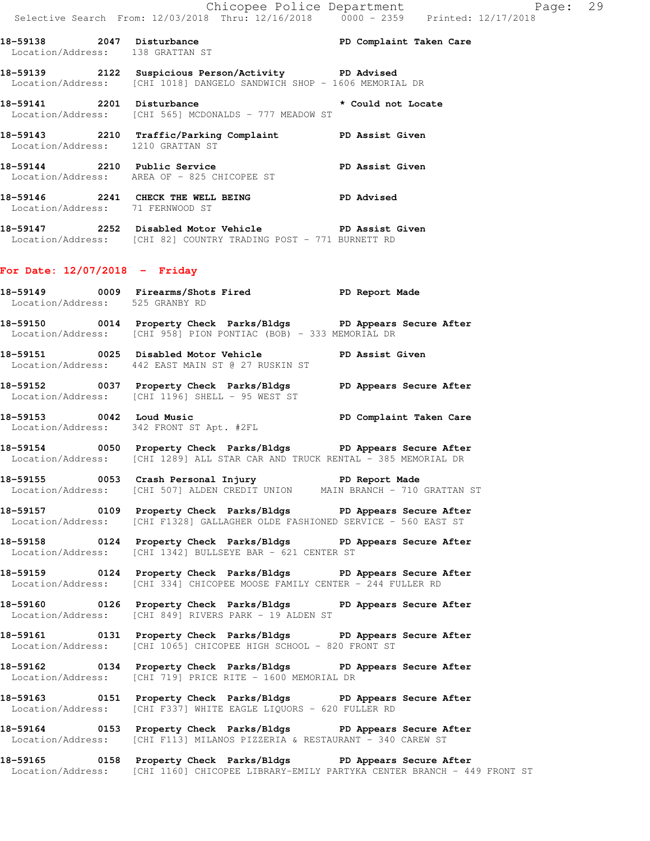**18-59139 2122 Suspicious Person/Activity PD Advised**  Location/Address: [CHI 1018] DANGELO SANDWICH SHOP - 1606 MEMORIAL DR

18-59138 2047 Disturbance **PD Complaint Taken Care** 

**18-59141 2201 Disturbance \* Could not Locate**  Location/Address: [CHI 565] MCDONALDS - 777 MEADOW ST

- **18-59143 2210 Traffic/Parking Complaint PD Assist Given**  Location/Address: 1210 GRATTAN ST
- **18-59144 2210 Public Service PD Assist Given**  Location/Address: AREA OF - 825 CHICOPEE ST
- **18-59146 2241 CHECK THE WELL BEING PD Advised**  Location/Address: 71 FERNWOOD ST
- **18-59147 2252 Disabled Motor Vehicle PD Assist Given**  Location/Address: [CHI 82] COUNTRY TRADING POST - 771 BURNETT RD

## **For Date: 12/07/2018 - Friday**

Location/Address: 138 GRATTAN ST

- **18-59149 0009 Firearms/Shots Fired PD Report Made**  Location/Address: 525 GRANBY RD
- **18-59150 0014 Property Check Parks/Bldgs PD Appears Secure After**  Location/Address: [CHI 958] PION PONTIAC (BOB) - 333 MEMORIAL DR

**18-59151 0025 Disabled Motor Vehicle PD Assist Given**  Location/Address: 442 EAST MAIN ST @ 27 RUSKIN ST

**18-59152 0037 Property Check Parks/Bldgs PD Appears Secure After**  Location/Address: [CHI 1196] SHELL - 95 WEST ST

**18-59153 0042 Loud Music PD Complaint Taken Care**  Location/Address: 342 FRONT ST Apt. #2FL

**18-59154 0050 Property Check Parks/Bldgs PD Appears Secure After**  Location/Address: [CHI 1289] ALL STAR CAR AND TRUCK RENTAL - 385 MEMORIAL DR

**18-59155 0053 Crash Personal Injury PD Report Made**  Location/Address: [CHI 507] ALDEN CREDIT UNION

**18-59157 0109 Property Check Parks/Bldgs PD Appears Secure After**  Location/Address: [CHI F1328] GALLAGHER OLDE FASHIONED SERVICE - 560 EAST ST

**18-59158 0124 Property Check Parks/Bldgs PD Appears Secure After**  Location/Address: [CHI 1342] BULLSEYE BAR - 621 CENTER ST

**18-59159 0124 Property Check Parks/Bldgs PD Appears Secure After**  Location/Address: [CHI 334] CHICOPEE MOOSE FAMILY CENTER - 244 FULLER RD

**18-59160 0126 Property Check Parks/Bldgs PD Appears Secure After**  Location/Address: [CHI 849] RIVERS PARK - 19 ALDEN ST

**18-59161 0131 Property Check Parks/Bldgs PD Appears Secure After**  Location/Address: [CHI 1065] CHICOPEE HIGH SCHOOL - 820 FRONT ST

**18-59162 0134 Property Check Parks/Bldgs PD Appears Secure After**  Location/Address: [CHI 719] PRICE RITE - 1600 MEMORIAL DR

**18-59163 0151 Property Check Parks/Bldgs PD Appears Secure After**  Location/Address: [CHI F337] WHITE EAGLE LIQUORS - 620 FULLER RD

**18-59164 0153 Property Check Parks/Bldgs PD Appears Secure After**  Location/Address: [CHI F113] MILANOS PIZZERIA & RESTAURANT - 340 CAREW ST

**18-59165 0158 Property Check Parks/Bldgs PD Appears Secure After**  Location/Address: [CHI 1160] CHICOPEE LIBRARY-EMILY PARTYKA CENTER BRANCH - 449 FRONT ST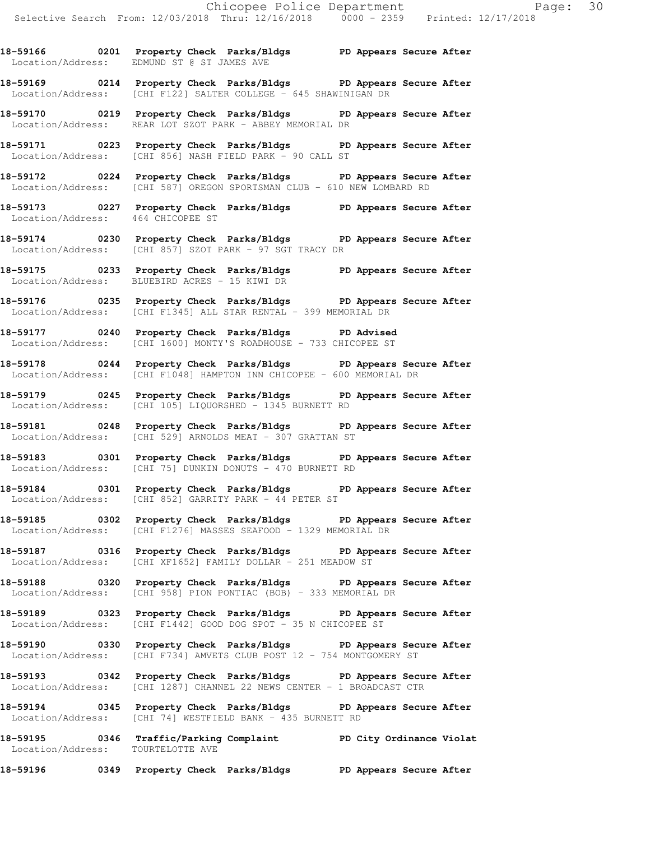**18-59166 0201** Property Check Parks/Bldgs PD Appears Secure After Location/Address: EDMUND ST @ ST JAMES AVE Location/Address: EDMUND ST @ ST JAMES AVE

**18-59169 0214 Property Check Parks/Bldgs PD Appears Secure After**  Location/Address: [CHI F122] SALTER COLLEGE - 645 SHAWINIGAN DR

**18-59170 0219 Property Check Parks/Bldgs PD Appears Secure After**  Location/Address: REAR LOT SZOT PARK - ABBEY MEMORIAL DR

**18-59171 0223 Property Check Parks/Bldgs PD Appears Secure After**  Location/Address: [CHI 856] NASH FIELD PARK - 90 CALL ST

**18-59172 0224 Property Check Parks/Bldgs PD Appears Secure After**  Location/Address: [CHI 587] OREGON SPORTSMAN CLUB - 610 NEW LOMBARD RD

**18-59173 0227 Property Check Parks/Bldgs PD Appears Secure After**  Location/Address: 464 CHICOPEE ST

Location/Address: [CHI 857] SZOT PARK - 97 SGT TRACY DR

**18-59175 0233 Property Check Parks/Bldgs PD Appears Secure After**  Location/Address: BLUEBIRD ACRES - 15 KIWI DR

Location/Address: [CHI F1345] ALL STAR RENTAL - 399 MEMORIAL DR

**18-59177 0240 Property Check Parks/Bldgs PD Advised**  Location/Address: [CHI 1600] MONTY'S ROADHOUSE - 733 CHICOPEE ST

**18-59178 0244 Property Check Parks/Bldgs PD Appears Secure After**  Location/Address: [CHI F1048] HAMPTON INN CHICOPEE - 600 MEMORIAL DR

**18-59179 0245 Property Check Parks/Bldgs PD Appears Secure After**  Location/Address: [CHI 105] LIQUORSHED - 1345 BURNETT RD

**18-59181 0248 Property Check Parks/Bldgs PD Appears Secure After**  Location/Address: [CHI 529] ARNOLDS MEAT - 307 GRATTAN ST

**18-59183 0301 Property Check Parks/Bldgs PD Appears Secure After**  Location/Address: [CHI 75] DUNKIN DONUTS - 470 BURNETT RD

**18-59184 0301 Property Check Parks/Bldgs PD Appears Secure After**  Location/Address: [CHI 852] GARRITY PARK - 44 PETER ST

**18-59185 0302 Property Check Parks/Bldgs PD Appears Secure After**  Location/Address: [CHI F1276] MASSES SEAFOOD - 1329 MEMORIAL DR

**18-59187 0316 Property Check Parks/Bldgs PD Appears Secure After**  Location/Address: [CHI XF1652] FAMILY DOLLAR - 251 MEADOW ST

**18-59188 0320 Property Check Parks/Bldgs PD Appears Secure After**  Location/Address: [CHI 958] PION PONTIAC (BOB) - 333 MEMORIAL DR

**18-59189 0323 Property Check Parks/Bldgs PD Appears Secure After**  Location/Address: [CHI F1442] GOOD DOG SPOT - 35 N CHICOPEE ST

**18-59190 0330 Property Check Parks/Bldgs PD Appears Secure After**  Location/Address: [CHI F734] AMVETS CLUB POST 12 - 754 MONTGOMERY ST

**18-59193 0342 Property Check Parks/Bldgs PD Appears Secure After**  Location/Address: [CHI 1287] CHANNEL 22 NEWS CENTER - 1 BROADCAST CTR

**18-59194 0345 Property Check Parks/Bldgs PD Appears Secure After**  Location/Address: [CHI 74] WESTFIELD BANK - 435 BURNETT RD

**18-59195 0346 Traffic/Parking Complaint PD City Ordinance Violat**  Location/Address: TOURTELOTTE AVE

**18-59196 0349 Property Check Parks/Bldgs PD Appears Secure After** 

**18-59174 0230 Property Check Parks/Bldgs PD Appears Secure After** 

**18-59176 0235 Property Check Parks/Bldgs PD Appears Secure After**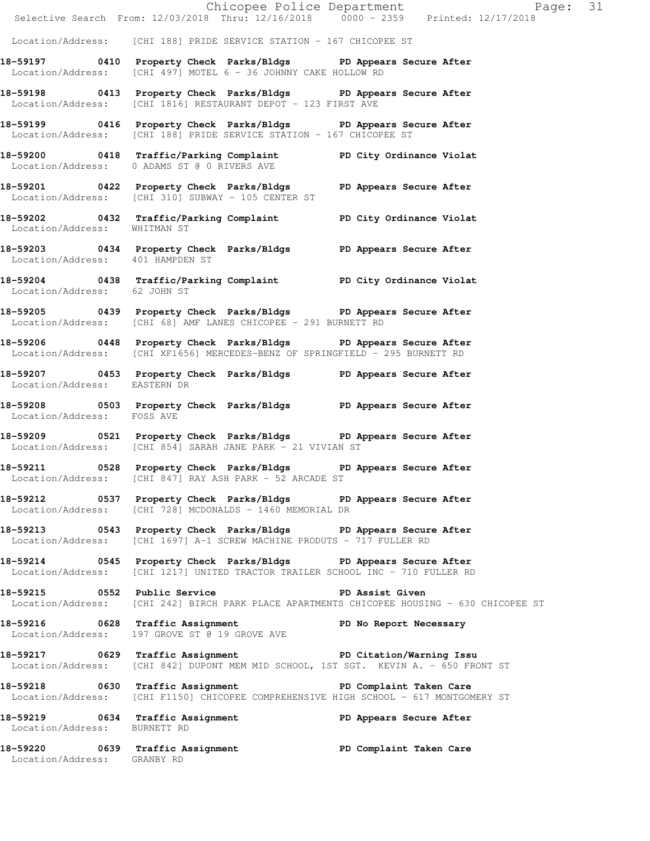Chicopee Police Department Fage: 31 Selective Search From: 12/03/2018 Thru: 12/16/2018 0000 - 2359 Printed: 12/17/2018 Location/Address: [CHI 188] PRIDE SERVICE STATION - 167 CHICOPEE ST **18-59197 0410 Property Check Parks/Bldgs PD Appears Secure After**  Location/Address: [CHI 497] MOTEL 6 - 36 JOHNNY CAKE HOLLOW RD **18-59198 0413 Property Check Parks/Bldgs PD Appears Secure After**  Location/Address: [CHI 1816] RESTAURANT DEPOT - 123 FIRST AVE **18-59199 0416 Property Check Parks/Bldgs PD Appears Secure After**  Location/Address: [CHI 188] PRIDE SERVICE STATION - 167 CHICOPEE ST **18-59200 0418 Traffic/Parking Complaint PD City Ordinance Violat**  Location/Address: 0 ADAMS ST @ 0 RIVERS AVE **18-59201 0422 Property Check Parks/Bldgs PD Appears Secure After**  Location/Address: [CHI 310] SUBWAY - 105 CENTER ST **18-59202 0432 Traffic/Parking Complaint PD City Ordinance Violat**  Location/Address: WHITMAN ST **18-59203 0434 Property Check Parks/Bldgs PD Appears Secure After**  Location/Address: 401 HAMPDEN ST **18-59204 0438 Traffic/Parking Complaint PD City Ordinance Violat**  Location/Address: 62 JOHN ST **18-59205 0439 Property Check Parks/Bldgs PD Appears Secure After**  Location/Address: [CHI 68] AMF LANES CHICOPEE - 291 BURNETT RD **18-59206 0448 Property Check Parks/Bldgs PD Appears Secure After**  Location/Address: [CHI XF1656] MERCEDES-BENZ OF SPRINGFIELD - 295 BURNETT RD **18-59207 0453 Property Check Parks/Bldgs PD Appears Secure After**  Location/Address: EASTERN DR **18-59208 0503 Property Check Parks/Bldgs PD Appears Secure After**  Location/Address: FOSS AVE **18-59209 0521 Property Check Parks/Bldgs PD Appears Secure After**  Location/Address: [CHI 854] SARAH JANE PARK - 21 VIVIAN ST **18-59211 0528 Property Check Parks/Bldgs PD Appears Secure After**  Location/Address: [CHI 847] RAY ASH PARK - 52 ARCADE ST **18-59212 0537 Property Check Parks/Bldgs PD Appears Secure After**  Location/Address: [CHI 728] MCDONALDS - 1460 MEMORIAL DR **18-59213 0543 Property Check Parks/Bldgs PD Appears Secure After**  Location/Address: [CHI 1697] A-1 SCREW MACHINE PRODUTS - 717 FULLER RD **18-59214 0545 Property Check Parks/Bldgs PD Appears Secure After**  Location/Address: [CHI 1217] UNITED TRACTOR TRAILER SCHOOL INC - 710 FULLER RD **18-59215 0552 Public Service PD Assist Given**  Location/Address: [CHI 242] BIRCH PARK PLACE APARTMENTS CHICOPEE HOUSING - 630 CHICOPEE ST 18-59216 **0628** Traffic Assignment **PD No Report Necessary**  Location/Address: 197 GROVE ST @ 19 GROVE AVE **18-59217 0629 Traffic Assignment PD Citation/Warning Issu**  Location/Address: [CHI 842] DUPONT MEM MID SCHOOL, 1ST SGT. KEVIN A. - 650 FRONT ST **18-59218 0630 Traffic Assignment PD Complaint Taken Care**  Location/Address: [CHI F1150] CHICOPEE COMPREHENSIVE HIGH SCHOOL - 617 MONTGOMERY ST **18-59219 0634 Traffic Assignment PD Appears Secure After**  Location/Address: BURNETT RD **18-59220 0639 Traffic Assignment PD Complaint Taken Care**  Location/Address: GRANBY RD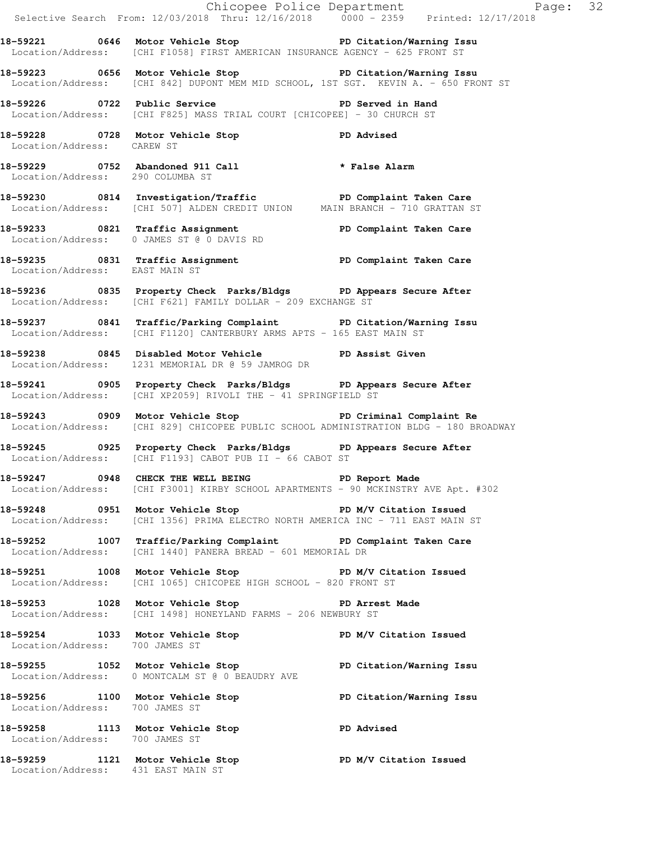|                                  |                                                                                                                                                          | Chicopee Police Department<br>Selective Search From: 12/03/2018 Thru: 12/16/2018 0000 - 2359 Printed: 12/17/2018 |  |
|----------------------------------|----------------------------------------------------------------------------------------------------------------------------------------------------------|------------------------------------------------------------------------------------------------------------------|--|
|                                  | 18-59221 0646 Motor Vehicle Stop North PD Citation/Warning Issu<br>Location/Address: [CHI F1058] FIRST AMERICAN INSURANCE AGENCY - 625 FRONT ST          |                                                                                                                  |  |
|                                  | 18-59223 0656 Motor Vehicle Stop North PD Citation/Warning Issu<br>Location/Address: [CHI 842] DUPONT MEM MID SCHOOL, 1ST SGT. KEVIN A. - 650 FRONT ST   |                                                                                                                  |  |
|                                  | 18-59226 0722 Public Service PD Served in Hand<br>Location/Address: [CHI F825] MASS TRIAL COURT [CHICOPEE] - 30 CHURCH ST                                |                                                                                                                  |  |
| Location/Address: CAREW ST       | 18-59228 0728 Motor Vehicle Stop North PD Advised                                                                                                        |                                                                                                                  |  |
| Location/Address: 290 COLUMBA ST | 18-59229 0752 Abandoned 911 Call * False Alarm                                                                                                           |                                                                                                                  |  |
|                                  | 18-59230 0814 Investigation/Traffic PD Complaint Taken Care<br>Location/Address: [CHI 507] ALDEN CREDIT UNION MAIN BRANCH - 710 GRATTAN ST               |                                                                                                                  |  |
|                                  | 18-59233 0821 Traffic Assignment<br>Location/Address: 0 JAMES ST @ 0 DAVIS RD<br>Location/Address: 0 JAMES ST @ 0 DAVIS RD                               |                                                                                                                  |  |
| Location/Address: EAST MAIN ST   | 18-59235 0831 Traffic Assignment PD Complaint Taken Care                                                                                                 |                                                                                                                  |  |
|                                  | 18-59236 0835 Property Check Parks/Bldgs PD Appears Secure After<br>Location/Address: [CHI F621] FAMILY DOLLAR - 209 EXCHANGE ST                         |                                                                                                                  |  |
|                                  | 18-59237 0841 Traffic/Parking Complaint PD Citation/Warning Issu<br>Location/Address: [CHI F1120] CANTERBURY ARMS APTS - 165 EAST MAIN ST                |                                                                                                                  |  |
|                                  | 18-59238 1845 Disabled Motor Vehicle 1990 PD Assist Given<br>Location/Address: 1231 MEMORIAL DR @ 59 JAMROG DR                                           |                                                                                                                  |  |
|                                  | 18-59241 0905 Property Check Parks/Bldgs PD Appears Secure After<br>Location/Address: [CHI XP2059] RIVOLI THE - 41 SPRINGFIELD ST                        |                                                                                                                  |  |
|                                  | 18-59243 0909 Motor Vehicle Stop Noter PD Criminal Complaint Re<br>Location/Address: [CHI 829] CHICOPEE PUBLIC SCHOOL ADMINISTRATION BLDG - 180 BROADWAY |                                                                                                                  |  |
|                                  | 18-59245 0925 Property Check Parks/Bldgs PD Appears Secure After<br>$Location/Address:$ [CHI F1193] CABOT PUB II - 66 CABOT ST                           |                                                                                                                  |  |
|                                  | 18-59247 0948 CHECK THE WELL BEING FD Report Made<br>Location/Address: [CHI F3001] KIRBY SCHOOL APARTMENTS - 90 MCKINSTRY AVE Apt. #302                  |                                                                                                                  |  |
|                                  | 18-59248 0951 Motor Vehicle Stop North PD M/V Citation Issued<br>Location/Address: [CHI 1356] PRIMA ELECTRO NORTH AMERICA INC - 711 EAST MAIN ST         |                                                                                                                  |  |
|                                  | 18-59252 1007 Traffic/Parking Complaint PD Complaint Taken Care<br>Location/Address: [CHI 1440] PANERA BREAD - 601 MEMORIAL DR                           |                                                                                                                  |  |
|                                  | 18-59251 1008 Motor Vehicle Stop N/V Citation Issued<br>Location/Address: [CHI 1065] CHICOPEE HIGH SCHOOL - 820 FRONT ST                                 |                                                                                                                  |  |
|                                  | 18-59253 1028 Motor Vehicle Stop 5 100 PD Arrest Made<br>Location/Address: [CHI 1498] HONEYLAND FARMS - 206 NEWBURY ST                                   |                                                                                                                  |  |
| Location/Address: 700 JAMES ST   | 18-59254 1033 Motor Vehicle Stop N/V Citation Issued                                                                                                     |                                                                                                                  |  |
|                                  | 18-59255 1052 Motor Vehicle Stop North PD Citation/Warning Issu<br>Location/Address: 0 MONTCALM ST @ 0 BEAUDRY AVE                                       |                                                                                                                  |  |
| Location/Address: 700 JAMES ST   | 18-59256 1100 Motor Vehicle Stop North PD Citation/Warning Issu                                                                                          |                                                                                                                  |  |
|                                  | 18-59258 1113 Motor Vehicle Stop PD Advised<br>Location/Address: 700 JAMES ST                                                                            |                                                                                                                  |  |
|                                  | 18-59259 1121 Motor Vehicle Stop<br>Location/Address: 431 EAST MAIN ST                                                                                   | PD M/V Citation Issued                                                                                           |  |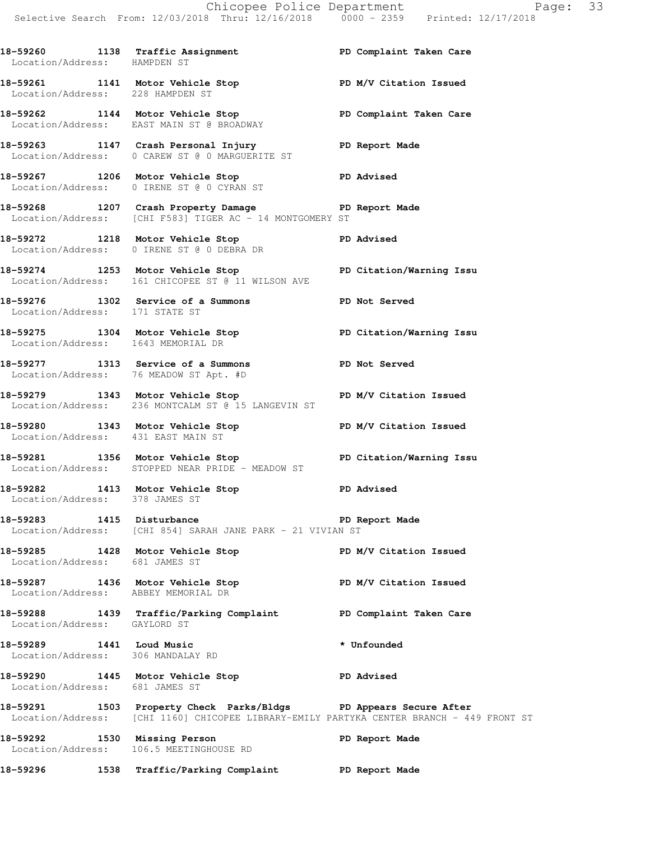18-59260 1138 Traffic Assignment **PD Complaint Taken Care** 

 Location/Address: HAMPDEN ST **18-59261 1141 Motor Vehicle Stop PD M/V Citation Issued**  Location/Address: 228 HAMPDEN ST 18-59262 1144 Motor Vehicle Stop **PD Complaint Taken Care**  Location/Address: EAST MAIN ST @ BROADWAY **18-59263 1147 Crash Personal Injury PD Report Made**  Location/Address: 0 CAREW ST @ 0 MARGUERITE ST **18-59267 1206 Motor Vehicle Stop PD Advised**  Location/Address: 0 IRENE ST @ 0 CYRAN ST **18-59268 1207 Crash Property Damage PD Report Made**  Location/Address: [CHI F583] TIGER AC - 14 MONTGOMERY ST **18-59272 1218 Motor Vehicle Stop PD Advised**  Location/Address: 0 IRENE ST @ 0 DEBRA DR **18-59274 1253 Motor Vehicle Stop PD Citation/Warning Issu**  Location/Address: 161 CHICOPEE ST @ 11 WILSON AVE **18-59276 1302 Service of a Summons PD Not Served**  Location/Address: 171 STATE ST **18-59275 1304 Motor Vehicle Stop PD Citation/Warning Issu**  Location/Address: 1643 MEMORIAL DR **18-59277 1313 Service of a Summons PD Not Served**  Location/Address: 76 MEADOW ST Apt. #D **18-59279 1343 Motor Vehicle Stop PD M/V Citation Issued**  Location/Address: 236 MONTCALM ST @ 15 LANGEVIN ST 18-59280 1343 Motor Vehicle Stop **PD M/V Citation Issued**  Location/Address: 431 EAST MAIN ST **18-59281 1356 Motor Vehicle Stop PD Citation/Warning Issu**  Location/Address: STOPPED NEAR PRIDE - MEADOW ST **18-59282 1413 Motor Vehicle Stop PD Advised**  Location/Address: 378 JAMES ST **18-59283 1415 Disturbance PD Report Made**  Location/Address: [CHI 854] SARAH JANE PARK - 21 VIVIAN ST 18-59285 1428 Motor Vehicle Stop **PD M/V Citation Issued**  Location/Address: 681 JAMES ST **18-59287 1436 Motor Vehicle Stop PD M/V Citation Issued**  Location/Address: ABBEY MEMORIAL DR **18-59288 1439 Traffic/Parking Complaint PD Complaint Taken Care**  Location/Address: GAYLORD ST **18-59289 1441 Loud Music \* Unfounded**  Location/Address: 306 MANDALAY RD **18-59290 1445 Motor Vehicle Stop PD Advised**  Location/Address: 681 JAMES ST **18-59291 1503 Property Check Parks/Bldgs PD Appears Secure After**  Location/Address: [CHI 1160] CHICOPEE LIBRARY-EMILY PARTYKA CENTER BRANCH - 449 FRONT ST **18-59292 1530 Missing Person PD Report Made**  Location/Address: 106.5 MEETINGHOUSE RD **18-59296 1538 Traffic/Parking Complaint PD Report Made**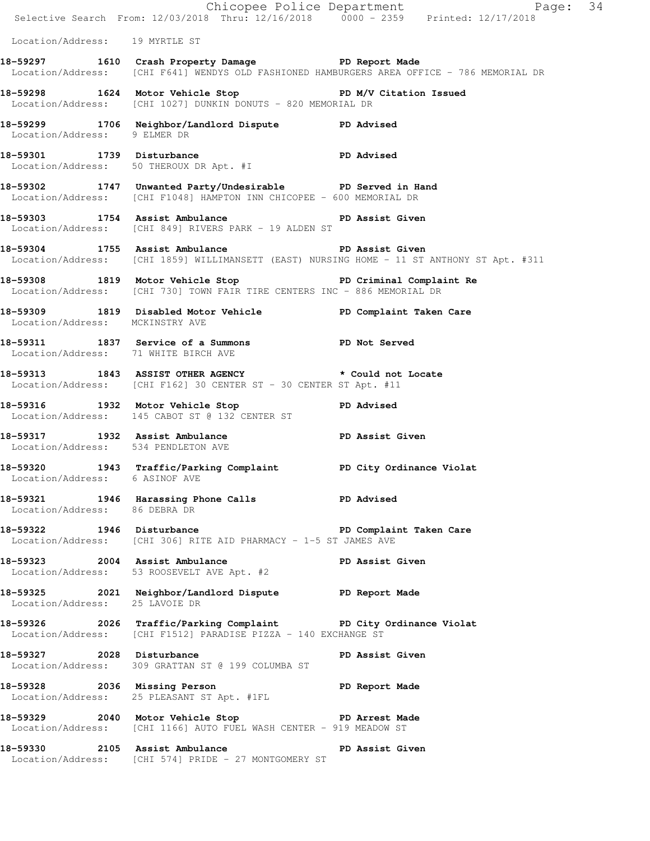|                                      |                                                                                                                                             | Chicopee Police Department<br>Selective Search From: 12/03/2018 Thru: 12/16/2018 0000 - 2359 Printed: 12/17/2018 |  |
|--------------------------------------|---------------------------------------------------------------------------------------------------------------------------------------------|------------------------------------------------------------------------------------------------------------------|--|
| Location/Address: 19 MYRTLE ST       |                                                                                                                                             |                                                                                                                  |  |
|                                      | 18-59297 1610 Crash Property Damage PD Report Made                                                                                          | Location/Address: [CHI F641] WENDYS OLD FASHIONED HAMBURGERS AREA OFFICE - 786 MEMORIAL DR                       |  |
|                                      | 18-59298 1624 Motor Vehicle Stop 50 PD M/V Citation Issued<br>Location/Address: [CHI 1027] DUNKIN DONUTS - 820 MEMORIAL DR                  |                                                                                                                  |  |
| Location/Address: 9 ELMER DR         | 18-59299 1706 Neighbor/Landlord Dispute PD Advised                                                                                          |                                                                                                                  |  |
|                                      | 18-59301 1739 Disturbance<br>Location/Address: 50 THEROUX DR Apt. #I                                                                        | PD Advised                                                                                                       |  |
|                                      | 18-59302 1747 Unwanted Party/Undesirable PD Served in Hand<br>Location/Address: [CHI F1048] HAMPTON INN CHICOPEE - 600 MEMORIAL DR          |                                                                                                                  |  |
|                                      | 18-59303 1754 Assist Ambulance No PD Assist Given<br>Location/Address: [CHI 849] RIVERS PARK - 19 ALDEN ST                                  |                                                                                                                  |  |
|                                      | 18-59304 1755 Assist Ambulance National PD Assist Given                                                                                     | Location/Address: [CHI 1859] WILLIMANSETT (EAST) NURSING HOME - 11 ST ANTHONY ST Apt. #311                       |  |
|                                      | 18-59308 1819 Motor Vehicle Stop North PD Criminal Complaint Re<br>Location/Address: [CHI 730] TOWN FAIR TIRE CENTERS INC - 886 MEMORIAL DR |                                                                                                                  |  |
| Location/Address: MCKINSTRY AVE      | 18-59309 1819 Disabled Motor Vehicle PD Complaint Taken Care                                                                                |                                                                                                                  |  |
| Location/Address: 71 WHITE BIRCH AVE | 18-59311 1837 Service of a Summons PD Not Served                                                                                            |                                                                                                                  |  |
|                                      | 18-59313 1843 ASSIST OTHER AGENCY <b>18-59313</b> tould not Locate<br>Location/Address: [CHI F162] 30 CENTER ST - 30 CENTER ST Apt. #11     |                                                                                                                  |  |
|                                      | 18-59316 1932 Motor Vehicle Stop<br>Location/Address: 145 CABOT ST @ 132 CENTER ST                                                          | <b>PD Advised</b>                                                                                                |  |
| Location/Address: 534 PENDLETON AVE  | 18-59317 1932 Assist Ambulance National PD Assist Given                                                                                     |                                                                                                                  |  |
| Location/Address: 6 ASINOF AVE       | 18-59320 1943 Traffic/Parking Complaint PD City Ordinance Violat                                                                            |                                                                                                                  |  |
| Location/Address: 86 DEBRA DR        | 18-59321 1946 Harassing Phone Calls 18-59321                                                                                                |                                                                                                                  |  |
|                                      | 18-59322 1946 Disturbance New PD Complaint Taken Care<br>Location/Address: [CHI 306] RITE AID PHARMACY - 1-5 ST JAMES AVE                   |                                                                                                                  |  |
|                                      | 18-59323 2004 Assist Ambulance PD Assist Given<br>Location/Address: 53 ROOSEVELT AVE Apt. #2                                                |                                                                                                                  |  |
| Location/Address: 25 LAVOIE DR       | 18-59325 2021 Neighbor/Landlord Dispute PD Report Made                                                                                      |                                                                                                                  |  |
|                                      | 18-59326 2026 Traffic/Parking Complaint PD City Ordinance Violat<br>Location/Address: [CHI F1512] PARADISE PIZZA - 140 EXCHANGE ST          |                                                                                                                  |  |
|                                      | 18-59327 2028 Disturbance 2008 PD Assist Given<br>Location/Address: 309 GRATTAN ST @ 199 COLUMBA ST                                         |                                                                                                                  |  |
|                                      | 18-59328 2036 Missing Person New York PD Report Made<br>Location/Address: 25 PLEASANT ST Apt. #1FL                                          |                                                                                                                  |  |
|                                      | 18-59329 2040 Motor Vehicle Stop 30 PD Arrest Made<br>Location/Address: [CHI 1166] AUTO FUEL WASH CENTER - 919 MEADOW ST                    |                                                                                                                  |  |
|                                      | 18-59330 2105 Assist Ambulance New PD Assist Given<br>Location/Address: [CHI 574] PRIDE - 27 MONTGOMERY ST                                  |                                                                                                                  |  |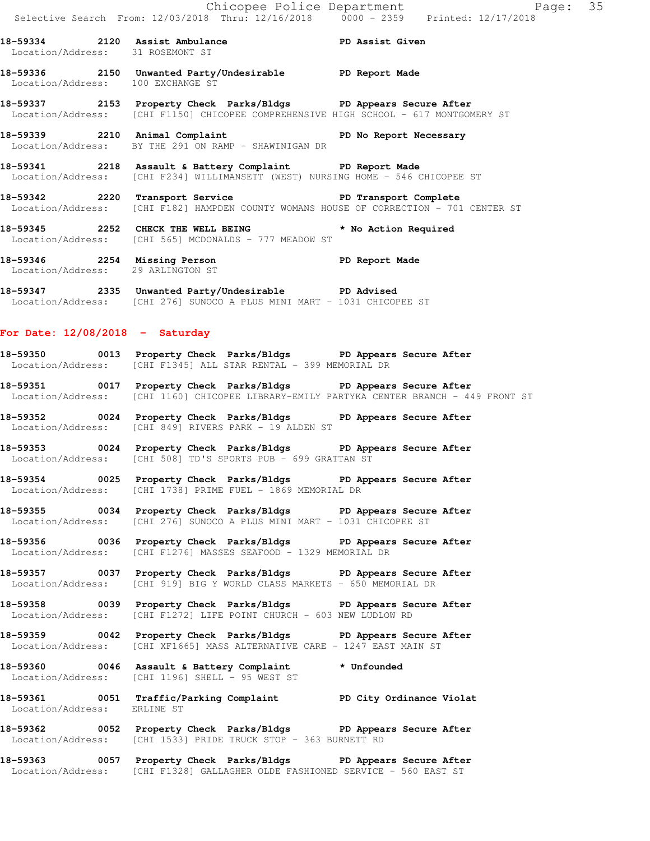Chicopee Police Department Fage: 35 Selective Search From: 12/03/2018 Thru: 12/16/2018 0000 - 2359 Printed: 12/17/2018 **18-59334 2120 Assist Ambulance PD Assist Given**  Location/Address: 31 ROSEMONT ST **18-59336 2150 Unwanted Party/Undesirable PD Report Made**  Location/Address: 100 EXCHANGE ST **18-59337 2153 Property Check Parks/Bldgs PD Appears Secure After**  Location/Address: [CHI F1150] CHICOPEE COMPREHENSIVE HIGH SCHOOL - 617 MONTGOMERY ST **18-59339 2210 Animal Complaint PD No Report Necessary**  Location/Address: BY THE 291 ON RAMP - SHAWINIGAN DR **18-59341 2218 Assault & Battery Complaint PD Report Made**  Location/Address: [CHI F234] WILLIMANSETT (WEST) NURSING HOME - 546 CHICOPEE ST **18-59342 2220 Transport Service PD Transport Complete**  Location/Address: [CHI F182] HAMPDEN COUNTY WOMANS HOUSE OF CORRECTION - 701 CENTER ST **18-59345 2252 CHECK THE WELL BEING \* No Action Required**  Location/Address: [CHI 565] MCDONALDS - 777 MEADOW ST **18-59346 2254 Missing Person PD Report Made**  Location/Address: 29 ARLINGTON ST **18-59347 2335 Unwanted Party/Undesirable PD Advised**  Location/Address: [CHI 276] SUNOCO A PLUS MINI MART - 1031 CHICOPEE ST **For Date: 12/08/2018 - Saturday 18-59350 0013 Property Check Parks/Bldgs PD Appears Secure After**  Location/Address: [CHI F1345] ALL STAR RENTAL - 399 MEMORIAL DR **18-59351 0017 Property Check Parks/Bldgs PD Appears Secure After**  Location/Address: [CHI 1160] CHICOPEE LIBRARY-EMILY PARTYKA CENTER BRANCH - 449 FRONT ST **18-59352 0024 Property Check Parks/Bldgs PD Appears Secure After**  Location/Address: [CHI 849] RIVERS PARK - 19 ALDEN ST **18-59353 0024 Property Check Parks/Bldgs PD Appears Secure After**  Location/Address: [CHI 508] TD'S SPORTS PUB - 699 GRATTAN ST **18-59354 0025 Property Check Parks/Bldgs PD Appears Secure After**  Location/Address: [CHI 1738] PRIME FUEL - 1869 MEMORIAL DR **18-59355 0034 Property Check Parks/Bldgs PD Appears Secure After**  Location/Address: [CHI 276] SUNOCO A PLUS MINI MART - 1031 CHICOPEE ST **18-59356 0036 Property Check Parks/Bldgs PD Appears Secure After**  Location/Address: [CHI F1276] MASSES SEAFOOD - 1329 MEMORIAL DR

**18-59357 0037 Property Check Parks/Bldgs PD Appears Secure After**  Location/Address: [CHI 919] BIG Y WORLD CLASS MARKETS - 650 MEMORIAL DR

**18-59358 0039 Property Check Parks/Bldgs PD Appears Secure After**  Location/Address: [CHI F1272] LIFE POINT CHURCH - 603 NEW LUDLOW RD

**18-59359 0042 Property Check Parks/Bldgs PD Appears Secure After**  Location/Address: [CHI XF1665] MASS ALTERNATIVE CARE - 1247 EAST MAIN ST

**18-59360 0046 Assault & Battery Complaint \* Unfounded**  Location/Address: [CHI 1196] SHELL - 95 WEST ST

**18-59361 0051 Traffic/Parking Complaint PD City Ordinance Violat**  Location/Address: ERLINE ST

**18-59362 0052 Property Check Parks/Bldgs PD Appears Secure After**  Location/Address: [CHI 1533] PRIDE TRUCK STOP - 363 BURNETT RD

**18-59363 0057 Property Check Parks/Bldgs PD Appears Secure After**  Location/Address: [CHI F1328] GALLAGHER OLDE FASHIONED SERVICE - 560 EAST ST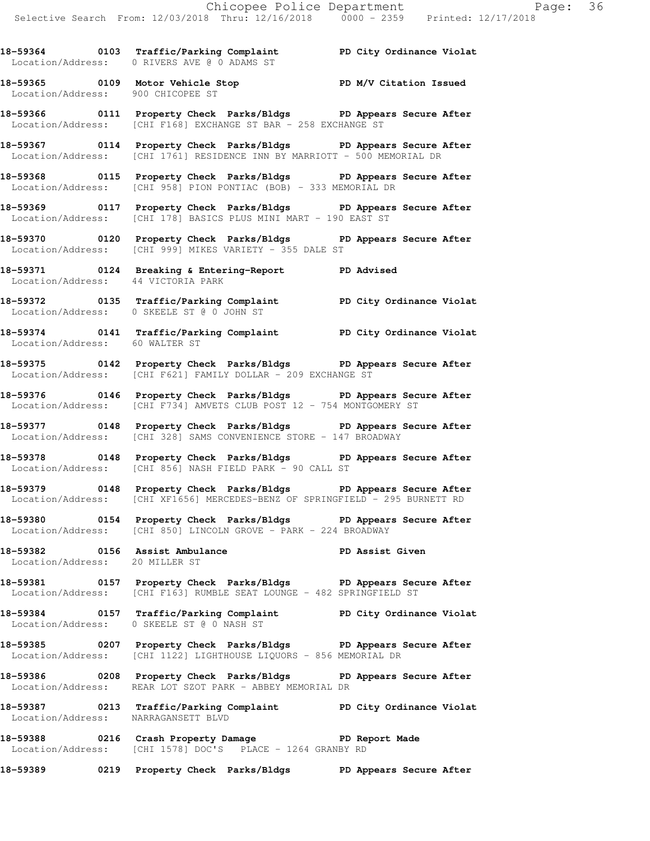- **18-59365 0109 Motor Vehicle Stop PD M/V Citation Issued**  Location/Address: 900 CHICOPEE ST
- **18-59366 0111 Property Check Parks/Bldgs PD Appears Secure After**  Location/Address: [CHI F168] EXCHANGE ST BAR - 258 EXCHANGE ST
- **18-59367 0114 Property Check Parks/Bldgs PD Appears Secure After**  Location/Address: [CHI 1761] RESIDENCE INN BY MARRIOTT - 500 MEMORIAL DR
- **18-59368 0115 Property Check Parks/Bldgs PD Appears Secure After**  Location/Address: [CHI 958] PION PONTIAC (BOB) - 333 MEMORIAL DR
- **18-59369 0117 Property Check Parks/Bldgs PD Appears Secure After**  Location/Address: [CHI 178] BASICS PLUS MINI MART - 190 EAST ST
- **18-59370 0120 Property Check Parks/Bldgs PD Appears Secure After**  Location/Address: [CHI 999] MIKES VARIETY - 355 DALE ST
- **18-59371 0124 Breaking & Entering-Report PD Advised**  Location/Address: 44 VICTORIA PARK
- **18-59372 0135 Traffic/Parking Complaint PD City Ordinance Violat**  Location/Address: 0 SKEELE ST @ 0 JOHN ST
- **18-59374 0141 Traffic/Parking Complaint PD City Ordinance Violat**  Location/Address: 60 WALTER ST
- **18-59375 0142 Property Check Parks/Bldgs PD Appears Secure After**  Location/Address: [CHI F621] FAMILY DOLLAR - 209 EXCHANGE ST
- **18-59376 0146 Property Check Parks/Bldgs PD Appears Secure After**  Location/Address: [CHI F734] AMVETS CLUB POST 12 - 754 MONTGOMERY ST
- **18-59377 0148 Property Check Parks/Bldgs PD Appears Secure After**  Location/Address: [CHI 328] SAMS CONVENIENCE STORE - 147 BROADWAY
- **18-59378 0148 Property Check Parks/Bldgs PD Appears Secure After**  Location/Address: [CHI 856] NASH FIELD PARK - 90 CALL ST
- **18-59379 0148 Property Check Parks/Bldgs PD Appears Secure After**  Location/Address: [CHI XF1656] MERCEDES-BENZ OF SPRINGFIELD - 295 BURNETT RD
- **18-59380 0154 Property Check Parks/Bldgs PD Appears Secure After**  Location/Address: [CHI 850] LINCOLN GROVE - PARK - 224 BROADWAY
- **18-59382 0156 Assist Ambulance PD Assist Given**  Location/Address: 20 MILLER ST
- **18-59381 0157 Property Check Parks/Bldgs PD Appears Secure After**  Location/Address: [CHI F163] RUMBLE SEAT LOUNGE - 482 SPRINGFIELD ST
- **18-59384 0157 Traffic/Parking Complaint PD City Ordinance Violat**  Location/Address: 0 SKEELE ST @ 0 NASH ST
- **18-59385 0207 Property Check Parks/Bldgs PD Appears Secure After**  Location/Address: [CHI 1122] LIGHTHOUSE LIQUORS - 856 MEMORIAL DR
- **18-59386 0208 Property Check Parks/Bldgs PD Appears Secure After**  Location/Address: REAR LOT SZOT PARK - ABBEY MEMORIAL DR
- **18-59387 0213 Traffic/Parking Complaint PD City Ordinance Violat**  Location/Address: NARRAGANSETT BLVD
- **18-59388 0216 Crash Property Damage PD Report Made**  Location/Address: [CHI 1578] DOC'S PLACE - 1264 GRANBY RD
- **18-59389 0219 Property Check Parks/Bldgs PD Appears Secure After**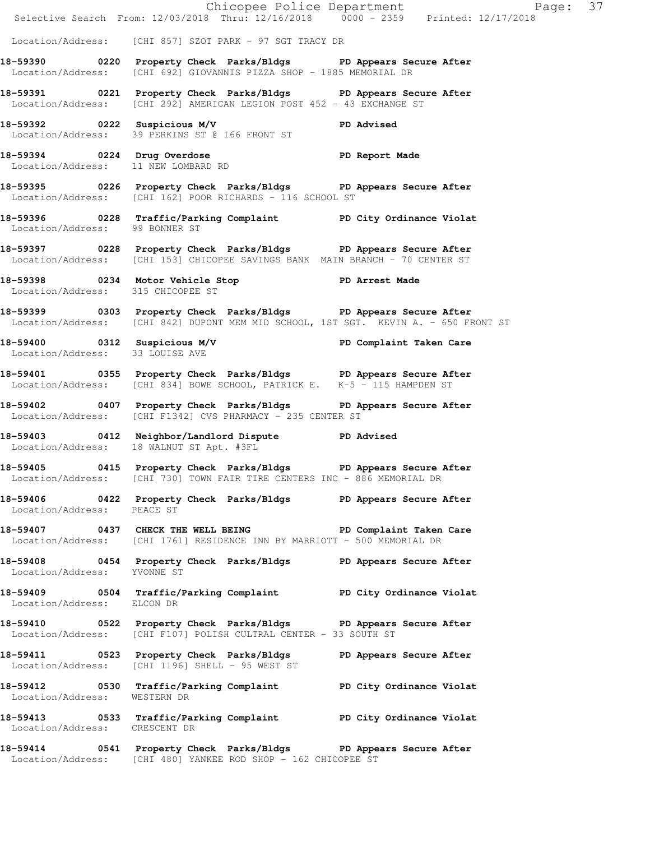|                                     |                                                                                                                                                         | Chicopee Police Department<br>Selective Search From: 12/03/2018 Thru: 12/16/2018 0000 - 2359 Printed: 12/17/2018 |  |
|-------------------------------------|---------------------------------------------------------------------------------------------------------------------------------------------------------|------------------------------------------------------------------------------------------------------------------|--|
|                                     | Location/Address: [CHI 857] SZOT PARK - 97 SGT TRACY DR                                                                                                 |                                                                                                                  |  |
|                                     | 18-59390 0220 Property Check Parks/Bldgs PD Appears Secure After<br>Location/Address: [CHI 692] GIOVANNIS PIZZA SHOP - 1885 MEMORIAL DR                 |                                                                                                                  |  |
|                                     | 18-59391 		 0221 Property Check Parks/Bldgs 		 PD Appears Secure After<br>Location/Address: [CHI 292] AMERICAN LEGION POST 452 - 43 EXCHANGE ST         |                                                                                                                  |  |
|                                     | 18-59392 0222 Suspicious M/V<br>Location/Address: 39 PERKINS ST @ 166 FRONT ST                                                                          | <b>PD Advised</b>                                                                                                |  |
| Location/Address: 11 NEW LOMBARD RD | 18-59394 0224 Drug Overdose National PD Report Made                                                                                                     |                                                                                                                  |  |
|                                     | 18-59395 0226 Property Check Parks/Bldgs PD Appears Secure After<br>Location/Address: [CHI 162] POOR RICHARDS - 116 SCHOOL ST                           |                                                                                                                  |  |
|                                     | 18-59396 0228 Traffic/Parking Complaint PD City Ordinance Violat<br>Location/Address: 99 BONNER ST                                                      |                                                                                                                  |  |
|                                     | 18-59397 0228 Property Check Parks/Bldgs PD Appears Secure After<br>Location/Address: [CHI 153] CHICOPEE SAVINGS BANK MAIN BRANCH - 70 CENTER ST        |                                                                                                                  |  |
| Location/Address: 315 CHICOPEE ST   | 18-59398 0234 Motor Vehicle Stop North PD Arrest Made                                                                                                   |                                                                                                                  |  |
|                                     | 18-59399 0303 Property Check Parks/Bldgs PD Appears Secure After<br>Location/Address: [CHI 842] DUPONT MEM MID SCHOOL, 1ST SGT. KEVIN A. - 650 FRONT ST |                                                                                                                  |  |
| Location/Address: 33 LOUISE AVE     | 18-59400 0312 Suspicious M/V <b>PD</b> Complaint Taken Care                                                                                             |                                                                                                                  |  |
|                                     | 18-59401 0355 Property Check Parks/Bldgs PD Appears Secure After<br>Location/Address: [CHI 834] BOWE SCHOOL, PATRICK E. K-5 - 115 HAMPDEN ST            |                                                                                                                  |  |
|                                     | 18-59402 0407 Property Check Parks/Bldgs PD Appears Secure After<br>Location/Address: [CHI F1342] CVS PHARMACY - 235 CENTER ST                          |                                                                                                                  |  |
|                                     | 18-59403 0412 Neighbor/Landlord Dispute PD Advised<br>Location/Address: 18 WALNUT ST Apt. #3FL                                                          |                                                                                                                  |  |
| 18-59405                            | 0415 Property Check Parks/Bldgs PD Appears Secure After<br>Location/Address: [CHI 730] TOWN FAIR TIRE CENTERS INC - 886 MEMORIAL DR                     |                                                                                                                  |  |
| Location/Address: PEACE ST          | 18-59406 0422 Property Check Parks/Bldgs PD Appears Secure After                                                                                        |                                                                                                                  |  |
|                                     | 18-59407 0437 CHECK THE WELL BEING PD Complaint Taken Care<br>Location/Address: [CHI 1761] RESIDENCE INN BY MARRIOTT - 500 MEMORIAL DR                  |                                                                                                                  |  |
| Location/Address: YVONNE ST         | 18-59408 0454 Property Check Parks/Bldgs PD Appears Secure After                                                                                        |                                                                                                                  |  |
| Location/Address: ELCON DR          | 18-59409 0504 Traffic/Parking Complaint PD City Ordinance Violat                                                                                        |                                                                                                                  |  |
|                                     | 18-59410 0522 Property Check Parks/Bldgs PD Appears Secure After<br>Location/Address: [CHI F107] POLISH CULTRAL CENTER - 33 SOUTH ST                    |                                                                                                                  |  |
|                                     | 18-59411 		 0523 Property Check Parks/Bldgs 		 PD Appears Secure After<br>Location/Address: [CHI 1196] SHELL - 95 WEST ST                               |                                                                                                                  |  |
| Location/Address: WESTERN DR        | 18-59412 0530 Traffic/Parking Complaint PD City Ordinance Violat                                                                                        |                                                                                                                  |  |
| Location/Address: CRESCENT DR       | 18-59413 0533 Traffic/Parking Complaint PD City Ordinance Violat                                                                                        |                                                                                                                  |  |
|                                     | 18-59414 0541 Property Check Parks/Bldgs PD Appears Secure After<br>Location/Address: [CHI 480] YANKEE ROD SHOP - 162 CHICOPEE ST                       |                                                                                                                  |  |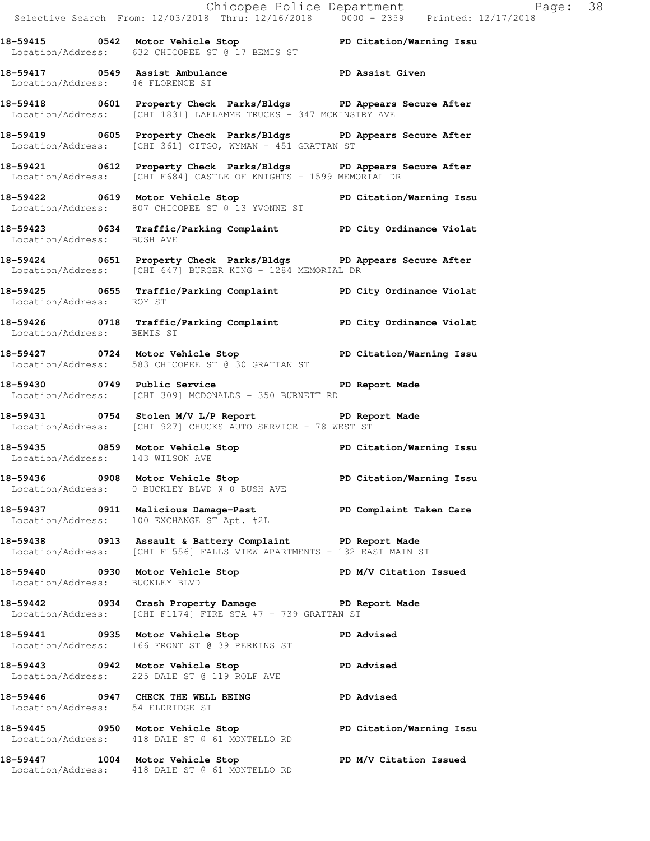|                                  | Chicopee Police Department<br>Selective Search From: 12/03/2018 Thru: 12/16/2018 0000 - 2359 Printed: 12/17/2018                                            |                          |
|----------------------------------|-------------------------------------------------------------------------------------------------------------------------------------------------------------|--------------------------|
|                                  | Location/Address: 632 CHICOPEE ST @ 17 BEMIS ST                                                                                                             |                          |
| Location/Address: 46 FLORENCE ST | 18-59417 0549 Assist Ambulance National PD Assist Given                                                                                                     |                          |
|                                  | 18-59418 0601 Property Check Parks/Bldgs PD Appears Secure After<br>Location/Address: [CHI 1831] LAFLAMME TRUCKS - 347 MCKINSTRY AVE                        |                          |
|                                  | 18-59419 0605 Property Check Parks/Bldgs PD Appears Secure After<br>Location/Address: [CHI 361] CITGO, WYMAN - 451 GRATTAN ST                               |                          |
|                                  | 18-59421 0612 Property Check Parks/Bldgs PD Appears Secure After<br>Location/Address: [CHI F684] CASTLE OF KNIGHTS - 1599 MEMORIAL DR                       |                          |
|                                  | 18-59422 18-59422 0619 Motor Vehicle Stop 19 PD Citation/Warning Issu<br>Location/Address: 807 CHICOPEE ST @ 13 YVONNE ST                                   |                          |
| Location/Address: BUSH AVE       | 18-59423 0634 Traffic/Parking Complaint PD City Ordinance Violat                                                                                            |                          |
|                                  | 18-59424 18-59424 0651 Property Check Parks/Bldgs 19 PD Appears Secure After<br>Location/Address: [CHI 647] BURGER KING - 1284 MEMORIAL DR                  |                          |
| Location/Address: ROY ST         | 18-59425 0655 Traffic/Parking Complaint PD City Ordinance Violat                                                                                            |                          |
| Location/Address: BEMIS ST       | 18-59426 0718 Traffic/Parking Complaint PD City Ordinance Violat                                                                                            |                          |
|                                  | 18-59427 0724 Motor Vehicle Stop North PD Citation/Warning Issu<br>Location/Address: 583 CHICOPEE ST @ 30 GRATTAN ST                                        |                          |
|                                  | <br> 18-59430            0749    Public Service                                    PD Report Made<br>Location/Address: [CHI 309] MCDONALDS - 350 BURNETT RD |                          |
|                                  | 18-59431 0754 Stolen M/V L/P Report The PD Report Made<br>Location/Address: [CHI 927] CHUCKS AUTO SERVICE - 78 WEST ST                                      |                          |
| Location/Address: 143 WILSON AVE | 18-59435 0859 Motor Vehicle Stop Notor PD Citation/Warning Issu                                                                                             |                          |
|                                  | 18-59436 0908 Motor Vehicle Stop<br>Location/Address: 0 BUCKLEY BLVD @ 0 BUSH AVE                                                                           | PD Citation/Warning Issu |
|                                  | 18-59437 		 0911 Malicious Damage-Past 		 PD Complaint Taken Care<br>Location/Address: 100 EXCHANGE ST Apt. #2L                                             |                          |
|                                  | 18-59438 0913 Assault & Battery Complaint PD Report Made<br>Location/Address: [CHI F1556] FALLS VIEW APARTMENTS - 132 EAST MAIN ST                          |                          |
| Location/Address: BUCKLEY BLVD   | 18-59440 0930 Motor Vehicle Stop N/V Citation Issued                                                                                                        |                          |
|                                  | 18-59442 0934 Crash Property Damage PD Report Made<br>Location/Address: [CHI F1174] FIRE STA #7 - 739 GRATTAN ST                                            |                          |
|                                  | 18-59441 0935 Motor Vehicle Stop PD Advised<br>Location/Address: 166 FRONT ST @ 39 PERKINS ST                                                               |                          |
|                                  | 18-59443 0942 Motor Vehicle Stop<br>Location/Address: 225 DALE ST @ 119 ROLF AVE                                                                            | <b>PD Advised</b>        |
| Location/Address: 54 ELDRIDGE ST | 18-59446 0947 CHECK THE WELL BEING                                                                                                                          | <b>PD Advised</b>        |
|                                  | 18-59445 0950 Motor Vehicle Stop Notor PD Citation/Warning Issu<br>Location/Address: 418 DALE ST @ 61 MONTELLO RD                                           |                          |
|                                  | 18-59447 1004 Motor Vehicle Stop<br>Location/Address: 418 DALE ST @ 61 MONTELLO RD                                                                          | PD M/V Citation Issued   |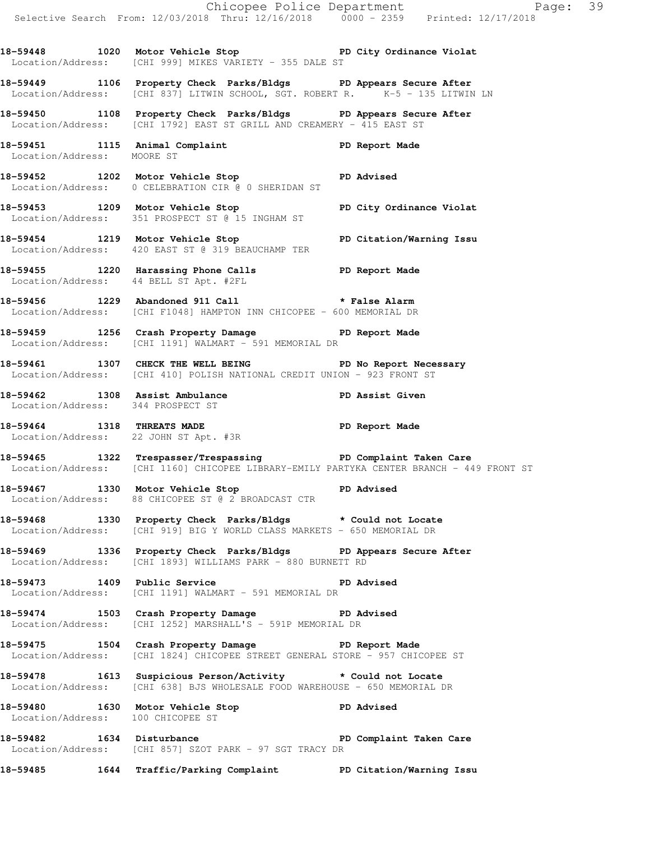18-59448 1020 Motor Vehicle Stop **PD City Ordinance Violat** Location/Address: [CHI 999] MIKES VARIETY - 355 DALE ST

**18-59449 1106 Property Check Parks/Bldgs PD Appears Secure After**  Location/Address: [CHI 837] LITWIN SCHOOL, SGT. ROBERT R. <sup>-</sup> K-5 - 135 LITWIN LN

**18-59450 1108 Property Check Parks/Bldgs PD Appears Secure After**  Location/Address: [CHI 1792] EAST ST GRILL AND CREAMERY - 415 EAST ST

**18-59451 1115 Animal Complaint PD Report Made** Location/Address: MOORE ST Location/Address:

**18-59452 1202 Motor Vehicle Stop PD Advised**  Location/Address: 0 CELEBRATION CIR @ 0 SHERIDAN ST

**18-59453 1209 Motor Vehicle Stop PD City Ordinance Violat**  Location/Address: 351 PROSPECT ST @ 15 INGHAM ST

**18-59454 1219 Motor Vehicle Stop PD Citation/Warning Issu**  Location/Address: 420 EAST ST @ 319 BEAUCHAMP TER

**18-59455 1220 Harassing Phone Calls PD Report Made**  Location/Address: 44 BELL ST Apt. #2FL

**18-59456 1229 Abandoned 911 Call \* False Alarm**  Location/Address: [CHI F1048] HAMPTON INN CHICOPEE - 600 MEMORIAL DR

**18-59459 1256 Crash Property Damage PD Report Made**  Location/Address: [CHI 1191] WALMART - 591 MEMORIAL DR

**18-59461 1307 CHECK THE WELL BEING PD No Report Necessary**  Location/Address: [CHI 410] POLISH NATIONAL CREDIT UNION - 923 FRONT ST

**18-59462 1308 Assist Ambulance PD Assist Given**  Location/Address: 344 PROSPECT ST

**18-59464 1318 THREATS MADE PD Report Made**  Location/Address: 22 JOHN ST Apt. #3R

**18-59465 1322 Trespasser/Trespassing PD Complaint Taken Care**  Location/Address: [CHI 1160] CHICOPEE LIBRARY-EMILY PARTYKA CENTER BRANCH - 449 FRONT ST

**18-59467 1330 Motor Vehicle Stop PD Advised**  Location/Address: 88 CHICOPEE ST @ 2 BROADCAST CTR

**18-59468 1330 Property Check Parks/Bldgs \* Could not Locate**  Location/Address: [CHI 919] BIG Y WORLD CLASS MARKETS - 650 MEMORIAL DR

**18-59469 1336 Property Check Parks/Bldgs PD Appears Secure After**  Location/Address: [CHI 1893] WILLIAMS PARK - 880 BURNETT RD

**18-59473 1409 Public Service PD Advised**  Location/Address: [CHI 1191] WALMART - 591 MEMORIAL DR

**18-59474 1503 Crash Property Damage PD Advised**  Location/Address: [CHI 1252] MARSHALL'S - 591P MEMORIAL DR

**18-59475 1504 Crash Property Damage PD Report Made**  Location/Address: [CHI 1824] CHICOPEE STREET GENERAL STORE - 957 CHICOPEE ST

**18-59478 1613 Suspicious Person/Activity \* Could not Locate**  Location/Address: [CHI 638] BJS WHOLESALE FOOD WAREHOUSE - 650 MEMORIAL DR

**18-59480 1630 Motor Vehicle Stop PD Advised**  Location/Address: 100 CHICOPEE ST

**18-59482 1634 Disturbance PD Complaint Taken Care**  Location/Address: [CHI 857] SZOT PARK - 97 SGT TRACY DR

**18-59485 1644 Traffic/Parking Complaint PD Citation/Warning Issu**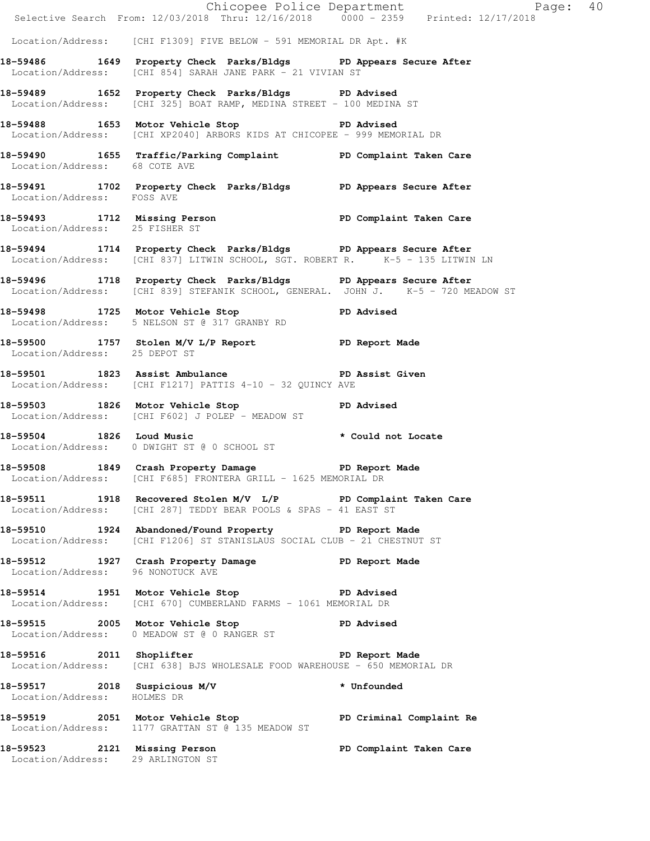|                                   |                                                                                                                                                                | Chicopee Police Department<br>Selective Search From: 12/03/2018 Thru: 12/16/2018 0000 - 2359 Printed: 12/17/2018 |  |
|-----------------------------------|----------------------------------------------------------------------------------------------------------------------------------------------------------------|------------------------------------------------------------------------------------------------------------------|--|
|                                   | Location/Address: [CHI F1309] FIVE BELOW - 591 MEMORIAL DR Apt. #K                                                                                             |                                                                                                                  |  |
|                                   | 18-59486 1649 Property Check Parks/Bldgs PD Appears Secure After<br>Location/Address: [CHI 854] SARAH JANE PARK - 21 VIVIAN ST                                 |                                                                                                                  |  |
|                                   | 18-59489 1652 Property Check Parks/Bldgs PD Advised<br>Location/Address: [CHI 325] BOAT RAMP, MEDINA STREET - 100 MEDINA ST                                    |                                                                                                                  |  |
|                                   | 18-59488 1653 Motor Vehicle Stop North PD Advised<br>Location/Address: [CHI XP2040] ARBORS KIDS AT CHICOPEE - 999 MEMORIAL DR                                  |                                                                                                                  |  |
|                                   | 18-59490   1655   Traffic/Parking Complaint   PD Complaint Taken Care<br>Location/Address: 68   COTE AVE                                                       |                                                                                                                  |  |
| Location/Address: FOSS AVE        | 18-59491 1702 Property Check Parks/Bldgs PD Appears Secure After                                                                                               |                                                                                                                  |  |
|                                   | 18-59493 1712 Missing Person PD Complaint Taken Care<br>Location/Address: 25 FISHER ST                                                                         |                                                                                                                  |  |
|                                   | 18-59494 1714 Property Check Parks/Bldgs PD Appears Secure After<br>Location/Address: [CHI 837] LITWIN SCHOOL, SGT. ROBERT R. X-5 - 135 LITWIN LN              |                                                                                                                  |  |
|                                   | 18-59496 1718 Property Check Parks/Bldgs PD Appears Secure After<br>Location/Address: [CHI 839] STEFANIK SCHOOL, GENERAL. JOHN J. K-5 - 720 MEADOW ST          |                                                                                                                  |  |
|                                   | 18-59498 1725 Motor Vehicle Stop North PD Advised<br>Location/Address: 5 NELSON ST @ 317 GRANBY RD                                                             |                                                                                                                  |  |
| Location/Address: 25 DEPOT ST     | 18-59500 1757 Stolen M/V L/P Report 18-59500                                                                                                                   |                                                                                                                  |  |
|                                   | 18-59501 1823 Assist Ambulance New PD Assist Given<br>Location/Address: [CHI F1217] PATTIS 4-10 - 32 QUINCY AVE                                                |                                                                                                                  |  |
|                                   | 18-59503 1826 Motor Vehicle Stop<br>Location/Address: [CHI F602] J POLEP - MEADOW ST                                                                           | <b>PD Advised</b>                                                                                                |  |
|                                   | 18-59504 1826 Loud Music the set of the set of the set of the set of the set of the set of the set of the set o<br>Location/Address: 0 DWIGHT ST @ 0 SCHOOL ST |                                                                                                                  |  |
|                                   | 18-59508 1849 Crash Property Damage Name PD Report Made<br>Location/Address: [CHI F685] FRONTERA GRILL - 1625 MEMORIAL DR                                      |                                                                                                                  |  |
|                                   | 18-59511 1918 Recovered Stolen M/V L/P PD Complaint Taken Care<br>Location/Address: [CHI 287] TEDDY BEAR POOLS & SPAS - 41 EAST ST                             |                                                                                                                  |  |
|                                   | 18-59510 1924 Abandoned/Found Property PD Report Made<br>Location/Address: [CHI F1206] ST STANISLAUS SOCIAL CLUB - 21 CHESTNUT ST                              |                                                                                                                  |  |
| Location/Address: 96 NONOTUCK AVE | 18-59512 1927 Crash Property Damage 50 PD Report Made                                                                                                          |                                                                                                                  |  |
|                                   | 18-59514 1951 Motor Vehicle Stop Notes and PD Advised<br>Location/Address: [CHI 670] CUMBERLAND FARMS - 1061 MEMORIAL DR                                       |                                                                                                                  |  |
|                                   | 18-59515 2005 Motor Vehicle Stop North PD Advised<br>Location/Address: 0 MEADOW ST @ 0 RANGER ST                                                               |                                                                                                                  |  |
| 18-59516 2011 Shoplifter          | Location/Address: [CHI 638] BJS WHOLESALE FOOD WAREHOUSE - 650 MEMORIAL DR                                                                                     | PD Report Made                                                                                                   |  |
| Location/Address: HOLMES DR       | 18-59517 2018 Suspicious M/V                                                                                                                                   | * Unfounded                                                                                                      |  |
|                                   | 18-59519 2051 Motor Vehicle Stop North PD Criminal Complaint Re<br>Location/Address: 1177 GRATTAN ST @ 135 MEADOW ST                                           |                                                                                                                  |  |
| Location/Address: 29 ARLINGTON ST | 18-59523 2121 Missing Person                                                                                                                                   | PD Complaint Taken Care                                                                                          |  |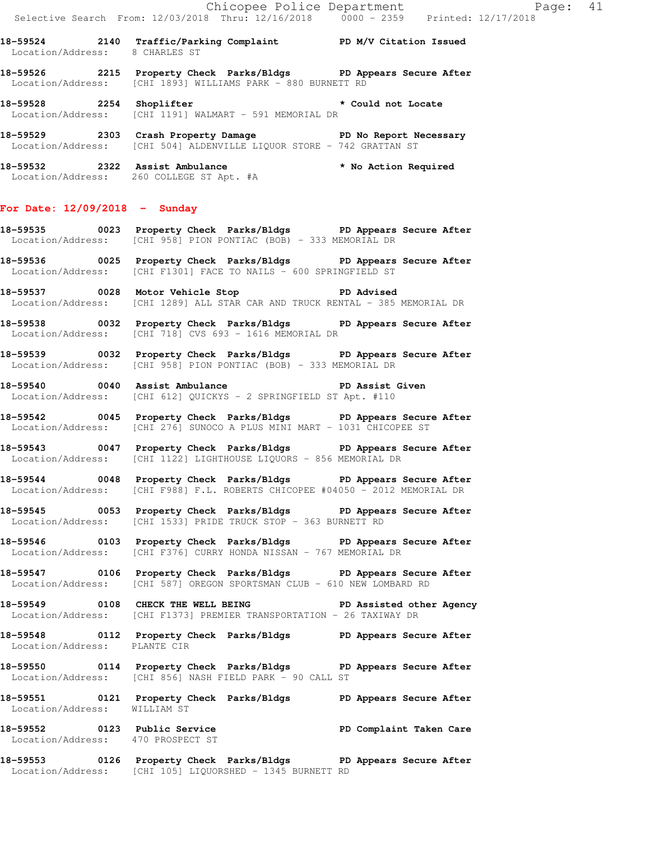Chicopee Police Department Fage: 41 Selective Search From: 12/03/2018 Thru: 12/16/2018 0000 - 2359 Printed: 12/17/2018 **18-59524 2140 Traffic/Parking Complaint PD M/V Citation Issued**  Location/Address: 8 CHARLES ST **18-59526 2215 Property Check Parks/Bldgs PD Appears Secure After**  Location/Address: [CHI 1893] WILLIAMS PARK - 880 BURNETT RD **18-59528 2254 Shoplifter \* Could not Locate**  Location/Address: [CHI 1191] WALMART - 591 MEMORIAL DR **18-59529 2303 Crash Property Damage PD No Report Necessary**  Location/Address: [CHI 504] ALDENVILLE LIQUOR STORE - 742 GRATTAN ST **18-59532 2322 Assist Ambulance \* No Action Required**  Location/Address: 260 COLLEGE ST Apt. #A **For Date: 12/09/2018 - Sunday 18-59535 0023 Property Check Parks/Bldgs PD Appears Secure After**  Location/Address: [CHI 958] PION PONTIAC (BOB) - 333 MEMORIAL DR

**18-59536 0025 Property Check Parks/Bldgs PD Appears Secure After**  Location/Address: [CHI F1301] FACE TO NAILS - 600 SPRINGFIELD ST

**18-59537 0028 Motor Vehicle Stop PD Advised**  Location/Address: [CHI 1289] ALL STAR CAR AND TRUCK RENTAL - 385 MEMORIAL DR

**18-59538 0032 Property Check Parks/Bldgs PD Appears Secure After**  Location/Address: [CHI 718] CVS 693 - 1616 MEMORIAL DR

**18-59539 0032 Property Check Parks/Bldgs PD Appears Secure After**  Location/Address: [CHI 958] PION PONTIAC (BOB) - 333 MEMORIAL DR

**18-59540 0040 Assist Ambulance PD Assist Given**  Location/Address: [CHI 612] QUICKYS - 2 SPRINGFIELD ST Apt. #110

**18-59542 0045 Property Check Parks/Bldgs PD Appears Secure After**  Location/Address: [CHI 276] SUNOCO A PLUS MINI MART - 1031 CHICOPEE ST

**18-59543 0047 Property Check Parks/Bldgs PD Appears Secure After**  Location/Address: [CHI 1122] LIGHTHOUSE LIQUORS - 856 MEMORIAL DR

**18-59544 0048 Property Check Parks/Bldgs PD Appears Secure After**  Location/Address: [CHI F988] F.L. ROBERTS CHICOPEE #04050 - 2012 MEMORIAL DR

**18-59545 0053 Property Check Parks/Bldgs PD Appears Secure After**  Location/Address: [CHI 1533] PRIDE TRUCK STOP - 363 BURNETT RD

**18-59546 0103 Property Check Parks/Bldgs PD Appears Secure After**  Location/Address: [CHI F376] CURRY HONDA NISSAN - 767 MEMORIAL DR

**18-59547 0106 Property Check Parks/Bldgs PD Appears Secure After**  Location/Address: [CHI 587] OREGON SPORTSMAN CLUB - 610 NEW LOMBARD RD

**18-59549 0108 CHECK THE WELL BEING PD Assisted other Agency**  Location/Address: [CHI F1373] PREMIER TRANSPORTATION - 26 TAXIWAY DR

**18-59548 0112 Property Check Parks/Bldgs PD Appears Secure After**  Location/Address: PLANTE CIR

**18-59550 0114 Property Check Parks/Bldgs PD Appears Secure After**  Location/Address: [CHI 856] NASH FIELD PARK - 90 CALL ST

**18-59551 0121 Property Check Parks/Bldgs PD Appears Secure After**  Location/Address: WILLIAM ST

**18-59552 0123 Public Service PD Complaint Taken Care**  Location/Address: 470 PROSPECT ST

**18-59553 0126 Property Check Parks/Bldgs PD Appears Secure After**  Location/Address: [CHI 105] LIQUORSHED - 1345 BURNETT RD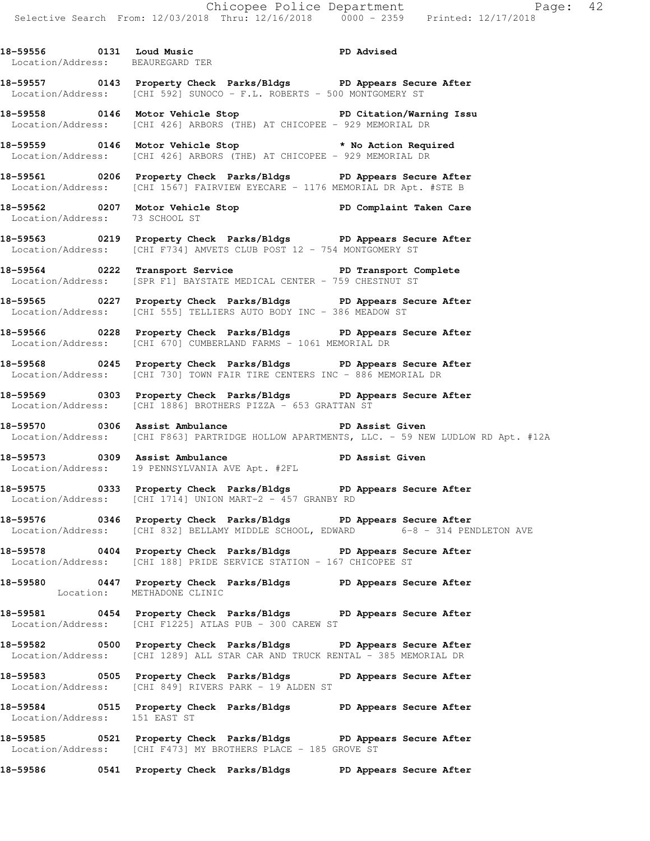**18-59556 0131 Loud Music PD Advised**  Location/Address: BEAUREGARD TER **18-59557 0143 Property Check Parks/Bldgs PD Appears Secure After**  Location/Address: [CHI 592] SUNOCO - F.L. ROBERTS - 500 MONTGOMERY ST **18-59558 0146 Motor Vehicle Stop PD Citation/Warning Issu**  Location/Address: [CHI 426] ARBORS (THE) AT CHICOPEE - 929 MEMORIAL DR **18-59559 0146 Motor Vehicle Stop \* No Action Required**  Location/Address: [CHI 426] ARBORS (THE) AT CHICOPEE - 929 MEMORIAL DR **18-59561 0206 Property Check Parks/Bldgs PD Appears Secure After**  Location/Address: [CHI 1567] FAIRVIEW EYECARE - 1176 MEMORIAL DR Apt. #STE B 18-59562 0207 Motor Vehicle Stop **PD Complaint Taken Care**  Location/Address: 73 SCHOOL ST **18-59563 0219 Property Check Parks/Bldgs PD Appears Secure After**  Location/Address: [CHI F734] AMVETS CLUB POST 12 - 754 MONTGOMERY ST **18-59564 0222 Transport Service PD Transport Complete**  Location/Address: [SPR F1] BAYSTATE MEDICAL CENTER - 759 CHESTNUT ST **18-59565 0227 Property Check Parks/Bldgs PD Appears Secure After**  Location/Address: [CHI 555] TELLIERS AUTO BODY INC - 386 MEADOW ST **18-59566 0228 Property Check Parks/Bldgs PD Appears Secure After**  Location/Address: [CHI 670] CUMBERLAND FARMS - 1061 MEMORIAL DR **18-59568 0245 Property Check Parks/Bldgs PD Appears Secure After**  Location/Address: [CHI 730] TOWN FAIR TIRE CENTERS INC - 886 MEMORIAL DR **18-59569 0303 Property Check Parks/Bldgs PD Appears Secure After**  Location/Address: [CHI 1886] BROTHERS PIZZA - 653 GRATTAN ST **18-59570 0306 Assist Ambulance PD Assist Given**  Location/Address: [CHI F863] PARTRIDGE HOLLOW APARTMENTS, LLC. - 59 NEW LUDLOW RD Apt. #12A **18-59573 0309 Assist Ambulance PD Assist Given**  Location/Address: 19 PENNSYLVANIA AVE Apt. #2FL **18-59575 0333 Property Check Parks/Bldgs PD Appears Secure After**  Location/Address: [CHI 1714] UNION MART-2 - 457 GRANBY RD **18-59576 0346 Property Check Parks/Bldgs PD Appears Secure After**  Location/Address: [CHI 832] BELLAMY MIDDLE SCHOOL, EDWARD 6-8 - 314 PENDLETON AVE **18-59578 0404 Property Check Parks/Bldgs PD Appears Secure After**  Location/Address: [CHI 188] PRIDE SERVICE STATION - 167 CHICOPEE ST **18-59580 0447 Property Check Parks/Bldgs PD Appears Secure After**  Location: METHADONE CLINIC **18-59581 0454 Property Check Parks/Bldgs PD Appears Secure After**  Location/Address: [CHI F1225] ATLAS PUB - 300 CAREW ST **18-59582 0500 Property Check Parks/Bldgs PD Appears Secure After**  Location/Address: [CHI 1289] ALL STAR CAR AND TRUCK RENTAL - 385 MEMORIAL DR **18-59583 0505 Property Check Parks/Bldgs PD Appears Secure After**  Location/Address: [CHI 849] RIVERS PARK - 19 ALDEN ST **18-59584 0515 Property Check Parks/Bldgs PD Appears Secure After**  Location/Address: 151 EAST ST **18-59585 0521 Property Check Parks/Bldgs PD Appears Secure After**  Location/Address: [CHI F473] MY BROTHERS PLACE - 185 GROVE ST **18-59586 0541 Property Check Parks/Bldgs PD Appears Secure After**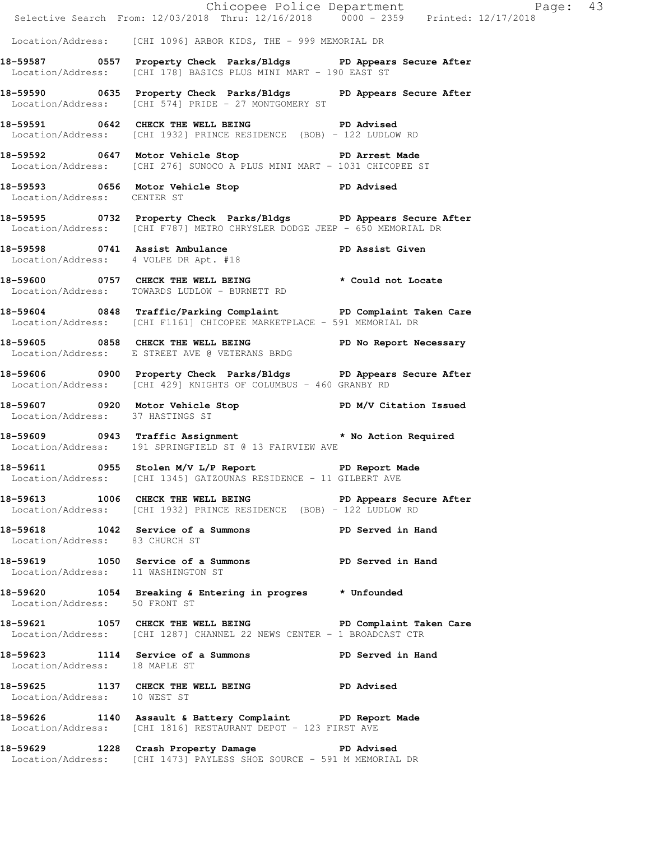|                                    |                                                                                                                                              | Chicopee Police Department<br>Selective Search From: 12/03/2018 Thru: 12/16/2018 0000 - 2359 Printed: 12/17/2018 |  |
|------------------------------------|----------------------------------------------------------------------------------------------------------------------------------------------|------------------------------------------------------------------------------------------------------------------|--|
|                                    | Location/Address: [CHI 1096] ARBOR KIDS, THE - 999 MEMORIAL DR                                                                               |                                                                                                                  |  |
|                                    | 18-59587 		 0557 Property Check Parks/Bldgs 		 PD Appears Secure After<br>Location/Address: [CHI 178] BASICS PLUS MINI MART - 190 EAST ST    |                                                                                                                  |  |
|                                    | 18-59590 0635 Property Check Parks/Bldgs PD Appears Secure After<br>Location/Address: [CHI 574] PRIDE - 27 MONTGOMERY ST                     |                                                                                                                  |  |
|                                    | 18-59591 0642 CHECK THE WELL BEING FD Advised<br>Location/Address: [CHI 1932] PRINCE RESIDENCE (BOB) - 122 LUDLOW RD                         |                                                                                                                  |  |
|                                    | 18-59592 0647 Motor Vehicle Stop North PD Arrest Made<br>Location/Address: [CHI 276] SUNOCO A PLUS MINI MART - 1031 CHICOPEE ST              |                                                                                                                  |  |
| Location/Address: CENTER ST        | 18-59593 0656 Motor Vehicle Stop 30 PD Advised                                                                                               |                                                                                                                  |  |
|                                    | 18-59595 0732 Property Check Parks/Bldgs PD Appears Secure After<br>Location/Address: [CHI F787] METRO CHRYSLER DODGE JEEP - 650 MEMORIAL DR |                                                                                                                  |  |
|                                    | 18-59598 0741 Assist Ambulance<br>Location/Address: 4 VOLPE DR Apt. #18                                                                      |                                                                                                                  |  |
|                                    | 18-59600 0757 CHECK THE WELL BEING * Could not Locate<br>Location/Address: TOWARDS LUDLOW - BURNETT RD                                       |                                                                                                                  |  |
|                                    | 18-59604 0848 Traffic/Parking Complaint PD Complaint Taken Care<br>Location/Address: [CHI F1161] CHICOPEE MARKETPLACE - 591 MEMORIAL DR      |                                                                                                                  |  |
|                                    | 18-59605 0858 CHECK THE WELL BEING THE PD No Report Necessary<br>Location/Address: E STREET AVE @ VETERANS BRDG                              |                                                                                                                  |  |
|                                    | 18-59606 0900 Property Check Parks/Bldgs PD Appears Secure After<br>Location/Address: [CHI 429] KNIGHTS OF COLUMBUS - 460 GRANBY RD          |                                                                                                                  |  |
| Location/Address: 37 HASTINGS ST   | 18-59607 0920 Motor Vehicle Stop PD M/V Citation Issued                                                                                      |                                                                                                                  |  |
|                                    | 18-59609 0943 Traffic Assignment the theory of the No Action Required<br>Location/Address: 191 SPRINGFIELD ST @ 13 FAIRVIEW AVE              |                                                                                                                  |  |
|                                    | 18-59611 0955 Stolen M/V L/P Report The PD Report Made<br>Location/Address: [CHI 1345] GATZOUNAS RESIDENCE - 11 GILBERT AVE                  |                                                                                                                  |  |
|                                    | 18-59613 1006 CHECK THE WELL BEING FOR PP Appears Secure After<br>Location/Address: [CHI 1932] PRINCE RESIDENCE (BOB) - 122 LUDLOW RD        |                                                                                                                  |  |
| Location/Address: 83 CHURCH ST     | 18-59618 1042 Service of a Summons PD Served in Hand                                                                                         |                                                                                                                  |  |
| Location/Address: 11 WASHINGTON ST | 18-59619 1050 Service of a Summons TPD Served in Hand                                                                                        |                                                                                                                  |  |
| Location/Address: 50 FRONT ST      | 18-59620 1054 Breaking & Entering in progres * Unfounded                                                                                     |                                                                                                                  |  |
|                                    | 18-59621 1057 CHECK THE WELL BEING PD Complaint Taken Care<br>Location/Address: [CHI 1287] CHANNEL 22 NEWS CENTER - 1 BROADCAST CTR          |                                                                                                                  |  |
| Location/Address: 18 MAPLE ST      | 18-59623 1114 Service of a Summons PD Served in Hand                                                                                         |                                                                                                                  |  |
| Location/Address: 10 WEST ST       | 18-59625 1137 CHECK THE WELL BEING PD Advised                                                                                                |                                                                                                                  |  |
|                                    | 18-59626 1140 Assault & Battery Complaint PD Report Made<br>Location/Address: [CHI 1816] RESTAURANT DEPOT - 123 FIRST AVE                    |                                                                                                                  |  |
|                                    | 18-59629 1228 Crash Property Damage PD Advised<br>Location/Address: [CHI 1473] PAYLESS SHOE SOURCE - 591 M MEMORIAL DR                       |                                                                                                                  |  |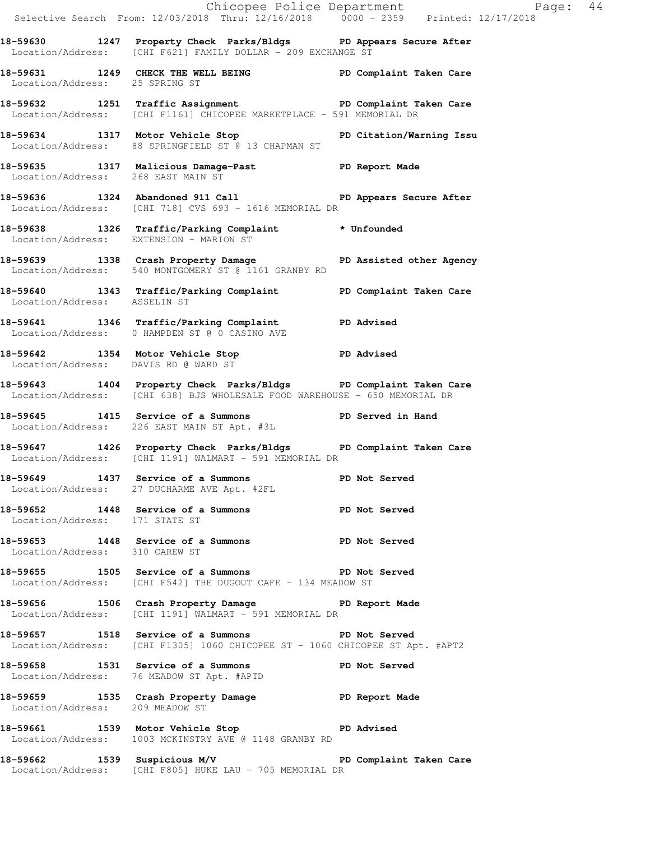|                                      | E<br>Chicopee Police Department<br>Selective Search From: 12/03/2018 Thru: 12/16/2018 0000 - 2359 Printed: 12/17/2018                          | Page: $44$    |
|--------------------------------------|------------------------------------------------------------------------------------------------------------------------------------------------|---------------|
|                                      | 18-59630 1247 Property Check Parks/Bldgs PD Appears Secure After<br>Location/Address: [CHI F621] FAMILY DOLLAR - 209 EXCHANGE ST               |               |
| Location/Address: 25 SPRING ST       | 18-59631 1249 CHECK THE WELL BEING FD Complaint Taken Care                                                                                     |               |
|                                      | 18-59632 1251 Traffic Assignment PD Complaint Taken Care<br>Location/Address: [CHI F1161] CHICOPEE MARKETPLACE - 591 MEMORIAL DR               |               |
|                                      | 18-59634 1317 Motor Vehicle Stop North PD Citation/Warning Issu<br>Location/Address: 88 SPRINGFIELD ST @ 13 CHAPMAN ST                         |               |
|                                      | 18-59635 1317 Malicious Damage-Past PD Report Made<br>Location/Address: 268 EAST MAIN ST                                                       |               |
|                                      | 18-59636 1324 Abandoned 911 Call <b>PD</b> Appears Secure After<br>Location/Address: [CHI 718] CVS 693 - 1616 MEMORIAL DR                      |               |
|                                      | 18-59638 1326 Traffic/Parking Complaint * Unfounded<br>Location/Address: EXTENSION - MARION ST                                                 |               |
|                                      | 18-59639 1338 Crash Property Damage PD Assisted other Agency<br>Location/Address: 540 MONTGOMERY ST @ 1161 GRANBY RD                           |               |
| Location/Address: ASSELIN ST         | 18-59640 1343 Traffic/Parking Complaint PD Complaint Taken Care                                                                                |               |
|                                      | 18-59641 1346 Traffic/Parking Complaint PD Advised<br>Location/Address: 0 HAMPDEN ST @ 0 CASINO AVE                                            |               |
| Location/Address: DAVIS RD @ WARD ST | 18-59642 1354 Motor Vehicle Stop November 2012                                                                                                 |               |
|                                      | 18-59643 1404 Property Check Parks/Bldgs PD Complaint Taken Care<br>Location/Address: [CHI 638] BJS WHOLESALE FOOD WAREHOUSE - 650 MEMORIAL DR |               |
|                                      | 18-59645 1415 Service of a Summons PD Served in Hand<br>Location/Address: 226 EAST MAIN ST Apt. #3L                                            |               |
|                                      | 18-59647 1426 Property Check Parks/Bldgs PD Complaint Taken Care<br>Location/Address: [CHI 1191] WALMART - 591 MEMORIAL DR                     |               |
|                                      | 18-59649 1437 Service of a Summons<br>Location/Address: 27 DUCHARME AVE Apt. #2FL                                                              | PD Not Served |
| Location/Address: 171 STATE ST       | 18-59652 1448 Service of a Summons PD Not Served                                                                                               |               |
| Location/Address: 310 CAREW ST       | 18-59653 1448 Service of a Summons PD Not Served                                                                                               |               |
|                                      | 18-59655 1505 Service of a Summons PD Not Served<br>Location/Address: [CHI F542] THE DUGOUT CAFE - 134 MEADOW ST                               |               |
|                                      | 18-59656 1506 Crash Property Damage Name PD Report Made<br>Location/Address: [CHI 1191] WALMART - 591 MEMORIAL DR                              |               |
|                                      | 18-59657 1518 Service of a Summons PD Not Served<br>Location/Address: [CHI F1305] 1060 CHICOPEE ST - 1060 CHICOPEE ST Apt. #APT2               |               |
|                                      | 18-59658 1531 Service of a Summons PD Not Served<br>Location/Address: 76 MEADOW ST Apt. #APTD                                                  |               |
| Location/Address: 209 MEADOW ST      | 18-59659 1535 Crash Property Damage PD Report Made                                                                                             |               |
|                                      | 18-59661 1539 Motor Vehicle Stop 18-59661<br>Location/Address: 1003 MCKINSTRY AVE @ 1148 GRANBY RD                                             |               |
|                                      | 18-59662 1539 Suspicious M/V PD Complaint Taken Care<br>Location/Address: [CHI F805] HUKE LAU - 705 MEMORIAL DR                                |               |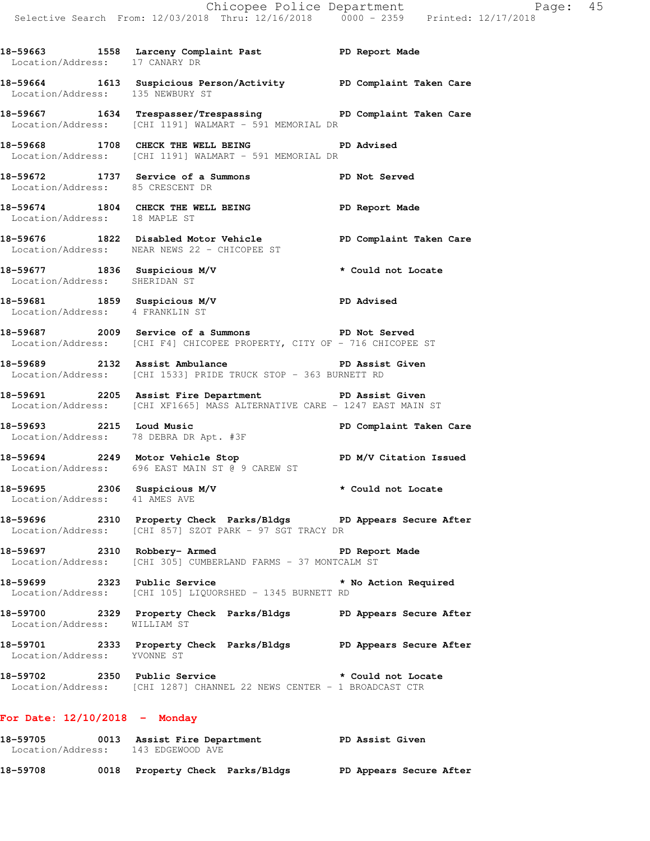18-59663 1558 Larceny Complaint Past **PD** Report Made

**18-59664 1613 Suspicious Person/Activity PD Complaint Taken Care** 

**18-59667 1634 Trespasser/Trespassing PD Complaint Taken Care** 

Location/Address: 17 CANARY DR

Location/Address: 135 NEWBURY ST

 Location/Address: [CHI 1191] WALMART - 591 MEMORIAL DR **18-59668 1708 CHECK THE WELL BEING PD Advised**  Location/Address: [CHI 1191] WALMART - 591 MEMORIAL DR **18-59672 1737 Service of a Summons PD Not Served**  Location/Address: 85 CRESCENT DR 18-59674 1804 CHECK THE WELL BEING **PD** Report Made Location/Address: 18 MAPLE ST **18-59676 1822 Disabled Motor Vehicle PD Complaint Taken Care**  Location/Address: NEAR NEWS 22 - CHICOPEE ST **18-59677 1836 Suspicious M/V \* Could not Locate**  Location/Address: SHERIDAN ST **18-59681 1859 Suspicious M/V PD Advised**  Location/Address: 4 FRANKLIN ST **18-59687 2009 Service of a Summons PD Not Served**  Location/Address: [CHI F4] CHICOPEE PROPERTY, CITY OF - 716 CHICOPEE ST **18-59689 2132 Assist Ambulance PD Assist Given**  Location/Address: [CHI 1533] PRIDE TRUCK STOP - 363 BURNETT RD **18-59691 2205 Assist Fire Department PD Assist Given**  Location/Address: [CHI XF1665] MASS ALTERNATIVE CARE - 1247 EAST MAIN ST 18-59693 2215 Loud Music **PD Complaint Taken Care**  Location/Address: 78 DEBRA DR Apt. #3F **18-59694 2249 Motor Vehicle Stop PD M/V Citation Issued**  Location/Address: 696 EAST MAIN ST @ 9 CAREW ST **18-59695 2306 Suspicious M/V \* Could not Locate**  Location/Address: 41 AMES AVE **18-59696 2310 Property Check Parks/Bldgs PD Appears Secure After**  Location/Address: [CHI 857] SZOT PARK - 97 SGT TRACY DR **18-59697 2310 Robbery- Armed PD Report Made**  Location/Address: [CHI 305] CUMBERLAND FARMS - 37 MONTCALM ST **18-59699 2323 Public Service \* No Action Required**  Location/Address: [CHI 105] LIQUORSHED - 1345 BURNETT RD **18-59700 2329 Property Check Parks/Bldgs PD Appears Secure After**  Location/Address: WILLIAM ST **18-59701 2333 Property Check Parks/Bldgs PD Appears Secure After**  Location/Address: YVONNE ST **18-59702 2350 Public Service \* Could not Locate**  Location/Address: [CHI 1287] CHANNEL 22 NEWS CENTER - 1 BROADCAST CTR **For Date: 12/10/2018 - Monday 18-59705 0013 Assist Fire Department PD Assist Given**  Location/Address: 143 EDGEWOOD AVE

**18-59708 0018 Property Check Parks/Bldgs PD Appears Secure After**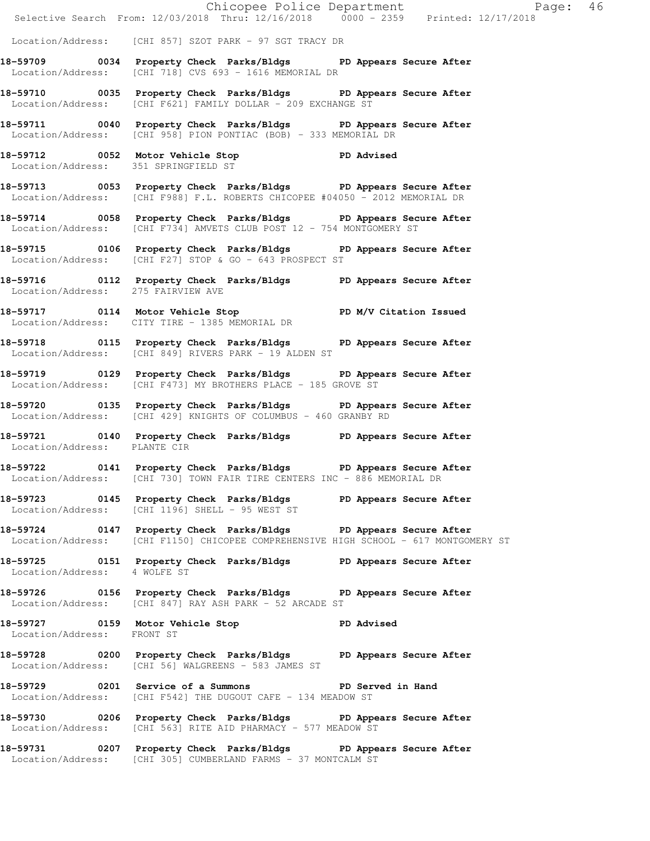Chicopee Police Department Page: 46 Selective Search From: 12/03/2018 Thru: 12/16/2018 0000 - 2359 Printed: 12/17/2018 Location/Address: [CHI 857] SZOT PARK - 97 SGT TRACY DR **18-59709 0034 Property Check Parks/Bldgs PD Appears Secure After**  Location/Address: [CHI 718] CVS 693 - 1616 MEMORIAL DR **18-59710 0035 Property Check Parks/Bldgs PD Appears Secure After**  Location/Address: [CHI F621] FAMILY DOLLAR - 209 EXCHANGE ST **18-59711 0040 Property Check Parks/Bldgs PD Appears Secure After**  Location/Address: [CHI 958] PION PONTIAC (BOB) - 333 MEMORIAL DR **18-59712 0052 Motor Vehicle Stop PD Advised**  Location/Address: 351 SPRINGFIELD ST **18-59713 0053 Property Check Parks/Bldgs PD Appears Secure After**  Location/Address: [CHI F988] F.L. ROBERTS CHICOPEE #04050 - 2012 MEMORIAL DR **18-59714 0058 Property Check Parks/Bldgs PD Appears Secure After**  Location/Address: [CHI F734] AMVETS CLUB POST 12 - 754 MONTGOMERY ST **18-59715 0106 Property Check Parks/Bldgs PD Appears Secure After**  Location/Address: [CHI F27] STOP & GO - 643 PROSPECT ST **18-59716 0112 Property Check Parks/Bldgs PD Appears Secure After**  Location/Address: 275 FAIRVIEW AVE **18-59717 0114 Motor Vehicle Stop PD M/V Citation Issued**  Location/Address: CITY TIRE - 1385 MEMORIAL DR **18-59718 0115 Property Check Parks/Bldgs PD Appears Secure After**  Location/Address: [CHI 849] RIVERS PARK - 19 ALDEN ST **18-59719 0129 Property Check Parks/Bldgs PD Appears Secure After**  Location/Address: [CHI F473] MY BROTHERS PLACE - 185 GROVE ST **18-59720 0135 Property Check Parks/Bldgs PD Appears Secure After**  Location/Address: [CHI 429] KNIGHTS OF COLUMBUS - 460 GRANBY RD **18-59721 0140 Property Check Parks/Bldgs PD Appears Secure After**  Location/Address: PLANTE CIR **18-59722 0141 Property Check Parks/Bldgs PD Appears Secure After**  Location/Address: [CHI 730] TOWN FAIR TIRE CENTERS INC - 886 MEMORIAL DR **18-59723 0145 Property Check Parks/Bldgs PD Appears Secure After**  Location/Address: [CHI 1196] SHELL - 95 WEST ST **18-59724 0147 Property Check Parks/Bldgs PD Appears Secure After**  Location/Address: [CHI F1150] CHICOPEE COMPREHENSIVE HIGH SCHOOL - 617 MONTGOMERY ST **18-59725 0151 Property Check Parks/Bldgs PD Appears Secure After**  Location/Address: 4 WOLFE ST **18-59726 0156 Property Check Parks/Bldgs PD Appears Secure After**  Location/Address: [CHI 847] RAY ASH PARK - 52 ARCADE ST 18-59727 **0159** Motor Vehicle Stop **PD** Advised Location/Address: FRONT ST **18-59728 0200 Property Check Parks/Bldgs PD Appears Secure After**  Location/Address: [CHI 56] WALGREENS - 583 JAMES ST **18-59729 0201 Service of a Summons PD Served in Hand**  Location/Address: [CHI F542] THE DUGOUT CAFE - 134 MEADOW ST **18-59730 0206 Property Check Parks/Bldgs PD Appears Secure After**  Location/Address: [CHI 563] RITE AID PHARMACY - 577 MEADOW ST **18-59731 0207 Property Check Parks/Bldgs PD Appears Secure After**  Location/Address: [CHI 305] CUMBERLAND FARMS - 37 MONTCALM ST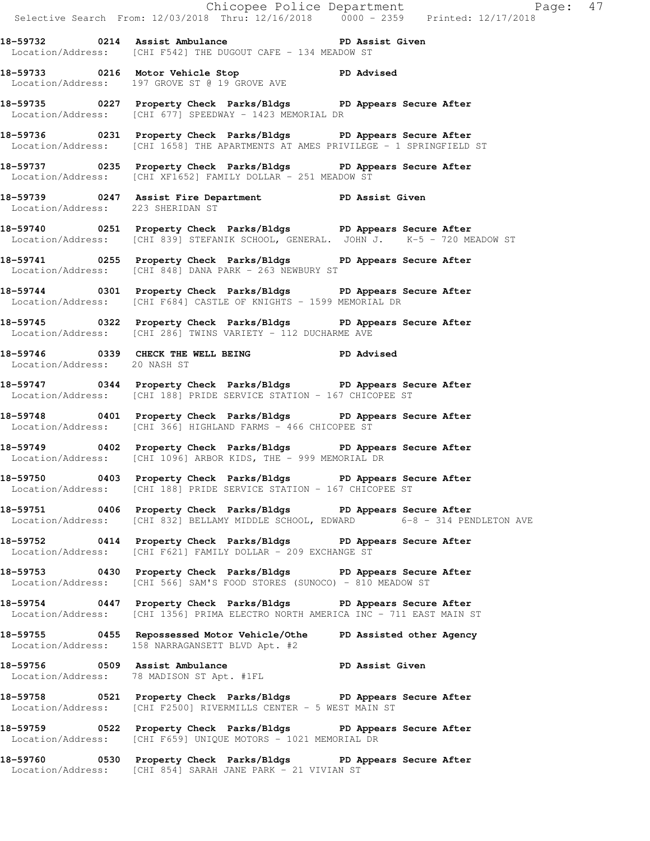Chicopee Police Department Page: 47 Selective Search From: 12/03/2018 Thru: 12/16/2018 0000 - 2359 Printed: 12/17/2018 **18-59732 0214 Assist Ambulance PD Assist Given**  Location/Address: [CHI F542] THE DUGOUT CAFE - 134 MEADOW ST **18-59733 0216 Motor Vehicle Stop PD Advised**  Location/Address: 197 GROVE ST @ 19 GROVE AVE **18-59735 0227 Property Check Parks/Bldgs PD Appears Secure After**  Location/Address: [CHI 677] SPEEDWAY - 1423 MEMORIAL DR **18-59736 0231 Property Check Parks/Bldgs PD Appears Secure After**  Location/Address: [CHI 1658] THE APARTMENTS AT AMES PRIVILEGE - 1 SPRINGFIELD ST **18-59737 0235 Property Check Parks/Bldgs PD Appears Secure After**  Location/Address: [CHI XF1652] FAMILY DOLLAR - 251 MEADOW ST **18-59739 0247 Assist Fire Department PD Assist Given**  Location/Address: 223 SHERIDAN ST **18-59740 0251 Property Check Parks/Bldgs PD Appears Secure After**  Location/Address: [CHI 839] STEFANIK SCHOOL, GENERAL. JOHN J. K-5 - 720 MEADOW ST **18-59741 0255 Property Check Parks/Bldgs PD Appears Secure After**  Location/Address: [CHI 848] DANA PARK - 263 NEWBURY ST **18-59744 0301 Property Check Parks/Bldgs PD Appears Secure After**  Location/Address: [CHI F684] CASTLE OF KNIGHTS - 1599 MEMORIAL DR **18-59745 0322 Property Check Parks/Bldgs PD Appears Secure After**  Location/Address: [CHI 286] TWINS VARIETY - 112 DUCHARME AVE **18-59746 0339 CHECK THE WELL BEING PD Advised**  Location/Address: 20 NASH ST **18-59747 0344 Property Check Parks/Bldgs PD Appears Secure After**  Location/Address: [CHI 188] PRIDE SERVICE STATION - 167 CHICOPEE ST **18-59748 0401 Property Check Parks/Bldgs PD Appears Secure After**  Location/Address: [CHI 366] HIGHLAND FARMS - 466 CHICOPEE ST **18-59749 0402 Property Check Parks/Bldgs PD Appears Secure After**  Location/Address: [CHI 1096] ARBOR KIDS, THE - 999 MEMORIAL DR **18-59750 0403 Property Check Parks/Bldgs PD Appears Secure After**  Location/Address: [CHI 188] PRIDE SERVICE STATION - 167 CHICOPEE ST **18-59751 0406 Property Check Parks/Bldgs PD Appears Secure After**  Location/Address: [CHI 832] BELLAMY MIDDLE SCHOOL, EDWARD 6-8 - 314 PENDLETON AVE **18-59752 0414 Property Check Parks/Bldgs PD Appears Secure After**  Location/Address: [CHI F621] FAMILY DOLLAR - 209 EXCHANGE ST **18-59753 0430 Property Check Parks/Bldgs PD Appears Secure After**  Location/Address: [CHI 566] SAM'S FOOD STORES (SUNOCO) - 810 MEADOW ST **18-59754 0447 Property Check Parks/Bldgs PD Appears Secure After**  Location/Address: [CHI 1356] PRIMA ELECTRO NORTH AMERICA INC - 711 EAST MAIN ST **18-59755 0455 Repossessed Motor Vehicle/Othe PD Assisted other Agency**  Location/Address: 158 NARRAGANSETT BLVD Apt. #2 **18-59756 0509 Assist Ambulance PD Assist Given**  Location/Address: 78 MADISON ST Apt. #1FL **18-59758 0521 Property Check Parks/Bldgs PD Appears Secure After**  Location/Address: [CHI F2500] RIVERMILLS CENTER - 5 WEST MAIN ST **18-59759 0522 Property Check Parks/Bldgs PD Appears Secure After**  Location/Address: [CHI F659] UNIQUE MOTORS - 1021 MEMORIAL DR **18-59760 0530 Property Check Parks/Bldgs PD Appears Secure After** 

Location/Address: [CHI 854] SARAH JANE PARK - 21 VIVIAN ST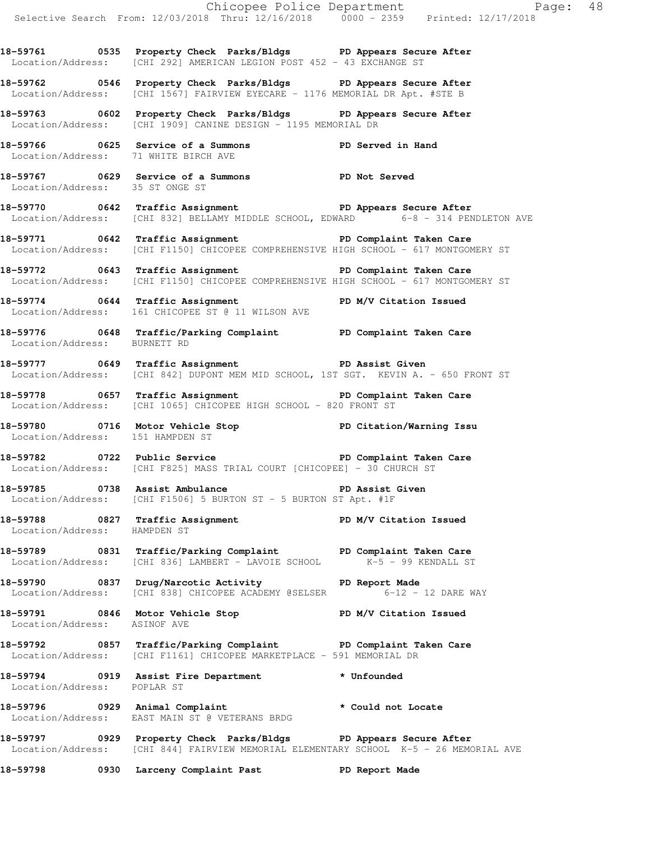Chicopee Police Department Fage: 48 Selective Search From: 12/03/2018 Thru: 12/16/2018 0000 - 2359 Printed: 12/17/2018 **18-59761 0535 Property Check Parks/Bldgs PD Appears Secure After**  Location/Address: [CHI 292] AMERICAN LEGION POST 452 - 43 EXCHANGE ST **18-59762 0546 Property Check Parks/Bldgs PD Appears Secure After**  Location/Address: [CHI 1567] FAIRVIEW EYECARE - 1176 MEMORIAL DR Apt. #STE B **18-59763 0602 Property Check Parks/Bldgs PD Appears Secure After**  Location/Address: [CHI 1909] CANINE DESIGN - 1195 MEMORIAL DR **18-59766 0625 Service of a Summons PD Served in Hand**  Location/Address: 71 WHITE BIRCH AVE **18-59767 0629 Service of a Summons PD Not Served**  Location/Address: 35 ST ONGE ST 18-59770 0642 Traffic Assignment **PD Appears Secure After** Location/Address: [CHI 832] BELLAMY MIDDLE SCHOOL, EDWARD 6-8 - 314 PENDLETON AVE **18-59771 0642 Traffic Assignment PD Complaint Taken Care**  Location/Address: [CHI F1150] CHICOPEE COMPREHENSIVE HIGH SCHOOL - 617 MONTGOMERY ST **18-59772 0643 Traffic Assignment PD Complaint Taken Care**  Location/Address: [CHI F1150] CHICOPEE COMPREHENSIVE HIGH SCHOOL - 617 MONTGOMERY ST **18-59774 0644 Traffic Assignment PD M/V Citation Issued**  Location/Address: 161 CHICOPEE ST @ 11 WILSON AVE **18-59776 0648 Traffic/Parking Complaint PD Complaint Taken Care**  Location/Address: BURNETT RD **18-59777 0649 Traffic Assignment PD Assist Given**  Location/Address: [CHI 842] DUPONT MEM MID SCHOOL, 1ST SGT. KEVIN A. - 650 FRONT ST **18-59778 0657 Traffic Assignment PD Complaint Taken Care**  Location/Address: [CHI 1065] CHICOPEE HIGH SCHOOL - 820 FRONT ST **18-59780 0716 Motor Vehicle Stop PD Citation/Warning Issu**  Location/Address: 151 HAMPDEN ST **18-59782 0722 Public Service PD Complaint Taken Care**  Location/Address: [CHI F825] MASS TRIAL COURT [CHICOPEE] - 30 CHURCH ST 18-59785 **0738** Assist Ambulance **PD Assist Given**  Location/Address: [CHI F1506] 5 BURTON ST - 5 BURTON ST Apt. #1F 18-59788 **0827** Traffic Assignment **PD M/V Citation Issued**  Location/Address: HAMPDEN ST **18-59789 0831 Traffic/Parking Complaint PD Complaint Taken Care**  Location/Address: [CHI 836] LAMBERT - LAVOIE SCHOOL K-5 - 99 KENDALL ST **18-59790 0837 Drug/Narcotic Activity PD Report Made**  Location/Address: [CHI 838] CHICOPEE ACADEMY @SELSER 6-12 - 12 DARE WAY **18-59791 0846 Motor Vehicle Stop PD M/V Citation Issued**  Location/Address: ASINOF AVE **18-59792 0857 Traffic/Parking Complaint PD Complaint Taken Care**  Location/Address: [CHI F1161] CHICOPEE MARKETPLACE - 591 MEMORIAL DR **18-59794 0919 Assist Fire Department \* Unfounded**  Location/Address: POPLAR ST **18-59796 0929 Animal Complaint \* Could not Locate**  Location/Address: EAST MAIN ST @ VETERANS BRDG

**18-59797 0929 Property Check Parks/Bldgs PD Appears Secure After**  Location/Address: [CHI 844] FAIRVIEW MEMORIAL ELEMENTARY SCHOOL K-5 - 26 MEMORIAL AVE

**18-59798 0930 Larceny Complaint Past PD Report Made**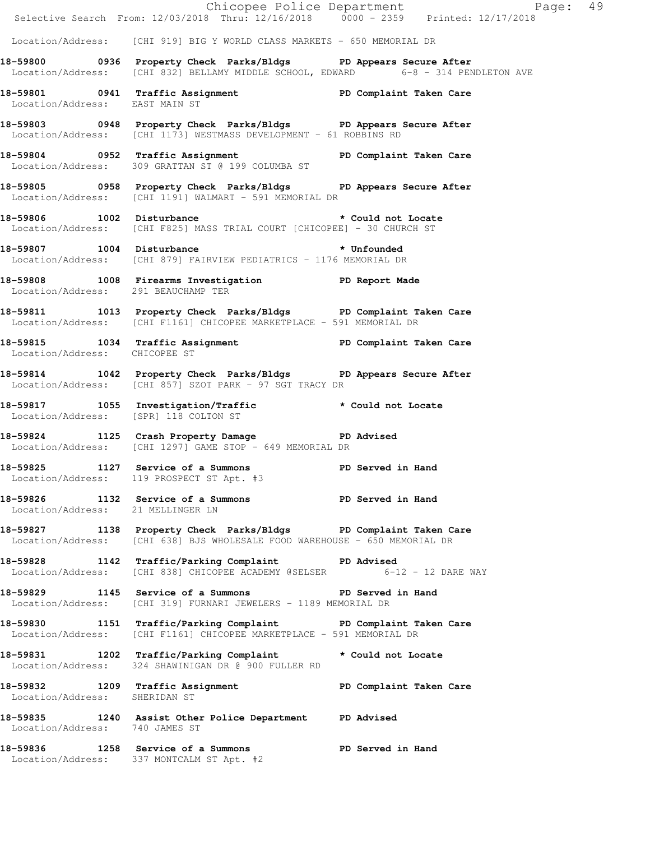|                                       |                                                                                                                                                       | Chicopee Police Department<br>Selective Search From: 12/03/2018 Thru: 12/16/2018 0000 - 2359 Printed: 12/17/2018 |  |
|---------------------------------------|-------------------------------------------------------------------------------------------------------------------------------------------------------|------------------------------------------------------------------------------------------------------------------|--|
|                                       |                                                                                                                                                       |                                                                                                                  |  |
|                                       | Location/Address: [CHI 919] BIG Y WORLD CLASS MARKETS - 650 MEMORIAL DR                                                                               |                                                                                                                  |  |
|                                       | 18-59800 0936 Property Check Parks/Bldgs PD Appears Secure After<br>Location/Address: [CHI 832] BELLAMY MIDDLE SCHOOL, EDWARD 6-8 - 314 PENDLETON AVE |                                                                                                                  |  |
| Location/Address: EAST MAIN ST        | 18-59801 0941 Traffic Assignment ND PD Complaint Taken Care                                                                                           |                                                                                                                  |  |
|                                       | 18-59803 0948 Property Check Parks/Bldgs PD Appears Secure After<br>Location/Address: [CHI 1173] WESTMASS DEVELOPMENT - 61 ROBBINS RD                 |                                                                                                                  |  |
|                                       | 18-59804 0952 Traffic Assignment<br>Location/Address: 309 GRATTAN ST @ 199 COLUMBA ST                                                                 |                                                                                                                  |  |
|                                       | 18-59805 0958 Property Check Parks/Bldgs PD Appears Secure After<br>Location/Address: [CHI 1191] WALMART - 591 MEMORIAL DR                            |                                                                                                                  |  |
|                                       | 18-59806 1002 Disturbance * Could not Locate<br>Location/Address: [CHI F825] MASS TRIAL COURT [CHICOPEE] - 30 CHURCH ST                               | * Could not Locate                                                                                               |  |
|                                       | 18-59807 1004 Disturbance * * Unfounded<br>Location/Address: [CHI 879] FAIRVIEW PEDIATRICS - 1176 MEMORIAL DR                                         |                                                                                                                  |  |
| Location/Address: 291 BEAUCHAMP TER   | 18-59808 1008 Firearms Investigation PD Report Made                                                                                                   |                                                                                                                  |  |
|                                       | 18-59811 1013 Property Check Parks/Bldgs PD Complaint Taken Care<br>Location/Address: [CHI F1161] CHICOPEE MARKETPLACE - 591 MEMORIAL DR              |                                                                                                                  |  |
| Location/Address: CHICOPEE ST         | 18-59815 1034 Traffic Assignment PD Complaint Taken Care                                                                                              |                                                                                                                  |  |
|                                       | 18-59814 1042 Property Check Parks/Bldgs PD Appears Secure After<br>Location/Address: [CHI 857] SZOT PARK - 97 SGT TRACY DR                           |                                                                                                                  |  |
| Location/Address: [SPR] 118 COLTON ST | 18-59817 1055 Investigation/Traffic * Could not Locate                                                                                                |                                                                                                                  |  |
|                                       | 18-59824 1125 Crash Property Damage PD Advised<br>Location/Address: [CHI 1297] GAME STOP - 649 MEMORIAL DR                                            |                                                                                                                  |  |
| 18-59825 1127 Service of a Summons    | Location/Address: 119 PROSPECT ST Apt. #3                                                                                                             | <b>PD</b> Served in Hand                                                                                         |  |
| Location/Address: 21 MELLINGER LN     | 18-59826 1132 Service of a Summons PD Served in Hand                                                                                                  |                                                                                                                  |  |
|                                       | 18-59827 1138 Property Check Parks/Bldgs PD Complaint Taken Care<br>Location/Address: [CHI 638] BJS WHOLESALE FOOD WAREHOUSE - 650 MEMORIAL DR        |                                                                                                                  |  |
|                                       | 18-59828 1142 Traffic/Parking Complaint PD Advised<br>Location/Address: [CHI 838] CHICOPEE ACADEMY @SELSER 6-12 - 12 DARE WAY                         |                                                                                                                  |  |
|                                       | 18-59829 1145 Service of a Summons TPD Served in Hand<br>Location/Address: [CHI 319] FURNARI JEWELERS - 1189 MEMORIAL DR                              |                                                                                                                  |  |
| Location/Address:                     | 18-59830 1151 Traffic/Parking Complaint PD Complaint Taken Care<br>[CHI F1161] CHICOPEE MARKETPLACE - 591 MEMORIAL DR                                 |                                                                                                                  |  |
|                                       | 18-59831 1202 Traffic/Parking Complaint<br>Location/Address: 324 SHAWINIGAN DR @ 900 FULLER RD                                                        | * Could not Locate                                                                                               |  |
| Location/Address: SHERIDAN ST         | 18-59832 1209 Traffic Assignment New PD Complaint Taken Care                                                                                          |                                                                                                                  |  |
| Location/Address: 740 JAMES ST        | 18-59835 1240 Assist Other Police Department PD Advised                                                                                               |                                                                                                                  |  |
|                                       | 18-59836 1258 Service of a Summons<br>Location/Address: 337 MONTCALM ST Apt. #2                                                                       | PD Served in Hand                                                                                                |  |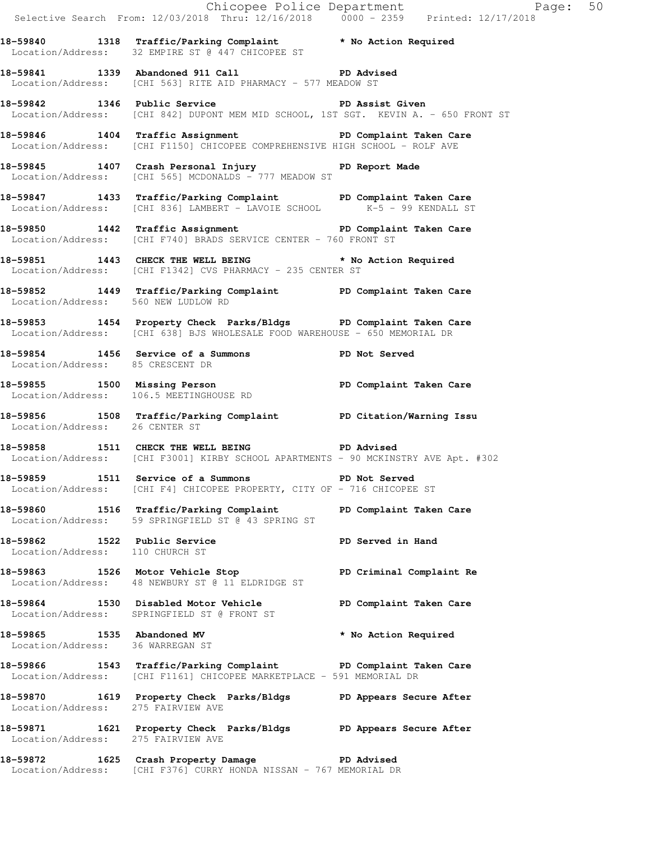|                                                                 |                                                                                                                                                | Chicopee Police Department<br>Selective Search From: 12/03/2018 Thru: 12/16/2018 0000 - 2359 Printed: 12/17/2018 |  |
|-----------------------------------------------------------------|------------------------------------------------------------------------------------------------------------------------------------------------|------------------------------------------------------------------------------------------------------------------|--|
|                                                                 | 18-59840 1318 Traffic/Parking Complaint * No Action Required<br>Location/Address: 32 EMPIRE ST @ 447 CHICOPEE ST                               |                                                                                                                  |  |
|                                                                 | 18-59841 1339 Abandoned 911 Call 18-59841<br>Location/Address: [CHI 563] RITE AID PHARMACY - 577 MEADOW ST                                     |                                                                                                                  |  |
|                                                                 | 18-59842 1346 Public Service New PD Assist Given<br>Location/Address: [CHI 842] DUPONT MEM MID SCHOOL, 1ST SGT. KEVIN A. - 650 FRONT ST        |                                                                                                                  |  |
|                                                                 | 18-59846 1404 Traffic Assignment New PD Complaint Taken Care<br>Location/Address: [CHI F1150] CHICOPEE COMPREHENSIVE HIGH SCHOOL - ROLF AVE    |                                                                                                                  |  |
|                                                                 | 18-59845 1407 Crash Personal Injury 10 PD Report Made<br>Location/Address: [CHI 565] MCDONALDS - 777 MEADOW ST                                 |                                                                                                                  |  |
|                                                                 | 18-59847 1433 Traffic/Parking Complaint PD Complaint Taken Care<br>Location/Address: [CHI 836] LAMBERT - LAVOIE SCHOOL K-5 - 99 KENDALL ST     |                                                                                                                  |  |
|                                                                 | 18-59850 1442 Traffic Assignment Number 2016 PD Complaint Taken Care<br>Location/Address: [CHI F740] BRADS SERVICE CENTER - 760 FRONT ST       |                                                                                                                  |  |
|                                                                 | 18-59851 1443 CHECK THE WELL BEING * No Action Required<br>Location/Address: [CHI F1342] CVS PHARMACY - 235 CENTER ST                          |                                                                                                                  |  |
| Location/Address: 560 NEW LUDLOW RD                             | 18-59852 1449 Traffic/Parking Complaint PD Complaint Taken Care                                                                                |                                                                                                                  |  |
|                                                                 | 18-59853 1454 Property Check Parks/Bldgs PD Complaint Taken Care<br>Location/Address: [CHI 638] BJS WHOLESALE FOOD WAREHOUSE - 650 MEMORIAL DR |                                                                                                                  |  |
| Location/Address: 85 CRESCENT DR                                | 18-59854 1456 Service of a Summons PD Not Served                                                                                               |                                                                                                                  |  |
|                                                                 | 18-59855 1500 Missing Person New York PD Complaint Taken Care<br>Location/Address: 106.5 MEETINGHOUSE RD                                       |                                                                                                                  |  |
| Location/Address: 26 CENTER ST                                  | 18-59856 1508 Traffic/Parking Complaint PD Citation/Warning Issu                                                                               |                                                                                                                  |  |
|                                                                 | 18-59858 1511 CHECK THE WELL BEING PD Advised<br>Location/Address: [CHI F3001] KIRBY SCHOOL APARTMENTS - 90 MCKINSTRY AVE Apt. #302            |                                                                                                                  |  |
|                                                                 | 18-59859 1511 Service of a Summons PD Not Served<br>Location/Address: [CHI F4] CHICOPEE PROPERTY, CITY OF - 716 CHICOPEE ST                    |                                                                                                                  |  |
|                                                                 | 18-59860 1516 Traffic/Parking Complaint PD Complaint Taken Care<br>Location/Address: 59 SPRINGFIELD ST @ 43 SPRING ST                          |                                                                                                                  |  |
| 18-59862 1522 Public Service<br>Location/Address: 110 CHURCH ST |                                                                                                                                                | PD Served in Hand                                                                                                |  |
|                                                                 | 18-59863 1526 Motor Vehicle Stop<br>Location/Address: 48 NEWBURY ST @ 11 ELDRIDGE ST                                                           | PD Criminal Complaint Re                                                                                         |  |
|                                                                 | 18-59864 1530 Disabled Motor Vehicle PD Complaint Taken Care<br>Location/Address: SPRINGFIELD ST @ FRONT ST                                    |                                                                                                                  |  |
| Location/Address: 36 WARREGAN ST                                | 18-59865 1535 Abandoned MV                                                                                                                     | * No Action Required                                                                                             |  |
|                                                                 | 18-59866 1543 Traffic/Parking Complaint PD Complaint Taken Care<br>Location/Address: [CHI F1161] CHICOPEE MARKETPLACE - 591 MEMORIAL DR        |                                                                                                                  |  |
| Location/Address: 275 FAIRVIEW AVE                              | 18-59870 1619 Property Check Parks/Bldgs PD Appears Secure After                                                                               |                                                                                                                  |  |
| Location/Address: 275 FAIRVIEW AVE                              | 18-59871 1621 Property Check Parks/Bldgs PD Appears Secure After                                                                               |                                                                                                                  |  |
|                                                                 | 18-59872 1625 Crash Property Damage PD Advised<br>Location/Address: [CHI F376] CURRY HONDA NISSAN - 767 MEMORIAL DR                            |                                                                                                                  |  |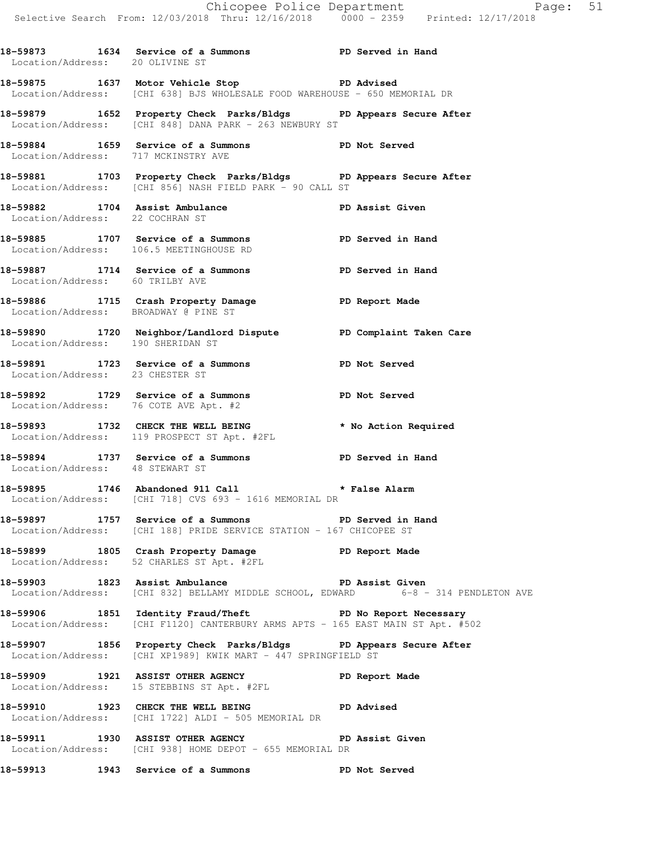**18-59873 1634 Service of a Summons PD Served in Hand** 

 Location/Address: 20 OLIVINE ST **18-59875 1637 Motor Vehicle Stop PD Advised**  Location/Address: [CHI 638] BJS WHOLESALE FOOD WAREHOUSE - 650 MEMORIAL DR **18-59879 1652 Property Check Parks/Bldgs PD Appears Secure After**  Location/Address: [CHI 848] DANA PARK - 263 NEWBURY ST **18-59884 1659 Service of a Summons PD Not Served**  Location/Address: 717 MCKINSTRY AVE **18-59881 1703 Property Check Parks/Bldgs PD Appears Secure After**  Location/Address: [CHI 856] NASH FIELD PARK - 90 CALL ST **18-59882 1704 Assist Ambulance PD Assist Given**  Location/Address: 22 COCHRAN ST **18-59885 1707 Service of a Summons PD Served in Hand**  Location/Address: 106.5 MEETINGHOUSE RD **18-59887 1714 Service of a Summons PD Served in Hand**  Location/Address: 60 TRILBY AVE **18-59886 1715 Crash Property Damage PD Report Made**  Location/Address: BROADWAY @ PINE ST **18-59890 1720 Neighbor/Landlord Dispute PD Complaint Taken Care**  Location/Address: 190 SHERIDAN ST **18-59891 1723 Service of a Summons PD Not Served**  Location/Address: 23 CHESTER ST **18-59892 1729 Service of a Summons PD Not Served**  Location/Address: 76 COTE AVE Apt. #2 **18-59893 1732 CHECK THE WELL BEING \* No Action Required**  Location/Address: 119 PROSPECT ST Apt. #2FL **18-59894 1737 Service of a Summons PD Served in Hand**  Location/Address: 48 STEWART ST **18-59895 1746 Abandoned 911 Call \* False Alarm**  Location/Address: [CHI 718] CVS 693 - 1616 MEMORIAL DR **18-59897 1757 Service of a Summons PD Served in Hand**  Location/Address: [CHI 188] PRIDE SERVICE STATION - 167 CHICOPEE ST **18-59899 1805 Crash Property Damage PD Report Made**  Location/Address: 52 CHARLES ST Apt. #2FL **18-59903** 1823 Assist Ambulance **PD Assist Given**<br>Location/Address: [CHI 832] BELLAMY MIDDLE SCHOOL, EDWARD 6-8 - 314 PENDLETON AVE Location/Address: [CHI 832] BELLAMY MIDDLE SCHOOL, EDWARD **18-59906 1851 Identity Fraud/Theft PD No Report Necessary**  Location/Address: [CHI F1120] CANTERBURY ARMS APTS - 165 EAST MAIN ST Apt. #502 **18-59907 1856 Property Check Parks/Bldgs PD Appears Secure After**  Location/Address: [CHI XP1989] KWIK MART - 447 SPRINGFIELD ST **18-59909 1921 ASSIST OTHER AGENCY PD Report Made**  Location/Address: 15 STEBBINS ST Apt. #2FL **18-59910 1923 CHECK THE WELL BEING PD Advised**  Location/Address: [CHI 1722] ALDI - 505 MEMORIAL DR

**18-59911 1930 ASSIST OTHER AGENCY PD Assist Given**  Location/Address: [CHI 938] HOME DEPOT - 655 MEMORIAL DR

**18-59913 1943 Service of a Summons PD Not Served**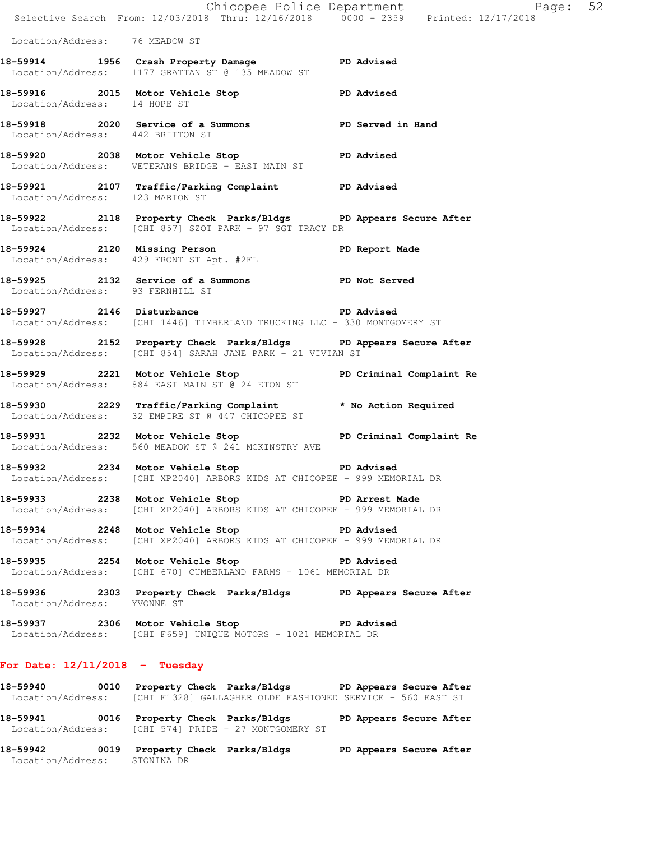|                                  | Chicopee Police Department<br>Selective Search From: 12/03/2018 Thru: 12/16/2018 0000 - 2359 Printed: 12/17/2018                                 | Page: 52 |  |
|----------------------------------|--------------------------------------------------------------------------------------------------------------------------------------------------|----------|--|
| Location/Address: 76 MEADOW ST   |                                                                                                                                                  |          |  |
|                                  | 18-59914 1956 Crash Property Damage PD Advised<br>Location/Address: 1177 GRATTAN ST @ 135 MEADOW ST                                              |          |  |
| Location/Address: 14 HOPE ST     | 18-59916 2015 Motor Vehicle Stop North PD Advised                                                                                                |          |  |
| Location/Address: 442 BRITTON ST | 18-59918 2020 Service of a Summons PD Served in Hand                                                                                             |          |  |
|                                  | 18-59920 2038 Motor Vehicle Stop PD Advised<br>Location/Address: VETERANS BRIDGE - EAST MAIN ST                                                  |          |  |
| Location/Address: 123 MARION ST  | 18-59921 2107 Traffic/Parking Complaint PD Advised                                                                                               |          |  |
|                                  | 18-59922 2118 Property Check Parks/Bldgs PD Appears Secure After<br>Location/Address: [CHI 857] SZOT PARK - 97 SGT TRACY DR                      |          |  |
|                                  | 18-59924 2120 Missing Person PD Report Made Location/Address: 429 FRONT ST Apt. #2FL                                                             |          |  |
| Location/Address: 93 FERNHILL ST | 18-59925 2132 Service of a Summons PD Not Served                                                                                                 |          |  |
|                                  | 18-59927 2146 Disturbance 2018 PD Advised<br>Location/Address: [CHI 1446] TIMBERLAND TRUCKING LLC - 330 MONTGOMERY ST                            |          |  |
|                                  | 18-59928 2152 Property Check Parks/Bldgs PD Appears Secure After<br>Location/Address: [CHI 854] SARAH JANE PARK - 21 VIVIAN ST                   |          |  |
|                                  | 18-59929 2221 Motor Vehicle Stop PD Criminal Complaint Re<br>Location/Address: 884 EAST MAIN ST @ 24 ETON ST                                     |          |  |
|                                  | 18-59930 2229 Traffic/Parking Complaint * No Action Required<br>Location/Address: 32 EMPIRE ST @ 447 CHICOPEE ST                                 |          |  |
|                                  | 18-59931 2232 Motor Vehicle Stop PD Criminal Complaint Re<br>Location/Address: 560 MEADOW ST @ 241 MCKINSTRY AVE                                 |          |  |
|                                  | 18-59932 2234 Motor Vehicle Stop 50 PD Advised<br>Location/Address: [CHI XP2040] ARBORS KIDS AT CHICOPEE - 999 MEMORIAL DR                       |          |  |
|                                  | 18-59933 2238 Motor Vehicle Stop 50 PD Arrest Made<br>Location/Address: [CHI XP2040] ARBORS KIDS AT CHICOPEE - 999 MEMORIAL DR                   |          |  |
|                                  | 18-59934 2248 Motor Vehicle Stop 50 PD Advised<br>Location/Address: [CHI XP2040] ARBORS KIDS AT CHICOPEE - 999 MEMORIAL DR                       |          |  |
|                                  | 18-59935 2254 Motor Vehicle Stop PD Advised<br>Location/Address: [CHI 670] CUMBERLAND FARMS - 1061 MEMORIAL DR                                   |          |  |
| Location/Address: YVONNE ST      | 18-59936 2303 Property Check Parks/Bldgs PD Appears Secure After                                                                                 |          |  |
|                                  | 18-59937 2306 Motor Vehicle Stop PD Advised<br>Location/Address: [CHI F659] UNIQUE MOTORS - 1021 MEMORIAL DR                                     |          |  |
| For Date: $12/11/2018$ - Tuesday |                                                                                                                                                  |          |  |
|                                  | 18-59940 0010 Property Check Parks/Bldgs PD Appears Secure After<br>Location/Address: [CHI F1328] GALLAGHER OLDE FASHIONED SERVICE - 560 EAST ST |          |  |
|                                  | 18-59941 0016 Property Check Parks/Bldgs PD Appears Secure After                                                                                 |          |  |

Location/Address: [CHI 574] PRIDE - 27 MONTGOMERY ST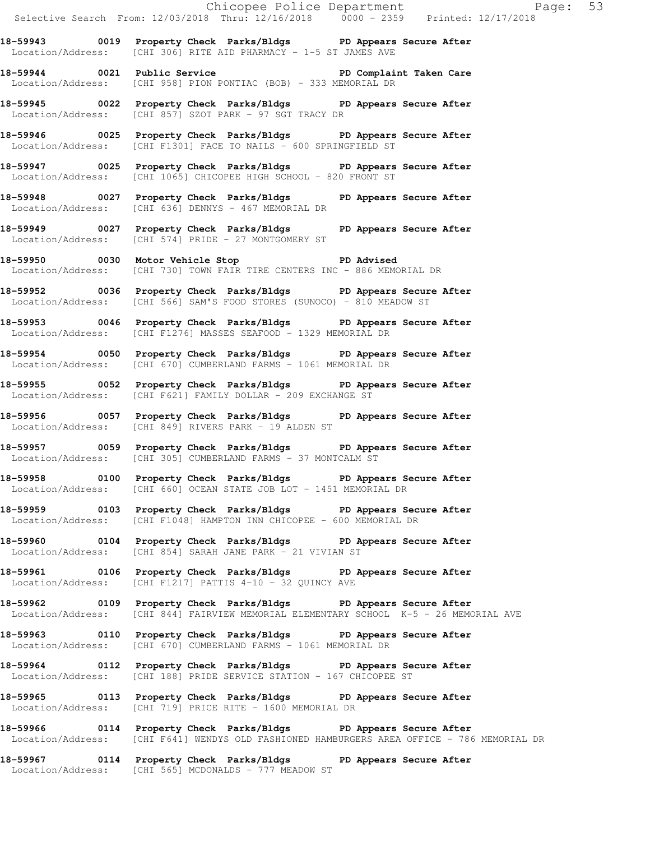Chicopee Police Department Fage: 53 Selective Search From: 12/03/2018 Thru: 12/16/2018 0000 - 2359 Printed: 12/17/2018 **18-59943 0019 Property Check Parks/Bldgs PD Appears Secure After**  Location/Address: [CHI 306] RITE AID PHARMACY - 1-5 ST JAMES AVE 18-59944 0021 Public Service **PD Complaint Taken Care**  Location/Address: [CHI 958] PION PONTIAC (BOB) - 333 MEMORIAL DR **18-59945 0022 Property Check Parks/Bldgs PD Appears Secure After**  Location/Address: [CHI 857] SZOT PARK - 97 SGT TRACY DR **18-59946 0025 Property Check Parks/Bldgs PD Appears Secure After**  Location/Address: [CHI F1301] FACE TO NAILS - 600 SPRINGFIELD ST **18-59947 0025 Property Check Parks/Bldgs PD Appears Secure After**  Location/Address: [CHI 1065] CHICOPEE HIGH SCHOOL - 820 FRONT ST **18-59948 0027 Property Check Parks/Bldgs PD Appears Secure After**  Location/Address: [CHI 636] DENNYS - 467 MEMORIAL DR **18-59949 0027 Property Check Parks/Bldgs PD Appears Secure After**  Location/Address: [CHI 574] PRIDE - 27 MONTGOMERY ST **18-59950 0030 Motor Vehicle Stop PD Advised**  Location/Address: [CHI 730] TOWN FAIR TIRE CENTERS INC - 886 MEMORIAL DR **18-59952 0036 Property Check Parks/Bldgs PD Appears Secure After**  Location/Address: [CHI 566] SAM'S FOOD STORES (SUNOCO) - 810 MEADOW ST **18-59953 0046 Property Check Parks/Bldgs PD Appears Secure After**  Location/Address: [CHI F1276] MASSES SEAFOOD - 1329 MEMORIAL DR **18-59954 0050 Property Check Parks/Bldgs PD Appears Secure After**  Location/Address: [CHI 670] CUMBERLAND FARMS - 1061 MEMORIAL DR **18-59955 0052 Property Check Parks/Bldgs PD Appears Secure After**  Location/Address: [CHI F621] FAMILY DOLLAR - 209 EXCHANGE ST **18-59956 0057 Property Check Parks/Bldgs PD Appears Secure After**  Location/Address: [CHI 849] RIVERS PARK - 19 ALDEN ST **18-59957 0059 Property Check Parks/Bldgs PD Appears Secure After**  Location/Address: [CHI 305] CUMBERLAND FARMS - 37 MONTCALM ST **18-59958 0100 Property Check Parks/Bldgs PD Appears Secure After**  Location/Address: [CHI 660] OCEAN STATE JOB LOT - 1451 MEMORIAL DR **18-59959 0103 Property Check Parks/Bldgs PD Appears Secure After**  Location/Address: [CHI F1048] HAMPTON INN CHICOPEE - 600 MEMORIAL DR **18-59960 0104 Property Check Parks/Bldgs PD Appears Secure After**  Location/Address: [CHI 854] SARAH JANE PARK - 21 VIVIAN ST **18-59961 0106 Property Check Parks/Bldgs PD Appears Secure After**  Location/Address: [CHI F1217] PATTIS 4-10 - 32 QUINCY AVE **18-59962 0109 Property Check Parks/Bldgs PD Appears Secure After**  Location/Address: [CHI 844] FAIRVIEW MEMORIAL ELEMENTARY SCHOOL K-5 - 26 MEMORIAL AVE **18-59963 0110 Property Check Parks/Bldgs PD Appears Secure After**  Location/Address: [CHI 670] CUMBERLAND FARMS - 1061 MEMORIAL DR **18-59964 0112 Property Check Parks/Bldgs PD Appears Secure After**  Location/Address: [CHI 188] PRIDE SERVICE STATION - 167 CHICOPEE ST **18-59965 0113 Property Check Parks/Bldgs PD Appears Secure After**  Location/Address: [CHI 719] PRICE RITE - 1600 MEMORIAL DR **18-59966 0114 Property Check Parks/Bldgs PD Appears Secure After**  Location/Address: [CHI F641] WENDYS OLD FASHIONED HAMBURGERS AREA OFFICE - 786 MEMORIAL DR **18-59967 0114 Property Check Parks/Bldgs PD Appears Secure After** 

Location/Address: [CHI 565] MCDONALDS - 777 MEADOW ST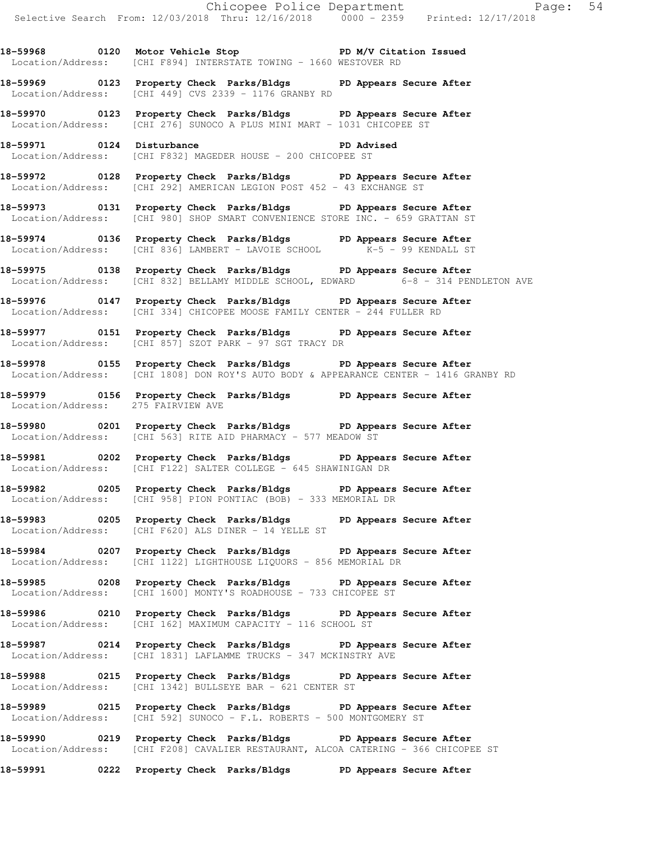18-59968 **0120** Motor Vehicle Stop **PD M/V Citation Issued** Location/Address: [CHI F894] INTERSTATE TOWING - 1660 WESTOVER RD

**18-59969 0123 Property Check Parks/Bldgs PD Appears Secure After**  Location/Address: [CHI 449] CVS 2339 - 1176 GRANBY RD

**18-59970 0123 Property Check Parks/Bldgs PD Appears Secure After**  Location/Address: [CHI 276] SUNOCO A PLUS MINI MART - 1031 CHICOPEE ST

**18-59971 0124 Disturbance PD Advised**  Location/Address: [CHI F832] MAGEDER HOUSE - 200 CHICOPEE ST

**18-59972 0128 Property Check Parks/Bldgs PD Appears Secure After**  Location/Address: [CHI 292] AMERICAN LEGION POST 452 - 43 EXCHANGE ST

**18-59973 0131 Property Check Parks/Bldgs PD Appears Secure After**  Location/Address: [CHI 980] SHOP SMART CONVENIENCE STORE INC. - 659 GRATTAN ST

**18-59974 0136 Property Check Parks/Bldgs PD Appears Secure After**  Location/Address: [CHI 836] LAMBERT - LAVOIE SCHOOL K-5 - 99 KENDALL ST

**18-59975 0138 Property Check Parks/Bldgs PD Appears Secure After**  Location/Address: [CHI 832] BELLAMY MIDDLE SCHOOL, EDWARD 6-8 - 314 PENDLETON AVE

**18-59976 0147 Property Check Parks/Bldgs PD Appears Secure After**  Location/Address: [CHI 334] CHICOPEE MOOSE FAMILY CENTER - 244 FULLER RD

**18-59977 0151 Property Check Parks/Bldgs PD Appears Secure After**  Location/Address: [CHI 857] SZOT PARK - 97 SGT TRACY DR

**18-59978 0155 Property Check Parks/Bldgs PD Appears Secure After**  Location/Address: [CHI 1808] DON ROY'S AUTO BODY & APPEARANCE CENTER - 1416 GRANBY RD

**18-59979 0156 Property Check Parks/Bldgs PD Appears Secure After**  Location/Address: 275 FAIRVIEW AVE

**18-59980 0201 Property Check Parks/Bldgs PD Appears Secure After**  Location/Address: [CHI 563] RITE AID PHARMACY - 577 MEADOW ST

**18-59981 0202 Property Check Parks/Bldgs PD Appears Secure After**  Location/Address: [CHI F122] SALTER COLLEGE - 645 SHAWINIGAN DR

**18-59982 0205 Property Check Parks/Bldgs PD Appears Secure After**  Location/Address: [CHI 958] PION PONTIAC (BOB) - 333 MEMORIAL DR

**18-59983 0205 Property Check Parks/Bldgs PD Appears Secure After**  Location/Address: [CHI F620] ALS DINER - 14 YELLE ST

**18-59984 0207 Property Check Parks/Bldgs PD Appears Secure After**  Location/Address: [CHI 1122] LIGHTHOUSE LIQUORS - 856 MEMORIAL DR

**18-59985 0208 Property Check Parks/Bldgs PD Appears Secure After**  Location/Address: [CHI 1600] MONTY'S ROADHOUSE - 733 CHICOPEE ST

**18-59986 0210 Property Check Parks/Bldgs PD Appears Secure After**  Location/Address: [CHI 162] MAXIMUM CAPACITY - 116 SCHOOL ST

**18-59987 0214 Property Check Parks/Bldgs PD Appears Secure After**  Location/Address: [CHI 1831] LAFLAMME TRUCKS - 347 MCKINSTRY AVE

**18-59988 0215 Property Check Parks/Bldgs PD Appears Secure After**  Location/Address: [CHI 1342] BULLSEYE BAR - 621 CENTER ST

**18-59989 0215 Property Check Parks/Bldgs PD Appears Secure After**  Location/Address: [CHI 592] SUNOCO - F.L. ROBERTS - 500 MONTGOMERY ST

**18-59990 0219 Property Check Parks/Bldgs PD Appears Secure After**  Location/Address: [CHI F208] CAVALIER RESTAURANT, ALCOA CATERING - 366 CHICOPEE ST

**18-59991 0222 Property Check Parks/Bldgs PD Appears Secure After**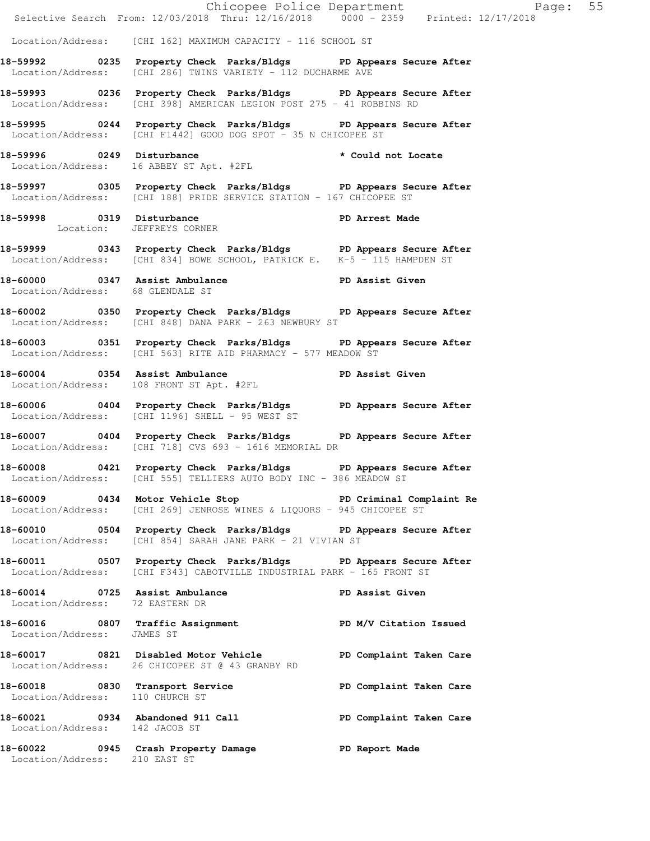|                                  |                                                                                                                                                           | E<br>Chicopee Police Department<br>Selective Search From: 12/03/2018 Thru: 12/16/2018 0000 - 2359 Printed: 12/17/2018 | Page: 55 |
|----------------------------------|-----------------------------------------------------------------------------------------------------------------------------------------------------------|-----------------------------------------------------------------------------------------------------------------------|----------|
|                                  | Location/Address: [CHI 162] MAXIMUM CAPACITY - 116 SCHOOL ST                                                                                              |                                                                                                                       |          |
|                                  | 18-59992 0235 Property Check Parks/Bldgs PD Appears Secure After<br>Location/Address: [CHI 286] TWINS VARIETY - 112 DUCHARME AVE                          |                                                                                                                       |          |
|                                  | 18-59993 0236 Property Check Parks/Bldgs PD Appears Secure After<br>Location/Address: [CHI 398] AMERICAN LEGION POST 275 - 41 ROBBINS RD                  |                                                                                                                       |          |
|                                  | 18-59995 0244 Property Check Parks/Bldgs PD Appears Secure After<br>Location/Address: [CHI F1442] GOOD DOG SPOT - 35 N CHICOPEE ST                        |                                                                                                                       |          |
|                                  | 18-59996 0249 Disturbance and the set of the set of the set of the set of the set of the set of the set of the<br>Location/Address: 16 ABBEY ST Apt. #2FL |                                                                                                                       |          |
|                                  | 18-59997 0305 Property Check Parks/Bldgs PD Appears Secure After<br>Location/Address: [CHI 188] PRIDE SERVICE STATION - 167 CHICOPEE ST                   |                                                                                                                       |          |
|                                  | 18-59998 0319 Disturbance Docation: JEFFREYS CORNER PD Arrest Made                                                                                        |                                                                                                                       |          |
|                                  | 18-59999 0343 Property Check Parks/Bldgs PD Appears Secure After<br>Location/Address: [CHI 834] BOWE SCHOOL, PATRICK E. K-5 - 115 HAMPDEN ST              |                                                                                                                       |          |
| Location/Address: 68 GLENDALE ST | 18-60000 0347 Assist Ambulance New PD Assist Given                                                                                                        |                                                                                                                       |          |
|                                  | 18-60002 0350 Property Check Parks/Bldgs PD Appears Secure After<br>Location/Address: [CHI 848] DANA PARK - 263 NEWBURY ST                                |                                                                                                                       |          |
|                                  | 18-60003 0351 Property Check Parks/Bldgs PD Appears Secure After<br>Location/Address: [CHI 563] RITE AID PHARMACY - 577 MEADOW ST                         |                                                                                                                       |          |
|                                  | 18-60004 0354 Assist Ambulance New PD Assist Given<br>Location/Address: 108 FRONT ST Apt. #2FL                                                            |                                                                                                                       |          |
|                                  | 18-60006 0404 Property Check Parks/Bldgs PD Appears Secure After<br>Location/Address: [CHI 1196] SHELL - 95 WEST ST                                       |                                                                                                                       |          |
|                                  | 18-60007 0404 Property Check Parks/Bldgs PD Appears Secure After<br>Location/Address: [CHI 718] CVS 693 - 1616 MEMORIAL DR                                |                                                                                                                       |          |
|                                  | 18-60008 0421 Property Check Parks/Bldgs PD Appears Secure After<br>Location/Address: [CHI 555] TELLIERS AUTO BODY INC - 386 MEADOW ST                    |                                                                                                                       |          |
|                                  | 18-60009 0434 Motor Vehicle Stop 50 PD Criminal Complaint Re<br>Location/Address: [CHI 269] JENROSE WINES & LIQUORS - 945 CHICOPEE ST                     |                                                                                                                       |          |
|                                  | 18-60010 0504 Property Check Parks/Bldgs PD Appears Secure After<br>Location/Address: [CHI 854] SARAH JANE PARK - 21 VIVIAN ST                            |                                                                                                                       |          |
|                                  | 18-60011 		 0507 Property Check Parks/Bldgs 		 PD Appears Secure After<br>Location/Address: [CHI F343] CABOTVILLE INDUSTRIAL PARK - 165 FRONT ST          |                                                                                                                       |          |
| Location/Address: 72 EASTERN DR  | 18-60014 0725 Assist Ambulance                                                                                                                            | PD Assist Given                                                                                                       |          |
| Location/Address: JAMES ST       | 18-60016 0807 Traffic Assignment The PD M/V Citation Issued                                                                                               |                                                                                                                       |          |
|                                  | 18-60017 0821 Disabled Motor Vehicle PD Complaint Taken Care<br>Location/Address: 26 CHICOPEE ST @ 43 GRANBY RD                                           |                                                                                                                       |          |
| Location/Address: 110 CHURCH ST  | 18-60018 1830 Transport Service 1983 PD Complaint Taken Care                                                                                              |                                                                                                                       |          |
| Location/Address: 142 JACOB ST   | 18-60021 		 0934 Abandoned 911 Call 		 PD Complaint Taken Care                                                                                            |                                                                                                                       |          |
| Location/Address: 210 EAST ST    | 18-60022 0945 Crash Property Damage PD Report Made                                                                                                        |                                                                                                                       |          |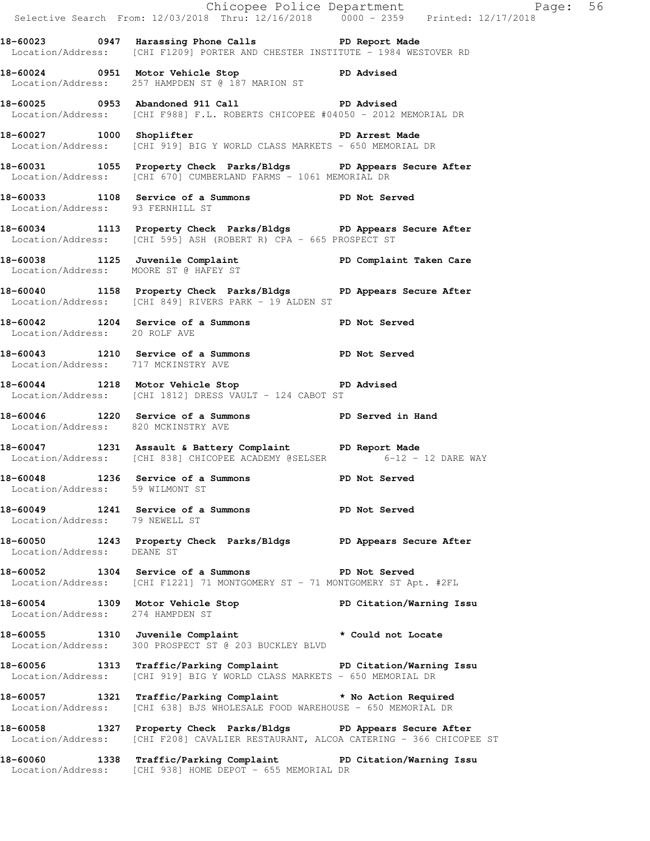|                                     |                                                                                                                                                        | Chicopee Police Department<br>Selective Search From: 12/03/2018 Thru: 12/16/2018 0000 - 2359 Printed: 12/17/2018 |  |
|-------------------------------------|--------------------------------------------------------------------------------------------------------------------------------------------------------|------------------------------------------------------------------------------------------------------------------|--|
|                                     |                                                                                                                                                        |                                                                                                                  |  |
|                                     | 18-60023 0947 Harassing Phone Calls 5 PD Report Made<br>Location/Address: [CHI F1209] PORTER AND CHESTER INSTITUTE - 1984 WESTOVER RD                  |                                                                                                                  |  |
|                                     | 18-60024 0951 Motor Vehicle Stop Notor PD Advised<br>Location/Address: 257 HAMPDEN ST @ 187 MARION ST                                                  |                                                                                                                  |  |
|                                     | 18-60025 0953 Abandoned 911 Call 20 PD Advised<br>Location/Address: [CHI F988] F.L. ROBERTS CHICOPEE #04050 - 2012 MEMORIAL DR                         |                                                                                                                  |  |
|                                     | 18-60027 1000 Shoplifter 2000 PD Arrest Made<br>Location/Address: [CHI 919] BIG Y WORLD CLASS MARKETS - 650 MEMORIAL DR                                |                                                                                                                  |  |
|                                     | 18-60031 1055 Property Check Parks/Bldgs PD Appears Secure After<br>Location/Address: [CHI 670] CUMBERLAND FARMS - 1061 MEMORIAL DR                    |                                                                                                                  |  |
| Location/Address: 93 FERNHILL ST    | 18-60033 1108 Service of a Summons PD Not Served                                                                                                       |                                                                                                                  |  |
|                                     | 18-60034 1113 Property Check Parks/Bldgs PD Appears Secure After<br>Location/Address: [CHI 595] ASH (ROBERT R) CPA - 665 PROSPECT ST                   |                                                                                                                  |  |
|                                     | 18-60038 1125 Juvenile Complaint (2008) PD Complaint Taken Care<br>Location/Address: MOORE ST @ HAFEY ST                                               |                                                                                                                  |  |
|                                     | 18-60040 1158 Property Check Parks/Bldgs PD Appears Secure After<br>Location/Address: [CHI 849] RIVERS PARK - 19 ALDEN ST                              |                                                                                                                  |  |
| Location/Address: 20 ROLF AVE       | 18-60042 1204 Service of a Summons PD Not Served                                                                                                       |                                                                                                                  |  |
| Location/Address: 717 MCKINSTRY AVE | 18-60043 1210 Service of a Summons PD Not Served                                                                                                       |                                                                                                                  |  |
|                                     | 18-60044 1218 Motor Vehicle Stop Notes and PD Advised<br>Location/Address: [CHI 1812] DRESS VAULT - 124 CABOT ST                                       |                                                                                                                  |  |
| Location/Address: 820 MCKINSTRY AVE | 18-60046 1220 Service of a Summons PD Served in Hand                                                                                                   |                                                                                                                  |  |
|                                     | 18-60047 1231 Assault & Battery Complaint PD Report Made<br>Location/Address: [CHI 838] CHICOPEE ACADEMY @SELSER 6-12 - 12 DARE WAY                    |                                                                                                                  |  |
| Location/Address: 59 WILMONT ST     | 18-60048 1236 Service of a Summons PD Not Served                                                                                                       |                                                                                                                  |  |
| Location/Address: 79 NEWELL ST      | 18-60049 1241 Service of a Summons PD Not Served                                                                                                       |                                                                                                                  |  |
| Location/Address: DEANE ST          | 18-60050 1243 Property Check Parks/Bldgs PD Appears Secure After                                                                                       |                                                                                                                  |  |
|                                     | 18-60052 1304 Service of a Summons PD Not Served<br>Location/Address: [CHI F1221] 71 MONTGOMERY ST - 71 MONTGOMERY ST Apt. #2FL                        |                                                                                                                  |  |
| Location/Address: 274 HAMPDEN ST    | 18-60054 1309 Motor Vehicle Stop PD Citation/Warning Issu Nocation/Address: 274 HAMPDEN ST                                                             |                                                                                                                  |  |
|                                     | 18-60055 1310 Juvenile Complaint that the valid not Locate<br>Location/Address: 300 PROSPECT ST @ 203 BUCKLEY BLVD                                     |                                                                                                                  |  |
|                                     | 18-60056 1313 Traffic/Parking Complaint PD Citation/Warning Issu<br>Location/Address: [CHI 919] BIG Y WORLD CLASS MARKETS - 650 MEMORIAL DR            |                                                                                                                  |  |
|                                     | 18-60057 1321 Traffic/Parking Complaint * No Action Required<br>Location/Address: [CHI 638] BJS WHOLESALE FOOD WAREHOUSE - 650 MEMORIAL DR             |                                                                                                                  |  |
|                                     | 18-60058 1327 Property Check Parks/Bldgs PD Appears Secure After<br>Location/Address: [CHI F208] CAVALIER RESTAURANT, ALCOA CATERING - 366 CHICOPEE ST |                                                                                                                  |  |
|                                     | 18-60060 1338 Traffic/Parking Complaint PD Citation/Warning Issu<br>Location/Address: [CHI 938] HOME DEPOT - 655 MEMORIAL DR                           |                                                                                                                  |  |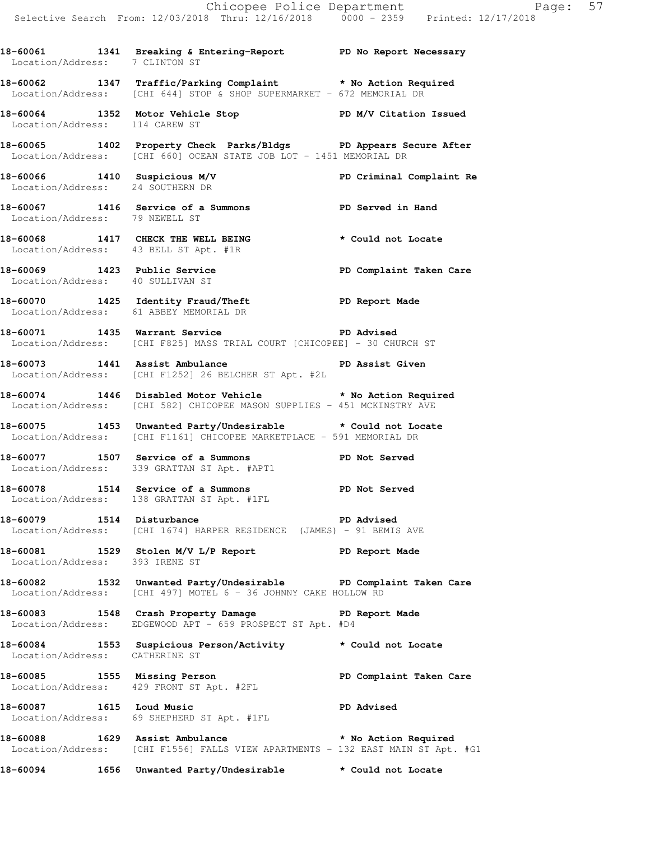**18-60061 1341 Breaking & Entering-Report PD No Report Necessary** 

**18-60062 1347 Traffic/Parking Complaint \* No Action Required**  Location/Address: [CHI 644] STOP & SHOP SUPERMARKET - 672 MEMORIAL DR

Location/Address: 7 CLINTON ST

**18-60064 1352 Motor Vehicle Stop PD M/V Citation Issued**  Location/Address: 114 CAREW ST **18-60065 1402 Property Check Parks/Bldgs PD Appears Secure After**  Location/Address: [CHI 660] OCEAN STATE JOB LOT - 1451 MEMORIAL DR **18-60066 1410 Suspicious M/V PD Criminal Complaint Re**  Location/Address: 24 SOUTHERN DR **18-60067 1416 Service of a Summons PD Served in Hand** Location/Address: 79 NEWELL ST Location/Address: **18-60068 1417 CHECK THE WELL BEING \* Could not Locate**  Location/Address: 43 BELL ST Apt. #1R **18-60069 1423 Public Service PD Complaint Taken Care**  Location/Address: 40 SULLIVAN ST **18-60070 1425 Identity Fraud/Theft PD Report Made**  Location/Address: 61 ABBEY MEMORIAL DR **18-60071 1435 Warrant Service PD Advised**  Location/Address: [CHI F825] MASS TRIAL COURT [CHICOPEE] - 30 CHURCH ST **18-60073 1441 Assist Ambulance PD Assist Given**  Location/Address: [CHI F1252] 26 BELCHER ST Apt. #2L **18-60074 1446 Disabled Motor Vehicle \* No Action Required**  Location/Address: [CHI 582] CHICOPEE MASON SUPPLIES - 451 MCKINSTRY AVE **18-60075 1453 Unwanted Party/Undesirable \* Could not Locate**  Location/Address: [CHI F1161] CHICOPEE MARKETPLACE - 591 MEMORIAL DR **18-60077 1507 Service of a Summons PD Not Served**  Location/Address: 339 GRATTAN ST Apt. #APT1 **18-60078 1514 Service of a Summons PD Not Served**  Location/Address: 138 GRATTAN ST Apt. #1FL **18-60079 1514 Disturbance PD Advised**  Location/Address: [CHI 1674] HARPER RESIDENCE (JAMES) - 91 BEMIS AVE **18-60081 1529 Stolen M/V L/P Report PD Report Made**  Location/Address: 393 IRENE ST Location/Address: [CHI 497] MOTEL 6 - 36 JOHNNY CAKE HOLLOW RD **18-60083 1548 Crash Property Damage PD Report Made**  Location/Address: EDGEWOOD APT - 659 PROSPECT ST Apt. #D4 **18-60085 1555 Missing Person PD Complaint Taken Care 18-60087 1615 Loud Music PD Advised** 

**18-60082 1532 Unwanted Party/Undesirable PD Complaint Taken Care** 

**18-60084 1553 Suspicious Person/Activity \* Could not Locate**  Location/Address: CATHERINE ST

Location/Address: 429 FRONT ST Apt. #2FL

 Location/Address: 69 SHEPHERD ST Apt. #1FL **18-60088 1629 Assist Ambulance \* No Action Required**  Location/Address: [CHI F1556] FALLS VIEW APARTMENTS - 132 EAST MAIN ST Apt. #G1

**18-60094 1656 Unwanted Party/Undesirable \* Could not Locate**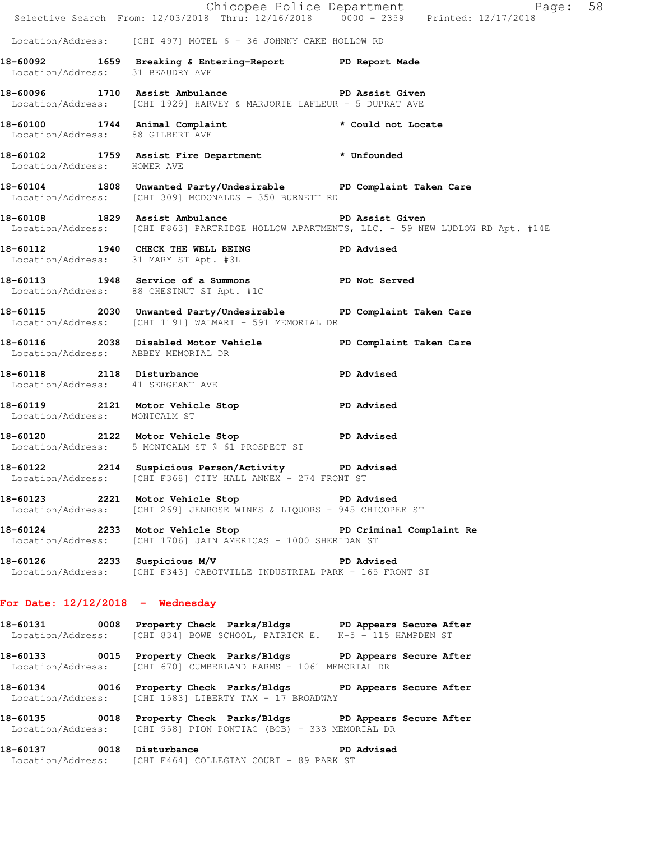|                                     | E Chicopee Police Department<br>Selective Search From: 12/03/2018 Thru: 12/16/2018 0000 - 2359 Printed: 12/17/2018                           | Page: 58                                                                                    |  |
|-------------------------------------|----------------------------------------------------------------------------------------------------------------------------------------------|---------------------------------------------------------------------------------------------|--|
|                                     | Location/Address: [CHI 497] MOTEL 6 - 36 JOHNNY CAKE HOLLOW RD                                                                               |                                                                                             |  |
| Location/Address: 31 BEAUDRY AVE    | 18-60092 1659 Breaking & Entering-Report PD Report Made                                                                                      |                                                                                             |  |
|                                     | 18-60096 1710 Assist Ambulance No PD Assist Given<br>Location/Address: [CHI 1929] HARVEY & MARJORIE LAFLEUR - 5 DUPRAT AVE                   |                                                                                             |  |
| Location/Address: 88 GILBERT AVE    | 18-60100 1744 Animal Complaint                                                                                                               | * Could not Locate                                                                          |  |
| Location/Address: HOMER AVE         | 18-60102 1759 Assist Fire Department * Unfounded                                                                                             |                                                                                             |  |
|                                     | 18-60104 1808 Unwanted Party/Undesirable PD Complaint Taken Care<br>Location/Address: [CHI 309] MCDONALDS - 350 BURNETT RD                   |                                                                                             |  |
|                                     | 18-60108 1829 Assist Ambulance New PD Assist Given                                                                                           | Location/Address: [CHI F863] PARTRIDGE HOLLOW APARTMENTS, LLC. - 59 NEW LUDLOW RD Apt. #14E |  |
|                                     | 18-60112 1940 CHECK THE WELL BEING<br>Location/Address: 31 MARY ST Apt. #3L                                                                  | <b>PD Advised</b>                                                                           |  |
|                                     | 18-60113 1948 Service of a Summons PD Not Served<br>Location/Address: 88 CHESTNUT ST Apt. #1C                                                |                                                                                             |  |
|                                     | 18-60115 2030 Unwanted Party/Undesirable PD Complaint Taken Care<br>Location/Address: [CHI 1191] WALMART - 591 MEMORIAL DR                   |                                                                                             |  |
| Location/Address: ABBEY MEMORIAL DR | 18-60116 2038 Disabled Motor Vehicle PD Complaint Taken Care                                                                                 |                                                                                             |  |
| Location/Address: 41 SERGEANT AVE   | 18-60118 2118 Disturbance                                                                                                                    | <b>PD Advised</b>                                                                           |  |
| Location/Address: MONTCALM ST       | 18-60119 2121 Motor Vehicle Stop PD Advised                                                                                                  |                                                                                             |  |
|                                     | 18-60120 2122 Motor Vehicle Stop 50 PD Advised<br>Location/Address: 5 MONTCALM ST @ 61 PROSPECT ST                                           |                                                                                             |  |
|                                     | 18-60122 2214 Suspicious Person/Activity PD Advised<br>Location/Address: [CHI F368] CITY HALL ANNEX - 274 FRONT ST                           |                                                                                             |  |
|                                     | 18-60123 2221 Motor Vehicle Stop 30 PD Advised<br>Location/Address: [CHI 269] JENROSE WINES & LIQUORS - 945 CHICOPEE ST                      |                                                                                             |  |
|                                     | 18-60124 2233 Motor Vehicle Stop PD Criminal Complaint Re<br>Location/Address: [CHI 1706] JAIN AMERICAS - 1000 SHERIDAN ST                   |                                                                                             |  |
|                                     | 18-60126 2233 Suspicious M/V PD Advised<br>Location/Address: [CHI F343] CABOTVILLE INDUSTRIAL PARK - 165 FRONT ST                            |                                                                                             |  |
| For Date: $12/12/2018$ - Wednesday  |                                                                                                                                              |                                                                                             |  |
|                                     | 18-60131 0008 Property Check Parks/Bldgs PD Appears Secure After<br>Location/Address: [CHI 834] BOWE SCHOOL, PATRICK E. K-5 - 115 HAMPDEN ST |                                                                                             |  |
|                                     | 18-60133 0015 Property Check Parks/Bldgs PD Appears Secure After<br>Location/Address: [CHI 670] CUMBERLAND FARMS - 1061 MEMORIAL DR          |                                                                                             |  |
|                                     | 18-60134 0016 Property Check Parks/Bldgs PD Appears Secure After<br>Location/Address: [CHI 1583] LIBERTY TAX - 17 BROADWAY                   |                                                                                             |  |
|                                     | 18-60135 0018 Property Check Parks/Bldgs PD Appears Secure After<br>Location/Address: [CHI 958] PION PONTIAC (BOB) - 333 MEMORIAL DR         |                                                                                             |  |
|                                     | 18-60137 0018 Disturbance<br>Location/Address: [CHI F464] COLLEGIAN COURT - 89 PARK ST                                                       | <b>PD Advised</b>                                                                           |  |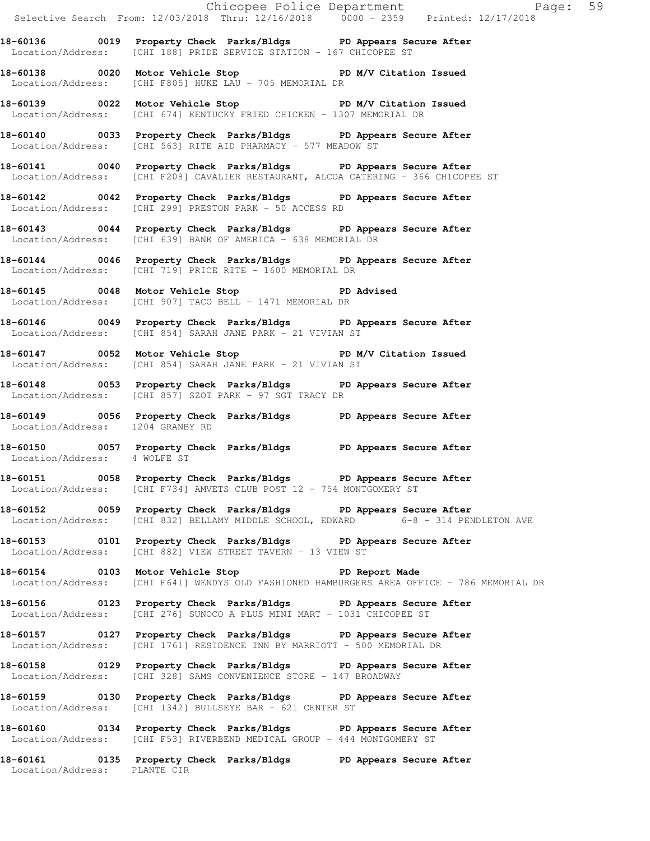Chicopee Police Department Page: 59 Selective Search From: 12/03/2018 Thru: 12/16/2018 0000 - 2359 Printed: 12/17/2018 **18-60136 0019 Property Check Parks/Bldgs PD Appears Secure After**  Location/Address: [CHI 188] PRIDE SERVICE STATION - 167 CHICOPEE ST **18-60138 0020 Motor Vehicle Stop PD M/V Citation Issued**  Location/Address: [CHI F805] HUKE LAU - 705 MEMORIAL DR **18-60139 0022 Motor Vehicle Stop PD M/V Citation Issued**  Location/Address: [CHI 674] KENTUCKY FRIED CHICKEN - 1307 MEMORIAL DR **18-60140 0033 Property Check Parks/Bldgs PD Appears Secure After**  Location/Address: [CHI 563] RITE AID PHARMACY - 577 MEADOW ST **18-60141 0040 Property Check Parks/Bldgs PD Appears Secure After**  Location/Address: [CHI F208] CAVALIER RESTAURANT, ALCOA CATERING - 366 CHICOPEE ST **18-60142 0042 Property Check Parks/Bldgs PD Appears Secure After**  Location/Address: [CHI 299] PRESTON PARK - 50 ACCESS RD **18-60143 0044 Property Check Parks/Bldgs PD Appears Secure After**  Location/Address: [CHI 639] BANK OF AMERICA - 638 MEMORIAL DR **18-60144 0046 Property Check Parks/Bldgs PD Appears Secure After**  Location/Address: [CHI 719] PRICE RITE - 1600 MEMORIAL DR **18-60145 0048 Motor Vehicle Stop PD Advised**  Location/Address: [CHI 907] TACO BELL - 1471 MEMORIAL DR **18-60146 0049 Property Check Parks/Bldgs PD Appears Secure After**  Location/Address: [CHI 854] SARAH JANE PARK - 21 VIVIAN ST **18-60147 0052 Motor Vehicle Stop PD M/V Citation Issued**  Location/Address: [CHI 854] SARAH JANE PARK - 21 VIVIAN ST **18-60148 0053 Property Check Parks/Bldgs PD Appears Secure After**  Location/Address: [CHI 857] SZOT PARK - 97 SGT TRACY DR **18-60149 0056 Property Check Parks/Bldgs PD Appears Secure After**  Location/Address: 1204 GRANBY RD **18-60150 0057 Property Check Parks/Bldgs PD Appears Secure After**  Location/Address: 4 WOLFE ST **18-60151 0058 Property Check Parks/Bldgs PD Appears Secure After**  Location/Address: [CHI F734] AMVETS CLUB POST 12 - 754 MONTGOMERY ST **18-60152 0059 Property Check Parks/Bldgs PD Appears Secure After**  Location/Address: [CHI 832] BELLAMY MIDDLE SCHOOL, EDWARD 6-8 - 314 PENDLETON AVE **18-60153 0101 Property Check Parks/Bldgs PD Appears Secure After**  Location/Address: [CHI 882] VIEW STREET TAVERN - 13 VIEW ST **18-60154 0103 Motor Vehicle Stop PD Report Made**  Location/Address: [CHI F641] WENDYS OLD FASHIONED HAMBURGERS AREA OFFICE - 786 MEMORIAL DR **18-60156 0123 Property Check Parks/Bldgs PD Appears Secure After**  Location/Address: [CHI 276] SUNOCO A PLUS MINI MART - 1031 CHICOPEE ST **18-60157 0127 Property Check Parks/Bldgs PD Appears Secure After**  Location/Address: [CHI 1761] RESIDENCE INN BY MARRIOTT - 500 MEMORIAL DR **18-60158 0129 Property Check Parks/Bldgs PD Appears Secure After**  Location/Address: [CHI 328] SAMS CONVENIENCE STORE - 147 BROADWAY **18-60159 0130 Property Check Parks/Bldgs PD Appears Secure After**  Location/Address: [CHI 1342] BULLSEYE BAR - 621 CENTER ST **18-60160 0134 Property Check Parks/Bldgs PD Appears Secure After**  Location/Address: [CHI F53] RIVERBEND MEDICAL GROUP - 444 MONTGOMERY ST **18-60161 0135 Property Check Parks/Bldgs PD Appears Secure After**  Location/Address: PLANTE CIR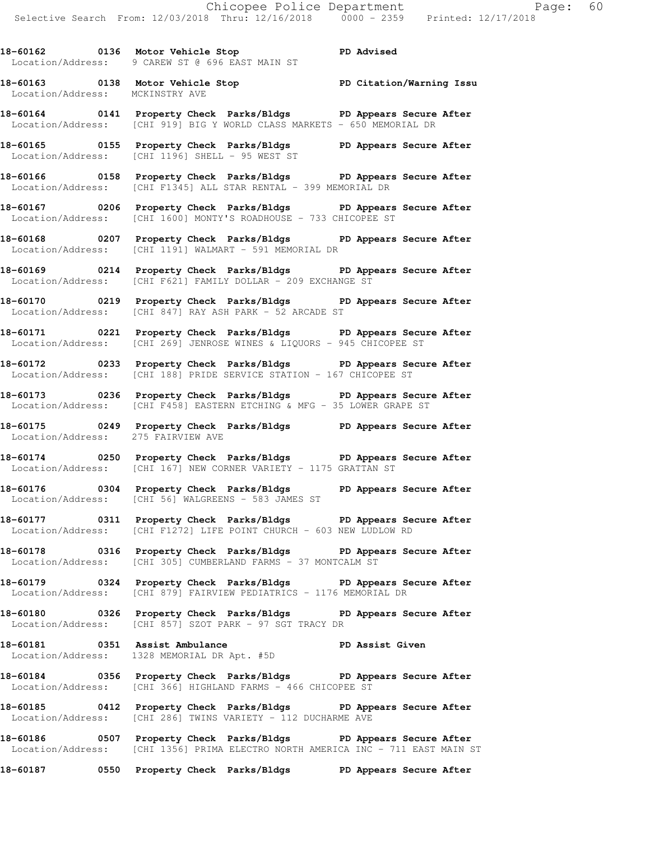**18-60162 0136 Motor Vehicle Stop PD Advised**  Location/Address: 9 CAREW ST @ 696 EAST MAIN ST

**18-60163 0138 Motor Vehicle Stop PD Citation/Warning Issu**  Location/Address: MCKINSTRY AVE

**18-60164 0141 Property Check Parks/Bldgs PD Appears Secure After**  Location/Address: [CHI 919] BIG Y WORLD CLASS MARKETS - 650 MEMORIAL DR

**18-60165 0155 Property Check Parks/Bldgs PD Appears Secure After**  Location/Address: [CHI 1196] SHELL - 95 WEST ST

**18-60166 0158 Property Check Parks/Bldgs PD Appears Secure After**  Location/Address: [CHI F1345] ALL STAR RENTAL - 399 MEMORIAL DR

**18-60167 0206 Property Check Parks/Bldgs PD Appears Secure After**  Location/Address: [CHI 1600] MONTY'S ROADHOUSE - 733 CHICOPEE ST

**18-60168 0207 Property Check Parks/Bldgs PD Appears Secure After**  Location/Address: [CHI 1191] WALMART - 591 MEMORIAL DR

**18-60169 0214 Property Check Parks/Bldgs PD Appears Secure After**  Location/Address: [CHI F621] FAMILY DOLLAR - 209 EXCHANGE ST

**18-60170 0219 Property Check Parks/Bldgs PD Appears Secure After**  Location/Address: [CHI 847] RAY ASH PARK - 52 ARCADE ST

**18-60171 0221 Property Check Parks/Bldgs PD Appears Secure After**  Location/Address: [CHI 269] JENROSE WINES & LIQUORS - 945 CHICOPEE ST

**18-60172 0233 Property Check Parks/Bldgs PD Appears Secure After**  Location/Address: [CHI 188] PRIDE SERVICE STATION - 167 CHICOPEE ST

**18-60173 0236 Property Check Parks/Bldgs PD Appears Secure After**  Location/Address: [CHI F458] EASTERN ETCHING & MFG - 35 LOWER GRAPE ST

**18-60175 0249 Property Check Parks/Bldgs PD Appears Secure After**  Location/Address: 275 FAIRVIEW AVE

**18-60174 0250 Property Check Parks/Bldgs PD Appears Secure After**  Location/Address: [CHI 167] NEW CORNER VARIETY - 1175 GRATTAN ST

**18-60176 0304 Property Check Parks/Bldgs PD Appears Secure After**  Location/Address: [CHI 56] WALGREENS - 583 JAMES ST

**18-60177 0311 Property Check Parks/Bldgs PD Appears Secure After**  Location/Address: [CHI F1272] LIFE POINT CHURCH - 603 NEW LUDLOW RD

**18-60178 0316 Property Check Parks/Bldgs PD Appears Secure After**  Location/Address: [CHI 305] CUMBERLAND FARMS - 37 MONTCALM ST

**18-60179 0324 Property Check Parks/Bldgs PD Appears Secure After**  Location/Address: [CHI 879] FAIRVIEW PEDIATRICS - 1176 MEMORIAL DR

**18-60180 0326 Property Check Parks/Bldgs PD Appears Secure After**  Location/Address: [CHI 857] SZOT PARK - 97 SGT TRACY DR

**18-60181 0351 Assist Ambulance PD Assist Given**  Location/Address: 1328 MEMORIAL DR Apt. #5D

**18-60184 0356 Property Check Parks/Bldgs PD Appears Secure After**  Location/Address: [CHI 366] HIGHLAND FARMS - 466 CHICOPEE ST

**18-60185 0412 Property Check Parks/Bldgs PD Appears Secure After**  Location/Address: [CHI 286] TWINS VARIETY - 112 DUCHARME AVE

**18-60186 0507 Property Check Parks/Bldgs PD Appears Secure After** Location/Address: [CHI 1356] PRIMA ELECTRO NORTH AMERICA INC - 711 EAST MAIN S [CHI 1356] PRIMA ELECTRO NORTH AMERICA INC - 711 EAST MAIN ST

**18-60187 0550 Property Check Parks/Bldgs PD Appears Secure After**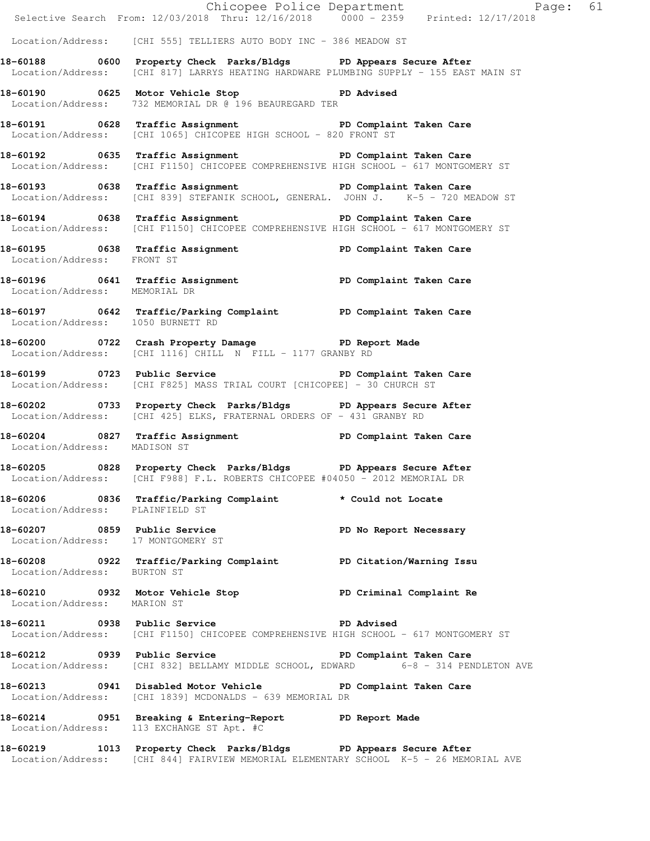|                                                                    |                                                                                                                                                            | Chicopee Police Department<br>Selective Search From: 12/03/2018 Thru: 12/16/2018 0000 - 2359 Printed: 12/17/2018 |  |
|--------------------------------------------------------------------|------------------------------------------------------------------------------------------------------------------------------------------------------------|------------------------------------------------------------------------------------------------------------------|--|
|                                                                    | Location/Address: [CHI 555] TELLIERS AUTO BODY INC - 386 MEADOW ST                                                                                         |                                                                                                                  |  |
|                                                                    | 18-60188 0600 Property Check Parks/Bldgs PD Appears Secure After<br>Location/Address: [CHI 817] LARRYS HEATING HARDWARE PLUMBING SUPPLY - 155 EAST MAIN ST |                                                                                                                  |  |
|                                                                    | 18-60190 0625 Motor Vehicle Stop 30 PD Advised<br>Location/Address: 732 MEMORIAL DR @ 196 BEAUREGARD TER                                                   |                                                                                                                  |  |
|                                                                    | 18-60191 0628 Traffic Assignment PD Complaint Taken Care<br>Location/Address: [CHI 1065] CHICOPEE HIGH SCHOOL - 820 FRONT ST                               |                                                                                                                  |  |
|                                                                    | 18-60192 		 0635 Traffic Assignment 		 PD Complaint Taken Care<br>Location/Address: [CHI F1150] CHICOPEE COMPREHENSIVE HIGH SCHOOL - 617 MONTGOMERY ST     |                                                                                                                  |  |
|                                                                    | 18-60193 0638 Traffic Assignment New PD Complaint Taken Care<br>Location/Address: [CHI 839] STEFANIK SCHOOL, GENERAL. JOHN J. K-5 - 720 MEADOW ST          |                                                                                                                  |  |
|                                                                    | 18-60194 0638 Traffic Assignment PD Complaint Taken Care<br>Location/Address: [CHI F1150] CHICOPEE COMPREHENSIVE HIGH SCHOOL - 617 MONTGOMERY ST           |                                                                                                                  |  |
| Location/Address: FRONT ST                                         | 18-60195 0638 Traffic Assignment 18-60195 PD Complaint Taken Care                                                                                          |                                                                                                                  |  |
| Location/Address: MEMORIAL DR                                      | 18-60196 0641 Traffic Assignment PD Complaint Taken Care                                                                                                   |                                                                                                                  |  |
| Location/Address: 1050 BURNETT RD                                  | 18-60197 0642 Traffic/Parking Complaint PD Complaint Taken Care                                                                                            |                                                                                                                  |  |
|                                                                    | 18-60200 0722 Crash Property Damage Name PD Report Made<br>Location/Address: [CHI 1116] CHILL N FILL - 1177 GRANBY RD                                      |                                                                                                                  |  |
|                                                                    | 18-60199 0723 Public Service 20 PD Complaint Taken Care<br>  Location/Address: [CHI F825] MASS TRIAL COURT [CHICOPEE] - 30 CHURCH ST                       |                                                                                                                  |  |
|                                                                    | 18-60202 		 0733 Property Check Parks/Bldgs 		 PD Appears Secure After<br>Location/Address: [CHI 425] ELKS, FRATERNAL ORDERS OF - 431 GRANBY RD            |                                                                                                                  |  |
| Location/Address: MADISON ST                                       | 18-60204 0827 Traffic Assignment National PD Complaint Taken Care                                                                                          |                                                                                                                  |  |
|                                                                    | 18-60205 0828 Property Check Parks/Bldgs PD Appears Secure After<br>Location/Address: [CHI F988] F.L. ROBERTS CHICOPEE #04050 - 2012 MEMORIAL DR           |                                                                                                                  |  |
| Location/Address: PLAINFIELD ST                                    | 18-60206 0836 Traffic/Parking Complaint * Could not Locate                                                                                                 |                                                                                                                  |  |
| 18-60207 0859 Public Service<br>Location/Address: 17 MONTGOMERY ST |                                                                                                                                                            | PD No Report Necessary                                                                                           |  |
| Location/Address: BURTON ST                                        | 18-60208 0922 Traffic/Parking Complaint PD Citation/Warning Issu                                                                                           |                                                                                                                  |  |
| Location/Address: MARION ST                                        | 18-60210 0932 Motor Vehicle Stop North PD Criminal Complaint Re                                                                                            |                                                                                                                  |  |
|                                                                    | 18-60211 0938 Public Service PD Advised<br>Location/Address: [CHI F1150] CHICOPEE COMPREHENSIVE HIGH SCHOOL - 617 MONTGOMERY ST                            |                                                                                                                  |  |
|                                                                    | 18-60212 18-60212 0939 Public Service 1980 18-60212<br>Location/Address: [CHI 832] BELLAMY MIDDLE SCHOOL, EDWARD 6-8 - 314 PENDLETON AVE                   |                                                                                                                  |  |
|                                                                    | 18-60213 0941 Disabled Motor Vehicle PD Complaint Taken Care<br>Location/Address: [CHI 1839] MCDONALDS - 639 MEMORIAL DR                                   |                                                                                                                  |  |
|                                                                    | 18-60214 0951 Breaking & Entering-Report TPD Report Made<br>Location/Address: 113 EXCHANGE ST Apt. #C                                                      |                                                                                                                  |  |
|                                                                    | 18-60219 1013 Property Check Parks/Bldgs PD Appears Secure After<br>Location/Address: [CHI 844] FAIRVIEW MEMORIAL ELEMENTARY SCHOOL K-5 - 26 MEMORIAL AVE  |                                                                                                                  |  |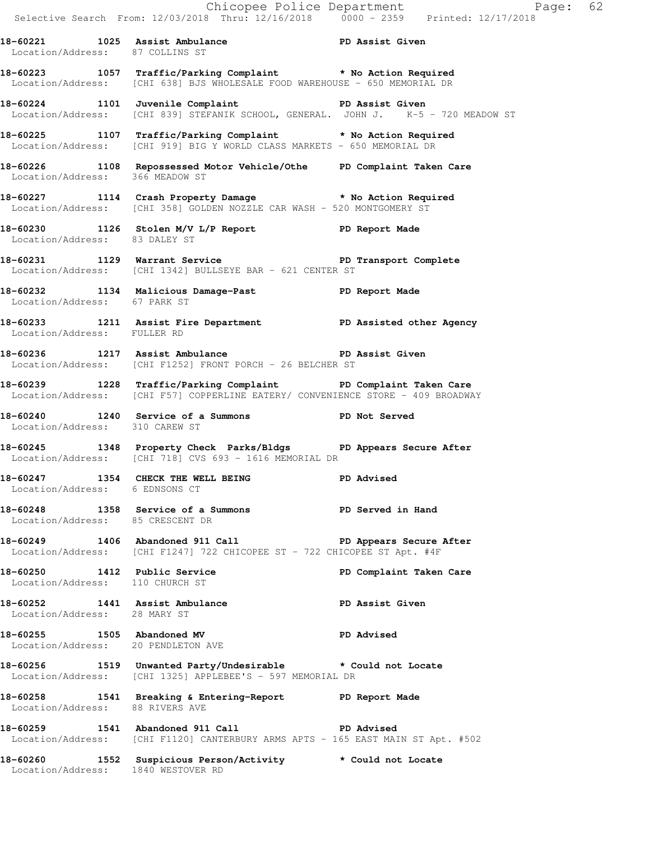Chicopee Police Department Fage: 62 Selective Search From: 12/03/2018 Thru: 12/16/2018 0000 - 2359 Printed: 12/17/2018 **18-60221 1025 Assist Ambulance PD Assist Given**  Location/Address: 87 COLLINS ST **18-60223 1057 Traffic/Parking Complaint \* No Action Required**  Location/Address: [CHI 638] BJS WHOLESALE FOOD WAREHOUSE - 650 MEMORIAL DR **18-60224 1101 Juvenile Complaint PD Assist Given**  Location/Address: [CHI 839] STEFANIK SCHOOL, GENERAL. JOHN J. K-5 - 720 MEADOW ST **18-60225 1107 Traffic/Parking Complaint \* No Action Required**  Location/Address: [CHI 919] BIG Y WORLD CLASS MARKETS - 650 MEMORIAL DR **18-60226 1108 Repossessed Motor Vehicle/Othe PD Complaint Taken Care**  Location/Address: 366 MEADOW ST **18-60227 1114 Crash Property Damage \* No Action Required**  Location/Address: [CHI 358] GOLDEN NOZZLE CAR WASH - 520 MONTGOMERY ST **18-60230 1126 Stolen M/V L/P Report PD Report Made**  Location/Address: 83 DALEY ST **18-60231 1129 Warrant Service PD Transport Complete**  Location/Address: [CHI 1342] BULLSEYE BAR - 621 CENTER ST **18-60232 1134 Malicious Damage-Past PD Report Made**  Location/Address: 67 PARK ST **18-60233 1211 Assist Fire Department PD Assisted other Agency**  Location/Address: FULLER RD 18-60236 1217 Assist Ambulance **PD Assist Given**  Location/Address: [CHI F1252] FRONT PORCH - 26 BELCHER ST **18-60239 1228 Traffic/Parking Complaint PD Complaint Taken Care**  Location/Address: [CHI F57] COPPERLINE EATERY/ CONVENIENCE STORE - 409 BROADWAY **18-60240 1240 Service of a Summons PD Not Served**  Location/Address: 310 CAREW ST **18-60245 1348 Property Check Parks/Bldgs PD Appears Secure After**  Location/Address: [CHI 718] CVS 693 - 1616 MEMORIAL DR **18-60247 1354 CHECK THE WELL BEING PD Advised**  Location/Address: 6 EDNSONS CT **18-60248 1358 Service of a Summons PD Served in Hand**  Location/Address: 85 CRESCENT DR **18-60249 1406 Abandoned 911 Call PD Appears Secure After**  Location/Address: [CHI F1247] 722 CHICOPEE ST - 722 CHICOPEE ST Apt. #4F 18-60250 1412 Public Service **PD Complaint Taken Care**  Location/Address: 110 CHURCH ST **18-60252 1441 Assist Ambulance PD Assist Given**  Location/Address: 28 MARY ST 18-60255 1505 Abandoned MV **PD Advised**  Location/Address: 20 PENDLETON AVE **18-60256 1519 Unwanted Party/Undesirable \* Could not Locate**  Location/Address: [CHI 1325] APPLEBEE'S - 597 MEMORIAL DR **18-60258 1541 Breaking & Entering-Report PD Report Made**  Location/Address: 88 RIVERS AVE **18-60259 1541 Abandoned 911 Call PD Advised**  Location/Address: [CHI F1120] CANTERBURY ARMS APTS - 165 EAST MAIN ST Apt. #502 **18-60260 1552 Suspicious Person/Activity \* Could not Locate**  Location/Address: 1840 WESTOVER RD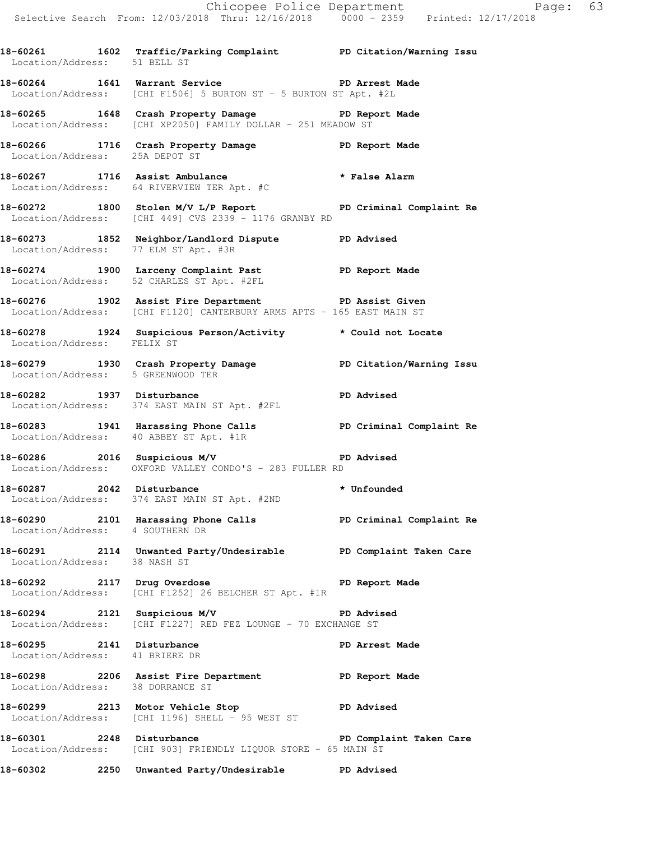**18-60261 1602 Traffic/Parking Complaint PD Citation/Warning Issu** 

Location/Address: 51 BELL ST

**18-60264 1641 Warrant Service PD Arrest Made**  Location/Address: [CHI F1506] 5 BURTON ST - 5 BURTON ST Apt. #2L **18-60265 1648 Crash Property Damage PD Report Made**  Location/Address: [CHI XP2050] FAMILY DOLLAR - 251 MEADOW ST **18-60266 1716 Crash Property Damage PD Report Made**  Location/Address: 25A DEPOT ST **18-60267 1716 Assist Ambulance \* False Alarm**  Location/Address: 64 RIVERVIEW TER Apt. #C **18-60272 1800 Stolen M/V L/P Report PD Criminal Complaint Re**  Location/Address: [CHI 449] CVS 2339 - 1176 GRANBY RD **18-60273 1852 Neighbor/Landlord Dispute PD Advised**  Location/Address: 77 ELM ST Apt. #3R **18-60274 1900 Larceny Complaint Past PD Report Made**  Location/Address: 52 CHARLES ST Apt. #2FL **18-60276 1902 Assist Fire Department PD Assist Given**  Location/Address: [CHI F1120] CANTERBURY ARMS APTS - 165 EAST MAIN ST **18-60278 1924 Suspicious Person/Activity \* Could not Locate**  Location/Address: FELIX ST **18-60279 1930 Crash Property Damage PD Citation/Warning Issu**  Location/Address: 5 GREENWOOD TER **18-60282 1937 Disturbance PD Advised**  Location/Address: 374 EAST MAIN ST Apt. #2FL **18-60283 1941 Harassing Phone Calls PD Criminal Complaint Re**  Location/Address: 40 ABBEY ST Apt. #1R **18-60286 2016 Suspicious M/V PD Advised**  Location/Address: OXFORD VALLEY CONDO'S - 283 FULLER RD **18-60287 2042 Disturbance \* Unfounded**  Location/Address: 374 EAST MAIN ST Apt. #2ND **18-60290 2101 Harassing Phone Calls PD Criminal Complaint Re**  Location/Address: 4 SOUTHERN DR **18-60291 2114 Unwanted Party/Undesirable PD Complaint Taken Care**  Location/Address: 38 NASH ST **18-60292 2117 Drug Overdose PD Report Made**  Location/Address: [CHI F1252] 26 BELCHER ST Apt. #1R **18-60294 2121 Suspicious M/V PD Advised**  Location/Address: [CHI F1227] RED FEZ LOUNGE - 70 EXCHANGE ST **18-60295 2141 Disturbance PD Arrest Made**  Location/Address: 41 BRIERE DR **18-60298 2206 Assist Fire Department PD Report Made**  Location/Address: 38 DORRANCE ST **18-60299 2213 Motor Vehicle Stop PD Advised**  Location/Address: [CHI 1196] SHELL - 95 WEST ST **18-60301 2248 Disturbance PD Complaint Taken Care**  Location/Address: [CHI 903] FRIENDLY LIQUOR STORE - 65 MAIN ST

**18-60302 2250 Unwanted Party/Undesirable PD Advised**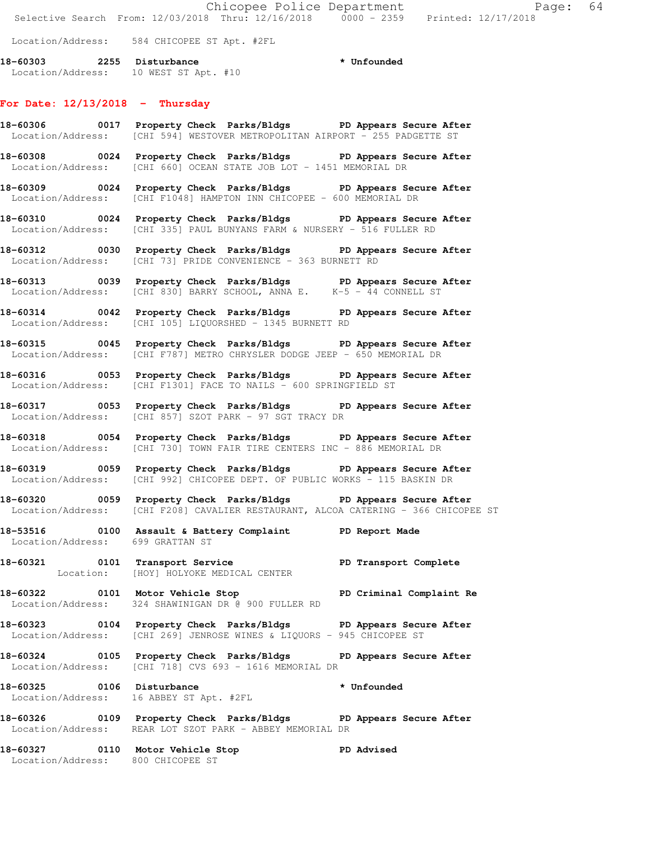|                                   | Selective Search From: 12/03/2018 Thru: 12/16/2018 0000 - 2359 Printed: 12/17/2018                                                                     |             |
|-----------------------------------|--------------------------------------------------------------------------------------------------------------------------------------------------------|-------------|
|                                   | Location/Address: 584 CHICOPEE ST Apt. #2FL                                                                                                            |             |
|                                   | 18-60303 2255 Disturbance<br>Location/Address: 10 WEST ST Apt. #10                                                                                     | * Unfounded |
| For Date: $12/13/2018$ - Thursday |                                                                                                                                                        |             |
|                                   | 18-60306 0017 Property Check Parks/Bldgs PD Appears Secure After<br>Location/Address: [CHI 594] WESTOVER METROPOLITAN AIRPORT - 255 PADGETTE ST        |             |
|                                   | 18-60308 0024 Property Check Parks/Bldgs PD Appears Secure After<br>Location/Address: [CHI 660] OCEAN STATE JOB LOT - 1451 MEMORIAL DR                 |             |
|                                   | 18-60309 0024 Property Check Parks/Bldgs PD Appears Secure After<br>Location/Address: [CHI F1048] HAMPTON INN CHICOPEE - 600 MEMORIAL DR               |             |
|                                   | 18-60310 0024 Property Check Parks/Bldgs PD Appears Secure After<br>Location/Address: [CHI 335] PAUL BUNYANS FARM & NURSERY - 516 FULLER RD            |             |
|                                   | 18-60312 0030 Property Check Parks/Bldgs PD Appears Secure After<br>Location/Address: [CHI 73] PRIDE CONVENIENCE - 363 BURNETT RD                      |             |
|                                   | 18-60313 0039 Property Check Parks/Bldgs PD Appears Secure After<br>Location/Address: [CHI 830] BARRY SCHOOL, ANNA E. K-5 - 44 CONNELL ST              |             |
|                                   | 18-60314 0042 Property Check Parks/Bldgs PD Appears Secure After<br>Location/Address: [CHI 105] LIQUORSHED - 1345 BURNETT RD                           |             |
|                                   | 18-60315 0045 Property Check Parks/Bldgs PD Appears Secure After<br>Location/Address: [CHI F787] METRO CHRYSLER DODGE JEEP - 650 MEMORIAL DR           |             |
|                                   | 18-60316 0053 Property Check Parks/Bldgs PD Appears Secure After<br>Location/Address: [CHI F1301] FACE TO NAILS - 600 SPRINGFIELD ST                   |             |
|                                   | 18-60317 0053 Property Check Parks/Bldgs PD Appears Secure After<br>Location/Address: [CHI 857] SZOT PARK - 97 SGT TRACY DR                            |             |
|                                   | 18-60318 0054 Property Check Parks/Bldgs PD Appears Secure After<br>Location/Address: [CHI 730] TOWN FAIR TIRE CENTERS INC - 886 MEMORIAL DR           |             |
|                                   | 18-60319 0059 Property Check Parks/Bldgs PD Appears Secure After<br>Location/Address: [CHI 992] CHICOPEE DEPT. OF PUBLIC WORKS - 115 BASKIN DR         |             |
|                                   | 18-60320 0059 Property Check Parks/Bldgs PD Appears Secure After<br>Location/Address: [CHI F208] CAVALIER RESTAURANT, ALCOA CATERING - 366 CHICOPEE ST |             |
| Location/Address: 699 GRATTAN ST  | 18-53516 0100 Assault & Battery Complaint PD Report Made                                                                                               |             |
|                                   | 18-60321 0101 Transport Service New PD Transport Complete<br>Location: [HOY] HOLYOKE MEDICAL CENTER                                                    |             |
|                                   | 18-60322 0101 Motor Vehicle Stop 50 PD Criminal Complaint Re<br>Location/Address: 324 SHAWINIGAN DR @ 900 FULLER RD                                    |             |
|                                   | 18-60323 0104 Property Check Parks/Bldgs PD Appears Secure After<br>Location/Address: [CHI 269] JENROSE WINES & LIQUORS - 945 CHICOPEE ST              |             |
|                                   | 18-60324 0105 Property Check Parks/Bldgs PD Appears Secure After<br>Location/Address: [CHI 718] CVS 693 - 1616 MEMORIAL DR                             |             |
|                                   | 18-60325 0106 Disturbance the total to the Unfounded<br>Location/Address: 16 ABBEY ST Apt. #2FL                                                        |             |
|                                   | 18-60326 0109 Property Check Parks/Bldgs PD Appears Secure After<br>Location/Address: REAR LOT SZOT PARK - ABBEY MEMORIAL DR                           |             |
|                                   |                                                                                                                                                        |             |

Chicopee Police Department Fage: 64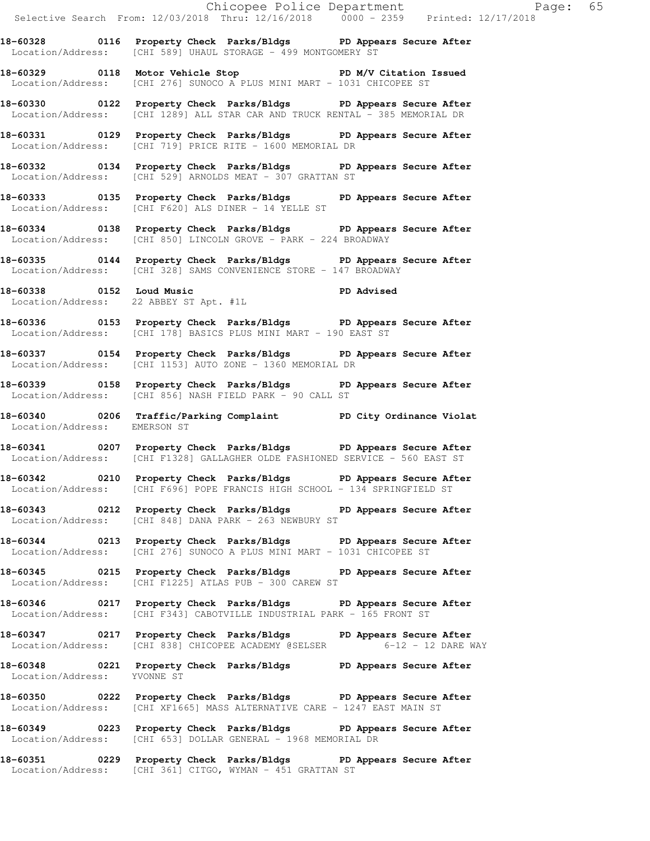**18-60328 0116 Property Check Parks/Bldgs PD Appears Secure After**  Location/Address: [CHI 589] UHAUL STORAGE - 499 MONTGOMERY ST

**18-60329 0118 Motor Vehicle Stop PD M/V Citation Issued**  Location/Address: [CHI 276] SUNOCO A PLUS MINI MART - 1031 CHICOPEE ST

**18-60330 0122 Property Check Parks/Bldgs PD Appears Secure After**  Location/Address: [CHI 1289] ALL STAR CAR AND TRUCK RENTAL - 385 MEMORIAL DR

**18-60331 0129 Property Check Parks/Bldgs PD Appears Secure After**  Location/Address: [CHI 719] PRICE RITE - 1600 MEMORIAL DR

**18-60332 0134 Property Check Parks/Bldgs PD Appears Secure After**  Location/Address: [CHI 529] ARNOLDS MEAT - 307 GRATTAN ST

**18-60333 0135 Property Check Parks/Bldgs PD Appears Secure After**  Location/Address: [CHI F620] ALS DINER - 14 YELLE ST

**18-60334 0138 Property Check Parks/Bldgs PD Appears Secure After**  Location/Address: [CHI 850] LINCOLN GROVE - PARK - 224 BROADWAY

**18-60335 0144 Property Check Parks/Bldgs PD Appears Secure After**  Location/Address: [CHI 328] SAMS CONVENIENCE STORE - 147 BROADWAY

**18-60338 0152 Loud Music PD Advised**  Location/Address: 22 ABBEY ST Apt. #1L

**18-60336 0153 Property Check Parks/Bldgs PD Appears Secure After**  Location/Address: [CHI 178] BASICS PLUS MINI MART - 190 EAST ST

**18-60337 0154 Property Check Parks/Bldgs PD Appears Secure After**  Location/Address: [CHI 1153] AUTO ZONE - 1360 MEMORIAL DR

**18-60339 0158 Property Check Parks/Bldgs PD Appears Secure After**  Location/Address: [CHI 856] NASH FIELD PARK - 90 CALL ST

**18-60340 0206 Traffic/Parking Complaint PD City Ordinance Violat**  Location/Address: EMERSON ST

**18-60341 0207 Property Check Parks/Bldgs PD Appears Secure After**  Location/Address: [CHI F1328] GALLAGHER OLDE FASHIONED SERVICE - 560 EAST ST

**18-60342 0210 Property Check Parks/Bldgs PD Appears Secure After**  Location/Address: [CHI F696] POPE FRANCIS HIGH SCHOOL - 134 SPRINGFIELD ST

**18-60343 0212 Property Check Parks/Bldgs PD Appears Secure After**  Location/Address: [CHI 848] DANA PARK - 263 NEWBURY ST

**18-60344 0213 Property Check Parks/Bldgs PD Appears Secure After**  Location/Address: [CHI 276] SUNOCO A PLUS MINI MART - 1031 CHICOPEE ST

**18-60345 0215 Property Check Parks/Bldgs PD Appears Secure After**  Location/Address: [CHI F1225] ATLAS PUB - 300 CAREW ST

**18-60346 0217 Property Check Parks/Bldgs PD Appears Secure After**  Location/Address: [CHI F343] CABOTVILLE INDUSTRIAL PARK - 165 FRONT ST

**18-60347 0217 Property Check Parks/Bldgs PD Appears Secure After**  Location/Address: [CHI 838] CHICOPEE ACADEMY @SELSER 6-12 - 12 DARE WAY

**18-60348 0221 Property Check Parks/Bldgs PD Appears Secure After**  Location/Address: YVONNE ST

**18-60350 0222 Property Check Parks/Bldgs PD Appears Secure After**  Location/Address: [CHI XF1665] MASS ALTERNATIVE CARE - 1247 EAST MAIN ST

**18-60349 0223 Property Check Parks/Bldgs PD Appears Secure After**  Location/Address: [CHI 653] DOLLAR GENERAL - 1968 MEMORIAL DR

**18-60351 0229 Property Check Parks/Bldgs PD Appears Secure After**  Location/Address: [CHI 361] CITGO, WYMAN - 451 GRATTAN ST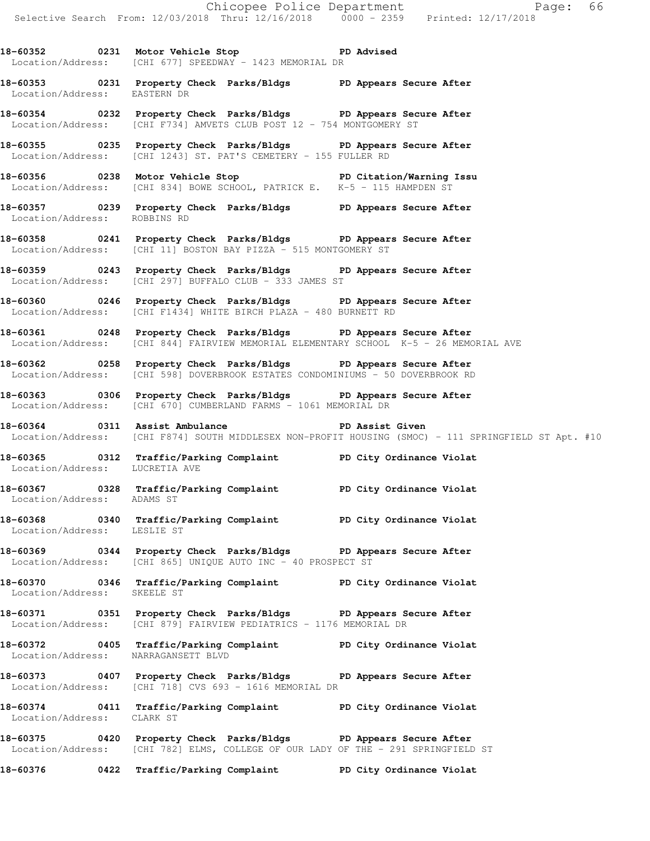**18-60352 0231 Motor Vehicle Stop PD Advised**  Location/Address: [CHI 677] SPEEDWAY - 1423 MEMORIAL DR

**18-60353 0231 Property Check Parks/Bldgs PD Appears Secure After**  Location/Address: EASTERN DR

**18-60354 0232 Property Check Parks/Bldgs PD Appears Secure After**  Location/Address: [CHI F734] AMVETS CLUB POST 12 - 754 MONTGOMERY ST

**18-60355 0235 Property Check Parks/Bldgs PD Appears Secure After**  Location/Address: [CHI 1243] ST. PAT'S CEMETERY - 155 FULLER RD

**18-60356 0238 Motor Vehicle Stop PD Citation/Warning Issu**  Location/Address: [CHI 834] BOWE SCHOOL, PATRICK E. K-5 - 115 HAMPDEN ST

**18-60357 0239 Property Check Parks/Bldgs PD Appears Secure After**  Location/Address: ROBBINS RD

**18-60358 0241 Property Check Parks/Bldgs PD Appears Secure After**  Location/Address: [CHI 11] BOSTON BAY PIZZA - 515 MONTGOMERY ST

**18-60359 0243 Property Check Parks/Bldgs PD Appears Secure After**  Location/Address: [CHI 297] BUFFALO CLUB - 333 JAMES ST

**18-60360 0246 Property Check Parks/Bldgs PD Appears Secure After**  Location/Address: [CHI F1434] WHITE BIRCH PLAZA - 480 BURNETT RD

**18-60361 0248 Property Check Parks/Bldgs PD Appears Secure After**  Location/Address: [CHI 844] FAIRVIEW MEMORIAL ELEMENTARY SCHOOL K-5 - 26 MEMORIAL AVE

**18-60362 0258 Property Check Parks/Bldgs PD Appears Secure After**  Location/Address: [CHI 598] DOVERBROOK ESTATES CONDOMINIUMS - 50 DOVERBROOK RD

**18-60363 0306 Property Check Parks/Bldgs PD Appears Secure After**  Location/Address: [CHI 670] CUMBERLAND FARMS - 1061 MEMORIAL DR

**18-60364 0311 Assist Ambulance PD Assist Given**  Location/Address: [CHI F874] SOUTH MIDDLESEX NON-PROFIT HOUSING (SMOC) - 111 SPRINGFIELD ST Apt. #10

**18-60365 0312 Traffic/Parking Complaint PD City Ordinance Violat**  Location/Address: LUCRETIA AVE

**18-60367 0328 Traffic/Parking Complaint PD City Ordinance Violat**  Location/Address: ADAMS ST

**18-60368 0340 Traffic/Parking Complaint PD City Ordinance Violat**  Location/Address: LESLIE ST

**18-60369 0344 Property Check Parks/Bldgs PD Appears Secure After**  Location/Address: [CHI 865] UNIQUE AUTO INC - 40 PROSPECT ST

**18-60370 0346 Traffic/Parking Complaint PD City Ordinance Violat**  Location/Address: SKEELE ST

**18-60371 0351 Property Check Parks/Bldgs PD Appears Secure After**  Location/Address: [CHI 879] FAIRVIEW PEDIATRICS - 1176 MEMORIAL DR

**18-60372 0405 Traffic/Parking Complaint PD City Ordinance Violat**  Location/Address: NARRAGANSETT BLVD

**18-60373 0407 Property Check Parks/Bldgs PD Appears Secure After**  Location/Address: [CHI 718] CVS 693 - 1616 MEMORIAL DR

**18-60374 0411 Traffic/Parking Complaint PD City Ordinance Violat**  Location/Address: CLARK ST

**18-60375 0420 Property Check Parks/Bldgs PD Appears Secure After**  Location/Address: [CHI 782] ELMS, COLLEGE OF OUR LADY OF THE - 291 SPRINGFIELD ST

**18-60376 0422 Traffic/Parking Complaint PD City Ordinance Violat**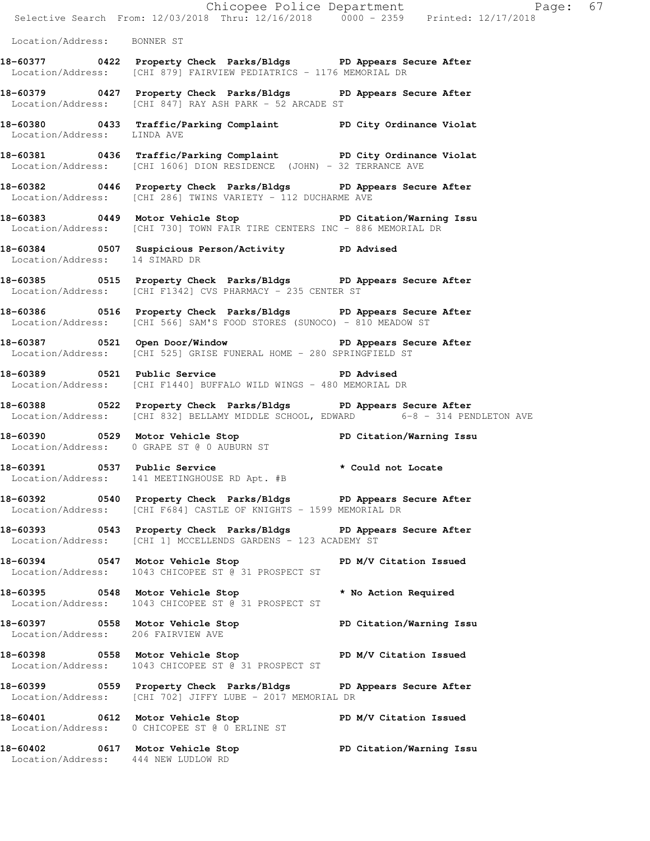|                                    |                                                                                                                                                       | Chicopee Police Department<br>Selective Search From: 12/03/2018 Thru: 12/16/2018 0000 - 2359 Printed: 12/17/2018 |  |
|------------------------------------|-------------------------------------------------------------------------------------------------------------------------------------------------------|------------------------------------------------------------------------------------------------------------------|--|
|                                    |                                                                                                                                                       |                                                                                                                  |  |
| Location/Address: BONNER ST        |                                                                                                                                                       |                                                                                                                  |  |
|                                    | 18-60377 0422 Property Check Parks/Bldgs PD Appears Secure After<br>Location/Address: [CHI 879] FAIRVIEW PEDIATRICS - 1176 MEMORIAL DR                |                                                                                                                  |  |
|                                    | 18-60379 0427 Property Check Parks/Bldgs PD Appears Secure After<br>Location/Address: [CHI 847] RAY ASH PARK - 52 ARCADE ST                           |                                                                                                                  |  |
| Location/Address: LINDA AVE        | 18-60380 0433 Traffic/Parking Complaint PD City Ordinance Violat                                                                                      |                                                                                                                  |  |
|                                    | 18-60381 0436 Traffic/Parking Complaint PD City Ordinance Violat<br>Location/Address: [CHI 1606] DION RESIDENCE (JOHN) - 32 TERRANCE AVE              |                                                                                                                  |  |
|                                    | 18-60382 0446 Property Check Parks/Bldgs PD Appears Secure After<br>Location/Address: [CHI 286] TWINS VARIETY - 112 DUCHARME AVE                      |                                                                                                                  |  |
|                                    | 18-60383 0449 Motor Vehicle Stop PD Citation/Warning Issu<br>Location/Address: [CHI 730] TOWN FAIR TIRE CENTERS INC - 886 MEMORIAL DR                 |                                                                                                                  |  |
| Location/Address: 14 SIMARD DR     | 18-60384 0507 Suspicious Person/Activity PD Advised                                                                                                   |                                                                                                                  |  |
|                                    | 18-60385 0515 Property Check Parks/Bldgs PD Appears Secure After<br>Location/Address: [CHI F1342] CVS PHARMACY - 235 CENTER ST                        |                                                                                                                  |  |
|                                    | 18-60386 0516 Property Check Parks/Bldgs PD Appears Secure After<br>Location/Address: [CHI 566] SAM'S FOOD STORES (SUNOCO) - 810 MEADOW ST            |                                                                                                                  |  |
|                                    | 18-60387 0521 Open Door/Window Number 20 PD Appears Secure After<br>Location/Address: [CHI 525] GRISE FUNERAL HOME - 280 SPRINGFIELD ST               |                                                                                                                  |  |
|                                    | Location/Address: [CHI F1440] BUFFALO WILD WINGS - 480 MEMORIAL DR                                                                                    |                                                                                                                  |  |
|                                    | 18-60388 0522 Property Check Parks/Bldgs PD Appears Secure After<br>Location/Address: [CHI 832] BELLAMY MIDDLE SCHOOL, EDWARD 6-8 - 314 PENDLETON AVE |                                                                                                                  |  |
|                                    | 18-60390 0529 Motor Vehicle Stop Noter PD Citation/Warning Issu<br>Location/Address: 0 GRAPE ST @ 0 AUBURN ST                                         |                                                                                                                  |  |
|                                    | 18-60391 0537 Public Service * * Could not Locate<br>Location/Address: 141 MEETINGHOUSE RD Apt. #B                                                    |                                                                                                                  |  |
|                                    | 18-60392 0540 Property Check Parks/Bldgs PD Appears Secure After<br>Location/Address: [CHI F684] CASTLE OF KNIGHTS - 1599 MEMORIAL DR                 |                                                                                                                  |  |
|                                    | 18-60393 0543 Property Check Parks/Bldgs PD Appears Secure After<br>Location/Address: [CHI 1] MCCELLENDS GARDENS - 123 ACADEMY ST                     |                                                                                                                  |  |
|                                    | 18-60394 0547 Motor Vehicle Stop N/V Citation Issued<br>Location/Address: 1043 CHICOPEE ST @ 31 PROSPECT ST                                           |                                                                                                                  |  |
|                                    | 18-60395 0548 Motor Vehicle Stop<br>Location/Address: 1043 CHICOPEE ST @ 31 PROSPECT ST                                                               | * No Action Required                                                                                             |  |
| Location/Address: 206 FAIRVIEW AVE | 18-60397 0558 Motor Vehicle Stop North PD Citation/Warning Issu                                                                                       |                                                                                                                  |  |
|                                    | 18-60398 0558 Motor Vehicle Stop N/V Citation Issued<br>Location/Address: 1043 CHICOPEE ST @ 31 PROSPECT ST                                           |                                                                                                                  |  |
|                                    | 18-60399 0559 Property Check Parks/Bldgs PD Appears Secure After<br>Location/Address: [CHI 702] JIFFY LUBE - 2017 MEMORIAL DR                         |                                                                                                                  |  |
|                                    | 18-60401 0612 Motor Vehicle Stop<br>Location/Address: 0 CHICOPEE ST @ 0 ERLINE ST                                                                     | PD M/V Citation Issued                                                                                           |  |
|                                    | 18-60402 0617 Motor Vehicle Stop 50 PD Citation/Warning Issu<br>Location/Address: 444 NEW LUDLOW RD                                                   |                                                                                                                  |  |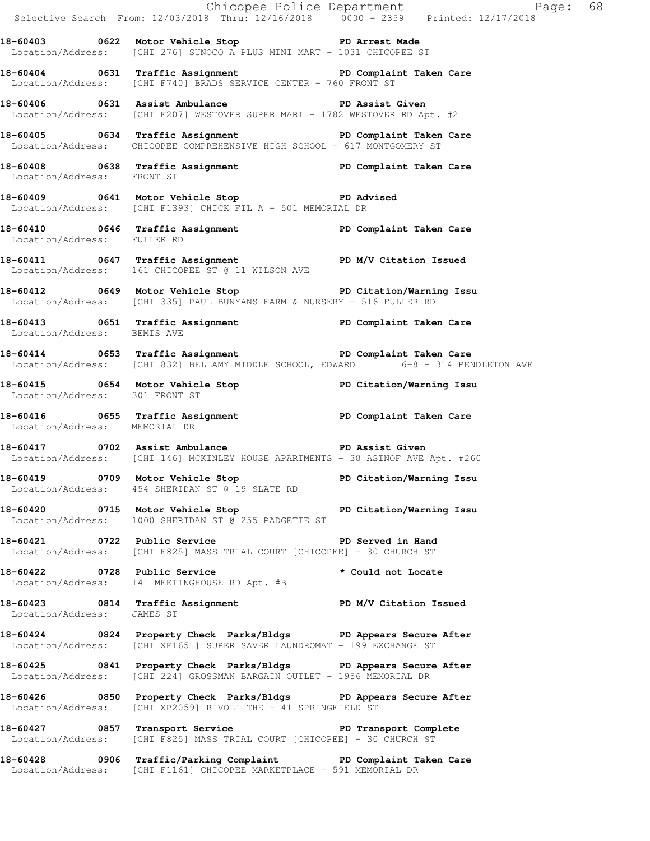|                                |                                                                                                                                                               | Chicopee Police Department Fage: 68<br>Selective Search From: 12/03/2018 Thru: 12/16/2018 0000 - 2359 Printed: 12/17/2018 |
|--------------------------------|---------------------------------------------------------------------------------------------------------------------------------------------------------------|---------------------------------------------------------------------------------------------------------------------------|
|                                | 18-60403 0622 Motor Vehicle Stop PD Arrest Made<br>Location/Address: [CHI 276] SUNOCO A PLUS MINI MART - 1031 CHICOPEE ST                                     |                                                                                                                           |
|                                | 18-60404 0631 Traffic Assignment New PD Complaint Taken Care<br>Location/Address: [CHI F740] BRADS SERVICE CENTER - 760 FRONT ST                              |                                                                                                                           |
|                                | 18-60406 0631 Assist Ambulance New PD Assist Given<br>Location/Address: [CHI F207] WESTOVER SUPER MART - 1782 WESTOVER RD Apt. #2                             |                                                                                                                           |
|                                | 18-60405 0634 Traffic Assignment<br>Location/Address: CHICOPEE COMPREHENSIVE HIGH SCHOOL - 617 MONTGOMERY ST                                                  |                                                                                                                           |
|                                | 18-60408 0638 Traffic Assignment <b>18-60408</b> PD Complaint Taken Care<br>Location/Address: FRONT ST                                                        |                                                                                                                           |
|                                | 18-60409 0641 Motor Vehicle Stop PD Advised<br>Location/Address: [CHI F1393] CHICK FIL A - 501 MEMORIAL DR                                                    |                                                                                                                           |
| Location/Address: FULLER RD    | 18-60410 0646 Traffic Assignment PD Complaint Taken Care                                                                                                      |                                                                                                                           |
|                                | 18-60411 0647 Traffic Assignment TPD M/V Citation Issued<br>Location/Address: 161 CHICOPEE ST @ 11 WILSON AVE                                                 |                                                                                                                           |
|                                | 18-60412 18-60412 0649 Motor Vehicle Stop 19 19 PD Citation/Warning Issu<br>Location/Address: [CHI 335] PAUL BUNYANS FARM & NURSERY - 516 FULLER RD           |                                                                                                                           |
| Location/Address: BEMIS AVE    | 18-60413 0651 Traffic Assignment New PD Complaint Taken Care                                                                                                  |                                                                                                                           |
|                                | 18-60414 18-60414 0653 Traffic Assignment 18-600 PD Complaint Taken Care<br>Location/Address: [CHI 832] BELLAMY MIDDLE SCHOOL, EDWARD 6-8 - 314 PENDLETON AVE |                                                                                                                           |
| Location/Address: 301 FRONT ST | 18-60415 0654 Motor Vehicle Stop North PD Citation/Warning Issu                                                                                               |                                                                                                                           |
| Location/Address: MEMORIAL DR  | 18-60416 18-60416 0655 Traffic Assignment 18-60416 PD Complaint Taken Care                                                                                    |                                                                                                                           |
|                                | 18-60417 0702 Assist Ambulance PD Assist Given<br>Location/Address: [CHI 146] MCKINLEY HOUSE APARTMENTS - 38 ASINOF AVE Apt. #260                             |                                                                                                                           |
|                                | 18-60419 18-0709 Motor Vehicle Stop 18-00 PD Citation/Warning Issu<br>Location/Address: 454 SHERIDAN ST @ 19 SLATE RD                                         |                                                                                                                           |
|                                | 18-60420 0715 Motor Vehicle Stop North PD Citation/Warning Issu<br>Location/Address: 1000 SHERIDAN ST @ 255 PADGETTE ST                                       |                                                                                                                           |
|                                | 18-60421 0722 Public Service New PD Served in Hand<br>Location/Address: [CHI F825] MASS TRIAL COURT [CHICOPEE] - 30 CHURCH ST                                 |                                                                                                                           |
|                                | 18-60422 		 0728 Public Service 			 * Could not Locate<br>Location/Address: 141 MEETINGHOUSE RD Apt. #B                                                       |                                                                                                                           |
| Location/Address: JAMES ST     | 18-60423 0814 Traffic Assignment No PD M/V Citation Issued                                                                                                    |                                                                                                                           |
|                                | 18-60424 0824 Property Check Parks/Bldgs PD Appears Secure After<br>Location/Address: [CHI XF1651] SUPER SAVER LAUNDROMAT - 199 EXCHANGE ST                   |                                                                                                                           |
|                                | 18-60425 0841 Property Check Parks/Bldgs PD Appears Secure After<br>Location/Address: [CHI 224] GROSSMAN BARGAIN OUTLET - 1956 MEMORIAL DR                    |                                                                                                                           |
|                                | 18-60426 		 0850 Property Check Parks/Bldgs 		 PD Appears Secure After<br>Location/Address: [CHI XP2059] RIVOLI THE - 41 SPRINGFIELD ST                       |                                                                                                                           |
|                                | 18-60427 0857 Transport Service <b>18 PD</b> Transport Complete<br>Location/Address: [CHI F825] MASS TRIAL COURT [CHICOPEE] - 30 CHURCH ST                    |                                                                                                                           |
|                                | 18-60428 0906 Traffic/Parking Complaint BD Complaint Taken Care<br>Location/Address: [CHI F1161] CHICOPEE MARKETPLACE - 591 MEMORIAL DR                       |                                                                                                                           |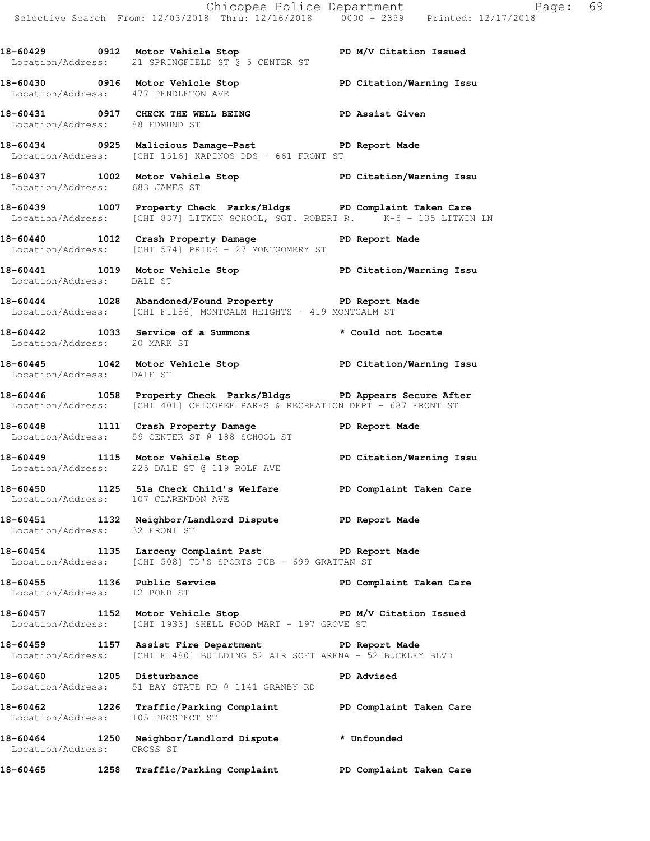|                                     |                                                                                                                                                   | Chicopee Police Department<br>Selective Search From: 12/03/2018 Thru: 12/16/2018 0000 - 2359 Printed: 12/17/2018 |  |
|-------------------------------------|---------------------------------------------------------------------------------------------------------------------------------------------------|------------------------------------------------------------------------------------------------------------------|--|
|                                     | 18-60429 0912 Motor Vehicle Stop PD M/V Citation Issued<br>Location/Address: 21 SPRINGFIELD ST @ 5 CENTER ST                                      |                                                                                                                  |  |
|                                     | 18-60430 0916 Motor Vehicle Stop PD Citation/Warning Issu<br>Location/Address: 477 PENDLETON AVE                                                  |                                                                                                                  |  |
| Location/Address: 88 EDMUND ST      | 18-60431 0917 CHECK THE WELL BEING PD Assist Given                                                                                                |                                                                                                                  |  |
|                                     | 18-60434 0925 Malicious Damage-Past <b>18-60434</b> PD Report Made<br>Location/Address: [CHI 1516] KAPINOS DDS - 661 FRONT ST                     |                                                                                                                  |  |
| Location/Address: 683 JAMES ST      | 18-60437 1002 Motor Vehicle Stop PD Citation/Warning Issu<br>Location/Address: 683 JAMES ST                                                       |                                                                                                                  |  |
|                                     | 18-60439 1007 Property Check Parks/Bldgs PD Complaint Taken Care<br>Location/Address: [CHI 837] LITWIN SCHOOL, SGT. ROBERT R. K-5 - 135 LITWIN LN |                                                                                                                  |  |
|                                     | 18-60440 1012 Crash Property Damage<br>Location/Address: [CHI 574] PRIDE - 27 MONTGOMERY ST                                                       | PD Report Made                                                                                                   |  |
| Location/Address: DALE ST           | 18-60441 1019 Motor Vehicle Stop North PD Citation/Warning Issu                                                                                   |                                                                                                                  |  |
|                                     | 18-60444 1028 Abandoned/Found Property PD Report Made<br>Location/Address: [CHI F1186] MONTCALM HEIGHTS - 419 MONTCALM ST                         |                                                                                                                  |  |
|                                     | 18-60442 1033 Service of a Summons * Could not Locate<br>Location/Address: 20 MARK ST                                                             |                                                                                                                  |  |
| Location/Address: DALE ST           | 18-60445 1042 Motor Vehicle Stop North PD Citation/Warning Issu                                                                                   |                                                                                                                  |  |
|                                     | 18-60446 1058 Property Check Parks/Bldgs PD Appears Secure After<br>Location/Address: [CHI 401] CHICOPEE PARKS & RECREATION DEPT - 687 FRONT ST   |                                                                                                                  |  |
|                                     | 18-60448 1111 Crash Property Damage Naport Made<br>Location/Address: 59 CENTER ST @ 188 SCHOOL ST                                                 |                                                                                                                  |  |
|                                     | 18-60449 1115 Motor Vehicle Stop North PD Citation/Warning Issu<br>Location/Address: 225 DALE ST @ 119 ROLF AVE                                   |                                                                                                                  |  |
| Location/Address: 107 CLARENDON AVE | 18-60450 1125 51a Check Child's Welfare PD Complaint Taken Care                                                                                   |                                                                                                                  |  |
| Location/Address: 32 FRONT ST       | 18-60451 1132 Neighbor/Landlord Dispute PD Report Made                                                                                            |                                                                                                                  |  |
|                                     | 18-60454 1135 Larceny Complaint Past PD Report Made<br>Location/Address: [CHI 508] TD'S SPORTS PUB - 699 GRATTAN ST                               |                                                                                                                  |  |
| Location/Address: 12 POND ST        | 18-60455 1136 Public Service                                                                                                                      | PD Complaint Taken Care                                                                                          |  |
|                                     | 18-60457 1152 Motor Vehicle Stop N/V Citation Issued<br>Location/Address: [CHI 1933] SHELL FOOD MART - 197 GROVE ST                               |                                                                                                                  |  |
|                                     | 18-60459 1157 Assist Fire Department PD Report Made<br>Location/Address: [CHI F1480] BUILDING 52 AIR SOFT ARENA - 52 BUCKLEY BLVD                 |                                                                                                                  |  |
| 18-60460 1205 Disturbance           | Location/Address: 51 BAY STATE RD @ 1141 GRANBY RD                                                                                                | PD Advised                                                                                                       |  |
| Location/Address: 105 PROSPECT ST   | 18-60462 1226 Traffic/Parking Complaint PD Complaint Taken Care                                                                                   |                                                                                                                  |  |
| Location/Address: CROSS ST          | 18-60464 1250 Neighbor/Landlord Dispute * Unfounded                                                                                               |                                                                                                                  |  |
| 18-60465                            | 1258 Traffic/Parking Complaint PD Complaint Taken Care                                                                                            |                                                                                                                  |  |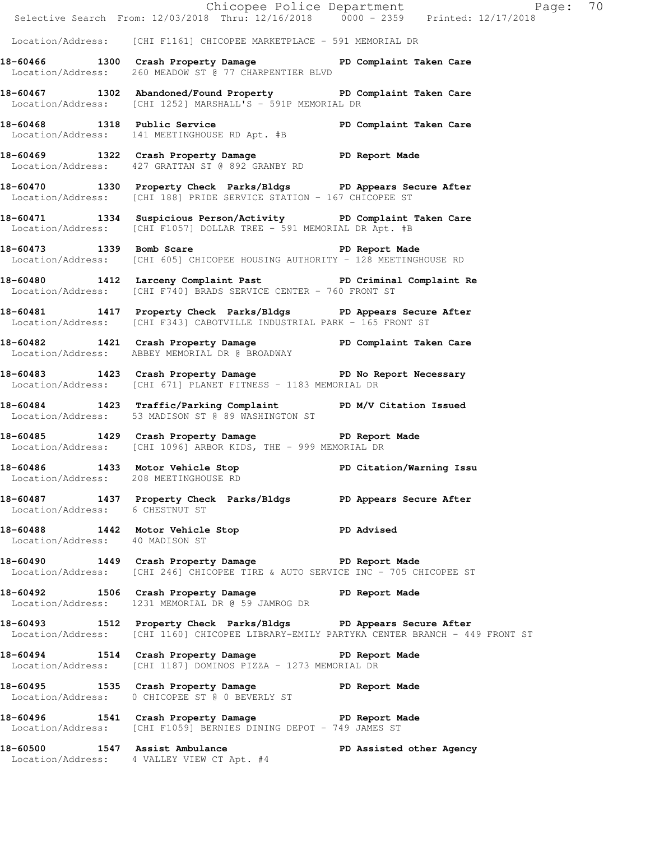|                                 |                                                                                                                                                              | Chicopee Police Department<br>Selective Search From: 12/03/2018 Thru: 12/16/2018 0000 - 2359 Printed: 12/17/2018 |
|---------------------------------|--------------------------------------------------------------------------------------------------------------------------------------------------------------|------------------------------------------------------------------------------------------------------------------|
|                                 | Location/Address: [CHI F1161] CHICOPEE MARKETPLACE - 591 MEMORIAL DR                                                                                         |                                                                                                                  |
|                                 | 18-60466 1300 Crash Property Damage PD Complaint Taken Care<br>Location/Address: 260 MEADOW ST @ 77 CHARPENTIER BLVD                                         |                                                                                                                  |
|                                 | 18-60467 1302 Abandoned/Found Property PD Complaint Taken Care<br>Location/Address: [CHI 1252] MARSHALL'S - 591P MEMORIAL DR                                 |                                                                                                                  |
|                                 | 18-60468 1318 Public Service 20 PD Complaint Taken Care<br>Location/Address: 141 MEETINGHOUSE RD Apt. #B                                                     |                                                                                                                  |
|                                 | 18-60469 1322 Crash Property Damage PD Report Made<br>Location/Address: 427 GRATTAN ST @ 892 GRANBY RD                                                       |                                                                                                                  |
|                                 | 18-60470 1330 Property Check Parks/Bldgs PD Appears Secure After<br>Location/Address: [CHI 188] PRIDE SERVICE STATION - 167 CHICOPEE ST                      |                                                                                                                  |
|                                 | 18-60471 1334 Suspicious Person/Activity PD Complaint Taken Care<br>Location/Address: [CHI F1057] DOLLAR TREE - 591 MEMORIAL DR Apt. #B                      |                                                                                                                  |
|                                 | 18-60473 1339 Bomb Scare 20 PD Report Made<br>Location/Address: [CHI 605] CHICOPEE HOUSING AUTHORITY - 128 MEETINGHOUSE RD                                   |                                                                                                                  |
|                                 | 18-60480 1412 Larceny Complaint Past PD Criminal Complaint Re<br>Location/Address: [CHI F740] BRADS SERVICE CENTER - 760 FRONT ST                            |                                                                                                                  |
|                                 | 18-60481 1417 Property Check Parks/Bldgs PD Appears Secure After<br>Location/Address: [CHI F343] CABOTVILLE INDUSTRIAL PARK - 165 FRONT ST                   |                                                                                                                  |
|                                 | 18-60482 1421 Crash Property Damage Name PD Complaint Taken Care<br>Location/Address: ABBEY MEMORIAL DR @ BROADWAY                                           |                                                                                                                  |
|                                 | 18-60483 1423 Crash Property Damage PD No Report Necessary<br>Location/Address: [CHI 671] PLANET FITNESS - 1183 MEMORIAL DR                                  |                                                                                                                  |
|                                 | 18-60484 1423 Traffic/Parking Complaint PD M/V Citation Issued<br>Location/Address: 53 MADISON ST @ 89 WASHINGTON ST                                         |                                                                                                                  |
|                                 | 18-60485 1429 Crash Property Damage PD Report Made<br>Location/Address: [CHI 1096] ARBOR KIDS, THE - 999 MEMORIAL DR                                         |                                                                                                                  |
|                                 | 18-60486 1433 Motor Vehicle Stop North PD Citation/Warning Issu<br>Location/Address: 208 MEETINGHOUSE RD                                                     |                                                                                                                  |
| Location/Address: 6 CHESTNUT ST | 18-60487 1437 Property Check Parks/Bldgs PD Appears Secure After                                                                                             |                                                                                                                  |
| Location/Address: 40 MADISON ST | 18-60488 1442 Motor Vehicle Stop PD Advised                                                                                                                  |                                                                                                                  |
|                                 | 18-60490 1449 Crash Property Damage PD Report Made<br>Location/Address: [CHI 246] CHICOPEE TIRE & AUTO SERVICE INC - 705 CHICOPEE ST                         |                                                                                                                  |
|                                 | 18-60492 1506 Crash Property Damage PD Report Made Location/Address: 1231 MEMORIAL DR @ 59 JAMROG DR                                                         |                                                                                                                  |
|                                 | 18-60493 1512 Property Check Parks/Bldgs PD Appears Secure After<br>Location/Address: [CHI 1160] CHICOPEE LIBRARY-EMILY PARTYKA CENTER BRANCH - 449 FRONT ST |                                                                                                                  |
|                                 | 18-60494 1514 Crash Property Damage PD Report Made<br>Location/Address: [CHI 1187] DOMINOS PIZZA - 1273 MEMORIAL DR                                          |                                                                                                                  |
|                                 | 18-60495 1535 Crash Property Damage 3 PD Report Made<br>Location/Address: 0 CHICOPEE ST @ 0 BEVERLY ST                                                       |                                                                                                                  |
|                                 | 18-60496 1541 Crash Property Damage PD Report Made<br>  Location/Address: [CHI F1059] BERNIES DINING DEPOT - 749 JAMES ST                                    |                                                                                                                  |
|                                 | 18-60500 1547 Assist Ambulance<br>Location/Address: 4 VALLEY VIEW CT Apt. #4                                                                                 | PD Assisted other Agency                                                                                         |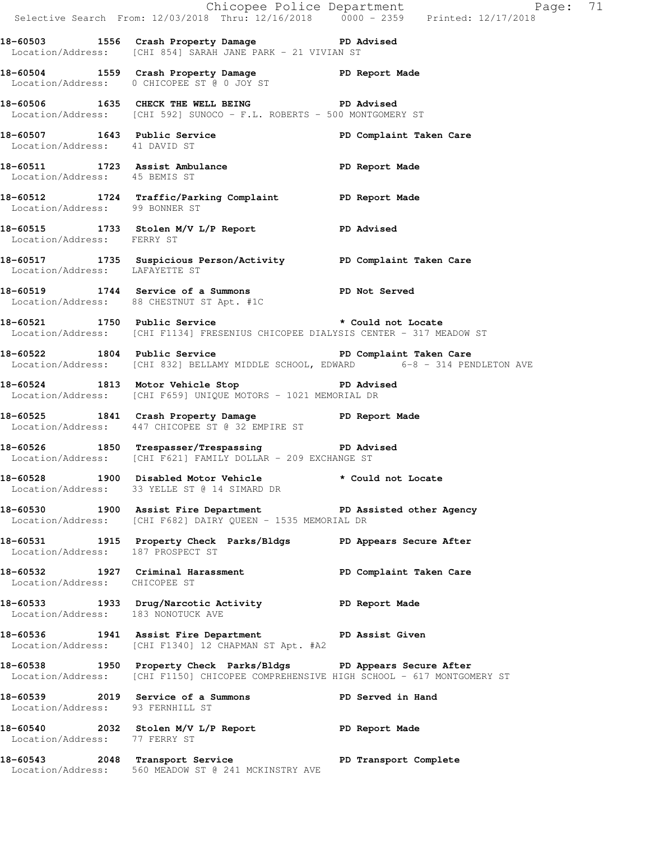|                                    |                                                                                                                                                          | Chicopee Police Department<br>Selective Search From: 12/03/2018 Thru: 12/16/2018 0000 - 2359 Printed: 12/17/2018 |  |
|------------------------------------|----------------------------------------------------------------------------------------------------------------------------------------------------------|------------------------------------------------------------------------------------------------------------------|--|
|                                    | 18-60503 1556 Crash Property Damage PD Advised<br>Location/Address: [CHI 854] SARAH JANE PARK - 21 VIVIAN ST                                             |                                                                                                                  |  |
|                                    | 18-60504 1559 Crash Property Damage PD Report Made<br>Location/Address: 0 CHICOPEE ST @ 0 JOY ST                                                         |                                                                                                                  |  |
|                                    | 18-60506 1635 CHECK THE WELL BEING PD Advised<br>Location/Address: [CHI 592] SUNOCO - F.L. ROBERTS - 500 MONTGOMERY ST                                   |                                                                                                                  |  |
| Location/Address: 41 DAVID ST      | 18-60507 1643 Public Service                                                                                                                             | PD Complaint Taken Care                                                                                          |  |
| Location/Address: 45 BEMIS ST      | 18-60511 1723 Assist Ambulance National PD Report Made                                                                                                   |                                                                                                                  |  |
| Location/Address: 99 BONNER ST     | 18-60512 1724 Traffic/Parking Complaint PD Report Made                                                                                                   |                                                                                                                  |  |
| Location/Address: FERRY ST         | 18-60515 1733 Stolen M/V L/P Report PD Advised                                                                                                           |                                                                                                                  |  |
| Location/Address: LAFAYETTE ST     | 18-60517 1735 Suspicious Person/Activity PD Complaint Taken Care                                                                                         |                                                                                                                  |  |
|                                    | 18-60519 1744 Service of a Summons PD Not Served<br>Location/Address: 88 CHESTNUT ST Apt. #1C                                                            |                                                                                                                  |  |
|                                    | 18-60521 1750 Public Service * Could not Locate<br>Location/Address: [CHI F1134] FRESENIUS CHICOPEE DIALYSIS CENTER - 317 MEADOW ST                      |                                                                                                                  |  |
|                                    | 18-60522 1804 Public Service New PD Complaint Taken Care<br>Location/Address: [CHI 832] BELLAMY MIDDLE SCHOOL, EDWARD 6-8 - 314 PENDLETON AVE            |                                                                                                                  |  |
|                                    | 18-60524 1813 Motor Vehicle Stop November 2014<br>Location/Address: [CHI F659] UNIQUE MOTORS - 1021 MEMORIAL DR                                          |                                                                                                                  |  |
|                                    | 18-60525 1841 Crash Property Damage PD Report Made<br>Location/Address: 447 CHICOPEE ST @ 32 EMPIRE ST                                                   |                                                                                                                  |  |
|                                    | 18-60526 1850 Trespasser/Trespassing PD Advised<br>Location/Address: [CHI F621] FAMILY DOLLAR - 209 EXCHANGE ST                                          |                                                                                                                  |  |
|                                    | 18-60528 1900 Disabled Motor Vehicle<br>Location/Address: 33 YELLE ST @ 14 SIMARD DR                                                                     | * Could not Locate                                                                                               |  |
|                                    | 18-60530 1900 Assist Fire Department PD Assisted other Agency<br>Location/Address: [CHI F682] DAIRY QUEEN - 1535 MEMORIAL DR                             |                                                                                                                  |  |
| Location/Address: 187 PROSPECT ST  | 18-60531 1915 Property Check Parks/Bldgs PD Appears Secure After                                                                                         |                                                                                                                  |  |
| Location/Address: CHICOPEE ST      | 18-60532 1927 Criminal Harassment Terminal PD Complaint Taken Care                                                                                       |                                                                                                                  |  |
| Location/Address: 183 NONOTUCK AVE | 18-60533 1933 Drug/Narcotic Activity 18-60533                                                                                                            |                                                                                                                  |  |
|                                    | 18-60536 1941 Assist Fire Department PD Assist Given<br>Location/Address: [CHI F1340] 12 CHAPMAN ST Apt. #A2                                             |                                                                                                                  |  |
|                                    | 18-60538 1950 Property Check Parks/Bldgs PD Appears Secure After<br>Location/Address: [CHI F1150] CHICOPEE COMPREHENSIVE HIGH SCHOOL - 617 MONTGOMERY ST |                                                                                                                  |  |
| Location/Address: 93 FERNHILL ST   | 18-60539 2019 Service of a Summons PD Served in Hand                                                                                                     |                                                                                                                  |  |
|                                    | 18-60540 2032 Stolen M/V L/P Report PD Report Made<br>Location/Address: 77 FERRY ST                                                                      |                                                                                                                  |  |
|                                    | 18-60543 2048 Transport Service PD Transport Complete Location/Address: 560 MEADOW ST @ 241 MCKINSTRY AVE                                                |                                                                                                                  |  |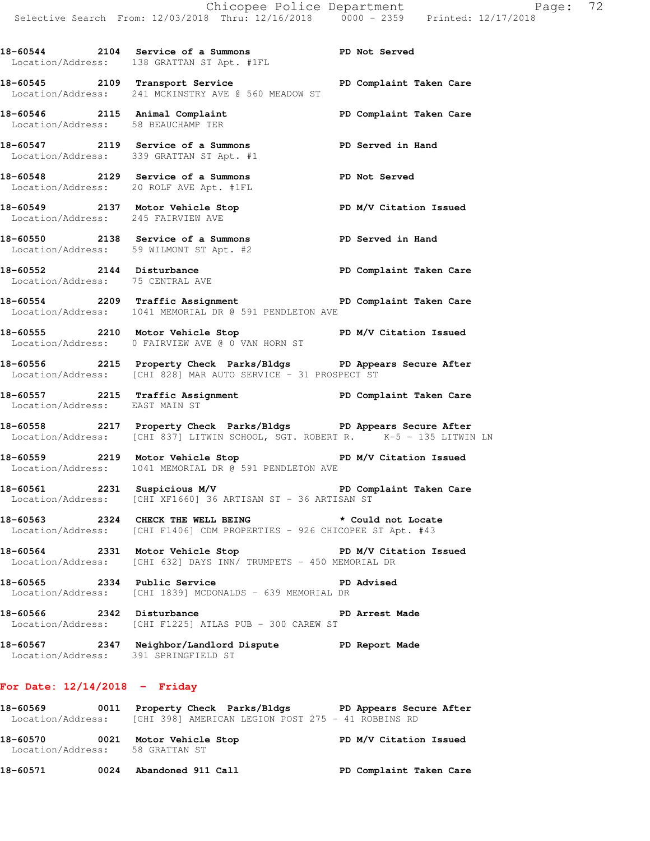**18-60544 2104 Service of a Summons PD Not Served**  Location/Address: 138 GRATTAN ST Apt. #1FL

**18-60545 2109 Transport Service PD Complaint Taken Care**  Location/Address: 241 MCKINSTRY AVE @ 560 MEADOW ST

**18-60546 2115 Animal Complaint PD Complaint Taken Care**  Location/Address: 58 BEAUCHAMP TER

**18-60547 2119 Service of a Summons PD Served in Hand**  Location/Address: 339 GRATTAN ST Apt. #1

**18-60548 2129 Service of a Summons PD Not Served**  Location/Address: 20 ROLF AVE Apt. #1FL

**18-60549 2137 Motor Vehicle Stop PD M/V Citation Issued**  Location/Address: 245 FAIRVIEW AVE

**18-60550 2138 Service of a Summons PD Served in Hand**  Location/Address: 59 WILMONT ST Apt. #2

**18-60552 2144 Disturbance PD Complaint Taken Care**  Location/Address: 75 CENTRAL AVE

**18-60554 2209 Traffic Assignment PD Complaint Taken Care**  Location/Address: 1041 MEMORIAL DR @ 591 PENDLETON AVE

**18-60555 2210 Motor Vehicle Stop PD M/V Citation Issued**  Location/Address: 0 FAIRVIEW AVE @ 0 VAN HORN ST

**18-60556 2215 Property Check Parks/Bldgs PD Appears Secure After**  Location/Address: [CHI 828] MAR AUTO SERVICE - 31 PROSPECT ST

**18-60557 2215 Traffic Assignment PD Complaint Taken Care**  Location/Address: EAST MAIN ST

**18-60558 2217 Property Check Parks/Bldgs PD Appears Secure After**  Location/Address: [CHI 837] LITWIN SCHOOL, SGT. ROBERT R. K-5 - 135 LITWIN LN

**18-60559 2219 Motor Vehicle Stop PD M/V Citation Issued**  Location/Address: 1041 MEMORIAL DR @ 591 PENDLETON AVE

**18-60561 2231 Suspicious M/V PD Complaint Taken Care**  Location/Address: [CHI XF1660] 36 ARTISAN ST - 36 ARTISAN ST

**18-60563 2324 CHECK THE WELL BEING \* Could not Locate**  Location/Address: [CHI F1406] CDM PROPERTIES - 926 CHICOPEE ST Apt. #43

18-60564 2331 Motor Vehicle Stop **PD M/V Citation Issued** Location/Address: [CHI 632] DAYS INN/ TRUMPETS - 450 MEMORIAL DR

**18-60565 2334 Public Service PD Advised**  Location/Address: [CHI 1839] MCDONALDS - 639 MEMORIAL DR

**18-60566 2342 Disturbance PD Arrest Made**  Location/Address: [CHI F1225] ATLAS PUB - 300 CAREW ST

**18-60567 2347 Neighbor/Landlord Dispute PD Report Made**  Location/Address: 391 SPRINGFIELD ST

## **For Date: 12/14/2018 - Friday**

**18-60569 0011 Property Check Parks/Bldgs PD Appears Secure After**  Location/Address: [CHI 398] AMERICAN LEGION POST 275 - 41 ROBBINS RD **18-60570 0021 Motor Vehicle Stop PD M/V Citation Issued**  Location/Address: 58 GRATTAN ST

**18-60571 0024 Abandoned 911 Call PD Complaint Taken Care**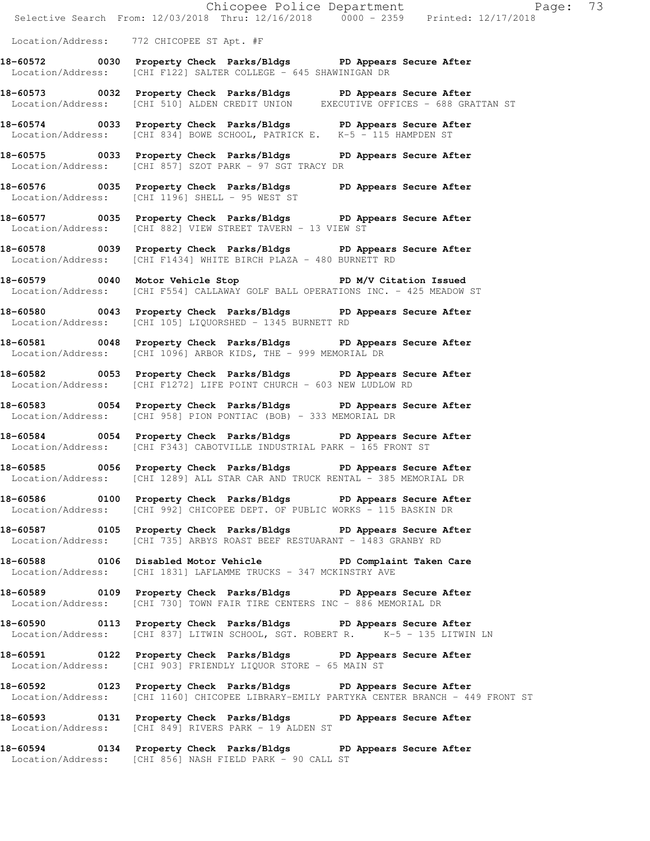| Chicopee Police Department<br>Selective Search From: 12/03/2018 Thru: 12/16/2018 0000 - 2359 Printed: 12/17/2018                                             |  |
|--------------------------------------------------------------------------------------------------------------------------------------------------------------|--|
| Location/Address: 772 CHICOPEE ST Apt. #F                                                                                                                    |  |
| 18-60572 0030 Property Check Parks/Bldgs PD Appears Secure After<br>Location/Address: [CHI F122] SALTER COLLEGE - 645 SHAWINIGAN DR                          |  |
| 18-60573 0032 Property Check Parks/Bldgs PD Appears Secure After<br>Location/Address: [CHI 510] ALDEN CREDIT UNION EXECUTIVE OFFICES - 688 GRATTAN ST        |  |
| 18-60574 0033 Property Check Parks/Bldgs PD Appears Secure After<br>Location/Address: [CHI 834] BOWE SCHOOL, PATRICK E. K-5 - 115 HAMPDEN ST                 |  |
| 18-60575 0033 Property Check Parks/Bldgs PD Appears Secure After<br>Location/Address: [CHI 857] SZOT PARK - 97 SGT TRACY DR                                  |  |
| 18-60576 0035 Property Check Parks/Bldgs PD Appears Secure After<br>Location/Address: [CHI 1196] SHELL - 95 WEST ST                                          |  |
| 18-60577 0035 Property Check Parks/Bldgs PD Appears Secure After<br>Location/Address: [CHI 882] VIEW STREET TAVERN - 13 VIEW ST                              |  |
| 18-60578 0039 Property Check Parks/Bldgs PD Appears Secure After<br>Location/Address: [CHI F1434] WHITE BIRCH PLAZA - 480 BURNETT RD                         |  |
| 18-60579 0040 Motor Vehicle Stop 50 PD M/V Citation Issued<br>Location/Address: [CHI F554] CALLAWAY GOLF BALL OPERATIONS INC. - 425 MEADOW ST                |  |
| 18-60580 0043 Property Check Parks/Bldgs PD Appears Secure After<br>Location/Address: [CHI 105] LIQUORSHED - 1345 BURNETT RD                                 |  |
| 18-60581 0048 Property Check Parks/Bldgs PD Appears Secure After<br>Location/Address: [CHI 1096] ARBOR KIDS, THE - 999 MEMORIAL DR                           |  |
| 18-60582 0053 Property Check Parks/Bldgs PD Appears Secure After<br>Location/Address: [CHI F1272] LIFE POINT CHURCH - 603 NEW LUDLOW RD                      |  |
| 18-60583 0054 Property Check Parks/Bldgs PD Appears Secure After<br>Location/Address: [CHI 958] PION PONTIAC (BOB) - 333 MEMORIAL DR                         |  |
| 18-60584 0054 Property Check Parks/Bldgs PD Appears Secure After<br>Location/Address: [CHI F343] CABOTVILLE INDUSTRIAL PARK - 165 FRONT ST                   |  |
| 18-60585 0056 Property Check Parks/Bldgs PD Appears Secure After<br>Location/Address: [CHI 1289] ALL STAR CAR AND TRUCK RENTAL - 385 MEMORIAL DR             |  |
| 18-60586 0100 Property Check Parks/Bldgs PD Appears Secure After<br>Location/Address: [CHI 992] CHICOPEE DEPT. OF PUBLIC WORKS - 115 BASKIN DR               |  |
| 18-60587 0105 Property Check Parks/Bldgs PD Appears Secure After<br>Location/Address: [CHI 735] ARBYS ROAST BEEF RESTUARANT - 1483 GRANBY RD                 |  |
| 18-60588 0106 Disabled Motor Vehicle PD Complaint Taken Care<br>Location/Address: [CHI 1831] LAFLAMME TRUCKS - 347 MCKINSTRY AVE                             |  |
| 18-60589 0109 Property Check Parks/Bldgs PD Appears Secure After<br>Location/Address: [CHI 730] TOWN FAIR TIRE CENTERS INC - 886 MEMORIAL DR                 |  |
| 18-60590 0113 Property Check Parks/Bldgs PD Appears Secure After<br>Location/Address: [CHI 837] LITWIN SCHOOL, SGT. ROBERT R. K-5 - 135 LITWIN LN            |  |
| 18-60591 0122 Property Check Parks/Bldgs PD Appears Secure After<br>Location/Address: [CHI 903] FRIENDLY LIQUOR STORE - 65 MAIN ST                           |  |
| 18-60592 0123 Property Check Parks/Bldgs PD Appears Secure After<br>Location/Address: [CHI 1160] CHICOPEE LIBRARY-EMILY PARTYKA CENTER BRANCH - 449 FRONT ST |  |
| 18-60593 0131 Property Check Parks/Bldgs PD Appears Secure After<br>Location/Address: [CHI 849] RIVERS PARK - 19 ALDEN ST                                    |  |
| 18-60594 0134 Property Check Parks/Bldgs PD Appears Secure After<br>Location/Address: [CHI 856] NASH FIELD PARK - 90 CALL ST                                 |  |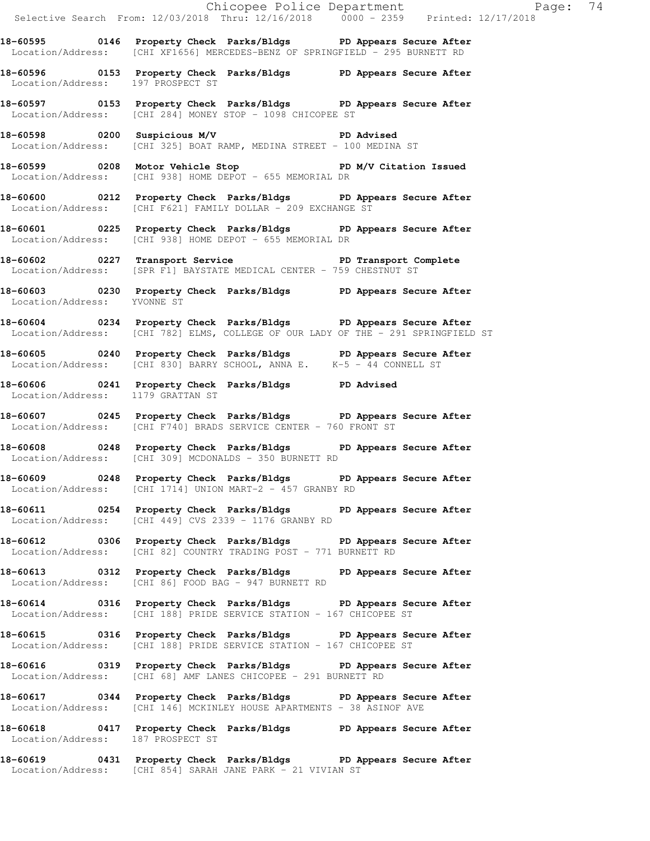|                                   | Page: 74<br>Selective Search From: 12/03/2018 Thru: 12/16/2018 0000 - 2359 Printed: 12/17/2018                                                        |  |
|-----------------------------------|-------------------------------------------------------------------------------------------------------------------------------------------------------|--|
|                                   | 18-60595 0146 Property Check Parks/Bldgs PD Appears Secure After<br>Location/Address: [CHI XF1656] MERCEDES-BENZ OF SPRINGFIELD - 295 BURNETT RD      |  |
| Location/Address: 197 PROSPECT ST | 18-60596 0153 Property Check Parks/Bldgs PD Appears Secure After                                                                                      |  |
|                                   | 18-60597 0153 Property Check Parks/Bldgs PD Appears Secure After<br>Location/Address: [CHI 284] MONEY STOP - 1098 CHICOPEE ST                         |  |
|                                   | 18-60598 0200 Suspicious M/V COMPRESS PD Advised<br>Location/Address: [CHI 325] BOAT RAMP, MEDINA STREET - 100 MEDINA ST                              |  |
|                                   | 18-60599 0208 Motor Vehicle Stop PD M/V Citation Issued<br>Location/Address: [CHI 938] HOME DEPOT - 655 MEMORIAL DR                                   |  |
|                                   | 18-60600 0212 Property Check Parks/Bldgs PD Appears Secure After<br>Location/Address: [CHI F621] FAMILY DOLLAR - 209 EXCHANGE ST                      |  |
|                                   | 18-60601 0225 Property Check Parks/Bldgs PD Appears Secure After<br>Location/Address: [CHI 938] HOME DEPOT - 655 MEMORIAL DR                          |  |
|                                   | 18-60602 0227 Transport Service New PD Transport Complete<br>Location/Address: [SPR F1] BAYSTATE MEDICAL CENTER - 759 CHESTNUT ST                     |  |
| Location/Address: YVONNE ST       | 18-60603 0230 Property Check Parks/Bldgs PD Appears Secure After                                                                                      |  |
|                                   | 18-60604 0234 Property Check Parks/Bldgs PD Appears Secure After<br>Location/Address: [CHI 782] ELMS, COLLEGE OF OUR LADY OF THE - 291 SPRINGFIELD ST |  |
|                                   | 18-60605 0240 Property Check Parks/Bldgs PD Appears Secure After<br>Location/Address: [CHI 830] BARRY SCHOOL, ANNA E. K-5 - 44 CONNELL ST             |  |
| Location/Address: 1179 GRATTAN ST | 18-60606 0241 Property Check Parks/Bldgs PD Advised                                                                                                   |  |
|                                   | 18-60607 0245 Property Check Parks/Bldgs PD Appears Secure After<br>Location/Address: [CHI F740] BRADS SERVICE CENTER - 760 FRONT ST                  |  |
|                                   | 18-60608 0248 Property Check Parks/Bldgs PD Appears Secure After<br>Location/Address: [CHI 309] MCDONALDS - 350 BURNETT RD                            |  |
|                                   | 18-60609 0248 Property Check Parks/Bldgs PD Appears Secure After<br>Location/Address: [CHI 1714] UNION MART-2 - 457 GRANBY RD                         |  |
|                                   | 18-60611 0254 Property Check Parks/Bldgs PD Appears Secure After<br>Location/Address: [CHI 449] CVS 2339 - 1176 GRANBY RD                             |  |
|                                   | 18-60612 0306 Property Check Parks/Bldgs PD Appears Secure After<br>Location/Address: [CHI 82] COUNTRY TRADING POST - 771 BURNETT RD                  |  |
|                                   | 18-60613 0312 Property Check Parks/Bldgs PD Appears Secure After<br>Location/Address: [CHI 86] FOOD BAG - 947 BURNETT RD                              |  |
|                                   | 18-60614 0316 Property Check Parks/Bldgs PD Appears Secure After<br>Location/Address: [CHI 188] PRIDE SERVICE STATION - 167 CHICOPEE ST               |  |
|                                   | 18-60615 0316 Property Check Parks/Bldgs PD Appears Secure After<br>Location/Address: [CHI 188] PRIDE SERVICE STATION - 167 CHICOPEE ST               |  |
|                                   | 18-60616   0319   Property Check Parks/Bldgs   PD Appears Secure After<br>Location/Address: [CHI 68] AMF LANES CHICOPEE - 291 BURNETT RD              |  |
|                                   | 18-60617 0344 Property Check Parks/Bldgs PD Appears Secure After<br>Location/Address: [CHI 146] MCKINLEY HOUSE APARTMENTS - 38 ASINOF AVE             |  |
| Location/Address: 187 PROSPECT ST | 18-60618 0417 Property Check Parks/Bldgs PD Appears Secure After                                                                                      |  |

**18-60619 0431 Property Check Parks/Bldgs PD Appears Secure After**  Location/Address: [CHI 854] SARAH JANE PARK - 21 VIVIAN ST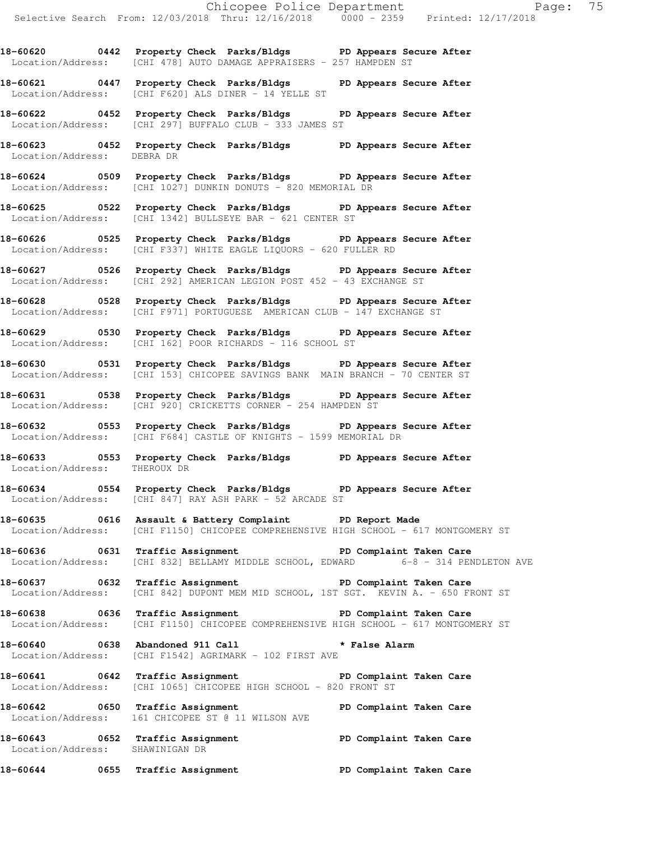**18-60620 0442 Property Check Parks/Bldgs PD Appears Secure After**  Location/Address: [CHI 478] AUTO DAMAGE APPRAISERS - 257 HAMPDEN ST

**18-60621 0447 Property Check Parks/Bldgs PD Appears Secure After**  Location/Address: [CHI F620] ALS DINER - 14 YELLE ST

**18-60622 0452 Property Check Parks/Bldgs PD Appears Secure After**  Location/Address: [CHI 297] BUFFALO CLUB - 333 JAMES ST

18-60623 **0452 Property Check Parks/Bldgs** PD Appears Secure After Location/Address: DEBRA DR Location/Address:

**18-60624 0509 Property Check Parks/Bldgs PD Appears Secure After**  Location/Address: [CHI 1027] DUNKIN DONUTS - 820 MEMORIAL DR

**18-60625 0522 Property Check Parks/Bldgs PD Appears Secure After**  Location/Address: [CHI 1342] BULLSEYE BAR - 621 CENTER ST

**18-60626 0525 Property Check Parks/Bldgs PD Appears Secure After**  Location/Address: [CHI F337] WHITE EAGLE LIQUORS - 620 FULLER RD

**18-60627 0526 Property Check Parks/Bldgs PD Appears Secure After**  Location/Address: [CHI 292] AMERICAN LEGION POST 452 - 43 EXCHANGE ST

**18-60628 0528 Property Check Parks/Bldgs PD Appears Secure After**  Location/Address: [CHI F971] PORTUGUESE AMERICAN CLUB - 147 EXCHANGE ST

**18-60629 0530 Property Check Parks/Bldgs PD Appears Secure After**  Location/Address: [CHI 162] POOR RICHARDS - 116 SCHOOL ST

**18-60630 0531 Property Check Parks/Bldgs PD Appears Secure After**  Location/Address: [CHI 153] CHICOPEE SAVINGS BANK MAIN BRANCH - 70 CENTER ST

**18-60631 0538 Property Check Parks/Bldgs PD Appears Secure After**  Location/Address: [CHI 920] CRICKETTS CORNER - 254 HAMPDEN ST

**18-60632 0553 Property Check Parks/Bldgs PD Appears Secure After**  Location/Address: [CHI F684] CASTLE OF KNIGHTS - 1599 MEMORIAL DR

**18-60633 0553 Property Check Parks/Bldgs PD Appears Secure After**  Location/Address: THEROUX DR

**18-60634 0554 Property Check Parks/Bldgs PD Appears Secure After**  Location/Address: [CHI 847] RAY ASH PARK - 52 ARCADE ST

**18-60635 0616 Assault & Battery Complaint PD Report Made**  Location/Address: [CHI F1150] CHICOPEE COMPREHENSIVE HIGH SCHOOL - 617 MONTGOMERY ST

**18-60636 0631 Traffic Assignment PD Complaint Taken Care**  Location/Address: [CHI 832] BELLAMY MIDDLE SCHOOL, EDWARD 6-8 - 314 PENDLETON AVE

**18-60637 0632 Traffic Assignment PD Complaint Taken Care**  Location/Address: [CHI 842] DUPONT MEM MID SCHOOL, 1ST SGT. KEVIN A. - 650 FRONT ST

**18-60638 0636 Traffic Assignment PD Complaint Taken Care**  Location/Address: [CHI F1150] CHICOPEE COMPREHENSIVE HIGH SCHOOL - 617 MONTGOMERY ST

**18-60640 0638 Abandoned 911 Call \* False Alarm**  Location/Address: [CHI F1542] AGRIMARK - 102 FIRST AVE

**18-60641 0642 Traffic Assignment PD Complaint Taken Care**  Location/Address: [CHI 1065] CHICOPEE HIGH SCHOOL - 820 FRONT ST

**18-60642 0650 Traffic Assignment PD Complaint Taken Care**  Location/Address: 161 CHICOPEE ST @ 11 WILSON AVE

**18-60643 0652 Traffic Assignment PD Complaint Taken Care**  Location/Address: SHAWINIGAN DR

**18-60644 0655 Traffic Assignment PD Complaint Taken Care**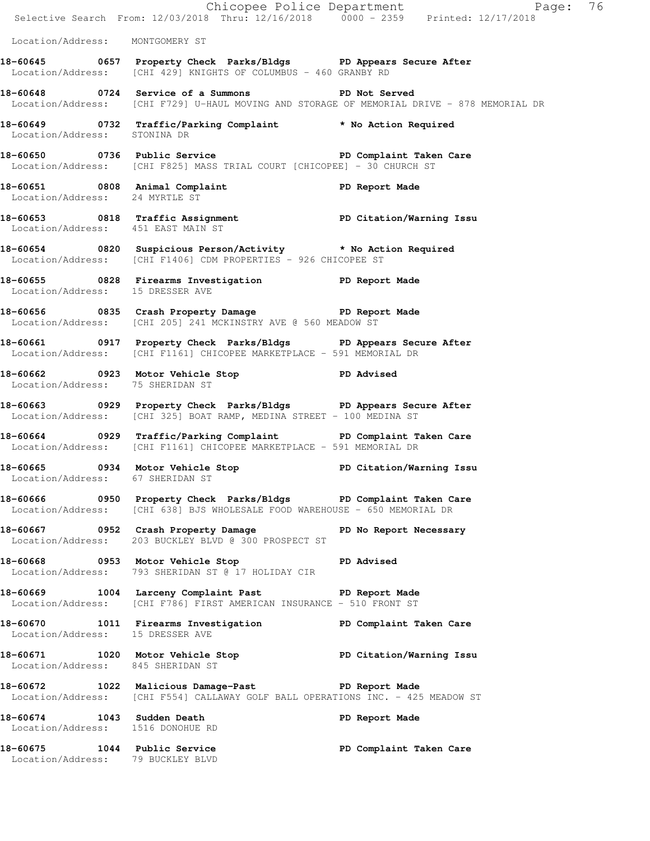|                                                                   | Chicopee Police Department<br>Selective Search From: 12/03/2018 Thru: 12/16/2018 0000 - 2359 Printed: 12/17/2018                               | Page: 76                                                                                   |  |
|-------------------------------------------------------------------|------------------------------------------------------------------------------------------------------------------------------------------------|--------------------------------------------------------------------------------------------|--|
| Location/Address: MONTGOMERY ST                                   |                                                                                                                                                |                                                                                            |  |
|                                                                   | 18-60645 0657 Property Check Parks/Bldgs PD Appears Secure After<br>Location/Address: [CHI 429] KNIGHTS OF COLUMBUS - 460 GRANBY RD            |                                                                                            |  |
|                                                                   | 18-60648 0724 Service of a Summons PD Not Served                                                                                               | Location/Address: [CHI F729] U-HAUL MOVING AND STORAGE OF MEMORIAL DRIVE - 878 MEMORIAL DR |  |
| Location/Address: STONINA DR                                      | 18-60649 0732 Traffic/Parking Complaint * No Action Required                                                                                   |                                                                                            |  |
|                                                                   | 18-60650 0736 Public Service New PD Complaint Taken Care<br>  Location/Address: [CHI F825] MASS TRIAL COURT [CHICOPEE] - 30 CHURCH ST          |                                                                                            |  |
| Location/Address: 24 MYRTLE ST                                    | 18-60651 0808 Animal Complaint 18-60651 PD Report Made                                                                                         |                                                                                            |  |
| Location/Address: 451 EAST MAIN ST                                | 18-60653 0818 Traffic Assignment PD Citation/Warning Issu                                                                                      |                                                                                            |  |
|                                                                   | 18-60654 0820 Suspicious Person/Activity * No Action Required<br>Location/Address: [CHI F1406] CDM PROPERTIES - 926 CHICOPEE ST                |                                                                                            |  |
|                                                                   | 18-60655 0828 Firearms Investigation PD Report Made<br>Location/Address: 15 DRESSER AVE                                                        |                                                                                            |  |
|                                                                   | 18-60656 0835 Crash Property Damage 5 PD Report Made<br>Location/Address: [CHI 205] 241 MCKINSTRY AVE @ 560 MEADOW ST                          |                                                                                            |  |
|                                                                   | 18-60661 0917 Property Check Parks/Bldgs PD Appears Secure After<br>Location/Address: [CHI F1161] CHICOPEE MARKETPLACE - 591 MEMORIAL DR       |                                                                                            |  |
| Location/Address: 75 SHERIDAN ST                                  | 18-60662 0923 Motor Vehicle Stop PD Advised                                                                                                    |                                                                                            |  |
|                                                                   | 18-60663 0929 Property Check Parks/Bldgs PD Appears Secure After<br>Location/Address: [CHI 325] BOAT RAMP, MEDINA STREET - 100 MEDINA ST       |                                                                                            |  |
|                                                                   | 18-60664 0929 Traffic/Parking Complaint PD Complaint Taken Care<br>Location/Address: [CHI F1161] CHICOPEE MARKETPLACE - 591 MEMORIAL DR        |                                                                                            |  |
| Location/Address: 67 SHERIDAN ST                                  | 18-60665 0934 Motor Vehicle Stop North PD Citation/Warning Issu                                                                                |                                                                                            |  |
|                                                                   | 18-60666 0950 Property Check Parks/Bldgs PD Complaint Taken Care<br>Location/Address: [CHI 638] BJS WHOLESALE FOOD WAREHOUSE - 650 MEMORIAL DR |                                                                                            |  |
|                                                                   | 18-60667 18-60667 0952 Crash Property Damage 18-60667 PD No Report Necessary<br>Location/Address: 203 BUCKLEY BLVD @ 300 PROSPECT ST           |                                                                                            |  |
|                                                                   | 18-60668 0953 Motor Vehicle Stop Communist PD Advised<br>Location/Address: 793 SHERIDAN ST @ 17 HOLIDAY CIR                                    |                                                                                            |  |
|                                                                   | 18-60669 1004 Larceny Complaint Past PD Report Made<br>Location/Address: [CHI F786] FIRST AMERICAN INSURANCE - 510 FRONT ST                    |                                                                                            |  |
| Location/Address: 15 DRESSER AVE                                  | 18-60670 1011 Firearms Investigation PD Complaint Taken Care                                                                                   |                                                                                            |  |
| Location/Address: 845 SHERIDAN ST                                 | 18-60671 1020 Motor Vehicle Stop PD Citation/Warning Issu                                                                                      |                                                                                            |  |
|                                                                   | 18-60672 1022 Malicious Damage-Past PD Report Made<br>Location/Address: [CHI F554] CALLAWAY GOLF BALL OPERATIONS INC. - 425 MEADOW ST          |                                                                                            |  |
| 18-60674 1043 Sudden Death<br>Location/Address: 1516 DONOHUE RD   |                                                                                                                                                | PD Report Made                                                                             |  |
| 18-60675 1044 Public Service<br>Location/Address: 79 BUCKLEY BLVD |                                                                                                                                                | PD Complaint Taken Care                                                                    |  |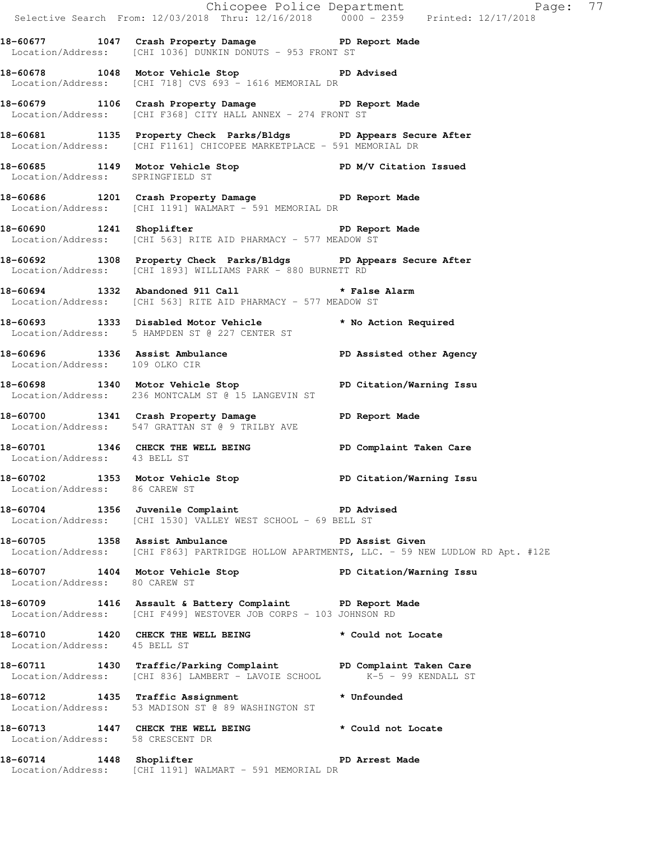Chicopee Police Department Page: 77 Selective Search From: 12/03/2018 Thru: 12/16/2018 0000 - 2359 Printed: 12/17/2018 **18-60677 1047 Crash Property Damage PD Report Made**  Location/Address: [CHI 1036] DUNKIN DONUTS - 953 FRONT ST **18-60678 1048 Motor Vehicle Stop PD Advised**  Location/Address: [CHI 718] CVS 693 - 1616 MEMORIAL DR **18-60679 1106 Crash Property Damage PD Report Made**  Location/Address: [CHI F368] CITY HALL ANNEX - 274 FRONT ST **18-60681 1135 Property Check Parks/Bldgs PD Appears Secure After**  Location/Address: [CHI F1161] CHICOPEE MARKETPLACE - 591 MEMORIAL DR **18-60685 1149 Motor Vehicle Stop PD M/V Citation Issued**  Location/Address: SPRINGFIELD ST **18-60686 1201 Crash Property Damage PD Report Made**  Location/Address: [CHI 1191] WALMART - 591 MEMORIAL DR 18-60690 1241 Shoplifter **PD** Report Made Location/Address: [CHI 563] RITE AID PHARMACY - 577 MEADOW ST **18-60692 1308 Property Check Parks/Bldgs PD Appears Secure After**  Location/Address: [CHI 1893] WILLIAMS PARK - 880 BURNETT RD **18-60694 1332 Abandoned 911 Call \* False Alarm**  Location/Address: [CHI 563] RITE AID PHARMACY - 577 MEADOW ST **18-60693 1333 Disabled Motor Vehicle \* No Action Required**  Location/Address: 5 HAMPDEN ST @ 227 CENTER ST 18-60696 1336 Assist Ambulance **PD Assisted other Agency**  Location/Address: 109 OLKO CIR **18-60698 1340 Motor Vehicle Stop PD Citation/Warning Issu**  Location/Address: 236 MONTCALM ST @ 15 LANGEVIN ST **18-60700 1341 Crash Property Damage PD Report Made**  Location/Address: 547 GRATTAN ST @ 9 TRILBY AVE **18-60701 1346 CHECK THE WELL BEING PD Complaint Taken Care**  Location/Address: 43 BELL ST **18-60702 1353 Motor Vehicle Stop PD Citation/Warning Issu**  Location/Address: 86 CAREW ST **18-60704 1356 Juvenile Complaint PD Advised**  Location/Address: [CHI 1530] VALLEY WEST SCHOOL - 69 BELL ST **18-60705 1358 Assist Ambulance PD Assist Given**  Location/Address: [CHI F863] PARTRIDGE HOLLOW APARTMENTS, LLC. - 59 NEW LUDLOW RD Apt. #12E **18-60707 1404 Motor Vehicle Stop PD Citation/Warning Issu**  Location/Address: 80 CAREW ST **18-60709 1416 Assault & Battery Complaint PD Report Made**  Location/Address: [CHI F499] WESTOVER JOB CORPS - 103 JOHNSON RD 18-60710 1420 CHECK THE WELL BEING **\*** Could not Locate Location/Address: 45 BELL ST **18-60711 1430 Traffic/Parking Complaint PD Complaint Taken Care Location/Address:** [CHI 836] LAMBERT - LAVOIE SCHOOL **K-5 - 99 KENDALL ST** Location/Address: [CHI 836] LAMBERT - LAVOIE SCHOOL **18-60712 1435 Traffic Assignment \* Unfounded**  Location/Address: 53 MADISON ST @ 89 WASHINGTON ST **18-60713 1447 CHECK THE WELL BEING \* Could not Locate**  Location/Address: 58 CRESCENT DR **18-60714 1448 Shoplifter PD Arrest Made**  Location/Address: [CHI 1191] WALMART - 591 MEMORIAL DR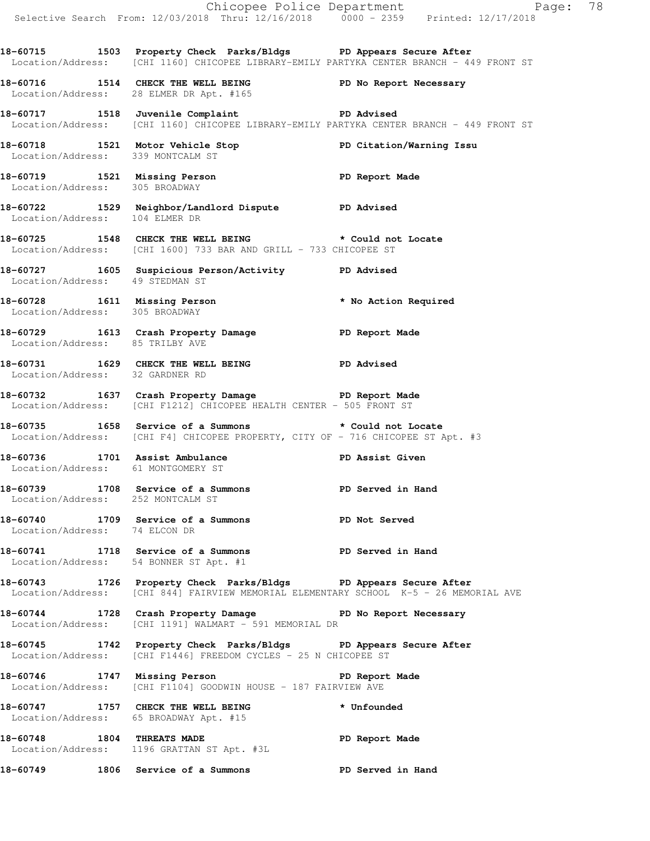Chicopee Police Department Page: 78 Selective Search From: 12/03/2018 Thru: 12/16/2018 0000 - 2359 Printed: 12/17/2018 **18-60715 1503 Property Check Parks/Bldgs PD Appears Secure After**  Location/Address: [CHI 1160] CHICOPEE LIBRARY-EMILY PARTYKA CENTER BRANCH - 449 FRONT ST **18-60716 1514 CHECK THE WELL BEING PD No Report Necessary**  Location/Address: 28 ELMER DR Apt. #165 **18-60717 1518 Juvenile Complaint PD Advised**  Location/Address: [CHI 1160] CHICOPEE LIBRARY-EMILY PARTYKA CENTER BRANCH - 449 FRONT ST **18-60718 1521 Motor Vehicle Stop PD Citation/Warning Issu**  Location/Address: 339 MONTCALM ST **18-60719 1521 Missing Person PD Report Made**  Location/Address: 305 BROADWAY **18-60722 1529 Neighbor/Landlord Dispute PD Advised**  Location/Address: 104 ELMER DR 18-60725 1548 CHECK THE WELL BEING **\*** Could not Locate Location/Address: [CHI 1600] 733 BAR AND GRILL - 733 CHICOPEE ST **18-60727 1605 Suspicious Person/Activity PD Advised**  Location/Address: 49 STEDMAN ST **18-60728 1611 Missing Person \* No Action Required**  Location/Address: 305 BROADWAY **18-60729 1613 Crash Property Damage PD Report Made**  Location/Address: 85 TRILBY AVE **18-60731 1629 CHECK THE WELL BEING PD Advised**  Location/Address: 32 GARDNER RD **18-60732 1637 Crash Property Damage PD Report Made**  Location/Address: [CHI F1212] CHICOPEE HEALTH CENTER - 505 FRONT ST **18-60735 1658 Service of a Summons \* Could not Locate**  Location/Address: [CHI F4] CHICOPEE PROPERTY, CITY OF - 716 CHICOPEE ST Apt. #3 **18-60736 1701 Assist Ambulance PD Assist Given**  Location/Address: 61 MONTGOMERY ST **18-60739 1708 Service of a Summons PD Served in Hand**  Location/Address: 252 MONTCALM ST **18-60740 1709 Service of a Summons PD Not Served**  Location/Address: 74 ELCON DR **18-60741 1718 Service of a Summons PD Served in Hand**  Location/Address: 54 BONNER ST Apt. #1 **18-60743 1726 Property Check Parks/Bldgs PD Appears Secure After**  Location/Address: [CHI 844] FAIRVIEW MEMORIAL ELEMENTARY SCHOOL K-5 - 26 MEMORIAL AVE **18-60744 1728 Crash Property Damage PD No Report Necessary**  Location/Address: [CHI 1191] WALMART - 591 MEMORIAL DR **18-60745 1742 Property Check Parks/Bldgs PD Appears Secure After**  Location/Address: [CHI F1446] FREEDOM CYCLES - 25 N CHICOPEE ST **18-60746 1747 Missing Person PD Report Made**  Location/Address: [CHI F1104] GOODWIN HOUSE - 187 FAIRVIEW AVE **18-60747 1757 CHECK THE WELL BEING \* Unfounded**  Location/Address: 65 BROADWAY Apt. #15 **18-60748 1804 THREATS MADE PD Report Made**  Location/Address: 1196 GRATTAN ST Apt. #3L **18-60749 1806 Service of a Summons PD Served in Hand**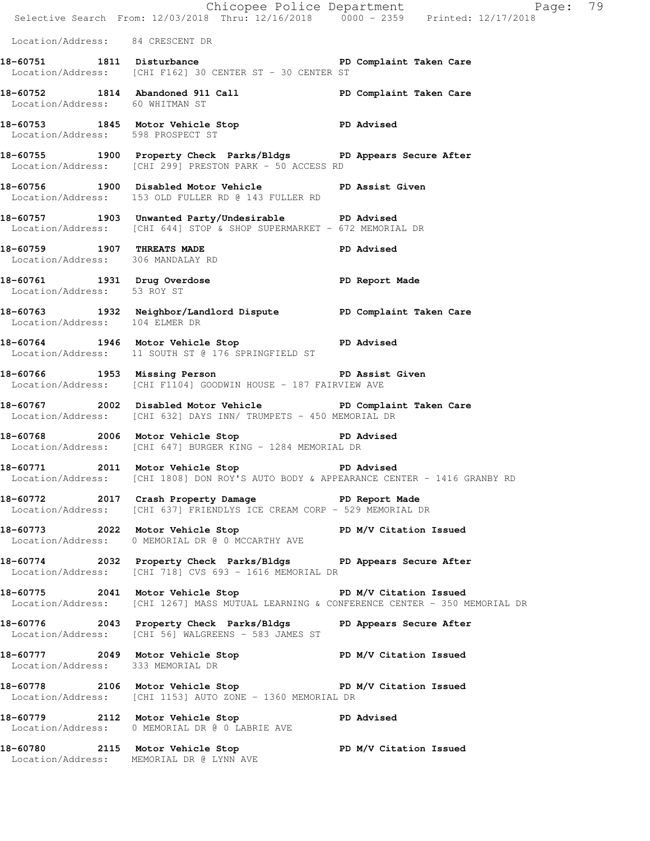|                                                                 |                                                                                                                                                          | Chicopee Police Department<br>Selective Search From: 12/03/2018 Thru: 12/16/2018 0000 - 2359 Printed: 12/17/2018 |
|-----------------------------------------------------------------|----------------------------------------------------------------------------------------------------------------------------------------------------------|------------------------------------------------------------------------------------------------------------------|
| Location/Address: 84 CRESCENT DR                                |                                                                                                                                                          |                                                                                                                  |
|                                                                 | 18-60751 1811 Disturbance 1981 PD Complaint Taken Care<br>Location/Address: [CHI F162] 30 CENTER ST - 30 CENTER ST                                       |                                                                                                                  |
| Location/Address: 60 WHITMAN ST                                 | 18-60752 1814 Abandoned 911 Call <a>&gt; PD Complaint Taken Care</a>                                                                                     |                                                                                                                  |
| Location/Address: 598 PROSPECT ST                               | 18-60753 1845 Motor Vehicle Stop 30 PD Advised                                                                                                           |                                                                                                                  |
|                                                                 | 18-60755 1900 Property Check Parks/Bldgs PD Appears Secure After<br>Location/Address: [CHI 299] PRESTON PARK - 50 ACCESS RD                              |                                                                                                                  |
|                                                                 | 18-60756 1900 Disabled Motor Vehicle PD Assist Given<br>Location/Address: 153 OLD FULLER RD @ 143 FULLER RD                                              |                                                                                                                  |
|                                                                 | 18-60757 1903 Unwanted Party/Undesirable PD Advised<br>Location/Address: [CHI 644] STOP & SHOP SUPERMARKET - 672 MEMORIAL DR                             |                                                                                                                  |
| 18-60759 1907 THREATS MADE<br>Location/Address: 306 MANDALAY RD |                                                                                                                                                          | <b>PD</b> Advised                                                                                                |
| Location/Address: 53 ROY ST                                     | 18-60761 1931 Drug Overdose 18-60761 Made                                                                                                                |                                                                                                                  |
| Location/Address: 104 ELMER DR                                  | 18-60763 1932 Neighbor/Landlord Dispute PD Complaint Taken Care                                                                                          |                                                                                                                  |
|                                                                 | 18-60764 1946 Motor Vehicle Stop North PD Advised<br>Location/Address: 11 SOUTH ST @ 176 SPRINGFIELD ST                                                  |                                                                                                                  |
|                                                                 | 18-60766 1953 Missing Person Number 2016 PD Assist Given<br>Location/Address: [CHI F1104] GOODWIN HOUSE - 187 FAIRVIEW AVE                               |                                                                                                                  |
|                                                                 | 18-60767 2002 Disabled Motor Vehicle PD Complaint Taken Care<br>Location/Address: [CHI 632] DAYS INN/ TRUMPETS - 450 MEMORIAL DR                         |                                                                                                                  |
|                                                                 | 18-60768 2006 Motor Vehicle Stop 50 PD Advised<br>Location/Address: [CHI 647] BURGER KING - 1284 MEMORIAL DR                                             |                                                                                                                  |
|                                                                 | 18-60771 2011 Motor Vehicle Stop 50 PD Advised<br>Location/Address: [CHI 1808] DON ROY'S AUTO BODY & APPEARANCE CENTER - 1416 GRANBY RD                  |                                                                                                                  |
|                                                                 | 18-60772 2017 Crash Property Damage PD Report Made<br>Location/Address: [CHI 637] FRIENDLYS ICE CREAM CORP - 529 MEMORIAL DR                             |                                                                                                                  |
|                                                                 | 18-60773 2022 Motor Vehicle Stop PD M/V Citation Issued<br>Location/Address: 0 MEMORIAL DR @ 0 MCCARTHY AVE                                              |                                                                                                                  |
|                                                                 | 18-60774 2032 Property Check Parks/Bldgs PD Appears Secure After<br>Location/Address: [CHI 718] CVS 693 - 1616 MEMORIAL DR                               |                                                                                                                  |
|                                                                 | 18-60775 2041 Motor Vehicle Stop North PD M/V Citation Issued<br>Location/Address: [CHI 1267] MASS MUTUAL LEARNING & CONFERENCE CENTER - 350 MEMORIAL DR |                                                                                                                  |
|                                                                 | 18-60776 2043 Property Check Parks/Bldgs PD Appears Secure After<br>Location/Address: [CHI 56] WALGREENS - 583 JAMES ST                                  |                                                                                                                  |
| Location/Address: 333 MEMORIAL DR                               | 18-60777 2049 Motor Vehicle Stop PD M/V Citation Issued                                                                                                  |                                                                                                                  |
|                                                                 | 18-60778 2106 Motor Vehicle Stop PD M/V Citation Issued<br>Location/Address: [CHI 1153] AUTO ZONE - 1360 MEMORIAL DR                                     |                                                                                                                  |
|                                                                 | 18-60779 2112 Motor Vehicle Stop 50 PD Advised<br>Location/Address: 0 MEMORIAL DR @ 0 LABRIE AVE                                                         |                                                                                                                  |
|                                                                 | 18-60780 2115 Motor Vehicle Stop N/V Citation Issued<br>Location/Address: MEMORIAL DR @ LYNN AVE                                                         |                                                                                                                  |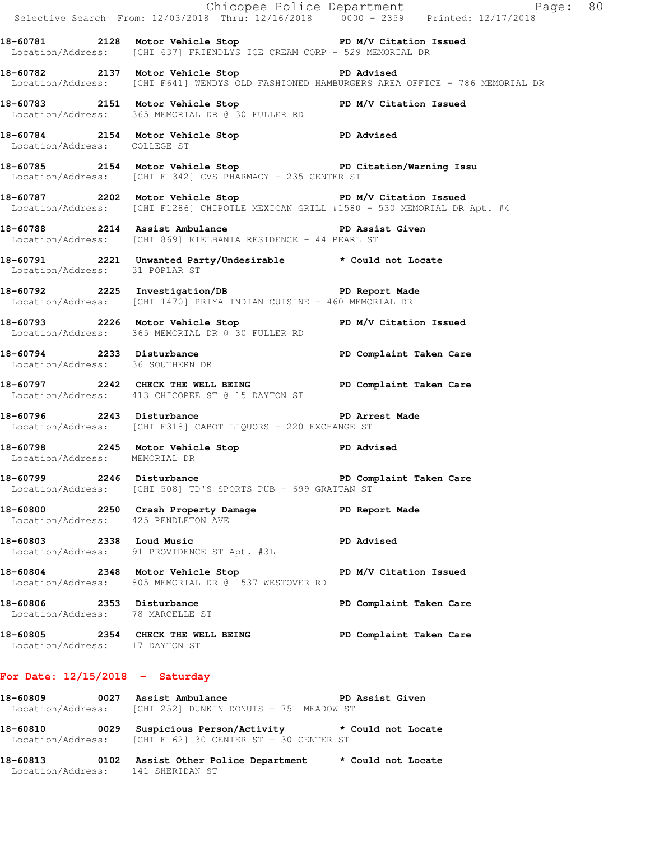|                                     |                                                                                                                                              | Chicopee Police Department Page: 80<br>Selective Search From: 12/03/2018 Thru: 12/16/2018 0000 - 2359 Printed: 12/17/2018 |  |
|-------------------------------------|----------------------------------------------------------------------------------------------------------------------------------------------|---------------------------------------------------------------------------------------------------------------------------|--|
|                                     | 18-60781 2128 Motor Vehicle Stop PD M/V Citation Issued<br>Location/Address: [CHI 637] FRIENDLYS ICE CREAM CORP - 529 MEMORIAL DR            |                                                                                                                           |  |
|                                     | 18-60782 2137 Motor Vehicle Stop North PD Advised                                                                                            | Location/Address: [CHI F641] WENDYS OLD FASHIONED HAMBURGERS AREA OFFICE - 786 MEMORIAL DR                                |  |
|                                     | 18-60783 2151 Motor Vehicle Stop PD M/V Citation Issued<br>Location/Address: 365 MEMORIAL DR @ 30 FULLER RD                                  |                                                                                                                           |  |
| Location/Address: COLLEGE ST        | 18-60784 2154 Motor Vehicle Stop North PD Advised                                                                                            |                                                                                                                           |  |
|                                     | 18-60785 2154 Motor Vehicle Stop PD Citation/Warning Issu<br>Location/Address: [CHI F1342] CVS PHARMACY - 235 CENTER ST                      |                                                                                                                           |  |
|                                     | 18-60787 2202 Motor Vehicle Stop N/V Citation Issued<br>Location/Address: [CHI F1286] CHIPOTLE MEXICAN GRILL #1580 - 530 MEMORIAL DR Apt. #4 |                                                                                                                           |  |
|                                     | 18-60788 2214 Assist Ambulance New PD Assist Given<br>Location/Address: [CHI 869] KIELBANIA RESIDENCE - 44 PEARL ST                          |                                                                                                                           |  |
| Location/Address: 31 POPLAR ST      | 18-60791 2221 Unwanted Party/Undesirable * Could not Locate                                                                                  |                                                                                                                           |  |
|                                     | 18-60792 2225 Investigation/DB PD Report Made<br>Location/Address: [CHI 1470] PRIYA INDIAN CUISINE - 460 MEMORIAL DR                         |                                                                                                                           |  |
|                                     | 18-60793 2226 Motor Vehicle Stop N/V Citation Issued<br>Location/Address: 365 MEMORIAL DR @ 30 FULLER RD                                     |                                                                                                                           |  |
|                                     | 18-60794 2233 Disturbance PD Complaint Taken Care<br>Location/Address: 36 SOUTHERN DR                                                        |                                                                                                                           |  |
|                                     | 18-60797 2242 CHECK THE WELL BEING PD Complaint Taken Care<br>Location/Address: 413 CHICOPEE ST @ 15 DAYTON ST                               |                                                                                                                           |  |
| 18-60796 2243 Disturbance           | Location/Address: [CHI F318] CABOT LIQUORS - 220 EXCHANGE ST                                                                                 | PD Arrest Made                                                                                                            |  |
| Location/Address: MEMORIAL DR       | 18-60798 2245 Motor Vehicle Stop North PD Advised                                                                                            |                                                                                                                           |  |
|                                     | 18-60799 2246 Disturbance <b>1898 1899 PD</b> Complaint Taken Care<br>Location/Address: [CHI 508] TD'S SPORTS PUB - 699 GRATTAN ST           |                                                                                                                           |  |
| Location/Address: 425 PENDLETON AVE | 18-60800 2250 Crash Property Damage Name PD Report Made                                                                                      |                                                                                                                           |  |
| 18-60803 2338 Loud Music            | Location/Address: 91 PROVIDENCE ST Apt. #3L                                                                                                  | <b>PD Advised</b>                                                                                                         |  |
|                                     | 18-60804 2348 Motor Vehicle Stop N/V Citation Issued<br>Location/Address: 805 MEMORIAL DR @ 1537 WESTOVER RD                                 |                                                                                                                           |  |
| 18-60806 2353 Disturbance           | Location/Address: 78 MARCELLE ST                                                                                                             | PD Complaint Taken Care                                                                                                   |  |
| Location/Address: 17 DAYTON ST      | 18-60805 2354 CHECK THE WELL BEING FOR PD Complaint Taken Care                                                                               |                                                                                                                           |  |
| For Date: $12/15/2018$ - Saturday   |                                                                                                                                              |                                                                                                                           |  |
|                                     | 18-60809 0027 Assist Ambulance New PD Assist Given<br>Location/Address: [CHI 252] DUNKIN DONUTS - 751 MEADOW ST                              |                                                                                                                           |  |
|                                     | 18-60810 0029 Suspicious Person/Activity * Could not Locate<br>Location/Address: [CHI F162] 30 CENTER ST - 30 CENTER ST                      |                                                                                                                           |  |

**18-60813 0102 Assist Other Police Department \* Could not Locate**  Location/Address: 141 SHERIDAN ST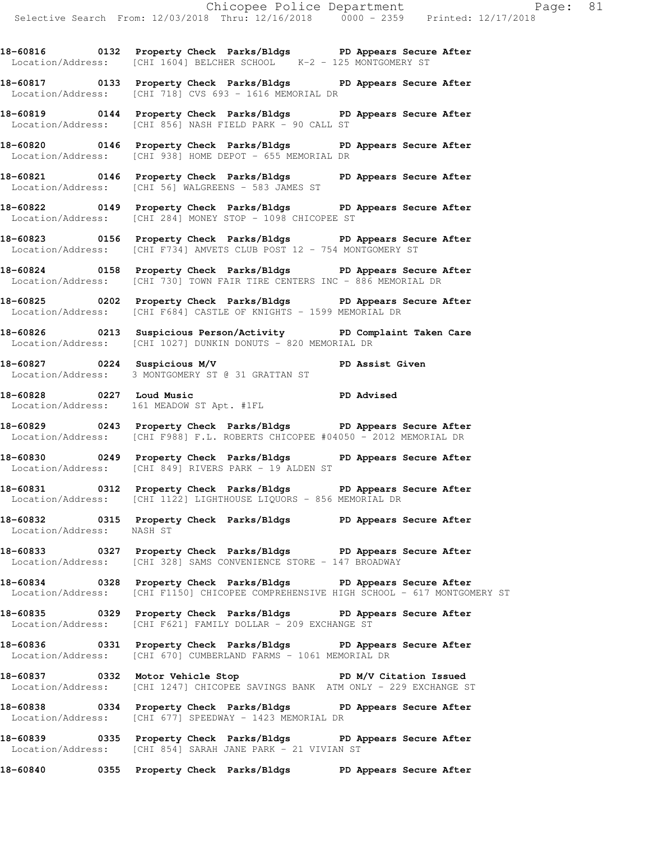**18-60816 0132 Property Check Parks/Bldgs PD Appears Secure After**  Location/Address: [CHI 1604] BELCHER SCHOOL K-2 - 125 MONTGOMERY ST

**18-60817 0133 Property Check Parks/Bldgs PD Appears Secure After**  Location/Address: [CHI 718] CVS 693 - 1616 MEMORIAL DR

**18-60819 0144 Property Check Parks/Bldgs PD Appears Secure After**  Location/Address: [CHI 856] NASH FIELD PARK - 90 CALL ST

**18-60820 0146 Property Check Parks/Bldgs PD Appears Secure After**  Location/Address: [CHI 938] HOME DEPOT - 655 MEMORIAL DR

**18-60821 0146 Property Check Parks/Bldgs PD Appears Secure After**  Location/Address: [CHI 56] WALGREENS - 583 JAMES ST

**18-60822 0149 Property Check Parks/Bldgs PD Appears Secure After**  Location/Address: [CHI 284] MONEY STOP - 1098 CHICOPEE ST

**18-60823 0156 Property Check Parks/Bldgs PD Appears Secure After**  Location/Address: [CHI F734] AMVETS CLUB POST 12 - 754 MONTGOMERY ST

**18-60824 0158 Property Check Parks/Bldgs PD Appears Secure After**  Location/Address: [CHI 730] TOWN FAIR TIRE CENTERS INC - 886 MEMORIAL DR

**18-60825 0202 Property Check Parks/Bldgs PD Appears Secure After**  Location/Address: [CHI F684] CASTLE OF KNIGHTS - 1599 MEMORIAL DR

**18-60826 0213 Suspicious Person/Activity PD Complaint Taken Care**  Location/Address: [CHI 1027] DUNKIN DONUTS - 820 MEMORIAL DR

**18-60827 0224 Suspicious M/V PD Assist Given**  Location/Address: 3 MONTGOMERY ST @ 31 GRATTAN ST

**18-60828 0227 Loud Music PD Advised**  Location/Address: 161 MEADOW ST Apt. #1FL

**18-60829 0243 Property Check Parks/Bldgs PD Appears Secure After**  Location/Address: [CHI F988] F.L. ROBERTS CHICOPEE #04050 - 2012 MEMORIAL DR

**18-60830 0249 Property Check Parks/Bldgs PD Appears Secure After**  Location/Address: [CHI 849] RIVERS PARK - 19 ALDEN ST

**18-60831 0312 Property Check Parks/Bldgs PD Appears Secure After**  Location/Address: [CHI 1122] LIGHTHOUSE LIQUORS - 856 MEMORIAL DR

**18-60832 0315 Property Check Parks/Bldgs PD Appears Secure After**  Location/Address:

**18-60833 0327 Property Check Parks/Bldgs PD Appears Secure After**  Location/Address: [CHI 328] SAMS CONVENIENCE STORE - 147 BROADWAY

**18-60834 0328 Property Check Parks/Bldgs PD Appears Secure After**  Location/Address: [CHI F1150] CHICOPEE COMPREHENSIVE HIGH SCHOOL - 617 MONTGOMERY ST

**18-60835 0329 Property Check Parks/Bldgs PD Appears Secure After**  Location/Address: [CHI F621] FAMILY DOLLAR - 209 EXCHANGE ST

**18-60836 0331 Property Check Parks/Bldgs PD Appears Secure After**  Location/Address: [CHI 670] CUMBERLAND FARMS - 1061 MEMORIAL DR

18-60837 **0332 Motor Vehicle Stop PD M/V Citation Issued** Location/Address: [CHI 1247] CHICOPEE SAVINGS BANK ATM ONLY - 229 EXCHANGE ST

**18-60838 0334 Property Check Parks/Bldgs PD Appears Secure After**  Location/Address: [CHI 677] SPEEDWAY - 1423 MEMORIAL DR

**18-60839 0335 Property Check Parks/Bldgs PD Appears Secure After**  Location/Address: [CHI 854] SARAH JANE PARK - 21 VIVIAN ST

**18-60840 0355 Property Check Parks/Bldgs PD Appears Secure After**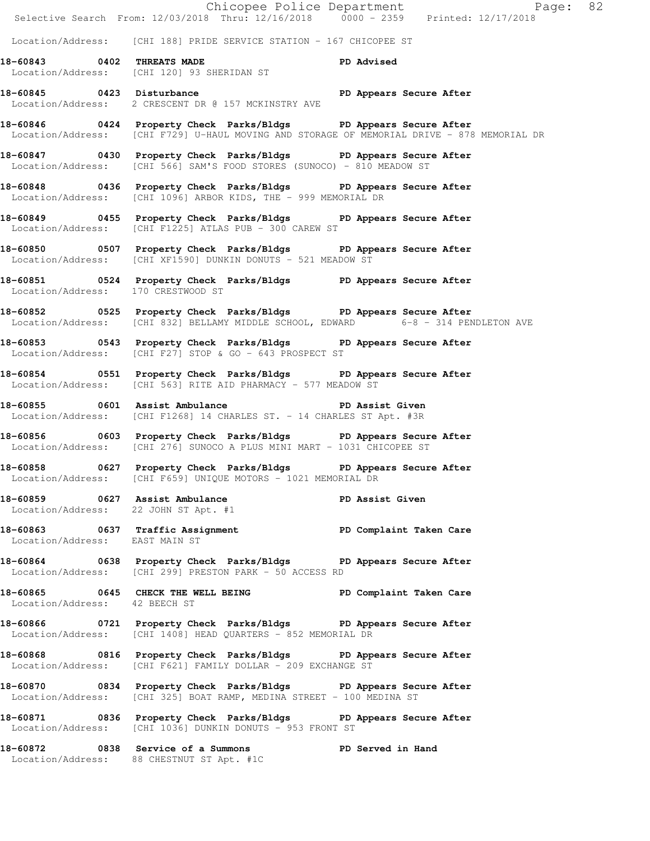|                                    | E<br>Chicopee Police Department<br>Selective Search From: 12/03/2018 Thru: 12/16/2018 0000 - 2359 Printed: 12/17/2018                                 | Page: 82                                                                                   |  |
|------------------------------------|-------------------------------------------------------------------------------------------------------------------------------------------------------|--------------------------------------------------------------------------------------------|--|
|                                    | Location/Address: [CHI 188] PRIDE SERVICE STATION - 167 CHICOPEE ST                                                                                   |                                                                                            |  |
| 18-60843 0402 THREATS MADE         | Location/Address: [CHI 120] 93 SHERIDAN ST                                                                                                            | PD Advised                                                                                 |  |
|                                    | 18-60845 0423 Disturbance The PD Appears Secure After<br>Location/Address: 2 CRESCENT DR @ 157 MCKINSTRY AVE                                          |                                                                                            |  |
|                                    | 18-60846 0424 Property Check Parks/Bldgs PD Appears Secure After                                                                                      | Location/Address: [CHI F729] U-HAUL MOVING AND STORAGE OF MEMORIAL DRIVE - 878 MEMORIAL DR |  |
|                                    | 18-60847 0430 Property Check Parks/Bldgs PD Appears Secure After<br>Location/Address: [CHI 566] SAM'S FOOD STORES (SUNOCO) - 810 MEADOW ST            |                                                                                            |  |
|                                    | 18-60848 0436 Property Check Parks/Bldgs PD Appears Secure After<br>Location/Address: [CHI 1096] ARBOR KIDS, THE - 999 MEMORIAL DR                    |                                                                                            |  |
|                                    | 18-60849 0455 Property Check Parks/Bldgs PD Appears Secure After<br>Location/Address: [CHI F1225] ATLAS PUB - 300 CAREW ST                            |                                                                                            |  |
|                                    | 18-60850 0507 Property Check Parks/Bldgs PD Appears Secure After<br>Location/Address: [CHI XF1590] DUNKIN DONUTS - 521 MEADOW ST                      |                                                                                            |  |
| Location/Address: 170 CRESTWOOD ST | 18-60851 0524 Property Check Parks/Bldgs PD Appears Secure After                                                                                      |                                                                                            |  |
|                                    | 18-60852 0525 Property Check Parks/Bldgs PD Appears Secure After<br>Location/Address: [CHI 832] BELLAMY MIDDLE SCHOOL, EDWARD 6-8 - 314 PENDLETON AVE |                                                                                            |  |
|                                    | 18-60853 0543 Property Check Parks/Bldgs PD Appears Secure After<br>Location/Address: [CHI F27] STOP & GO - 643 PROSPECT ST                           |                                                                                            |  |
|                                    | 18-60854 0551 Property Check Parks/Bldgs PD Appears Secure After<br>Location/Address: [CHI 563] RITE AID PHARMACY - 577 MEADOW ST                     |                                                                                            |  |
| 18-60855 0601 Assist Ambulance     | Location/Address: [CHI F1268] 14 CHARLES ST. - 14 CHARLES ST Apt. #3R                                                                                 | PD Assist Given                                                                            |  |
|                                    | 18-60856 0603 Property Check Parks/Bldgs PD Appears Secure After<br>Location/Address: [CHI 276] SUNOCO A PLUS MINI MART - 1031 CHICOPEE ST            |                                                                                            |  |
|                                    | 18-60858 0627 Property Check Parks/Bldgs PD Appears Secure After<br>Location/Address: [CHI F659] UNIQUE MOTORS - 1021 MEMORIAL DR                     |                                                                                            |  |
| 18-60859 0627 Assist Ambulance     | Location/Address: 22 JOHN ST Apt. #1                                                                                                                  | PD Assist Given                                                                            |  |
|                                    |                                                                                                                                                       |                                                                                            |  |
|                                    | 18-60864 0638 Property Check Parks/Bldgs PD Appears Secure After<br>Location/Address: [CHI 299] PRESTON PARK - 50 ACCESS RD                           |                                                                                            |  |
| Location/Address: 42 BEECH ST      | 18-60865 0645 CHECK THE WELL BEING PD Complaint Taken Care                                                                                            |                                                                                            |  |
|                                    | 18-60866 0721 Property Check Parks/Bldgs PD Appears Secure After<br>Location/Address: [CHI 1408] HEAD QUARTERS - 852 MEMORIAL DR                      |                                                                                            |  |
|                                    | 18-60868 0816 Property Check Parks/Bldgs PD Appears Secure After<br>Location/Address: [CHI F621] FAMILY DOLLAR - 209 EXCHANGE ST                      |                                                                                            |  |
|                                    | 18-60870 0834 Property Check Parks/Bldgs PD Appears Secure After<br>Location/Address: [CHI 325] BOAT RAMP, MEDINA STREET - 100 MEDINA ST              |                                                                                            |  |
|                                    | 18-60871 0836 Property Check Parks/Bldgs PD Appears Secure After<br>Location/Address: [CHI 1036] DUNKIN DONUTS - 953 FRONT ST                         |                                                                                            |  |
|                                    | 18-60872 		 0838 Service of a Summons 		 PD Served in Hand<br>Location/Address: 88 CHESTNUT ST Apt. #1C                                               |                                                                                            |  |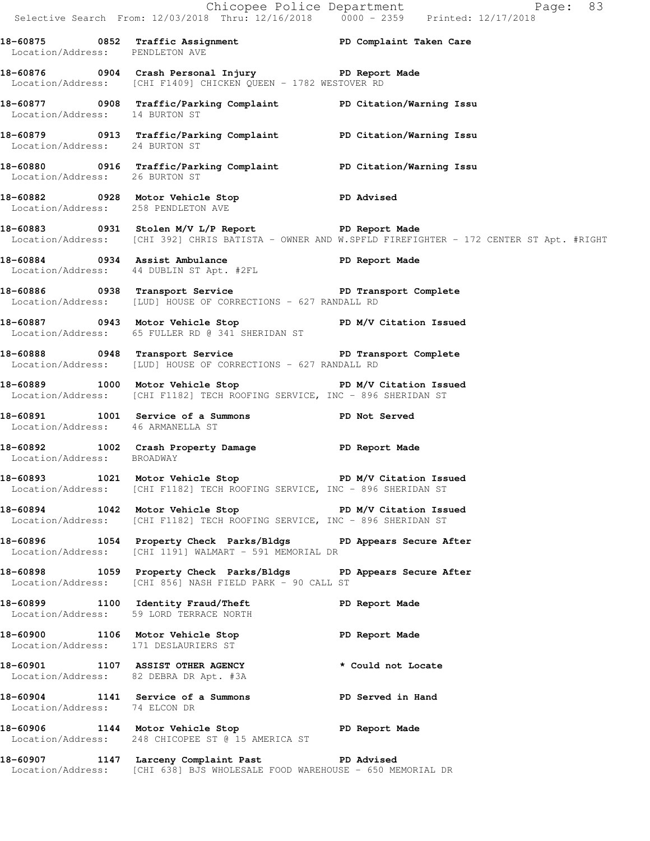|                                      |                                                                                                                                          | Chicopee Police Department<br>Selective Search From: 12/03/2018 Thru: 12/16/2018 0000 - 2359 Printed: 12/17/2018 |
|--------------------------------------|------------------------------------------------------------------------------------------------------------------------------------------|------------------------------------------------------------------------------------------------------------------|
| Location/Address: PENDLETON AVE      | 18-60875 0852 Traffic Assignment <b>18-60875</b> PD Complaint Taken Care                                                                 |                                                                                                                  |
|                                      | Location/Address: [CHI F1409] CHICKEN QUEEN - 1782 WESTOVER RD                                                                           |                                                                                                                  |
| Location/Address: 14 BURTON ST       | 18-60877 0908 Traffic/Parking Complaint PD Citation/Warning Issu                                                                         |                                                                                                                  |
| Location/Address: 24 BURTON ST       | 18-60879 0913 Traffic/Parking Complaint PD Citation/Warning Issu                                                                         |                                                                                                                  |
| Location/Address: 26 BURTON ST       | 18-60880 0916 Traffic/Parking Complaint PD Citation/Warning Issu                                                                         |                                                                                                                  |
| Location/Address: 258 PENDLETON AVE  | 18-60882 0928 Motor Vehicle Stop Contract PD Advised                                                                                     |                                                                                                                  |
|                                      | 18-60883 0931 Stolen M/V L/P Report 1 PD Report Made                                                                                     | Location/Address: [CHI 392] CHRIS BATISTA - OWNER AND W.SPFLD FIREFIGHTER - 172 CENTER ST Apt. #RIGHT            |
|                                      | 18-60884 0934 Assist Ambulance New PD Report Made<br>Location/Address: 44 DUBLIN ST Apt. #2FL                                            |                                                                                                                  |
|                                      | 18-60886 0938 Transport Service PD Transport Complete<br>Location/Address: [LUD] HOUSE OF CORRECTIONS - 627 RANDALL RD                   |                                                                                                                  |
|                                      | 18-60887 0943 Motor Vehicle Stop N/V Citation Issued<br>Location/Address: 65 FULLER RD @ 341 SHERIDAN ST                                 |                                                                                                                  |
|                                      | Location/Address: [LUD] HOUSE OF CORRECTIONS - 627 RANDALL RD                                                                            |                                                                                                                  |
|                                      | 18-60889 1000 Motor Vehicle Stop N/V Citation Issued<br>Location/Address: [CHI F1182] TECH ROOFING SERVICE, INC - 896 SHERIDAN ST        |                                                                                                                  |
| Location/Address: 46 ARMANELLA ST    | 18-60891 1001 Service of a Summons TPD Not Served                                                                                        |                                                                                                                  |
| Location/Address: BROADWAY           | 18-60892 1002 Crash Property Damage PD Report Made                                                                                       |                                                                                                                  |
|                                      | 18-60893 1021 Motor Vehicle Stop New PD M/V Citation Issued<br>Location/Address: [CHI F1182] TECH ROOFING SERVICE, INC - 896 SHERIDAN ST |                                                                                                                  |
|                                      | 18-60894 1042 Motor Vehicle Stop N/V Citation Issued<br>Location/Address: [CHI F1182] TECH ROOFING SERVICE, INC - 896 SHERIDAN ST        |                                                                                                                  |
|                                      | 18-60896 1054 Property Check Parks/Bldgs PD Appears Secure After<br>Location/Address: [CHI 1191] WALMART - 591 MEMORIAL DR               |                                                                                                                  |
|                                      | 18-60898 1059 Property Check Parks/Bldgs PD Appears Secure After<br>Location/Address: [CHI 856] NASH FIELD PARK - 90 CALL ST             |                                                                                                                  |
|                                      | 18-60899 1100 Identity Fraud/Theft<br>Location/Address: 59 LORD TERRACE NORTH                                                            | PD Report Made                                                                                                   |
| Location/Address: 171 DESLAURIERS ST | 18-60900 1106 Motor Vehicle Stop North PD Report Made                                                                                    |                                                                                                                  |
|                                      | 18-60901 1107 ASSIST OTHER AGENCY the second to cate<br>Location/Address: 82 DEBRA DR Apt. #3A                                           |                                                                                                                  |
| Location/Address: 74 ELCON DR        | 18-60904 1141 Service of a Summons TPD Served in Hand                                                                                    |                                                                                                                  |
|                                      | 18-60906 1144 Motor Vehicle Stop Neport Made<br>Location/Address: 248 CHICOPEE ST @ 15 AMERICA ST                                        |                                                                                                                  |
|                                      | 18-60907 1147 Larceny Complaint Past ND Advised<br>Location/Address: [CHI 638] BJS WHOLESALE FOOD WAREHOUSE - 650 MEMORIAL DR            |                                                                                                                  |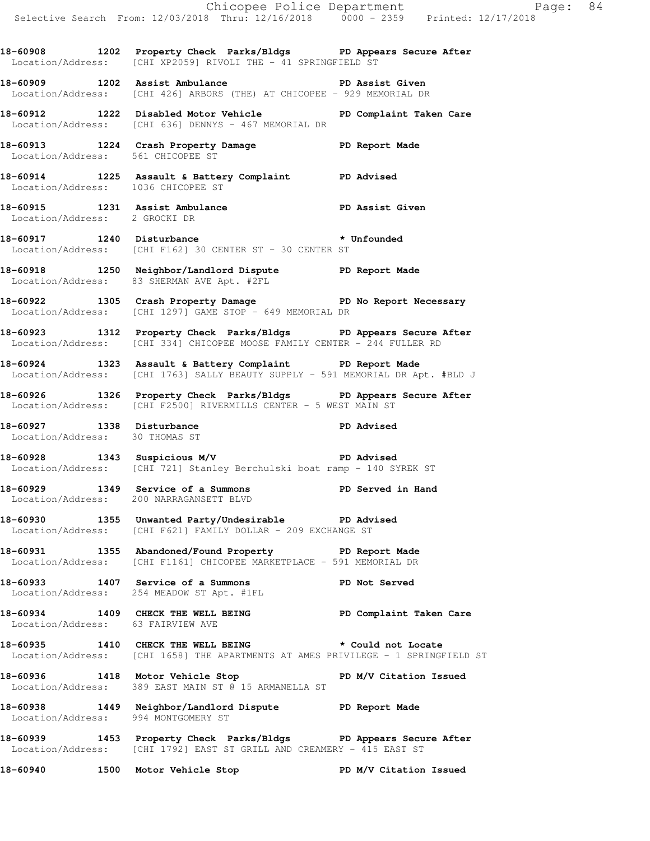**18-60908 1202 Property Check Parks/Bldgs PD Appears Secure After**  Location/Address: [CHI XP2059] RIVOLI THE - 41 SPRINGFIELD ST

**18-60909 1202 Assist Ambulance PD Assist Given**  Location/Address: [CHI 426] ARBORS (THE) AT CHICOPEE - 929 MEMORIAL DR

**18-60912 1222 Disabled Motor Vehicle PD Complaint Taken Care**  Location/Address: [CHI 636] DENNYS - 467 MEMORIAL DR

**18-60913 1224 Crash Property Damage PD Report Made**  Location/Address: 561 CHICOPEE ST

**18-60914 1225 Assault & Battery Complaint PD Advised**  Location/Address: 1036 CHICOPEE ST

18-60915 1231 Assist Ambulance **PD Assist Given** Location/Address: 2 GROCKI DR

18-60917 1240 Disturbance **\*** Unfounded Location/Address: [CHI F162] 30 CENTER ST - 30 CENTER ST

**18-60918 1250 Neighbor/Landlord Dispute PD Report Made**  Location/Address: 83 SHERMAN AVE Apt. #2FL

18-60922 1305 Crash Property Damage **PD No Report Necessary** Location/Address: [CHI 1297] GAME STOP - 649 MEMORIAL DR

**18-60923 1312 Property Check Parks/Bldgs PD Appears Secure After**  Location/Address: [CHI 334] CHICOPEE MOOSE FAMILY CENTER - 244 FULLER RD

**18-60924 1323 Assault & Battery Complaint PD Report Made**  Location/Address: [CHI 1763] SALLY BEAUTY SUPPLY - 591 MEMORIAL DR Apt. #BLD J

**18-60926 1326 Property Check Parks/Bldgs PD Appears Secure After**  Location/Address: [CHI F2500] RIVERMILLS CENTER - 5 WEST MAIN ST

**18-60927 1338 Disturbance PD Advised**  Location/Address: 30 THOMAS ST

**18-60928 1343 Suspicious M/V PD Advised**  Location/Address: [CHI 721] Stanley Berchulski boat ramp - 140 SYREK ST

**18-60929 1349 Service of a Summons PD Served in Hand**  Location/Address: 200 NARRAGANSETT BLVD

**18-60930 1355 Unwanted Party/Undesirable PD Advised**  Location/Address: [CHI F621] FAMILY DOLLAR - 209 EXCHANGE ST

**18-60931 1355 Abandoned/Found Property PD Report Made**  Location/Address: [CHI F1161] CHICOPEE MARKETPLACE - 591 MEMORIAL DR

**18-60933 1407 Service of a Summons PD Not Served**  Location/Address: 254 MEADOW ST Apt. #1FL

18-60934 1409 CHECK THE WELL BEING **PD Complaint Taken Care** Location/Address: 63 FAIRVIEW AVE

**18-60935 1410 CHECK THE WELL BEING \* Could not Locate**  Location/Address: [CHI 1658] THE APARTMENTS AT AMES PRIVILEGE - 1 SPRINGFIELD ST

**18-60936 1418 Motor Vehicle Stop PD M/V Citation Issued**  Location/Address: 389 EAST MAIN ST @ 15 ARMANELLA ST

**18-60938 1449 Neighbor/Landlord Dispute PD Report Made**  Location/Address: 994 MONTGOMERY ST

**18-60939 1453 Property Check Parks/Bldgs PD Appears Secure After**  Location/Address: [CHI 1792] EAST ST GRILL AND CREAMERY - 415 EAST ST

**18-60940 1500 Motor Vehicle Stop PD M/V Citation Issued**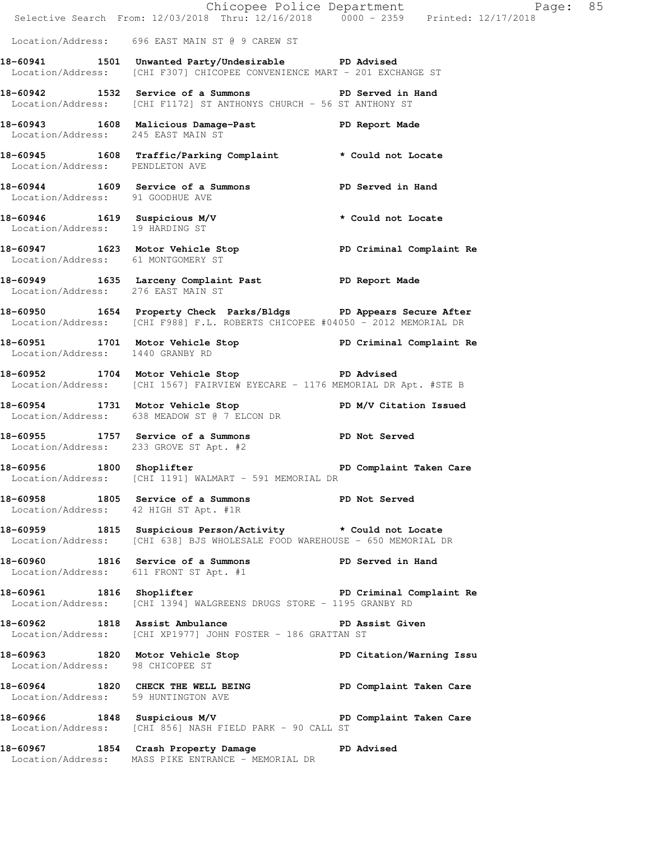|                                     | E<br>Chicopee Police Department<br>Selective Search From: 12/03/2018 Thru: 12/16/2018 0000 - 2359 Printed: 12/17/2018                            | Page: 85                |  |
|-------------------------------------|--------------------------------------------------------------------------------------------------------------------------------------------------|-------------------------|--|
|                                     | Location/Address: 696 EAST MAIN ST @ 9 CAREW ST                                                                                                  |                         |  |
|                                     | 18-60941 1501 Unwanted Party/Undesirable PD Advised<br>Location/Address: [CHI F307] CHICOPEE CONVENIENCE MART - 201 EXCHANGE ST                  |                         |  |
|                                     | 18-60942 1532 Service of a Summons PD Served in Hand<br>Location/Address: [CHI F1172] ST ANTHONYS CHURCH - 56 ST ANTHONY ST                      |                         |  |
| Location/Address: 245 EAST MAIN ST  | 18-60943 1608 Malicious Damage-Past 18-60943                                                                                                     |                         |  |
| Location/Address: PENDLETON AVE     | 18-60945 1608 Traffic/Parking Complaint * Could not Locate                                                                                       |                         |  |
| Location/Address: 91 GOODHUE AVE    | 18-60944 1609 Service of a Summons PD Served in Hand                                                                                             |                         |  |
|                                     | 18-60946 1619 Suspicious M/V<br>Location/Address: 19 HARDING ST                                                                                  | * Could not Locate      |  |
| Location/Address: 61 MONTGOMERY ST  | 18-60947 1623 Motor Vehicle Stop PD Criminal Complaint Re                                                                                        |                         |  |
| Location/Address: 276 EAST MAIN ST  | 18-60949 1635 Larceny Complaint Past PD Report Made                                                                                              |                         |  |
|                                     | 18-60950 1654 Property Check Parks/Bldgs PD Appears Secure After<br>Location/Address: [CHI F988] F.L. ROBERTS CHICOPEE #04050 - 2012 MEMORIAL DR |                         |  |
| Location/Address: 1440 GRANBY RD    | 18-60951 1701 Motor Vehicle Stop PD Criminal Complaint Re                                                                                        |                         |  |
|                                     | 18-60952 1704 Motor Vehicle Stop 50 PD Advised<br>Location/Address: [CHI 1567] FAIRVIEW EYECARE - 1176 MEMORIAL DR Apt. #STE B                   |                         |  |
|                                     | 18-60954 1731 Motor Vehicle Stop N/V Citation Issued<br>Location/Address: 638 MEADOW ST @ 7 ELCON DR                                             |                         |  |
|                                     | 18-60955 1757 Service of a Summons PD Not Served<br>Location/Address: 233 GROVE ST Apt. #2                                                       |                         |  |
| 18-60956 1800 Shoplifter            | Location/Address: [CHI 1191] WALMART - 591 MEMORIAL DR                                                                                           | PD Complaint Taken Care |  |
|                                     | 18-60958 1805 Service of a Summons PD Not Served<br>Location/Address: 42 HIGH ST Apt. #1R                                                        |                         |  |
|                                     | 18-60959 1815 Suspicious Person/Activity * Could not Locate<br>Location/Address: [CHI 638] BJS WHOLESALE FOOD WAREHOUSE - 650 MEMORIAL DR        |                         |  |
|                                     | 18-60960 1816 Service of a Summons PD Served in Hand<br>Location/Address: 611 FRONT ST Apt. #1                                                   |                         |  |
|                                     | 18-60961 1816 Shoplifter 2008 19 PD Criminal Complaint Re<br>Location/Address: [CHI 1394] WALGREENS DRUGS STORE - 1195 GRANBY RD                 |                         |  |
|                                     | 18-60962 1818 Assist Ambulance New PD Assist Given<br>Location/Address: [CHI XP1977] JOHN FOSTER - 186 GRATTAN ST                                |                         |  |
| Location/Address: 98 CHICOPEE ST    | 18-60963 1820 Motor Vehicle Stop North PD Citation/Warning Issu                                                                                  |                         |  |
| Location/Address: 59 HUNTINGTON AVE | 18-60964 1820 CHECK THE WELL BEING PD Complaint Taken Care                                                                                       |                         |  |
|                                     | 18-60966 1848 Suspicious M/V PD Complaint Taken Care<br>Location/Address: [CHI 856] NASH FIELD PARK - 90 CALL ST                                 |                         |  |
|                                     | 18-60967 1854 Crash Property Damage PD Advised<br>Location/Address: MASS PIKE ENTRANCE - MEMORIAL DR                                             |                         |  |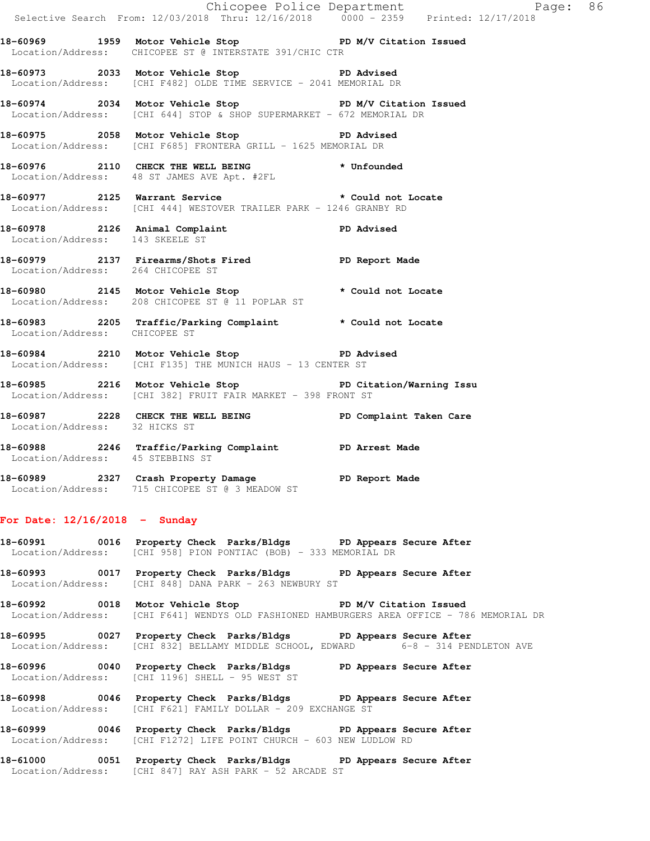|                                   | E Chicopee Police Department<br>Selective Search From: 12/03/2018 Thru: 12/16/2018 0000 - 2359 Printed: 12/17/2018                                                                          | Page: 86 |  |
|-----------------------------------|---------------------------------------------------------------------------------------------------------------------------------------------------------------------------------------------|----------|--|
|                                   | 18-60969 1959 Motor Vehicle Stop North PD M/V Citation Issued<br>Location/Address: CHICOPEE ST @ INTERSTATE 391/CHIC CTR                                                                    |          |  |
|                                   | 18-60973 2033 Motor Vehicle Stop 30 PD Advised<br>Location/Address: [CHI F482] OLDE TIME SERVICE - 2041 MEMORIAL DR                                                                         |          |  |
|                                   | 18-60974 2034 Motor Vehicle Stop N/V Citation Issued<br>Location/Address: [CHI 644] STOP & SHOP SUPERMARKET - 672 MEMORIAL DR                                                               |          |  |
|                                   | 18-60975 2058 Motor Vehicle Stop 30 PD Advised<br>Location/Address: [CHI F685] FRONTERA GRILL - 1625 MEMORIAL DR                                                                            |          |  |
|                                   | 18-60976 2110 CHECK THE WELL BEING * Unfounded<br>Location/Address: 48 ST JAMES AVE Apt. #2FL                                                                                               |          |  |
|                                   | 18-60977 2125 Warrant Service <b>18-60977</b> 2125 and the service that the service that the service that the service<br>Location/Address: [CHI 444] WESTOVER TRAILER PARK - 1246 GRANBY RD |          |  |
| Location/Address: 143 SKEELE ST   | 18-60978 2126 Animal Complaint PD Advised                                                                                                                                                   |          |  |
| Location/Address: 264 CHICOPEE ST | 18-60979 2137 Firearms/Shots Fired PD Report Made                                                                                                                                           |          |  |
|                                   | 18-60980 2145 Motor Vehicle Stop * Could not Locate<br>Location/Address: 208 CHICOPEE ST @ 11 POPLAR ST                                                                                     |          |  |
| Location/Address: CHICOPEE ST     | 18-60983 2205 Traffic/Parking Complaint * Could not Locate                                                                                                                                  |          |  |
|                                   | 18-60984 2210 Motor Vehicle Stop 50 PD Advised<br>Location/Address: [CHI F135] THE MUNICH HAUS - 13 CENTER ST                                                                               |          |  |
|                                   | 18-60985 2216 Motor Vehicle Stop North PD Citation/Warning Issu<br>Location/Address: [CHI 382] FRUIT FAIR MARKET - 398 FRONT ST                                                             |          |  |
| Location/Address: 32 HICKS ST     | 18-60987 2228 CHECK THE WELL BEING PD Complaint Taken Care                                                                                                                                  |          |  |
| Location/Address: 45 STEBBINS ST  | 18-60988 2246 Traffic/Parking Complaint PD Arrest Made                                                                                                                                      |          |  |

**18-60989 2327 Crash Property Damage PD Report Made**  Location/Address: 715 CHICOPEE ST @ 3 MEADOW ST

## **For Date: 12/16/2018 - Sunday**

**18-60991 0016 Property Check Parks/Bldgs PD Appears Secure After**  Location/Address: [CHI 958] PION PONTIAC (BOB) - 333 MEMORIAL DR

**18-60993 0017 Property Check Parks/Bldgs PD Appears Secure After**  Location/Address: [CHI 848] DANA PARK - 263 NEWBURY ST

**18-60992 0018 Motor Vehicle Stop PD M/V Citation Issued**  Location/Address: [CHI F641] WENDYS OLD FASHIONED HAMBURGERS AREA OFFICE - 786 MEMORIAL DR

**18-60995 0027 Property Check Parks/Bldgs PD Appears Secure After**  Location/Address: [CHI 832] BELLAMY MIDDLE SCHOOL, EDWARD 6-8 - 314 PENDLETON AVE

**18-60996 0040 Property Check Parks/Bldgs PD Appears Secure After**  Location/Address: [CHI 1196] SHELL - 95 WEST ST

**18-60998 0046 Property Check Parks/Bldgs PD Appears Secure After**  Location/Address: [CHI F621] FAMILY DOLLAR - 209 EXCHANGE ST

**18-60999 0046 Property Check Parks/Bldgs PD Appears Secure After**  Location/Address: [CHI F1272] LIFE POINT CHURCH - 603 NEW LUDLOW RD

**18-61000 0051 Property Check Parks/Bldgs PD Appears Secure After**  Location/Address: [CHI 847] RAY ASH PARK - 52 ARCADE ST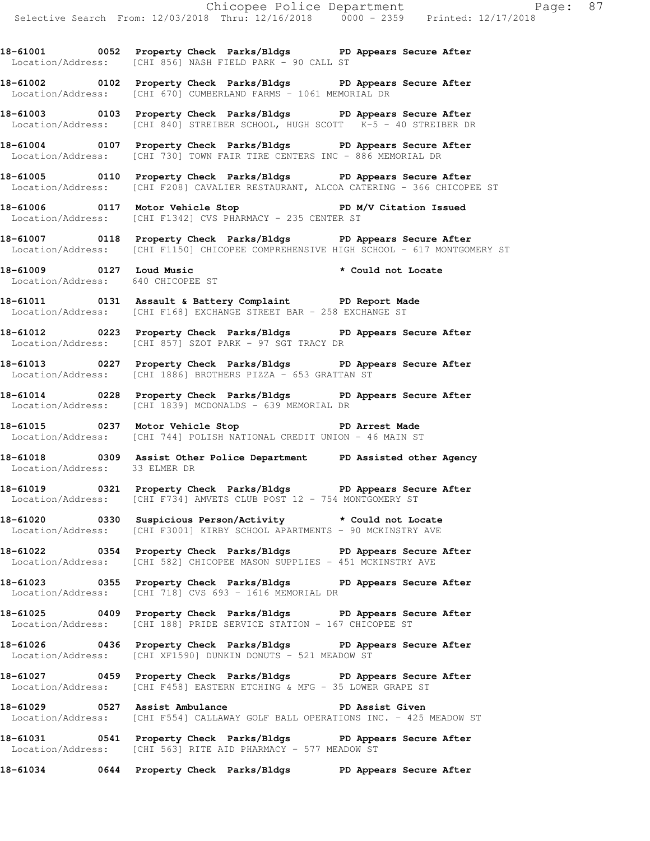**18-61001 0052 Property Check Parks/Bldgs PD Appears Secure After**  Location/Address: [CHI 856] NASH FIELD PARK - 90 CALL ST

**18-61002 0102 Property Check Parks/Bldgs PD Appears Secure After**  Location/Address: [CHI 670] CUMBERLAND FARMS - 1061 MEMORIAL DR

**18-61003 0103 Property Check Parks/Bldgs PD Appears Secure After**  Location/Address: [CHI 840] STREIBER SCHOOL, HUGH SCOTT K-5 - 40 STREIBER DR

**18-61004 0107 Property Check Parks/Bldgs PD Appears Secure After**  Location/Address: [CHI 730] TOWN FAIR TIRE CENTERS INC - 886 MEMORIAL DR

**18-61005 0110 Property Check Parks/Bldgs PD Appears Secure After**  Location/Address: [CHI F208] CAVALIER RESTAURANT, ALCOA CATERING - 366 CHICOPEE ST

18-61006 **0117** Motor Vehicle Stop **PD M/V Citation Issued** Location/Address: [CHI F1342] CVS PHARMACY - 235 CENTER ST

**18-61007 0118 Property Check Parks/Bldgs PD Appears Secure After**  Location/Address: [CHI F1150] CHICOPEE COMPREHENSIVE HIGH SCHOOL - 617 MONTGOMERY ST

**18-61009 0127 Loud Music \* Could not Locate**  Location/Address: 640 CHICOPEE ST

**18-61011 0131 Assault & Battery Complaint PD Report Made**  Location/Address: [CHI F168] EXCHANGE STREET BAR - 258 EXCHANGE ST

**18-61012 0223 Property Check Parks/Bldgs PD Appears Secure After**  Location/Address: [CHI 857] SZOT PARK - 97 SGT TRACY DR

**18-61013 0227 Property Check Parks/Bldgs PD Appears Secure After**  Location/Address: [CHI 1886] BROTHERS PIZZA - 653 GRATTAN ST

**18-61014 0228 Property Check Parks/Bldgs PD Appears Secure After**  Location/Address: [CHI 1839] MCDONALDS - 639 MEMORIAL DR

**18-61015 0237 Motor Vehicle Stop PD Arrest Made**  Location/Address: [CHI 744] POLISH NATIONAL CREDIT UNION - 46 MAIN ST

**18-61018 0309 Assist Other Police Department PD Assisted other Agency**  Location/Address: 33 ELMER DR

**18-61019 0321 Property Check Parks/Bldgs PD Appears Secure After**  Location/Address: [CHI F734] AMVETS CLUB POST 12 - 754 MONTGOMERY ST

**18-61020 0330 Suspicious Person/Activity \* Could not Locate**  Location/Address: [CHI F3001] KIRBY SCHOOL APARTMENTS - 90 MCKINSTRY AVE

**18-61022 0354 Property Check Parks/Bldgs PD Appears Secure After**  Location/Address: [CHI 582] CHICOPEE MASON SUPPLIES - 451 MCKINSTRY AVE

**18-61023 0355 Property Check Parks/Bldgs PD Appears Secure After**  Location/Address: [CHI 718] CVS 693 - 1616 MEMORIAL DR

**18-61025 0409 Property Check Parks/Bldgs PD Appears Secure After**  Location/Address: [CHI 188] PRIDE SERVICE STATION - 167 CHICOPEE ST

**18-61026 0436 Property Check Parks/Bldgs PD Appears Secure After**  Location/Address: [CHI XF1590] DUNKIN DONUTS - 521 MEADOW ST

**18-61027 0459 Property Check Parks/Bldgs PD Appears Secure After**  Location/Address: [CHI F458] EASTERN ETCHING & MFG - 35 LOWER GRAPE ST

18-61029 **0527** Assist Ambulance **PD Assist Given** Location/Address: [CHI F554] CALLAWAY GOLF BALL OPERATIONS INC. - 425 MEADOW ST

**18-61031 0541 Property Check Parks/Bldgs PD Appears Secure After**  Location/Address: [CHI 563] RITE AID PHARMACY - 577 MEADOW ST

**18-61034 0644 Property Check Parks/Bldgs PD Appears Secure After**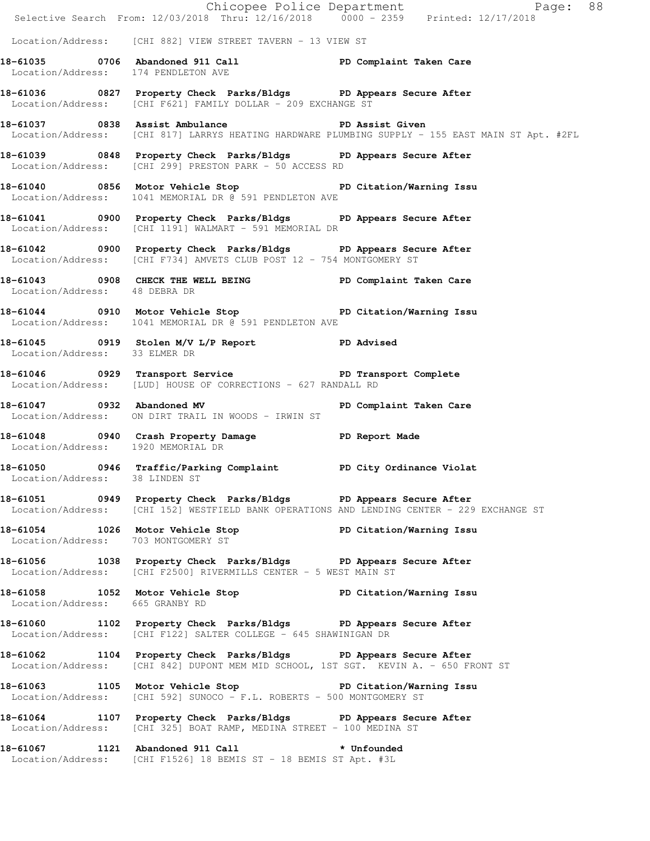|                                     | Chicopee Police Department<br>Selective Search From: 12/03/2018 Thru: 12/16/2018 0000 - 2359 Printed: 12/17/2018                                               |
|-------------------------------------|----------------------------------------------------------------------------------------------------------------------------------------------------------------|
|                                     |                                                                                                                                                                |
|                                     | Location/Address: [CHI 882] VIEW STREET TAVERN - 13 VIEW ST                                                                                                    |
|                                     | 18-61035 0706 Abandoned 911 Call 200 PD Complaint Taken Care<br>Location/Address: 174 PENDLETON AVE                                                            |
|                                     | 18-61036 0827 Property Check Parks/Bldgs PD Appears Secure After<br>Location/Address: [CHI F621] FAMILY DOLLAR - 209 EXCHANGE ST                               |
|                                     | 18-61037 0838 Assist Ambulance<br>PD Assist Given<br>Location/Address: [CHI 817] LARRYS HEATING HARDWARE PLUMBING SUPPLY - 155 EAST MAIN ST Apt. #2FL          |
|                                     | 18-61039 0848 Property Check Parks/Bldgs PD Appears Secure After<br>Location/Address: [CHI 299] PRESTON PARK - 50 ACCESS RD                                    |
|                                     | 18-61040 0856 Motor Vehicle Stop North PD Citation/Warning Issu<br>Location/Address: 1041 MEMORIAL DR @ 591 PENDLETON AVE                                      |
|                                     | 18-61041 		 0900 Property Check Parks/Bldgs 		 PD Appears Secure After<br>Location/Address: [CHI 1191] WALMART - 591 MEMORIAL DR                               |
|                                     | 18-61042 0900 Property Check Parks/Bldgs PD Appears Secure After<br>Location/Address: [CHI F734] AMVETS CLUB POST 12 - 754 MONTGOMERY ST                       |
| Location/Address: 48 DEBRA DR       | 18-61043 0908 CHECK THE WELL BEING PD Complaint Taken Care                                                                                                     |
|                                     | 18-61044 0910 Motor Vehicle Stop North PD Citation/Warning Issu<br>Location/Address: 1041 MEMORIAL DR @ 591 PENDLETON AVE                                      |
| Location/Address: 33 ELMER DR       | 18-61045 0919 Stolen M/V L/P Report PD Advised                                                                                                                 |
|                                     | Location/Address: [LUD] HOUSE OF CORRECTIONS - 627 RANDALL RD                                                                                                  |
| 18-61047 0932 Abandoned MV          | PD Complaint Taken Care<br>Location/Address: ON DIRT TRAIL IN WOODS - IRWIN ST                                                                                 |
| Location/Address: 1920 MEMORIAL DR  | 18-61048 0940 Crash Property Damage The Report Made                                                                                                            |
| Location/Address: 38 LINDEN ST      | 18-61050 0946 Traffic/Parking Complaint PD City Ordinance Violat                                                                                               |
|                                     | 18-61051 0949 Property Check Parks/Bldgs PD Appears Secure After<br>Location/Address: [CHI 152] WESTFIELD BANK OPERATIONS AND LENDING CENTER - 229 EXCHANGE ST |
| Location/Address: 703 MONTGOMERY ST | 18-61054 1026 Motor Vehicle Stop PD Citation/Warning Issu                                                                                                      |
|                                     | 18-61056 1038 Property Check Parks/Bldgs PD Appears Secure After<br>Location/Address: [CHI F2500] RIVERMILLS CENTER - 5 WEST MAIN ST                           |
| Location/Address: 665 GRANBY RD     | 18-61058 1052 Motor Vehicle Stop PD Citation/Warning Issu                                                                                                      |
|                                     | 18-61060 1102 Property Check Parks/Bldgs PD Appears Secure After<br>Location/Address: [CHI F122] SALTER COLLEGE - 645 SHAWINIGAN DR                            |
|                                     | 18-61062 1104 Property Check Parks/Bldgs PD Appears Secure After<br>Location/Address: [CHI 842] DUPONT MEM MID SCHOOL, 1ST SGT. KEVIN A. - 650 FRONT ST        |
|                                     | 18-61063 1105 Motor Vehicle Stop PD Citation/Warning Issu<br>Location/Address: [CHI 592] SUNOCO - F.L. ROBERTS - 500 MONTGOMERY ST                             |
|                                     | 18-61064 1107 Property Check Parks/Bldgs PD Appears Secure After<br>Location/Address: [CHI 325] BOAT RAMP, MEDINA STREET - 100 MEDINA ST                       |
|                                     | 18-61067 1121 Abandoned 911 Call 31 absolved to the Unfounded<br>Location/Address: [CHI F1526] 18 BEMIS ST - 18 BEMIS ST Apt. #3L                              |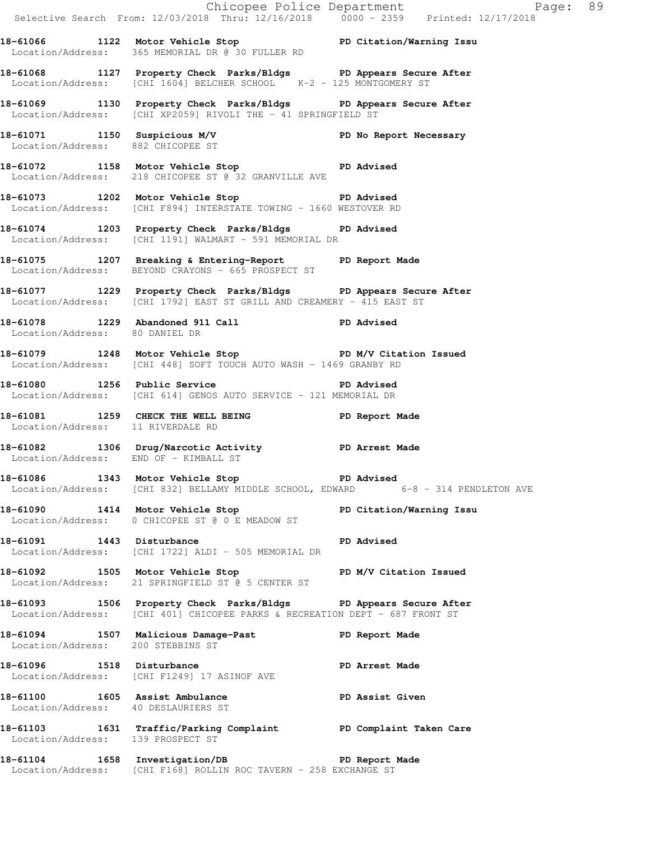|                                                                       |                                                                                                                                                 | Chicopee Police Department<br>Selective Search From: 12/03/2018 Thru: 12/16/2018 0000 - 2359 Printed: 12/17/2018 |
|-----------------------------------------------------------------------|-------------------------------------------------------------------------------------------------------------------------------------------------|------------------------------------------------------------------------------------------------------------------|
|                                                                       | 18-61066 1122 Motor Vehicle Stop PD Citation/Warning Issu<br>Location/Address: 365 MEMORIAL DR @ 30 FULLER RD                                   |                                                                                                                  |
|                                                                       | 18-61068 1127 Property Check Parks/Bldgs PD Appears Secure After<br>Location/Address: [CHI 1604] BELCHER SCHOOL K-2 - 125 MONTGOMERY ST         |                                                                                                                  |
|                                                                       | 18-61069 1130 Property Check Parks/Bldgs PD Appears Secure After<br>Location/Address: [CHI XP2059] RIVOLI THE - 41 SPRINGFIELD ST               |                                                                                                                  |
|                                                                       | 18-61071   1150   Suspicious M/V   PD No Report Necessary<br>Location/Address: 882   CHICOPEE ST                                                |                                                                                                                  |
|                                                                       | 18-61072 1158 Motor Vehicle Stop PD Advised<br>Location/Address: 218 CHICOPEE ST @ 32 GRANVILLE AVE                                             |                                                                                                                  |
|                                                                       | 18-61073 1202 Motor Vehicle Stop 50 PD Advised<br>Location/Address: [CHI F894] INTERSTATE TOWING - 1660 WESTOVER RD                             |                                                                                                                  |
|                                                                       | 18-61074 1203 Property Check Parks/Bldgs PD Advised<br>Location/Address: [CHI 1191] WALMART - 591 MEMORIAL DR                                   |                                                                                                                  |
|                                                                       | 18-61075 1207 Breaking & Entering-Report PD Report Made<br>Location/Address: BEYOND CRAYONS - 665 PROSPECT ST                                   |                                                                                                                  |
|                                                                       | 18-61077 1229 Property Check Parks/Bldgs PD Appears Secure After<br>Location/Address: [CHI 1792] EAST ST GRILL AND CREAMERY - 415 EAST ST       |                                                                                                                  |
| Location/Address: 80 DANIEL DR                                        | 18-61078 1229 Abandoned 911 Call PD Advised                                                                                                     |                                                                                                                  |
|                                                                       | 18-61079 1248 Motor Vehicle Stop N/V Citation Issued<br>Location/Address: [CHI 448] SOFT TOUCH AUTO WASH - 1469 GRANBY RD                       |                                                                                                                  |
|                                                                       | 18-61080 1256 Public Service New PD Advised<br>Location/Address: [CHI 614] GENOS AUTO SERVICE - 121 MEMORIAL DR                                 |                                                                                                                  |
| Location/Address: 11 RIVERDALE RD                                     | 18-61081 1259 CHECK THE WELL BEING PD Report Made                                                                                               |                                                                                                                  |
| Location/Address: END OF - KIMBALL ST                                 | 18-61082 1306 Drug/Narcotic Activity 19D Arrest Made                                                                                            |                                                                                                                  |
|                                                                       | 18-61086 1343 Motor Vehicle Stop November 2016<br>Location/Address: [CHI 832] BELLAMY MIDDLE SCHOOL, EDWARD 6-8 - 314 PENDLETON AVE             |                                                                                                                  |
|                                                                       | 18-61090 1414 Motor Vehicle Stop<br>Location/Address: 0 CHICOPEE ST @ 0 E MEADOW ST                                                             | PD Citation/Warning Issu                                                                                         |
| 18-61091 1443 Disturbance                                             | <b>PD</b> Advised<br>Location/Address: [CHI 1722] ALDI - 505 MEMORIAL DR                                                                        |                                                                                                                  |
|                                                                       | 18-61092 1505 Motor Vehicle Stop PD M/V Citation Issued<br>Location/Address: 21 SPRINGFIELD ST @ 5 CENTER ST                                    |                                                                                                                  |
|                                                                       | 18-61093 1506 Property Check Parks/Bldgs PD Appears Secure After<br>Location/Address: [CHI 401] CHICOPEE PARKS & RECREATION DEPT - 687 FRONT ST |                                                                                                                  |
| Location/Address: 200 STEBBINS ST                                     | 18-61094 1507 Malicious Damage-Past PD Report Made                                                                                              |                                                                                                                  |
|                                                                       | 18-61096 1518 Disturbance<br>Location/Address: [CHI F1249] 17 ASINOF AVE                                                                        | <b>PD Arrest Made</b>                                                                                            |
| 18-61100 1605 Assist Ambulance<br>Location/Address: 40 DESLAURIERS ST | <b>PD</b> Assist Given                                                                                                                          |                                                                                                                  |
| Location/Address: 139 PROSPECT ST                                     | 1631 Traffic/Parking Complaint PD Complaint Taken Care                                                                                          |                                                                                                                  |
|                                                                       | 18-61104 1658 Investigation/DB PD Report Made<br>Location/Address: [CHI F168] ROLLIN ROC TAVERN - 258 EXCHANGE ST                               |                                                                                                                  |